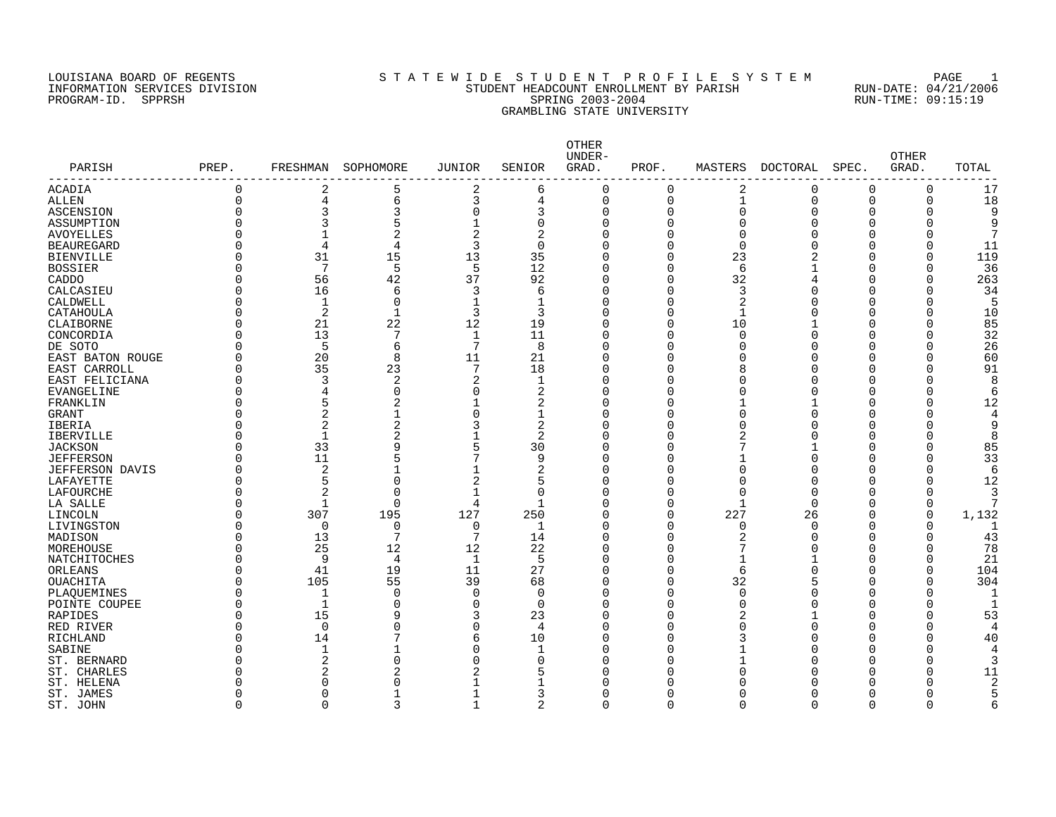### LOUISIANA BOARD OF REGENTS SOURCLEARIE WIDE STUDENT PROFILE SYSTEM PAGE 1 INFORMATION SERVICES DIVISION STUDENT HEADCOUNT ENROLLMENT BY PARISH RUN-DATE: 04/21/2006 PROGRAM-ID. SPPRSH SPRING 2003-2004 RUN-TIME: 09:15:19 GRAMBLING STATE UNIVERSITY

|                          |             |                |                |                |                | OTHER<br>UNDER- |                |                |             |          | <b>OTHER</b> |       |
|--------------------------|-------------|----------------|----------------|----------------|----------------|-----------------|----------------|----------------|-------------|----------|--------------|-------|
| PARISH<br>-------------- | PREP.       | FRESHMAN       | SOPHOMORE      | <b>JUNIOR</b>  | SENIOR         | GRAD.           | PROF.          | MASTERS        | DOCTORAL    | SPEC.    | GRAD.        | TOTAL |
| <b>ACADIA</b>            | 0           | 2              | 5              | 2              | 6              | $\Omega$        | $\mathbf 0$    | 2              | $\mathbf 0$ | $\Omega$ | $\mathbf 0$  | 17    |
| <b>ALLEN</b>             | $\mathbf 0$ | $\overline{4}$ | 6              | 3              | 4              | $\mathbf 0$     | $\overline{0}$ | $\mathbf{1}$   | $\mathbf 0$ | $\Omega$ | $\mathbf 0$  | 18    |
| <b>ASCENSION</b>         | 0           | 3              | 3              | 0              | 3              | $\Omega$        | $\mathbf 0$    | 0              | O           | O        | 0            |       |
| ASSUMPTION               | O           | 3              | 5              | 1              | $\mathbf 0$    | $\Omega$        | $\Omega$       | O              | U           | n        |              | 9     |
| <b>AVOYELLES</b>         | $\Omega$    | $\mathbf{1}$   | $\overline{2}$ | $\overline{2}$ | $\overline{2}$ | $\Omega$        | $\Omega$       | $\Omega$       |             | Λ        |              |       |
| <b>BEAUREGARD</b>        | O           | 4              | $\overline{4}$ | 3              | $\mathbf 0$    | $\Omega$        | $\Omega$       | $\Omega$       |             |          |              | 11    |
| <b>BIENVILLE</b>         | 0           | 31             | 15             | 13             | 35             | $\Omega$        | $\Omega$       | 23             |             |          | 0            | 119   |
| <b>BOSSIER</b>           | U           | 7              | 5              | 5              | 12             | $\Omega$        | $\Omega$       | 6              |             | Λ        |              | 36    |
| CADDO                    | O           | 56             | 42             | 37             | 92             | $\Omega$        | $\Omega$       | 32             |             |          | U            | 263   |
| CALCASIEU                | U           | 16             | 6              | 3              | 6              | ∩               | O              | 3              |             |          |              | 34    |
| CALDWELL                 | O           | $\mathbf{1}$   | $\Omega$       | $\mathbf 1$    | 1              | $\Omega$        | $\Omega$       | 2              |             | Λ        | U            | 5     |
| CATAHOULA                | O           | 2              | $\mathbf{1}$   | 3              | 3              | $\Omega$        | O              | -1             |             |          | Λ            | 10    |
| CLAIBORNE                | 0           | 21             | 22             | 12             | 19             | $\Omega$        | $\mathbf 0$    | 10             |             | ∩        | U            | 85    |
| CONCORDIA                | O           | 13             | 7              | 1              | 11             | ∩               | $\cap$         | $\Omega$       |             | ∩        | Λ            | 32    |
| DE SOTO                  | O           | 5              | 6              | 7              | 8              | $\Omega$        | $\Omega$       | ∩              |             |          | U            | 26    |
| EAST BATON ROUGE         | $\Omega$    | 20             | 8              | 11             | 21             | ∩               | $\cap$         | ∩              |             | ∩        | U            | 60    |
| EAST CARROLL             | O           | 35             | 23             | 7              | 18             | $\Omega$        | $\cap$         | 8              |             |          |              | 91    |
| EAST FELICIANA           | 0           | 3              | 2              | 2              | 1              | $\Omega$        | n              |                |             |          | Ω            |       |
| EVANGELINE               | 0           | 4              | $\mathbf 0$    | 0              | 2              | $\Omega$        | O              |                |             |          | Ω            | 6     |
| FRANKLIN                 | 0           | 5              | 2              | 1              | 2              | $\Omega$        | O              |                |             |          | U            | 12    |
| <b>GRANT</b>             | 0           | 2              |                | 0              | 1              | $\Omega$        | O              | U              |             |          |              | 4     |
| <b>IBERIA</b>            | 0           | 2              |                | 3              | 2              | $\Omega$        | O              |                |             |          |              | 9     |
| <b>IBERVILLE</b>         | U           | $\mathbf{1}$   | 2              |                | 2              | $\Omega$        | n              |                |             |          |              | 8     |
| <b>JACKSON</b>           | 0           | 33             | 9              | 5              | 30             | $\Omega$        | n              |                |             |          |              | 85    |
| <b>JEFFERSON</b>         | $\Omega$    | 11             |                | 7              | 9              | $\Omega$        | n              |                |             |          |              | 33    |
| <b>JEFFERSON DAVIS</b>   | 0           | $\overline{c}$ | $\mathbf{1}$   | $\mathbf{1}$   | $\overline{2}$ | $\Omega$        | O              | $\Omega$       |             | Λ        | U            | 6     |
| LAFAYETTE                | $\Omega$    | 5              | $\Omega$       | $\overline{2}$ | 5              | $\Omega$        | O              | $\Omega$       |             | Λ        | U            | 12    |
| <b>LAFOURCHE</b>         | 0           | $\overline{2}$ | $\Omega$       | $\mathbf 1$    | $\mathbf 0$    | $\Omega$        | $\Omega$       | 0              |             |          |              |       |
| LA SALLE                 | $\Omega$    | $\mathbf{1}$   | $\Omega$       | 4              | $\mathbf 1$    | $\Omega$        | $\Omega$       | $\overline{1}$ | ∩           | Λ        | $\Omega$     |       |
| LINCOLN                  | $\Omega$    | 307            | 195            | 127            | 250            | $\Omega$        | $\mathbf 0$    | 227            | 26          |          | $\Omega$     | 1,132 |
| LIVINGSTON               | O           | $\mathbf 0$    | $\Omega$       | 0              | 1              | $\Omega$        | $\Omega$       | $\Omega$       | ∩           | Λ        |              |       |
| MADISON                  | 0           | 13             | 7              | 7              | 14             | $\Omega$        | $\Omega$       | 2              |             |          | O            | 43    |
| MOREHOUSE                | 0           | 25             | 12             | 12             | 22             | $\Omega$        | $\Omega$       | 7              |             |          | O            | 78    |
| NATCHITOCHES             | 0           | 9              | 4              | 1              | 5              | $\Omega$        | $\Omega$       | 1              |             | Λ        |              | 21    |
| ORLEANS                  | 0           | 41             | 19             | 11             | 27             | $\Omega$        | $\Omega$       | 6              |             |          |              | 104   |
| <b>OUACHITA</b>          | $\Omega$    | 105            | 55             | 39             | 68             | $\Omega$        | O              | 32             |             |          |              | 304   |
| PLAOUEMINES              | 0           | $\mathbf{1}$   | $\Omega$       | $\mathbf 0$    | $\mathbf 0$    | $\Omega$        | $\Omega$       | $\Omega$       |             |          |              |       |
| POINTE COUPEE            | O           | $\mathbf{1}$   | $\Omega$       | 0              | $\Omega$       | ∩               | n              | U              |             |          |              |       |
| RAPIDES                  | O           | 15             | 9              | 3              | 23             | $\Omega$        | $\cap$         | 2              |             |          |              | 53    |
| RED RIVER                | O           | $\Omega$       | $\Omega$       | $\Omega$       | 4              | $\Omega$        | n              | U              |             |          |              |       |
| RICHLAND                 | 0           | 14             | 7              | 6              | 10             | $\Omega$        | O              |                |             |          |              | 40    |
| SABINE                   | O           | $\mathbf{1}$   | $\mathbf{1}$   | $\Omega$       | -1             | ∩               | n              |                |             |          |              |       |
| ST. BERNARD              | O           | $\overline{2}$ | $\Omega$       | $\Omega$       | 0              | ∩               | n              | 1              |             |          |              |       |
| ST. CHARLES              | U           | $\overline{c}$ |                | 2              | 5              | ∩               | n              | ∩              |             |          | ∩            | 11    |
| ST. HELENA               |             | $\Omega$       | O              |                | 1              | ∩               | n              |                |             |          |              | 2     |
| ST. JAMES                | N           | $\Omega$       | -1             | 1              | 3              | O               | $\cap$         | U              |             |          |              |       |
| ST. JOHN                 | $\Omega$    | $\Omega$       | 3              | 1              | $\overline{2}$ | $\Omega$        | $\Omega$       | $\Omega$       | $\Omega$    | $\Omega$ | $\Omega$     | 6     |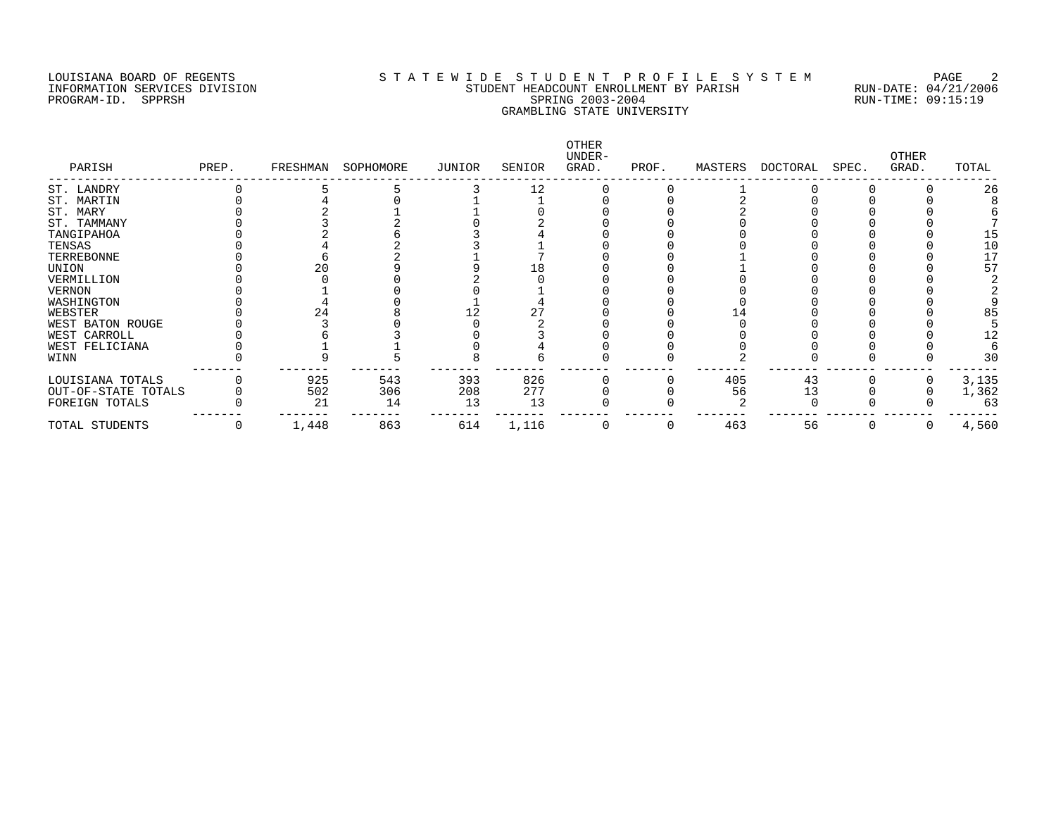### LOUISIANA BOARD OF REGENTS SOURCLEARIE WIDE STUDENT PROFILE SYSTEM PAGE 2 INFORMATION SERVICES DIVISION STUDENT HEADCOUNT ENROLLMENT BY PARISH RUN-DATE: 04/21/2006 PROGRAM-ID. SPPRSH SPRING 2003-2004 RUN-TIME: 09:15:19 GRAMBLING STATE UNIVERSITY

| PARISH              | PREP. | FRESHMAN | SOPHOMORE | JUNIOR | SENIOR | <b>OTHER</b><br>UNDER-<br>GRAD. | PROF. | MASTERS | DOCTORAL | SPEC. | OTHER<br>GRAD. | TOTAL |
|---------------------|-------|----------|-----------|--------|--------|---------------------------------|-------|---------|----------|-------|----------------|-------|
| ST. LANDRY          |       |          |           |        | 12     |                                 |       |         |          |       |                | 26    |
| ST. MARTIN          |       |          |           |        |        |                                 |       |         |          |       |                |       |
| ST. MARY            |       |          |           |        |        |                                 |       |         |          |       |                |       |
| ST. TAMMANY         |       |          |           |        |        |                                 |       |         |          |       |                |       |
| TANGIPAHOA          |       |          |           |        |        |                                 |       |         |          |       |                | 15    |
| TENSAS              |       |          |           |        |        |                                 |       |         |          |       |                | 10    |
| TERREBONNE          |       |          |           |        |        |                                 |       |         |          |       |                | 17    |
| UNION               |       |          |           |        | L 8    |                                 |       |         |          |       |                | 57    |
| VERMILLION          |       |          |           |        |        |                                 |       |         |          |       |                |       |
| <b>VERNON</b>       |       |          |           |        |        |                                 |       |         |          |       |                |       |
| WASHINGTON          |       |          |           |        |        |                                 |       |         |          |       |                |       |
| WEBSTER             |       |          |           |        |        |                                 |       |         |          |       |                | 85    |
| WEST BATON ROUGE    |       |          |           |        |        |                                 |       |         |          |       |                |       |
| WEST CARROLL        |       |          |           |        |        |                                 |       |         |          |       |                |       |
| WEST FELICIANA      |       |          |           |        |        |                                 |       |         |          |       |                |       |
| WINN                |       |          |           |        |        |                                 |       |         |          |       |                | 3C    |
| LOUISIANA TOTALS    |       | 925      | 543       | 393    | 826    |                                 |       | 405     | 43       |       |                | 3,135 |
| OUT-OF-STATE TOTALS |       | 502      | 306       | 208    | 277    |                                 |       | 56      | 13       |       |                | 1,362 |
| FOREIGN TOTALS      |       | 21       | 14        | 13     | 13     |                                 |       |         |          |       |                | 63    |
| TOTAL STUDENTS      |       | 1,448    | 863       | 614    | 1,116  |                                 |       | 463     | 56       |       |                | 4,560 |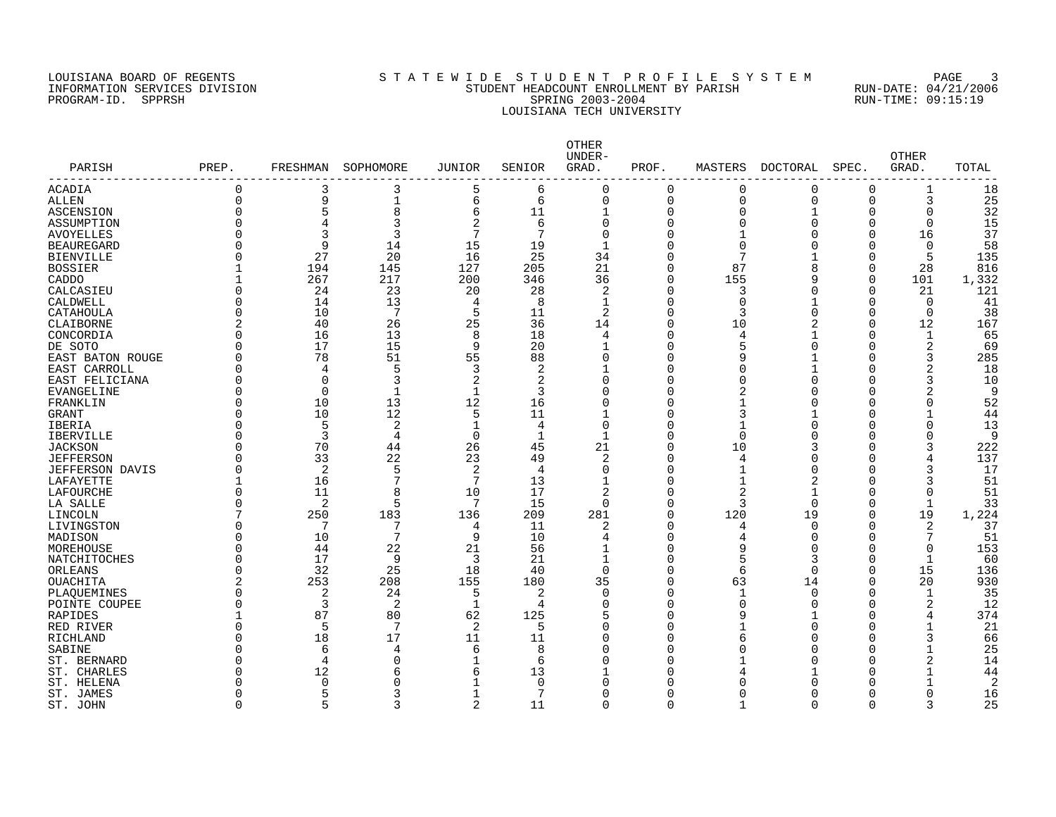# LOUISIANA BOARD OF REGENTS SOURCLEARIE STA T E W I D E S T U D E N T P R O F I L E S Y S T E M PAGE 3 INFORMATION SERVICES DIVISION STUDENT HEADCOUNT ENROLLMENT BY PARISH RUN-DATE: 04/21/2006 PROGRAM-ID. SPPRSH SPRING 2003-2004 RUN-TIME: 09:15:19 LOUISIANA TECH UNIVERSITY

| 3<br>5<br>$\Omega$<br>18<br>ACADIA<br>$\Omega$<br>3<br>6<br>0<br>$\Omega$<br>$\Omega$<br>$\Omega$<br>1<br>25<br>$\Omega$<br>9<br>1<br>6<br>$\mathbf 0$<br>0<br>$\Omega$<br>$\Omega$<br>$\Omega$<br>3<br>ALLEN<br>6<br>5<br>8<br>$\Omega$<br>32<br>ASCENSION<br>6<br>11<br>0<br>$\Omega$<br>0<br>1<br>1<br>O<br>3<br>$\Omega$<br>2<br>$\Omega$<br>$\Omega$<br>15<br>4<br>6<br>0<br>$\Omega$<br>$\Omega$<br>0<br>ASSUMPTION<br>7<br>$\Omega$<br>3<br>3<br>7<br>37<br>$\Omega$<br>$\Omega$<br>16<br><b>AVOYELLES</b><br>∩<br>$\Omega$<br>9<br>15<br>19<br>58<br>$\Omega$<br>14<br>$\Omega$<br>$\Omega$<br>$\Omega$<br><b>BEAUREGARD</b><br>$\Omega$<br>27<br>20<br>16<br>25<br>34<br>7<br>5<br>135<br>$\Omega$<br>0<br>$\Omega$<br><b>BIENVILLE</b><br>21<br><b>BOSSIER</b><br>194<br>145<br>127<br>205<br>0<br>87<br>$\Omega$<br>28<br>816<br>267<br>217<br>200<br>346<br>36<br>155<br>101<br>1,332<br>CADDO<br>0<br>q<br>$\Omega$<br>24<br>23<br>20<br>28<br>21<br>121<br>CALCASIEU<br>$\Omega$<br>2<br>0<br>3<br>$\Omega$<br>41<br>CALDWELL<br>$\Omega$<br>14<br>13<br>4<br>8<br>0<br>0<br>$\Omega$<br>O<br>7<br>5<br>38<br>CATAHOULA<br>$\Omega$<br>10<br>11<br>$\overline{2}$<br>0<br>3<br>$\Omega$<br>0<br>Ω<br>25<br>$\overline{2}$<br>40<br>26<br>36<br>14<br>0<br>10<br>2<br>12<br>167<br>CLAIBORNE<br>$\Omega$<br>13<br>8<br>$\Omega$<br>16<br>18<br>$\Omega$<br>$\mathbf{1}$<br>65<br>CONCORDIA<br>$\Omega$<br>4<br>4<br>17<br>15<br>9<br>20<br>2<br>$\Omega$<br>$\Omega$<br>$\Omega$<br>69<br>DE SOTO<br>Ω<br>51<br>55<br>78<br>$\Omega$<br>3<br>285<br>EAST BATON ROUGE<br>∩<br>88<br>O<br>9<br>∩<br>3<br>4<br>5<br>2<br>$\Omega$<br>2<br>18<br>EAST CARROLL<br>∩<br>$\cap$<br>1<br>U<br>$\Omega$<br>3<br>2<br>2<br>EAST FELICIANA<br>$\Omega$<br>$\Omega$<br>O<br>$\cap$<br>U<br>U<br>3<br>10<br>$\mathbf{1}$<br>2<br>$\Omega$<br>$\Omega$<br>$\mathbf 1$<br>3<br>$\Omega$<br>2<br>9<br>EVANGELINE<br>∩<br>O<br>12<br>$\Omega$<br>13<br>52<br>FRANKLIN<br>10<br>16<br>$\Omega$<br>0<br>∩<br>1<br>O<br>12<br>5<br>10<br>44<br>$\Omega$<br>11<br>$\Omega$<br>3<br>$\mathbf{1}$<br><b>GRANT</b><br>$\Omega$<br>2<br>$\Omega$<br>5<br>$\mathbf{1}$<br>$\Omega$<br>$\Omega$<br>13<br>IBERIA<br>4<br>O<br>-1<br>U<br>$\overline{0}$<br>$\Omega$<br>3<br>4<br>$\Omega$<br>9<br><b>IBERVILLE</b><br>$\mathbf{1}$<br>$\Omega$<br>U<br>O<br>-1<br>70<br>45<br>222<br>$\Omega$<br>44<br>26<br>21<br>0<br>10<br>3<br><b>JACKSON</b><br>U<br>33<br>22<br>23<br>49<br>2<br>137<br><b>JEFFERSON</b><br>∩<br>0<br>4<br>U<br>2<br>5<br>2<br>17<br><b>JEFFERSON DAVIS</b><br>$\Omega$<br>4<br>$\Omega$<br>$\Omega$<br>O<br>$\Omega$<br>3<br>7<br>7<br>51<br>LAFAYETTE<br>16<br>13<br>0<br>2<br>$\Omega$<br>3<br>$\Omega$<br>11<br>8<br>10<br>17<br>$\mathfrak{D}$<br>$\Omega$<br>2<br>$\Omega$<br>51<br>LAFOURCHE<br>O<br>$\overline{2}$<br>5<br>7<br>15<br>$\Omega$<br>33<br>LA SALLE<br>$\Omega$<br>$\cap$<br>O<br>3<br>$\Omega$<br>1<br>7<br>209<br>281<br>120<br>19<br>19<br>1,224<br>LINCOLN<br>250<br>183<br>136<br>0<br>$\Omega$<br>2<br>37<br>LIVINGSTON<br>$\Omega$<br>7<br>11<br>2<br>O<br>$\Omega$<br>$\Omega$<br>4<br>4<br>7<br>9<br>51<br>10<br>10<br>$\Omega$<br>7<br>$\Omega$<br>$\Omega$<br>MADISON<br>N<br>22<br>21<br>153<br>MOREHOUSE<br>∩<br>44<br>56<br>0<br>$\Omega$<br>0<br>9<br>O<br>17<br>3<br>NATCHITOCHES<br>$\Omega$<br>9<br>21<br>$\mathbf{1}$<br>$\Omega$<br>5<br>3<br>$\Omega$<br>1<br>60<br>32<br>25<br>18<br>15<br>136<br>ORLEANS<br>$\Omega$<br>40<br>$\Omega$<br>$\Omega$<br>6<br>$\Omega$<br>$\Omega$<br>$\overline{2}$<br>253<br>208<br>155<br>180<br>35<br>63<br>20<br>930<br>OUACHITA<br>O<br>14<br>∩<br>$\Omega$<br>2<br>24<br>2<br>$\mathbf{1}$<br>35<br>PLAOUEMINES<br>.5<br>$\cap$<br>O<br>1<br>∩<br>∩<br>3<br>2<br>2<br>12<br>POINTE COUPEE<br>$\Omega$<br>1<br>4<br>$\Omega$<br>0<br>$\Omega$<br>$\Omega$<br>Λ<br>125<br>374<br>87<br>80<br>62<br>0<br>9<br>∩<br>RAPIDES<br>4<br>21<br>7<br>2<br>$\Omega$<br>5<br>5<br>∩<br>0<br>O<br>1<br>RED RIVER<br>17<br>3<br>66<br>$\Omega$<br>18<br>11<br>11<br>$\Omega$<br>O<br>RICHLAND<br>6<br>25<br><b>SABINE</b><br>$\Omega$<br>6<br>6<br>8<br>$\Omega$<br>$\Omega$<br>$\mathbf{1}$<br>4<br>$\Omega$<br>2<br>ST. BERNARD<br>$\Omega$<br>$\overline{4}$<br>0<br>$\Omega$<br>14<br>6<br>U<br>12<br>44<br>ST. CHARLES<br>∩<br>6<br>6<br>13<br>O<br>U<br>1<br>ST. HELENA<br>$\mathcal{D}$<br>∩<br>$\Omega$<br>0<br>$\Omega$<br>O<br>U<br>1<br>ST. JAMES<br>5<br>3<br>7<br>O<br>O<br>O<br>O<br>16 | PARISH<br>-------------- | PREP.    | FRESHMAN | SOPHOMORE | <b>JUNIOR</b> | SENIOR | OTHER<br>UNDER-<br>GRAD. | PROF. | MASTERS | DOCTORAL | SPEC.    | <b>OTHER</b><br>GRAD. | TOTAL |
|--------------------------------------------------------------------------------------------------------------------------------------------------------------------------------------------------------------------------------------------------------------------------------------------------------------------------------------------------------------------------------------------------------------------------------------------------------------------------------------------------------------------------------------------------------------------------------------------------------------------------------------------------------------------------------------------------------------------------------------------------------------------------------------------------------------------------------------------------------------------------------------------------------------------------------------------------------------------------------------------------------------------------------------------------------------------------------------------------------------------------------------------------------------------------------------------------------------------------------------------------------------------------------------------------------------------------------------------------------------------------------------------------------------------------------------------------------------------------------------------------------------------------------------------------------------------------------------------------------------------------------------------------------------------------------------------------------------------------------------------------------------------------------------------------------------------------------------------------------------------------------------------------------------------------------------------------------------------------------------------------------------------------------------------------------------------------------------------------------------------------------------------------------------------------------------------------------------------------------------------------------------------------------------------------------------------------------------------------------------------------------------------------------------------------------------------------------------------------------------------------------------------------------------------------------------------------------------------------------------------------------------------------------------------------------------------------------------------------------------------------------------------------------------------------------------------------------------------------------------------------------------------------------------------------------------------------------------------------------------------------------------------------------------------------------------------------------------------------------------------------------------------------------------------------------------------------------------------------------------------------------------------------------------------------------------------------------------------------------------------------------------------------------------------------------------------------------------------------------------------------------------------------------------------------------------------------------------------------------------------------------------------------------------------------------------------------------------------------------------------------------------------------------------------------------------------------------------------------------------------------------------------------------------------------------------------------------------------------------------------------------------------------------------------------------------------------------------------------------------------------------------------------------------------------------------------------------------------------------------------------------------------------------------------------------------------------------------------------------------------------------------------------------------------------------------------------------------------------------|--------------------------|----------|----------|-----------|---------------|--------|--------------------------|-------|---------|----------|----------|-----------------------|-------|
|                                                                                                                                                                                                                                                                                                                                                                                                                                                                                                                                                                                                                                                                                                                                                                                                                                                                                                                                                                                                                                                                                                                                                                                                                                                                                                                                                                                                                                                                                                                                                                                                                                                                                                                                                                                                                                                                                                                                                                                                                                                                                                                                                                                                                                                                                                                                                                                                                                                                                                                                                                                                                                                                                                                                                                                                                                                                                                                                                                                                                                                                                                                                                                                                                                                                                                                                                                                                                                                                                                                                                                                                                                                                                                                                                                                                                                                                                                                                                                                                                                                                                                                                                                                                                                                                                                                                                                                                                                                                                |                          |          |          |           |               |        |                          |       |         |          |          |                       |       |
|                                                                                                                                                                                                                                                                                                                                                                                                                                                                                                                                                                                                                                                                                                                                                                                                                                                                                                                                                                                                                                                                                                                                                                                                                                                                                                                                                                                                                                                                                                                                                                                                                                                                                                                                                                                                                                                                                                                                                                                                                                                                                                                                                                                                                                                                                                                                                                                                                                                                                                                                                                                                                                                                                                                                                                                                                                                                                                                                                                                                                                                                                                                                                                                                                                                                                                                                                                                                                                                                                                                                                                                                                                                                                                                                                                                                                                                                                                                                                                                                                                                                                                                                                                                                                                                                                                                                                                                                                                                                                |                          |          |          |           |               |        |                          |       |         |          |          |                       |       |
|                                                                                                                                                                                                                                                                                                                                                                                                                                                                                                                                                                                                                                                                                                                                                                                                                                                                                                                                                                                                                                                                                                                                                                                                                                                                                                                                                                                                                                                                                                                                                                                                                                                                                                                                                                                                                                                                                                                                                                                                                                                                                                                                                                                                                                                                                                                                                                                                                                                                                                                                                                                                                                                                                                                                                                                                                                                                                                                                                                                                                                                                                                                                                                                                                                                                                                                                                                                                                                                                                                                                                                                                                                                                                                                                                                                                                                                                                                                                                                                                                                                                                                                                                                                                                                                                                                                                                                                                                                                                                |                          |          |          |           |               |        |                          |       |         |          |          |                       |       |
|                                                                                                                                                                                                                                                                                                                                                                                                                                                                                                                                                                                                                                                                                                                                                                                                                                                                                                                                                                                                                                                                                                                                                                                                                                                                                                                                                                                                                                                                                                                                                                                                                                                                                                                                                                                                                                                                                                                                                                                                                                                                                                                                                                                                                                                                                                                                                                                                                                                                                                                                                                                                                                                                                                                                                                                                                                                                                                                                                                                                                                                                                                                                                                                                                                                                                                                                                                                                                                                                                                                                                                                                                                                                                                                                                                                                                                                                                                                                                                                                                                                                                                                                                                                                                                                                                                                                                                                                                                                                                |                          |          |          |           |               |        |                          |       |         |          |          |                       |       |
|                                                                                                                                                                                                                                                                                                                                                                                                                                                                                                                                                                                                                                                                                                                                                                                                                                                                                                                                                                                                                                                                                                                                                                                                                                                                                                                                                                                                                                                                                                                                                                                                                                                                                                                                                                                                                                                                                                                                                                                                                                                                                                                                                                                                                                                                                                                                                                                                                                                                                                                                                                                                                                                                                                                                                                                                                                                                                                                                                                                                                                                                                                                                                                                                                                                                                                                                                                                                                                                                                                                                                                                                                                                                                                                                                                                                                                                                                                                                                                                                                                                                                                                                                                                                                                                                                                                                                                                                                                                                                |                          |          |          |           |               |        |                          |       |         |          |          |                       |       |
|                                                                                                                                                                                                                                                                                                                                                                                                                                                                                                                                                                                                                                                                                                                                                                                                                                                                                                                                                                                                                                                                                                                                                                                                                                                                                                                                                                                                                                                                                                                                                                                                                                                                                                                                                                                                                                                                                                                                                                                                                                                                                                                                                                                                                                                                                                                                                                                                                                                                                                                                                                                                                                                                                                                                                                                                                                                                                                                                                                                                                                                                                                                                                                                                                                                                                                                                                                                                                                                                                                                                                                                                                                                                                                                                                                                                                                                                                                                                                                                                                                                                                                                                                                                                                                                                                                                                                                                                                                                                                |                          |          |          |           |               |        |                          |       |         |          |          |                       |       |
|                                                                                                                                                                                                                                                                                                                                                                                                                                                                                                                                                                                                                                                                                                                                                                                                                                                                                                                                                                                                                                                                                                                                                                                                                                                                                                                                                                                                                                                                                                                                                                                                                                                                                                                                                                                                                                                                                                                                                                                                                                                                                                                                                                                                                                                                                                                                                                                                                                                                                                                                                                                                                                                                                                                                                                                                                                                                                                                                                                                                                                                                                                                                                                                                                                                                                                                                                                                                                                                                                                                                                                                                                                                                                                                                                                                                                                                                                                                                                                                                                                                                                                                                                                                                                                                                                                                                                                                                                                                                                |                          |          |          |           |               |        |                          |       |         |          |          |                       |       |
|                                                                                                                                                                                                                                                                                                                                                                                                                                                                                                                                                                                                                                                                                                                                                                                                                                                                                                                                                                                                                                                                                                                                                                                                                                                                                                                                                                                                                                                                                                                                                                                                                                                                                                                                                                                                                                                                                                                                                                                                                                                                                                                                                                                                                                                                                                                                                                                                                                                                                                                                                                                                                                                                                                                                                                                                                                                                                                                                                                                                                                                                                                                                                                                                                                                                                                                                                                                                                                                                                                                                                                                                                                                                                                                                                                                                                                                                                                                                                                                                                                                                                                                                                                                                                                                                                                                                                                                                                                                                                |                          |          |          |           |               |        |                          |       |         |          |          |                       |       |
|                                                                                                                                                                                                                                                                                                                                                                                                                                                                                                                                                                                                                                                                                                                                                                                                                                                                                                                                                                                                                                                                                                                                                                                                                                                                                                                                                                                                                                                                                                                                                                                                                                                                                                                                                                                                                                                                                                                                                                                                                                                                                                                                                                                                                                                                                                                                                                                                                                                                                                                                                                                                                                                                                                                                                                                                                                                                                                                                                                                                                                                                                                                                                                                                                                                                                                                                                                                                                                                                                                                                                                                                                                                                                                                                                                                                                                                                                                                                                                                                                                                                                                                                                                                                                                                                                                                                                                                                                                                                                |                          |          |          |           |               |        |                          |       |         |          |          |                       |       |
|                                                                                                                                                                                                                                                                                                                                                                                                                                                                                                                                                                                                                                                                                                                                                                                                                                                                                                                                                                                                                                                                                                                                                                                                                                                                                                                                                                                                                                                                                                                                                                                                                                                                                                                                                                                                                                                                                                                                                                                                                                                                                                                                                                                                                                                                                                                                                                                                                                                                                                                                                                                                                                                                                                                                                                                                                                                                                                                                                                                                                                                                                                                                                                                                                                                                                                                                                                                                                                                                                                                                                                                                                                                                                                                                                                                                                                                                                                                                                                                                                                                                                                                                                                                                                                                                                                                                                                                                                                                                                |                          |          |          |           |               |        |                          |       |         |          |          |                       |       |
|                                                                                                                                                                                                                                                                                                                                                                                                                                                                                                                                                                                                                                                                                                                                                                                                                                                                                                                                                                                                                                                                                                                                                                                                                                                                                                                                                                                                                                                                                                                                                                                                                                                                                                                                                                                                                                                                                                                                                                                                                                                                                                                                                                                                                                                                                                                                                                                                                                                                                                                                                                                                                                                                                                                                                                                                                                                                                                                                                                                                                                                                                                                                                                                                                                                                                                                                                                                                                                                                                                                                                                                                                                                                                                                                                                                                                                                                                                                                                                                                                                                                                                                                                                                                                                                                                                                                                                                                                                                                                |                          |          |          |           |               |        |                          |       |         |          |          |                       |       |
|                                                                                                                                                                                                                                                                                                                                                                                                                                                                                                                                                                                                                                                                                                                                                                                                                                                                                                                                                                                                                                                                                                                                                                                                                                                                                                                                                                                                                                                                                                                                                                                                                                                                                                                                                                                                                                                                                                                                                                                                                                                                                                                                                                                                                                                                                                                                                                                                                                                                                                                                                                                                                                                                                                                                                                                                                                                                                                                                                                                                                                                                                                                                                                                                                                                                                                                                                                                                                                                                                                                                                                                                                                                                                                                                                                                                                                                                                                                                                                                                                                                                                                                                                                                                                                                                                                                                                                                                                                                                                |                          |          |          |           |               |        |                          |       |         |          |          |                       |       |
|                                                                                                                                                                                                                                                                                                                                                                                                                                                                                                                                                                                                                                                                                                                                                                                                                                                                                                                                                                                                                                                                                                                                                                                                                                                                                                                                                                                                                                                                                                                                                                                                                                                                                                                                                                                                                                                                                                                                                                                                                                                                                                                                                                                                                                                                                                                                                                                                                                                                                                                                                                                                                                                                                                                                                                                                                                                                                                                                                                                                                                                                                                                                                                                                                                                                                                                                                                                                                                                                                                                                                                                                                                                                                                                                                                                                                                                                                                                                                                                                                                                                                                                                                                                                                                                                                                                                                                                                                                                                                |                          |          |          |           |               |        |                          |       |         |          |          |                       |       |
|                                                                                                                                                                                                                                                                                                                                                                                                                                                                                                                                                                                                                                                                                                                                                                                                                                                                                                                                                                                                                                                                                                                                                                                                                                                                                                                                                                                                                                                                                                                                                                                                                                                                                                                                                                                                                                                                                                                                                                                                                                                                                                                                                                                                                                                                                                                                                                                                                                                                                                                                                                                                                                                                                                                                                                                                                                                                                                                                                                                                                                                                                                                                                                                                                                                                                                                                                                                                                                                                                                                                                                                                                                                                                                                                                                                                                                                                                                                                                                                                                                                                                                                                                                                                                                                                                                                                                                                                                                                                                |                          |          |          |           |               |        |                          |       |         |          |          |                       |       |
|                                                                                                                                                                                                                                                                                                                                                                                                                                                                                                                                                                                                                                                                                                                                                                                                                                                                                                                                                                                                                                                                                                                                                                                                                                                                                                                                                                                                                                                                                                                                                                                                                                                                                                                                                                                                                                                                                                                                                                                                                                                                                                                                                                                                                                                                                                                                                                                                                                                                                                                                                                                                                                                                                                                                                                                                                                                                                                                                                                                                                                                                                                                                                                                                                                                                                                                                                                                                                                                                                                                                                                                                                                                                                                                                                                                                                                                                                                                                                                                                                                                                                                                                                                                                                                                                                                                                                                                                                                                                                |                          |          |          |           |               |        |                          |       |         |          |          |                       |       |
|                                                                                                                                                                                                                                                                                                                                                                                                                                                                                                                                                                                                                                                                                                                                                                                                                                                                                                                                                                                                                                                                                                                                                                                                                                                                                                                                                                                                                                                                                                                                                                                                                                                                                                                                                                                                                                                                                                                                                                                                                                                                                                                                                                                                                                                                                                                                                                                                                                                                                                                                                                                                                                                                                                                                                                                                                                                                                                                                                                                                                                                                                                                                                                                                                                                                                                                                                                                                                                                                                                                                                                                                                                                                                                                                                                                                                                                                                                                                                                                                                                                                                                                                                                                                                                                                                                                                                                                                                                                                                |                          |          |          |           |               |        |                          |       |         |          |          |                       |       |
|                                                                                                                                                                                                                                                                                                                                                                                                                                                                                                                                                                                                                                                                                                                                                                                                                                                                                                                                                                                                                                                                                                                                                                                                                                                                                                                                                                                                                                                                                                                                                                                                                                                                                                                                                                                                                                                                                                                                                                                                                                                                                                                                                                                                                                                                                                                                                                                                                                                                                                                                                                                                                                                                                                                                                                                                                                                                                                                                                                                                                                                                                                                                                                                                                                                                                                                                                                                                                                                                                                                                                                                                                                                                                                                                                                                                                                                                                                                                                                                                                                                                                                                                                                                                                                                                                                                                                                                                                                                                                |                          |          |          |           |               |        |                          |       |         |          |          |                       |       |
|                                                                                                                                                                                                                                                                                                                                                                                                                                                                                                                                                                                                                                                                                                                                                                                                                                                                                                                                                                                                                                                                                                                                                                                                                                                                                                                                                                                                                                                                                                                                                                                                                                                                                                                                                                                                                                                                                                                                                                                                                                                                                                                                                                                                                                                                                                                                                                                                                                                                                                                                                                                                                                                                                                                                                                                                                                                                                                                                                                                                                                                                                                                                                                                                                                                                                                                                                                                                                                                                                                                                                                                                                                                                                                                                                                                                                                                                                                                                                                                                                                                                                                                                                                                                                                                                                                                                                                                                                                                                                |                          |          |          |           |               |        |                          |       |         |          |          |                       |       |
|                                                                                                                                                                                                                                                                                                                                                                                                                                                                                                                                                                                                                                                                                                                                                                                                                                                                                                                                                                                                                                                                                                                                                                                                                                                                                                                                                                                                                                                                                                                                                                                                                                                                                                                                                                                                                                                                                                                                                                                                                                                                                                                                                                                                                                                                                                                                                                                                                                                                                                                                                                                                                                                                                                                                                                                                                                                                                                                                                                                                                                                                                                                                                                                                                                                                                                                                                                                                                                                                                                                                                                                                                                                                                                                                                                                                                                                                                                                                                                                                                                                                                                                                                                                                                                                                                                                                                                                                                                                                                |                          |          |          |           |               |        |                          |       |         |          |          |                       |       |
|                                                                                                                                                                                                                                                                                                                                                                                                                                                                                                                                                                                                                                                                                                                                                                                                                                                                                                                                                                                                                                                                                                                                                                                                                                                                                                                                                                                                                                                                                                                                                                                                                                                                                                                                                                                                                                                                                                                                                                                                                                                                                                                                                                                                                                                                                                                                                                                                                                                                                                                                                                                                                                                                                                                                                                                                                                                                                                                                                                                                                                                                                                                                                                                                                                                                                                                                                                                                                                                                                                                                                                                                                                                                                                                                                                                                                                                                                                                                                                                                                                                                                                                                                                                                                                                                                                                                                                                                                                                                                |                          |          |          |           |               |        |                          |       |         |          |          |                       |       |
|                                                                                                                                                                                                                                                                                                                                                                                                                                                                                                                                                                                                                                                                                                                                                                                                                                                                                                                                                                                                                                                                                                                                                                                                                                                                                                                                                                                                                                                                                                                                                                                                                                                                                                                                                                                                                                                                                                                                                                                                                                                                                                                                                                                                                                                                                                                                                                                                                                                                                                                                                                                                                                                                                                                                                                                                                                                                                                                                                                                                                                                                                                                                                                                                                                                                                                                                                                                                                                                                                                                                                                                                                                                                                                                                                                                                                                                                                                                                                                                                                                                                                                                                                                                                                                                                                                                                                                                                                                                                                |                          |          |          |           |               |        |                          |       |         |          |          |                       |       |
|                                                                                                                                                                                                                                                                                                                                                                                                                                                                                                                                                                                                                                                                                                                                                                                                                                                                                                                                                                                                                                                                                                                                                                                                                                                                                                                                                                                                                                                                                                                                                                                                                                                                                                                                                                                                                                                                                                                                                                                                                                                                                                                                                                                                                                                                                                                                                                                                                                                                                                                                                                                                                                                                                                                                                                                                                                                                                                                                                                                                                                                                                                                                                                                                                                                                                                                                                                                                                                                                                                                                                                                                                                                                                                                                                                                                                                                                                                                                                                                                                                                                                                                                                                                                                                                                                                                                                                                                                                                                                |                          |          |          |           |               |        |                          |       |         |          |          |                       |       |
|                                                                                                                                                                                                                                                                                                                                                                                                                                                                                                                                                                                                                                                                                                                                                                                                                                                                                                                                                                                                                                                                                                                                                                                                                                                                                                                                                                                                                                                                                                                                                                                                                                                                                                                                                                                                                                                                                                                                                                                                                                                                                                                                                                                                                                                                                                                                                                                                                                                                                                                                                                                                                                                                                                                                                                                                                                                                                                                                                                                                                                                                                                                                                                                                                                                                                                                                                                                                                                                                                                                                                                                                                                                                                                                                                                                                                                                                                                                                                                                                                                                                                                                                                                                                                                                                                                                                                                                                                                                                                |                          |          |          |           |               |        |                          |       |         |          |          |                       |       |
|                                                                                                                                                                                                                                                                                                                                                                                                                                                                                                                                                                                                                                                                                                                                                                                                                                                                                                                                                                                                                                                                                                                                                                                                                                                                                                                                                                                                                                                                                                                                                                                                                                                                                                                                                                                                                                                                                                                                                                                                                                                                                                                                                                                                                                                                                                                                                                                                                                                                                                                                                                                                                                                                                                                                                                                                                                                                                                                                                                                                                                                                                                                                                                                                                                                                                                                                                                                                                                                                                                                                                                                                                                                                                                                                                                                                                                                                                                                                                                                                                                                                                                                                                                                                                                                                                                                                                                                                                                                                                |                          |          |          |           |               |        |                          |       |         |          |          |                       |       |
|                                                                                                                                                                                                                                                                                                                                                                                                                                                                                                                                                                                                                                                                                                                                                                                                                                                                                                                                                                                                                                                                                                                                                                                                                                                                                                                                                                                                                                                                                                                                                                                                                                                                                                                                                                                                                                                                                                                                                                                                                                                                                                                                                                                                                                                                                                                                                                                                                                                                                                                                                                                                                                                                                                                                                                                                                                                                                                                                                                                                                                                                                                                                                                                                                                                                                                                                                                                                                                                                                                                                                                                                                                                                                                                                                                                                                                                                                                                                                                                                                                                                                                                                                                                                                                                                                                                                                                                                                                                                                |                          |          |          |           |               |        |                          |       |         |          |          |                       |       |
|                                                                                                                                                                                                                                                                                                                                                                                                                                                                                                                                                                                                                                                                                                                                                                                                                                                                                                                                                                                                                                                                                                                                                                                                                                                                                                                                                                                                                                                                                                                                                                                                                                                                                                                                                                                                                                                                                                                                                                                                                                                                                                                                                                                                                                                                                                                                                                                                                                                                                                                                                                                                                                                                                                                                                                                                                                                                                                                                                                                                                                                                                                                                                                                                                                                                                                                                                                                                                                                                                                                                                                                                                                                                                                                                                                                                                                                                                                                                                                                                                                                                                                                                                                                                                                                                                                                                                                                                                                                                                |                          |          |          |           |               |        |                          |       |         |          |          |                       |       |
|                                                                                                                                                                                                                                                                                                                                                                                                                                                                                                                                                                                                                                                                                                                                                                                                                                                                                                                                                                                                                                                                                                                                                                                                                                                                                                                                                                                                                                                                                                                                                                                                                                                                                                                                                                                                                                                                                                                                                                                                                                                                                                                                                                                                                                                                                                                                                                                                                                                                                                                                                                                                                                                                                                                                                                                                                                                                                                                                                                                                                                                                                                                                                                                                                                                                                                                                                                                                                                                                                                                                                                                                                                                                                                                                                                                                                                                                                                                                                                                                                                                                                                                                                                                                                                                                                                                                                                                                                                                                                |                          |          |          |           |               |        |                          |       |         |          |          |                       |       |
|                                                                                                                                                                                                                                                                                                                                                                                                                                                                                                                                                                                                                                                                                                                                                                                                                                                                                                                                                                                                                                                                                                                                                                                                                                                                                                                                                                                                                                                                                                                                                                                                                                                                                                                                                                                                                                                                                                                                                                                                                                                                                                                                                                                                                                                                                                                                                                                                                                                                                                                                                                                                                                                                                                                                                                                                                                                                                                                                                                                                                                                                                                                                                                                                                                                                                                                                                                                                                                                                                                                                                                                                                                                                                                                                                                                                                                                                                                                                                                                                                                                                                                                                                                                                                                                                                                                                                                                                                                                                                |                          |          |          |           |               |        |                          |       |         |          |          |                       |       |
|                                                                                                                                                                                                                                                                                                                                                                                                                                                                                                                                                                                                                                                                                                                                                                                                                                                                                                                                                                                                                                                                                                                                                                                                                                                                                                                                                                                                                                                                                                                                                                                                                                                                                                                                                                                                                                                                                                                                                                                                                                                                                                                                                                                                                                                                                                                                                                                                                                                                                                                                                                                                                                                                                                                                                                                                                                                                                                                                                                                                                                                                                                                                                                                                                                                                                                                                                                                                                                                                                                                                                                                                                                                                                                                                                                                                                                                                                                                                                                                                                                                                                                                                                                                                                                                                                                                                                                                                                                                                                |                          |          |          |           |               |        |                          |       |         |          |          |                       |       |
|                                                                                                                                                                                                                                                                                                                                                                                                                                                                                                                                                                                                                                                                                                                                                                                                                                                                                                                                                                                                                                                                                                                                                                                                                                                                                                                                                                                                                                                                                                                                                                                                                                                                                                                                                                                                                                                                                                                                                                                                                                                                                                                                                                                                                                                                                                                                                                                                                                                                                                                                                                                                                                                                                                                                                                                                                                                                                                                                                                                                                                                                                                                                                                                                                                                                                                                                                                                                                                                                                                                                                                                                                                                                                                                                                                                                                                                                                                                                                                                                                                                                                                                                                                                                                                                                                                                                                                                                                                                                                |                          |          |          |           |               |        |                          |       |         |          |          |                       |       |
|                                                                                                                                                                                                                                                                                                                                                                                                                                                                                                                                                                                                                                                                                                                                                                                                                                                                                                                                                                                                                                                                                                                                                                                                                                                                                                                                                                                                                                                                                                                                                                                                                                                                                                                                                                                                                                                                                                                                                                                                                                                                                                                                                                                                                                                                                                                                                                                                                                                                                                                                                                                                                                                                                                                                                                                                                                                                                                                                                                                                                                                                                                                                                                                                                                                                                                                                                                                                                                                                                                                                                                                                                                                                                                                                                                                                                                                                                                                                                                                                                                                                                                                                                                                                                                                                                                                                                                                                                                                                                |                          |          |          |           |               |        |                          |       |         |          |          |                       |       |
|                                                                                                                                                                                                                                                                                                                                                                                                                                                                                                                                                                                                                                                                                                                                                                                                                                                                                                                                                                                                                                                                                                                                                                                                                                                                                                                                                                                                                                                                                                                                                                                                                                                                                                                                                                                                                                                                                                                                                                                                                                                                                                                                                                                                                                                                                                                                                                                                                                                                                                                                                                                                                                                                                                                                                                                                                                                                                                                                                                                                                                                                                                                                                                                                                                                                                                                                                                                                                                                                                                                                                                                                                                                                                                                                                                                                                                                                                                                                                                                                                                                                                                                                                                                                                                                                                                                                                                                                                                                                                |                          |          |          |           |               |        |                          |       |         |          |          |                       |       |
|                                                                                                                                                                                                                                                                                                                                                                                                                                                                                                                                                                                                                                                                                                                                                                                                                                                                                                                                                                                                                                                                                                                                                                                                                                                                                                                                                                                                                                                                                                                                                                                                                                                                                                                                                                                                                                                                                                                                                                                                                                                                                                                                                                                                                                                                                                                                                                                                                                                                                                                                                                                                                                                                                                                                                                                                                                                                                                                                                                                                                                                                                                                                                                                                                                                                                                                                                                                                                                                                                                                                                                                                                                                                                                                                                                                                                                                                                                                                                                                                                                                                                                                                                                                                                                                                                                                                                                                                                                                                                |                          |          |          |           |               |        |                          |       |         |          |          |                       |       |
|                                                                                                                                                                                                                                                                                                                                                                                                                                                                                                                                                                                                                                                                                                                                                                                                                                                                                                                                                                                                                                                                                                                                                                                                                                                                                                                                                                                                                                                                                                                                                                                                                                                                                                                                                                                                                                                                                                                                                                                                                                                                                                                                                                                                                                                                                                                                                                                                                                                                                                                                                                                                                                                                                                                                                                                                                                                                                                                                                                                                                                                                                                                                                                                                                                                                                                                                                                                                                                                                                                                                                                                                                                                                                                                                                                                                                                                                                                                                                                                                                                                                                                                                                                                                                                                                                                                                                                                                                                                                                |                          |          |          |           |               |        |                          |       |         |          |          |                       |       |
|                                                                                                                                                                                                                                                                                                                                                                                                                                                                                                                                                                                                                                                                                                                                                                                                                                                                                                                                                                                                                                                                                                                                                                                                                                                                                                                                                                                                                                                                                                                                                                                                                                                                                                                                                                                                                                                                                                                                                                                                                                                                                                                                                                                                                                                                                                                                                                                                                                                                                                                                                                                                                                                                                                                                                                                                                                                                                                                                                                                                                                                                                                                                                                                                                                                                                                                                                                                                                                                                                                                                                                                                                                                                                                                                                                                                                                                                                                                                                                                                                                                                                                                                                                                                                                                                                                                                                                                                                                                                                |                          |          |          |           |               |        |                          |       |         |          |          |                       |       |
|                                                                                                                                                                                                                                                                                                                                                                                                                                                                                                                                                                                                                                                                                                                                                                                                                                                                                                                                                                                                                                                                                                                                                                                                                                                                                                                                                                                                                                                                                                                                                                                                                                                                                                                                                                                                                                                                                                                                                                                                                                                                                                                                                                                                                                                                                                                                                                                                                                                                                                                                                                                                                                                                                                                                                                                                                                                                                                                                                                                                                                                                                                                                                                                                                                                                                                                                                                                                                                                                                                                                                                                                                                                                                                                                                                                                                                                                                                                                                                                                                                                                                                                                                                                                                                                                                                                                                                                                                                                                                |                          |          |          |           |               |        |                          |       |         |          |          |                       |       |
|                                                                                                                                                                                                                                                                                                                                                                                                                                                                                                                                                                                                                                                                                                                                                                                                                                                                                                                                                                                                                                                                                                                                                                                                                                                                                                                                                                                                                                                                                                                                                                                                                                                                                                                                                                                                                                                                                                                                                                                                                                                                                                                                                                                                                                                                                                                                                                                                                                                                                                                                                                                                                                                                                                                                                                                                                                                                                                                                                                                                                                                                                                                                                                                                                                                                                                                                                                                                                                                                                                                                                                                                                                                                                                                                                                                                                                                                                                                                                                                                                                                                                                                                                                                                                                                                                                                                                                                                                                                                                |                          |          |          |           |               |        |                          |       |         |          |          |                       |       |
|                                                                                                                                                                                                                                                                                                                                                                                                                                                                                                                                                                                                                                                                                                                                                                                                                                                                                                                                                                                                                                                                                                                                                                                                                                                                                                                                                                                                                                                                                                                                                                                                                                                                                                                                                                                                                                                                                                                                                                                                                                                                                                                                                                                                                                                                                                                                                                                                                                                                                                                                                                                                                                                                                                                                                                                                                                                                                                                                                                                                                                                                                                                                                                                                                                                                                                                                                                                                                                                                                                                                                                                                                                                                                                                                                                                                                                                                                                                                                                                                                                                                                                                                                                                                                                                                                                                                                                                                                                                                                |                          |          |          |           |               |        |                          |       |         |          |          |                       |       |
|                                                                                                                                                                                                                                                                                                                                                                                                                                                                                                                                                                                                                                                                                                                                                                                                                                                                                                                                                                                                                                                                                                                                                                                                                                                                                                                                                                                                                                                                                                                                                                                                                                                                                                                                                                                                                                                                                                                                                                                                                                                                                                                                                                                                                                                                                                                                                                                                                                                                                                                                                                                                                                                                                                                                                                                                                                                                                                                                                                                                                                                                                                                                                                                                                                                                                                                                                                                                                                                                                                                                                                                                                                                                                                                                                                                                                                                                                                                                                                                                                                                                                                                                                                                                                                                                                                                                                                                                                                                                                |                          |          |          |           |               |        |                          |       |         |          |          |                       |       |
|                                                                                                                                                                                                                                                                                                                                                                                                                                                                                                                                                                                                                                                                                                                                                                                                                                                                                                                                                                                                                                                                                                                                                                                                                                                                                                                                                                                                                                                                                                                                                                                                                                                                                                                                                                                                                                                                                                                                                                                                                                                                                                                                                                                                                                                                                                                                                                                                                                                                                                                                                                                                                                                                                                                                                                                                                                                                                                                                                                                                                                                                                                                                                                                                                                                                                                                                                                                                                                                                                                                                                                                                                                                                                                                                                                                                                                                                                                                                                                                                                                                                                                                                                                                                                                                                                                                                                                                                                                                                                |                          |          |          |           |               |        |                          |       |         |          |          |                       |       |
|                                                                                                                                                                                                                                                                                                                                                                                                                                                                                                                                                                                                                                                                                                                                                                                                                                                                                                                                                                                                                                                                                                                                                                                                                                                                                                                                                                                                                                                                                                                                                                                                                                                                                                                                                                                                                                                                                                                                                                                                                                                                                                                                                                                                                                                                                                                                                                                                                                                                                                                                                                                                                                                                                                                                                                                                                                                                                                                                                                                                                                                                                                                                                                                                                                                                                                                                                                                                                                                                                                                                                                                                                                                                                                                                                                                                                                                                                                                                                                                                                                                                                                                                                                                                                                                                                                                                                                                                                                                                                |                          |          |          |           |               |        |                          |       |         |          |          |                       |       |
|                                                                                                                                                                                                                                                                                                                                                                                                                                                                                                                                                                                                                                                                                                                                                                                                                                                                                                                                                                                                                                                                                                                                                                                                                                                                                                                                                                                                                                                                                                                                                                                                                                                                                                                                                                                                                                                                                                                                                                                                                                                                                                                                                                                                                                                                                                                                                                                                                                                                                                                                                                                                                                                                                                                                                                                                                                                                                                                                                                                                                                                                                                                                                                                                                                                                                                                                                                                                                                                                                                                                                                                                                                                                                                                                                                                                                                                                                                                                                                                                                                                                                                                                                                                                                                                                                                                                                                                                                                                                                |                          |          |          |           |               |        |                          |       |         |          |          |                       |       |
|                                                                                                                                                                                                                                                                                                                                                                                                                                                                                                                                                                                                                                                                                                                                                                                                                                                                                                                                                                                                                                                                                                                                                                                                                                                                                                                                                                                                                                                                                                                                                                                                                                                                                                                                                                                                                                                                                                                                                                                                                                                                                                                                                                                                                                                                                                                                                                                                                                                                                                                                                                                                                                                                                                                                                                                                                                                                                                                                                                                                                                                                                                                                                                                                                                                                                                                                                                                                                                                                                                                                                                                                                                                                                                                                                                                                                                                                                                                                                                                                                                                                                                                                                                                                                                                                                                                                                                                                                                                                                |                          |          |          |           |               |        |                          |       |         |          |          |                       |       |
|                                                                                                                                                                                                                                                                                                                                                                                                                                                                                                                                                                                                                                                                                                                                                                                                                                                                                                                                                                                                                                                                                                                                                                                                                                                                                                                                                                                                                                                                                                                                                                                                                                                                                                                                                                                                                                                                                                                                                                                                                                                                                                                                                                                                                                                                                                                                                                                                                                                                                                                                                                                                                                                                                                                                                                                                                                                                                                                                                                                                                                                                                                                                                                                                                                                                                                                                                                                                                                                                                                                                                                                                                                                                                                                                                                                                                                                                                                                                                                                                                                                                                                                                                                                                                                                                                                                                                                                                                                                                                |                          |          |          |           |               |        |                          |       |         |          |          |                       |       |
|                                                                                                                                                                                                                                                                                                                                                                                                                                                                                                                                                                                                                                                                                                                                                                                                                                                                                                                                                                                                                                                                                                                                                                                                                                                                                                                                                                                                                                                                                                                                                                                                                                                                                                                                                                                                                                                                                                                                                                                                                                                                                                                                                                                                                                                                                                                                                                                                                                                                                                                                                                                                                                                                                                                                                                                                                                                                                                                                                                                                                                                                                                                                                                                                                                                                                                                                                                                                                                                                                                                                                                                                                                                                                                                                                                                                                                                                                                                                                                                                                                                                                                                                                                                                                                                                                                                                                                                                                                                                                |                          |          |          |           |               |        |                          |       |         |          |          |                       |       |
|                                                                                                                                                                                                                                                                                                                                                                                                                                                                                                                                                                                                                                                                                                                                                                                                                                                                                                                                                                                                                                                                                                                                                                                                                                                                                                                                                                                                                                                                                                                                                                                                                                                                                                                                                                                                                                                                                                                                                                                                                                                                                                                                                                                                                                                                                                                                                                                                                                                                                                                                                                                                                                                                                                                                                                                                                                                                                                                                                                                                                                                                                                                                                                                                                                                                                                                                                                                                                                                                                                                                                                                                                                                                                                                                                                                                                                                                                                                                                                                                                                                                                                                                                                                                                                                                                                                                                                                                                                                                                |                          |          |          |           |               |        |                          |       |         |          |          |                       |       |
|                                                                                                                                                                                                                                                                                                                                                                                                                                                                                                                                                                                                                                                                                                                                                                                                                                                                                                                                                                                                                                                                                                                                                                                                                                                                                                                                                                                                                                                                                                                                                                                                                                                                                                                                                                                                                                                                                                                                                                                                                                                                                                                                                                                                                                                                                                                                                                                                                                                                                                                                                                                                                                                                                                                                                                                                                                                                                                                                                                                                                                                                                                                                                                                                                                                                                                                                                                                                                                                                                                                                                                                                                                                                                                                                                                                                                                                                                                                                                                                                                                                                                                                                                                                                                                                                                                                                                                                                                                                                                | ST. JOHN                 | $\Omega$ | 5        | 3         | 2             | 11     | $\Omega$                 | 0     | -1      | $\Omega$ | $\Omega$ | 3                     | 25    |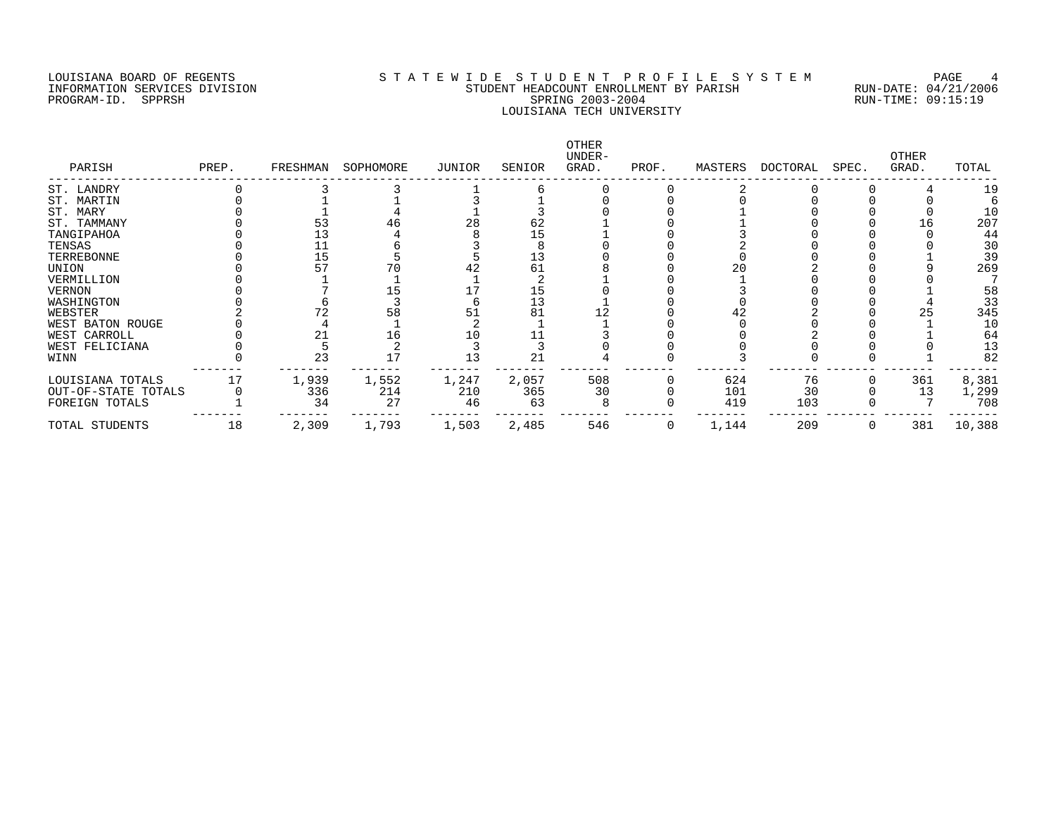### LOUISIANA BOARD OF REGENTS S T A T E W I D E S T U D E N T P R O F I L E S Y S T E M PAGE 4 INFORMATION SERVICES DIVISION STUDENT HEADCOUNT ENROLLMENT BY PARISH RUN-DATE: 04/21/2006 PROGRAM-ID. SPPRSH SPRING 2003-2004 RUN-TIME: 09:15:19 LOUISIANA TECH UNIVERSITY

| PARISH              | PREP. | FRESHMAN | SOPHOMORE | JUNIOR | SENIOR | OTHER<br>UNDER-<br>GRAD. | PROF. | MASTERS | DOCTORAL | SPEC. | <b>OTHER</b><br>GRAD. | TOTAL  |
|---------------------|-------|----------|-----------|--------|--------|--------------------------|-------|---------|----------|-------|-----------------------|--------|
| ST. LANDRY          |       |          |           |        |        |                          |       |         |          |       |                       | 19     |
| ST. MARTIN          |       |          |           |        |        |                          |       |         |          |       |                       |        |
| ST. MARY            |       |          |           |        |        |                          |       |         |          |       |                       | 10     |
| ST. TAMMANY         |       |          |           | 28     | 62     |                          |       |         |          |       |                       | 207    |
| TANGIPAHOA          |       |          |           |        |        |                          |       |         |          |       |                       | 44     |
| TENSAS              |       |          |           |        |        |                          |       |         |          |       |                       | 30     |
| TERREBONNE          |       | 15       |           |        | 13     |                          |       |         |          |       |                       | 39     |
| UNION               |       |          |           |        | 61     |                          |       |         |          |       |                       | 269    |
| VERMILLION          |       |          |           |        |        |                          |       |         |          |       |                       |        |
| <b>VERNON</b>       |       |          |           |        | 15     |                          |       |         |          |       |                       | 58     |
| WASHINGTON          |       |          |           |        | 13     |                          |       |         |          |       |                       | 33     |
| WEBSTER             |       |          | 58        |        | 81     |                          |       |         |          |       |                       | 345    |
| WEST BATON ROUGE    |       |          |           |        |        |                          |       |         |          |       |                       | 10     |
| WEST CARROLL        |       |          | 16        |        |        |                          |       |         |          |       |                       | 64     |
| WEST FELICIANA      |       |          |           |        |        |                          |       |         |          |       |                       | 13     |
| WINN                |       | 23       |           | 13     | 21     |                          |       |         |          |       |                       | 82     |
| LOUISIANA TOTALS    |       | 1,939    | 1,552     | 1,247  | 2,057  | 508                      |       | 624     | 76       |       | 361                   | 8,381  |
| OUT-OF-STATE TOTALS |       | 336      | 214       | 210    | 365    | 30                       |       | 101     | 30       |       | 13                    | 1,299  |
| FOREIGN TOTALS      |       | 34       | 27        | 46     | 63     |                          |       | 419     | 103      |       |                       | 708    |
| TOTAL STUDENTS      | 18    | 2,309    | 1,793     | 1,503  | 2,485  | 546                      | 0     | 1,144   | 209      |       | 381                   | 10,388 |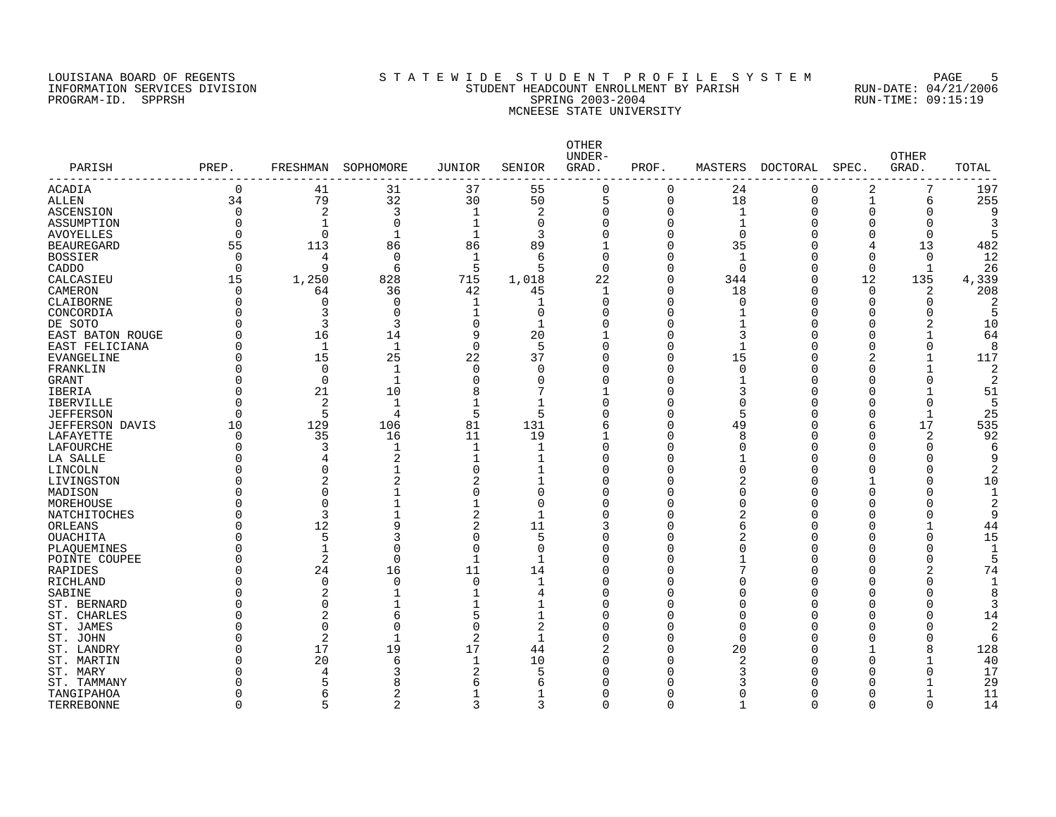#### LOUISIANA BOARD OF REGENTS SOURCLEARIE STA T E W I D E S T U D E N T P R O F I L E S Y S T E M PAGE 5 INFORMATION SERVICES DIVISION STUDENT HEADCOUNT ENROLLMENT BY PARISH RUN-DATE: 04/21/2006 PROGRAM-ID. SPPRSH SPRING 2003-2004 RUN-TIME: 09:15:19 MCNEESE STATE UNIVERSITY

| PARISH<br>------------- | PREP.                | FRESHMAN       | SOPHOMORE      | <b>JUNIOR</b>  | SENIOR            | OTHER<br>UNDER-<br>GRAD. | PROF.         | MASTERS      | DOCTORAL    | SPEC.        | <b>OTHER</b><br>GRAD.    | TOTAL     |
|-------------------------|----------------------|----------------|----------------|----------------|-------------------|--------------------------|---------------|--------------|-------------|--------------|--------------------------|-----------|
| <b>ACADIA</b>           | 0                    | 41             | 31             | 37             | 55                | $\Omega$                 | 0             | 24           | $\mathbf 0$ | 2            | 7                        | 197       |
| <b>ALLEN</b>            | 34                   | 79             | 32             | 30             | 50                | 5                        | 0             | 18           | $\mathbf 0$ | $\mathbf 1$  | 6                        | 255       |
| ASCENSION               | O                    | 2              | 3              | $\mathbf 1$    | 2                 | U                        | 0             | 1            | O           | <sup>n</sup> | O                        |           |
| ASSUMPTION              | O                    | 1              | 0              | $\mathbf 1$    | $\Omega$          |                          | 0             | 1            |             | ∩            |                          |           |
| <b>AVOYELLES</b>        | $\Omega$             | $\Omega$       | $\mathbf{1}$   | $\mathbf{1}$   | 3                 |                          | $\Omega$      | $\Omega$     |             | $\Omega$     | $\Omega$                 |           |
| <b>BEAUREGARD</b>       | 55                   | 113            | 86             | 86             | 89                |                          | $\Omega$      | 35           |             | 4            | 13                       | 482       |
| <b>BOSSIER</b>          | $\Omega$             | 4              | $\mathbf 0$    | 1              | 6                 | $\Omega$                 | O             | $\mathbf{1}$ |             | $\Omega$     | $\Omega$                 | 12        |
| CADDO                   | 0                    | 9              | 6              | 5              | 5                 | $\Omega$                 | 0             | $\Omega$     |             | 0            | 1                        | 26        |
| CALCASIEU               | 15                   | 1,250          | 828            | 715            | 1,018             | 22                       | 0             | 344          | O           | 12           | 135                      | 4,339     |
| CAMERON                 | 0                    | 64             | 36             | 42             | 45                | -1                       | 0             | 18           | U           | $\Omega$     | 2                        | 208       |
| CLAIBORNE               | 0                    | $\Omega$       | 0              | 1              | -1                | U                        | 0             | ∩            |             | U            | O                        |           |
| CONCORDIA               | 0                    |                | 0              |                | 0                 |                          | 0             |              |             | <sup>n</sup> |                          | 5         |
| DE SOTO                 | O                    | 3              | 3              | $\Omega$       | $\overline{1}$    |                          | $\Omega$      |              |             | ∩            |                          | 10        |
| EAST BATON ROUGE        | O                    | 16             | 14             | 9              | 20                |                          | 0             | 3            |             | ∩            |                          | 64        |
| EAST FELICIANA          | 0                    | $\mathbf{1}$   | 1              | $\mathbf 0$    | 5                 |                          | 0             |              |             | ∩            | $\Omega$                 | R         |
| EVANGELINE              | 0                    | 15             | 25             | 22             | 37                |                          | 0             | 15           |             |              |                          | 117       |
| FRANKLIN                | O                    | $\Omega$       | $\mathbf 1$    | $\Omega$       | ∩                 |                          | $\Omega$      | $\cap$       |             | n            |                          | 2         |
| <b>GRANT</b>            | O                    | $\Omega$       | 1              | $\Omega$       | $\Omega$<br>7     |                          | O             |              |             | ∩            | $\Omega$                 | 2         |
| IBERIA                  | O                    | 21             | 10             | 8              |                   |                          | 0             | 3            |             |              |                          | 51        |
| <b>IBERVILLE</b>        | $\Omega$<br>$\Omega$ | 2              | 1              |                | $\mathbf{1}$<br>5 |                          | O<br>$\Omega$ | $\cap$       |             | ∩            | $\Omega$<br>$\mathbf{1}$ | 25        |
| <b>JEFFERSON</b>        |                      | 5              | 4              | 5<br>81        |                   |                          |               | 5            |             | U            | 17                       |           |
| <b>JEFFERSON DAVIS</b>  | 10<br>0              | 129<br>35      | 106<br>16      | 11             | 131<br>19         |                          | O<br>0        | 49<br>8      |             | 6<br>U       |                          | 535<br>92 |
| LAFAYETTE<br>LAFOURCHE  | O                    | 3              |                | $\mathbf{1}$   | -1                | $\Omega$                 | O             | $\cap$       |             | <sup>n</sup> | 2                        |           |
| LA SALLE                | Ω                    | 4              | $\overline{2}$ | 1              | -1                |                          | C             |              |             | ∩            |                          |           |
| LINCOLN                 | U                    | $\Omega$       |                | $\Omega$       | 1                 | U                        | C             |              |             | n            |                          |           |
| LIVINGSTON              | Λ                    | 2              | 2              | 2              | 1                 |                          | C             |              |             |              |                          | 10        |
| MADISON                 | U                    | $\Omega$       |                | $\mathbf 0$    | $\Omega$          | U                        | O             | n            |             | <sup>n</sup> |                          |           |
| MOREHOUSE               |                      | $\Omega$       | $\mathbf{1}$   | $\mathbf 1$    | $\Omega$          |                          | C             |              |             |              |                          | 2         |
| NATCHITOCHES            | U                    | 3              | $\mathbf{1}$   | $\overline{2}$ | -1                |                          | O             |              |             | ∩            |                          |           |
| ORLEANS                 | U                    | 12             | 9              | $\overline{2}$ | 11                |                          | 0             |              |             | ∩            |                          | 44        |
| OUACHITA                | O                    | 5              | 3              | $\Omega$       | 5                 |                          | O             |              |             | ∩            | $\Omega$                 | 15        |
| PLAQUEMINES             | O                    | $\mathbf{1}$   | $\Omega$       | $\mathbf 0$    | 0                 |                          | O             |              |             | ∩            |                          |           |
| POINTE COUPEE           | O                    | 2              | $\mathbf 0$    | $\mathbf{1}$   | -1                |                          | 0             |              |             |              | $\Omega$                 |           |
| RAPIDES                 | 0                    | 24             | 16             | 11             | 14                |                          | 0             |              |             | ∩            |                          | 74        |
| RICHLAND                |                      | $\Omega$       | $\mathbf 0$    | $\mathbf 0$    | 1                 | O                        | O             |              |             |              |                          |           |
| SABINE                  |                      |                |                | 1              | 4                 |                          | C             |              |             | ∩            |                          |           |
| ST. BERNARD             |                      | 0              |                |                | 1                 |                          | 0             |              |             | ∩            |                          |           |
| ST. CHARLES             | O                    | 2              | б              | 5              | 1                 |                          | 0             |              |             | $\Omega$     |                          | 14        |
| ST. JAMES               |                      | $\Omega$       | $\Omega$       | $\Omega$       | 2                 |                          | O             | $\cap$       |             | $\cap$       |                          | 2         |
| ST. JOHN                | Λ                    | $\overline{2}$ | $\mathbf{1}$   | 2              | -1                |                          | O             | ∩            |             | ∩            | $\Omega$                 | 6         |
| ST. LANDRY              | Ω                    | 17             | 19             | 17             | 44                | 2                        | 0             | 20           |             |              | 8                        | 128       |
| ST. MARTIN              | U                    | 20             | 6              | $\mathbf{1}$   | 10                |                          | O             |              |             | $\Omega$     |                          | 40        |
| ST. MARY                |                      |                | 3              |                | 5                 |                          | U             |              |             |              |                          | 17        |
| ST. TAMMANY             |                      |                | 8              | 6              | 6                 |                          | ∩             |              |             |              |                          | 29        |
| TANGIPAHOA              | U                    | 6              | 2              | $\mathbf 1$    | 1                 |                          | 0             |              |             | <sup>0</sup> |                          | 11        |
| <b>TERREBONNE</b>       | $\Omega$             |                |                |                | $\mathbf{z}$      |                          | $\Omega$      |              |             | U            |                          | 14        |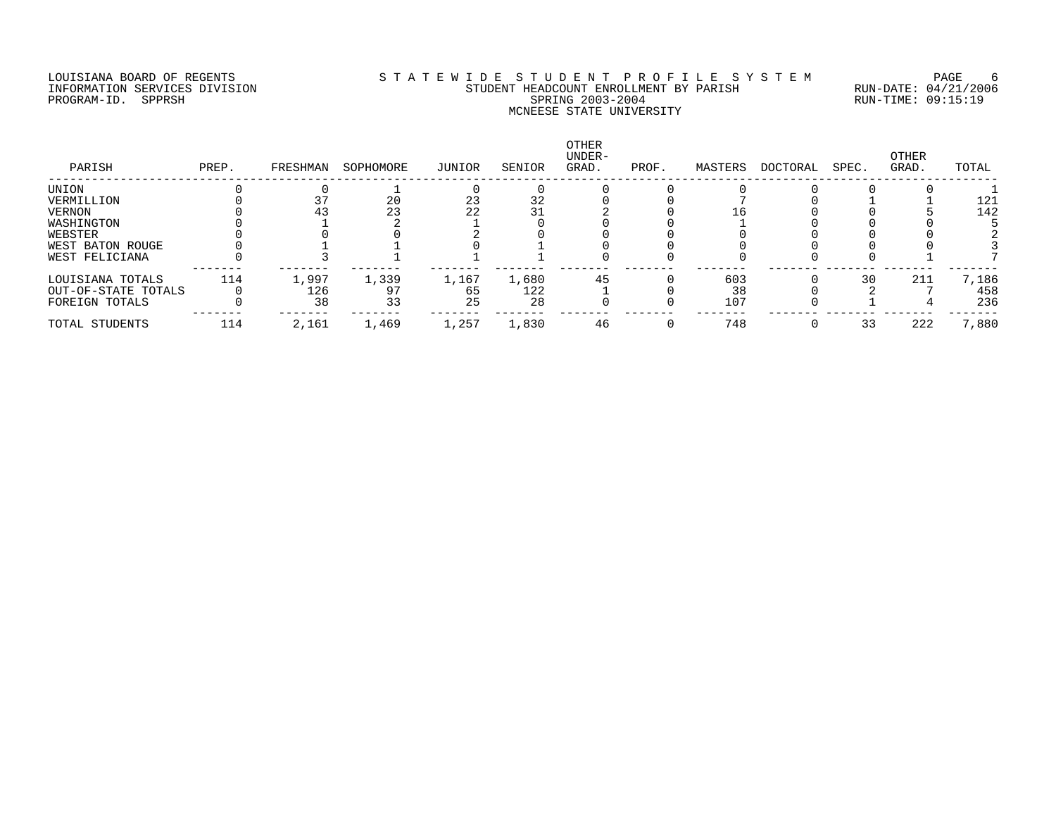### LOUISIANA BOARD OF REGENTS SOURCLEARIE STA T E W I D E S T U D E N T P R O F I L E S Y S T E M PAGE 6 INFORMATION SERVICES DIVISION STUDENT HEADCOUNT ENROLLMENT BY PARISH RUN-DATE: 04/21/2006 PROGRAM-ID. SPPRSH SPRING 2003-2004 RUN-TIME: 09:15:19 MCNEESE STATE UNIVERSITY

| PARISH              | PREP. | FRESHMAN | SOPHOMORE | JUNIOR | SENIOR | OTHER<br>UNDER-<br>GRAD. | PROF. | MASTERS | DOCTORAL | SPEC. | OTHER<br>GRAD. | TOTAL |
|---------------------|-------|----------|-----------|--------|--------|--------------------------|-------|---------|----------|-------|----------------|-------|
| UNION               |       |          |           |        |        |                          |       |         |          |       |                |       |
| VERMILLION          |       |          | 20        | 23     | 32     |                          |       |         |          |       |                | 121   |
| VERNON              |       | 43       | 23        | 22     |        |                          |       |         |          |       |                | 142   |
| WASHINGTON          |       |          |           |        |        |                          |       |         |          |       |                |       |
| WEBSTER             |       |          |           |        |        |                          |       |         |          |       |                |       |
| WEST BATON ROUGE    |       |          |           |        |        |                          |       |         |          |       |                |       |
| WEST FELICIANA      |       |          |           |        |        |                          |       |         |          |       |                |       |
| LOUISIANA TOTALS    | 114   | 1,997    | 1,339     | 1,167  | 1,680  | 45                       |       | 603     |          | 30    | 211            | 7,186 |
| OUT-OF-STATE TOTALS |       | 126      |           | 65     | 122    |                          |       | 38      |          |       |                | 458   |
| FOREIGN TOTALS      |       | 38       | 33        | 25     | 28     |                          |       | 107     |          |       |                | 236   |
| TOTAL STUDENTS      | 114   | 2,161    | 1,469     | 1,257  | 1,830  | 46                       |       | 748     |          | 33    | 222            | 7,880 |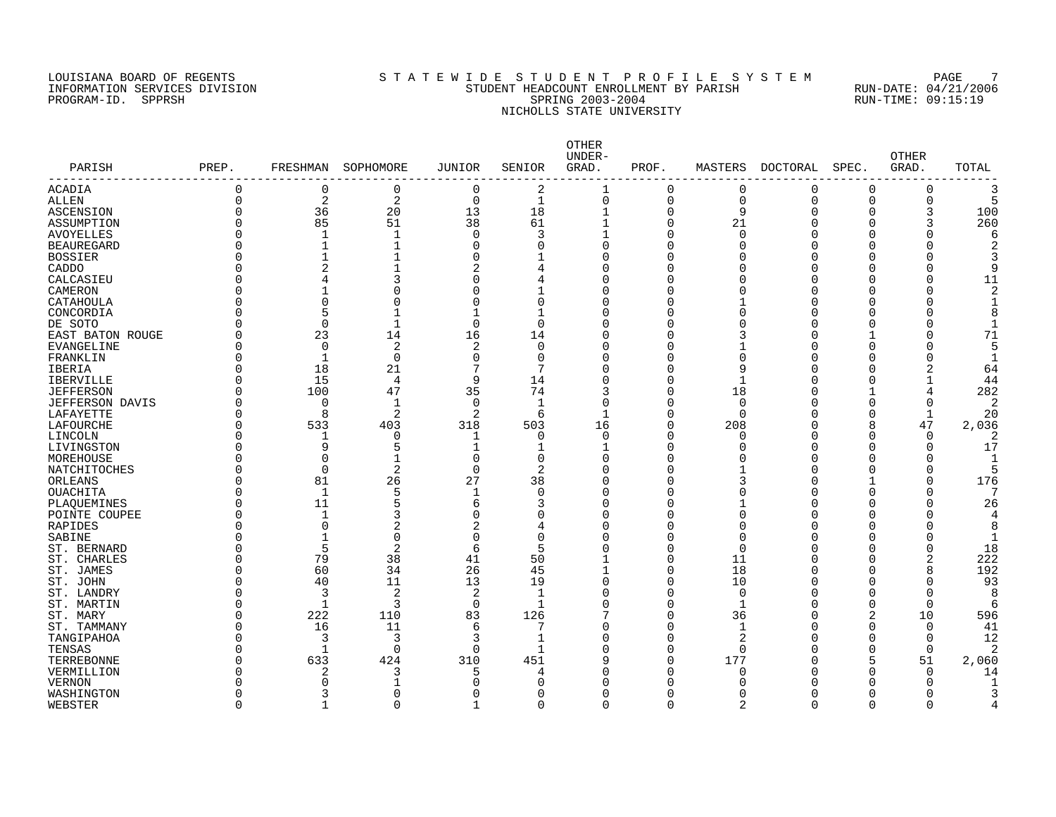#### LOUISIANA BOARD OF REGENTS SOURCLEARIE STA T E W I D E S T U D E N T P R O F I L E S Y S T E M PAGE 7 INFORMATION SERVICES DIVISION STUDENT HEADCOUNT ENROLLMENT BY PARISH RUN-DATE: 04/21/2006 PROGRAM-ID. SPPRSH SPRING 2003-2004 RUN-TIME: 09:15:19 NICHOLLS STATE UNIVERSITY

| PARISH<br>--------------- | PREP.        | FRESHMAN     | SOPHOMORE      | <b>JUNIOR</b>  | SENIOR       | OTHER<br>UNDER-<br>GRAD. | PROF.    | MASTERS        | DOCTORAL | SPEC.    | <b>OTHER</b><br>GRAD. | TOTAL |
|---------------------------|--------------|--------------|----------------|----------------|--------------|--------------------------|----------|----------------|----------|----------|-----------------------|-------|
| ACADIA                    | $\Omega$     | 0            | $\mathbf 0$    | 0              | 2            | $\mathbf{1}$             | $\Omega$ | 0              | 0        | 0        | $\Omega$              |       |
| <b>ALLEN</b>              | $\Omega$     | 2            | $\overline{2}$ | $\overline{0}$ | 1            | $\mathbf 0$              | 0        | $\mathbf 0$    | $\Omega$ | $\Omega$ | $\Omega$              |       |
| ASCENSION                 | $\Omega$     | 36           | 20             | 13             | 18           | $\mathbf{1}$             | 0        | 9              | O        | O        | 3                     | 100   |
| ASSUMPTION                | $\Omega$     | 85           | 51             | 38             | 61           | $\mathbf{1}$             | $\Omega$ | 21             | O        | 0        |                       | 260   |
| <b>AVOYELLES</b>          | $\Omega$     | -1           | $\mathbf{1}$   | $\Omega$       | 3            | 1                        | $\Omega$ | $\cap$         |          | U        |                       |       |
| <b>BEAUREGARD</b>         |              | $\mathbf{1}$ | 1              | $\Omega$       | $\Omega$     | $\Omega$                 | $\Omega$ | ∩              |          | U        |                       |       |
| <b>BOSSIER</b>            | O            |              |                | O              |              | $\Omega$                 | 0        |                |          | O        |                       |       |
| CADDO                     |              | 2            |                | 2              | 4            | $\Omega$                 | 0        |                |          | U        |                       | Q     |
| CALCASIEU                 |              |              | 3              | O              | 4            | $\Omega$                 | 0        |                |          | U        | $\Omega$              | 11    |
| CAMERON                   |              |              | $\Omega$       |                |              | $\Omega$                 | O        |                |          | U        |                       |       |
| CATAHOULA                 | U            | $\Omega$     | $\Omega$       | U              | $\Omega$     | O                        | U        |                |          | U        |                       |       |
| CONCORDIA                 |              | 5            |                |                |              | $\Omega$                 | U        |                | U        | U        |                       |       |
| DE SOTO                   | O            | $\Omega$     | 1              | $\Omega$       | $\Omega$     | $\Omega$                 | U        |                |          | O        |                       |       |
| EAST BATON ROUGE          |              | 23           | 14             | 16             | 14           | $\Omega$                 | O        |                | O        |          |                       | 71    |
| <b>EVANGELINE</b>         | $\Omega$     | $\Omega$     | $\overline{2}$ | $\overline{a}$ | $\Omega$     | $\Omega$                 | 0        |                |          | 0        |                       |       |
| FRANKLIN                  | $\Omega$     | $\mathbf{1}$ | $\mathbf 0$    | $\Omega$       | $\Omega$     | $\Omega$                 | U        | $\cap$         | ∩        | O        |                       |       |
| IBERIA                    | $\Omega$     | 18           | 21             | 7              | 7            | $\Omega$                 | O        | 9              | ∩        | U        | 2                     | 64    |
| <b>IBERVILLE</b>          | $\Omega$     | 15           | 4              | 9              | 14           | O                        | $\Omega$ | -1             | O        | U        |                       | 44    |
| <b>JEFFERSON</b>          | $\Omega$     | 100          | 47             | 35             | 74           | 3                        | $\Omega$ | 18             | ∩        |          | 4                     | 282   |
| <b>JEFFERSON DAVIS</b>    | $\Omega$     | $\Omega$     | $\mathbf{1}$   | $\Omega$       | $\mathbf{1}$ | $\Omega$                 | $\Omega$ | $\Omega$       |          | O        | $\Omega$              |       |
| LAFAYETTE                 | $\Omega$     | $\mathsf{R}$ | $\overline{2}$ | 2              | 6            | $\mathbf{1}$             | $\Omega$ | $\Omega$       |          | O        | $\mathbf{1}$          | 20    |
|                           | $\Omega$     | 533          | 403            | 318            | 503          | 16                       | $\Omega$ | 208            |          | 8        | 47                    | 2,036 |
| LAFOURCHE                 | <sup>0</sup> |              |                |                | $\Omega$     | $\Omega$                 | $\Omega$ | $\cap$         |          | $\Omega$ | $\Omega$              |       |
| LINCOLN                   | O            | 1<br>9       | 0<br>5         | -1             |              |                          | $\Omega$ | ∩              |          | O        | O                     | 17    |
| LIVINGSTON                | $\Omega$     |              | $\mathbf{1}$   | $\Omega$       | 1            |                          |          |                |          |          |                       |       |
| MOREHOUSE                 |              | $\Omega$     |                |                | $\mathbf 0$  | $\Omega$                 | 0        |                |          | O        |                       | 1     |
| NATCHITOCHES              | $\Omega$     | $\Omega$     | 2              | $\mathbf 0$    | 2            | $\Omega$                 | 0        |                |          | O        |                       |       |
| ORLEANS                   | $\Omega$     | 81           | 26             | 27             | 38           | $\Omega$                 | O        |                |          |          |                       | 176   |
| OUACHITA                  | $\Omega$     | $\mathbf 1$  | 5              | -1             | $\Omega$     | $\Omega$                 | O        | ∩              |          | U        |                       |       |
| PLAQUEMINES               | ∩            | 11           | 5              | 6              | 3            | $\Omega$                 | O        |                |          | U        |                       | 26    |
| POINTE COUPEE             |              |              | 3              | O              | $\Omega$     | $\Omega$                 | O        | ∩              |          | O        |                       |       |
| RAPIDES                   |              | $\Omega$     | 2              | 2              | 4            | $\Omega$                 | O        | $\cap$         |          | O        |                       | 8     |
| SABINE                    |              |              | $\mathbf 0$    | $\Omega$       | $\Omega$     | O                        | O        | $\Omega$       |          | O        |                       |       |
| ST. BERNARD               |              | 5            | $\overline{2}$ | 6              | 5            | ∩                        | O        | $\cap$         |          | U        | $\Omega$              | 18    |
| ST. CHARLES               | $\Omega$     | 79           | 38             | 41             | 50           |                          | 0        | 11             | O        | O        | 2                     | 222   |
| ST. JAMES                 | $\Omega$     | 60           | 34             | 26             | 45           |                          | $\Omega$ | 18             | O        | O        | 8                     | 192   |
| ST. JOHN                  | $\Omega$     | 40           | 11             | 13             | 19           | $\Omega$                 | $\Omega$ | 10             | O        | O        | O                     | 93    |
| ST. LANDRY                | $\Omega$     | 3            | $\overline{2}$ | $\overline{2}$ | $\mathbf{1}$ | $\Omega$                 | $\Omega$ | $\Omega$       | ∩        | O        | $\Omega$              | 8     |
| ST. MARTIN                | $\Omega$     | $\mathbf{1}$ | 3              | $\Omega$       | $\mathbf{1}$ | $\Omega$                 | $\Omega$ | $\mathbf{1}$   |          | $\Omega$ | $\Omega$              | 6     |
| ST. MARY                  | $\Omega$     | 222          | 110            | 83             | 126          | 7                        | $\Omega$ | 36             |          | 2        | 10                    | 596   |
| ST. TAMMANY               | $\Omega$     | 16           | 11             | 6              | 7            | ∩                        | U        | $\mathbf{1}$   |          | O        | $\Omega$              | 41    |
| TANGIPAHOA                | $\Omega$     | 3            | 3              | 3              | $\mathbf{1}$ | O                        | $\Omega$ | 2              |          | O        | $\Omega$              | 12    |
| TENSAS                    | $\Omega$     | $\mathbf{1}$ | 0              | $\Omega$       | $\mathbf{1}$ | $\Omega$                 | $\Omega$ | $\Omega$       |          | O        | $\mathbf 0$           | 2     |
| TERREBONNE                | $\Omega$     | 633          | 424            | 310            | 451          | 9                        | $\Omega$ | 177            |          | 5        | 51                    | 2,060 |
| VERMILLION                |              | 2            | 3              | 5              | 4            | $\Omega$                 | U        | ∩              |          | O        | $\Omega$              | 14    |
| <b>VERNON</b>             |              |              |                |                | ∩            | U                        | U        |                |          |          | <sup>0</sup>          |       |
| WASHINGTON                | <sup>0</sup> |              | 0              |                | O            | O                        | 0        |                |          | O        | <sup>0</sup>          |       |
| WEBSTER                   | $\Omega$     |              | $\Omega$       | ำ              | $\Omega$     | $\Omega$                 | $\Omega$ | $\overline{2}$ | U        | $\Omega$ | ∩                     |       |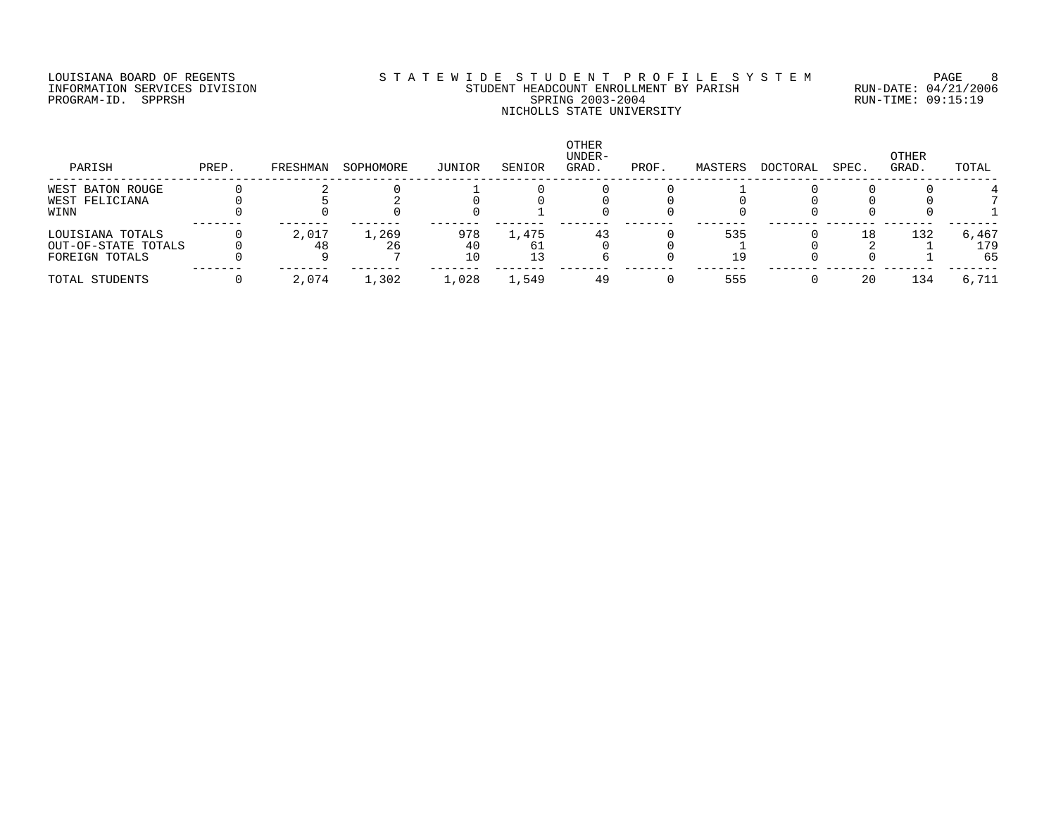## LOUISIANA BOARD OF REGENTS SOURCLEARIE STA T E W I D E S T U D E N T P R O F I L E S Y S T E M PAGE 8 INFORMATION SERVICES DIVISION STUDENT HEADCOUNT ENROLLMENT BY PARISH RUN-DATE: 04/21/2006 PROGRAM-ID. SPPRSH SPRING 2003-2004 RUN-TIME: 09:15:19 NICHOLLS STATE UNIVERSITY

| PARISH                                                    | PREP. | FRESHMAN | SOPHOMORE   | JUNIOR          | SENIOR             | <b>OTHER</b><br>UNDER-<br>GRAD. | PROF. | MASTERS   | DOCTORAL | SPEC. | OTHER<br>GRAD. | TOTAL              |
|-----------------------------------------------------------|-------|----------|-------------|-----------------|--------------------|---------------------------------|-------|-----------|----------|-------|----------------|--------------------|
| WEST BATON ROUGE<br>WEST FELICIANA<br>WINN                |       |          |             |                 |                    |                                 |       |           |          |       |                |                    |
| LOUISIANA TOTALS<br>OUT-OF-STATE TOTALS<br>FOREIGN TOTALS |       | 2,017    | 1,269<br>26 | 978<br>40<br>10 | 1,475<br>6 1<br>13 |                                 |       | 535<br>19 |          | 18    | 132            | 6,467<br>179<br>65 |
| TOTAL STUDENTS                                            |       | 2,074    | 1,302       | 1,028           | 1,549              | 49                              |       | 555       |          | 20    | 134            | 6,711              |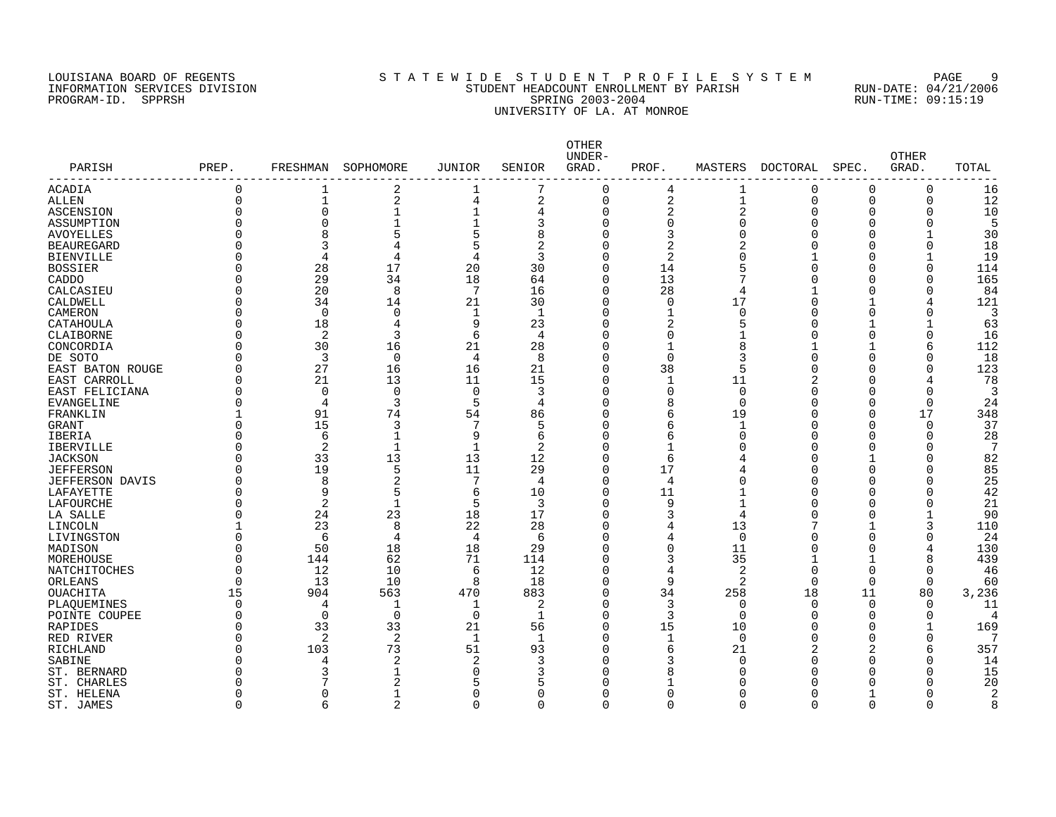## LOUISIANA BOARD OF REGENTS SOURCLEARIE WIDE STUDENT PROFILE SYSTEM PAGE 9 INFORMATION SERVICES DIVISION STUDENT HEADCOUNT ENROLLMENT BY PARISH RUN-DATE: 04/21/2006 PROGRAM-ID. SPPRSH SPRING 2003-2004 RUN-TIME: 09:15:19 UNIVERSITY OF LA. AT MONROE

| PARISH                 | PREP.                | FRESHMAN       | SOPHOMORE      | JUNIOR               | SENIOR         | OTHER<br>UNDER-<br>GRAD. | PROF.          | MASTERS        | DOCTORAL            | SPEC.       | <b>OTHER</b><br>GRAD. | TOTAL     |
|------------------------|----------------------|----------------|----------------|----------------------|----------------|--------------------------|----------------|----------------|---------------------|-------------|-----------------------|-----------|
| ACADIA                 | $\Omega$             | 1              | 2              | 1                    | 7              | $\Omega$                 | 4              | 1              | 0                   | $\Omega$    | 0                     | 16        |
| ALLEN                  | $\Omega$             | 1              | 2              | $\overline{4}$       | $\overline{2}$ | $\Omega$                 | 2              | $\mathbf{1}$   | $\Omega$            | $\Omega$    | 0                     | 12        |
| ASCENSION              | $\Omega$             | $\mathbf 0$    | $\mathbf{1}$   | $\mathbf{1}$         | 4              | $\Omega$                 | $\overline{2}$ | $\overline{2}$ | $\Omega$            | 0           | 0                     | 10        |
| ASSUMPTION             | $\Omega$             | $\Omega$       | $\mathbf{1}$   |                      | 3              | $\Omega$                 | 0              | $\Omega$       | $\Omega$            | C           | $\Omega$              | 5         |
| <b>AVOYELLES</b>       | $\Omega$             | 8              | 5              | 5                    | 8              | $\Omega$                 | 3              | $\Omega$       | Ω                   | C           |                       | 30        |
| <b>BEAUREGARD</b>      | ∩                    | 3              | 4              | 5                    | 2              |                          | 2              |                |                     | O           | $\Omega$              | 18        |
| <b>BIENVILLE</b>       | $\Omega$             | $\overline{4}$ | 4              | $\overline{4}$       | 3              |                          | 2              | $\Omega$       |                     | C           | 1                     | 19        |
| <b>BOSSIER</b>         | $\Omega$             | 28             | 17             | 20                   | 30             | $\Omega$                 | 14             | 5              | $\Omega$            | C           | 0                     | 114       |
| CADDO                  | $\Omega$             | 29             | 34             | 18                   | 64             | $\Omega$                 | 13             | 7              | U                   | O           | U                     | 165       |
| CALCASIEU              | $\Omega$             | 20             | 8              | 7                    | 16             | $\Omega$                 | 28             | 4              |                     | C           | O                     | 84        |
| CALDWELL               | $\Omega$             | 34             | 14             | 21                   | 30             | $\Omega$                 | 0              | 17             | O                   |             | 4                     | 121       |
| CAMERON                | $\Omega$             | $\Omega$       | 0              | 1                    | -1             | $\Omega$                 | 1              | $\Omega$       | C                   | O           |                       | 3         |
| CATAHOULA              | $\Omega$             | 18             | 4              | 9                    | 23             | $\Omega$                 | 2              | 5              | O                   | -1          | $\mathbf{1}$          | 63        |
| CLAIBORNE              | $\Omega$             | 2              | 3              | 6                    | 4              | $\Omega$                 | $\Omega$       |                | C                   | $\Omega$    | $\Omega$              | 16        |
| CONCORDIA              | ∩                    | 30             | 16             | 21                   | 28             | $\Omega$                 | $\mathbf{1}$   | 8              | -1                  | -1          | 6                     | 112       |
| DE SOTO                | ∩                    | 3              | $\mathbf 0$    | $\overline{4}$       | 8              | $\Omega$                 | $\Omega$       | 3              | $\Omega$            | $\Omega$    | 0                     | 18        |
| EAST BATON ROUGE       | $\Omega$             | 27             | 16             | 16                   | 21             | $\Omega$                 | 38             | 5              | O                   | 0           | 0                     | 123       |
| EAST CARROLL           | $\Omega$             | 21             | 13             | 11                   | 15             | $\Omega$                 | $\mathbf 1$    | 11             |                     | $\Omega$    | 4                     | 78        |
| EAST FELICIANA         | $\Omega$             | $\Omega$       | $\Omega$       | $\Omega$             | 3              | $\Omega$                 | $\Omega$       | $\Omega$       | C                   | C           | O                     | 3         |
| <b>EVANGELINE</b>      | $\Omega$             | $\overline{4}$ | 3              | 5                    | 4              | $\Omega$                 | 8              | $\Omega$       | U                   | C           | $\Omega$              | 24        |
| FRANKLIN               | 1                    | 91             | 74             | 54                   | 86             | $\Omega$                 | 6              | 19             | O                   | n           | 17                    | 348       |
| <b>GRANT</b>           | $\Omega$             | 15             | 3              | 7                    | 5              | $\Omega$                 | 6              | 1              | C                   | $\Omega$    | $\Omega$              | 37        |
| IBERIA                 | $\Omega$             | 6              | 1              | 9                    | 6              | O                        | б              | $\Omega$       | C                   | O           | $\Omega$              | 28        |
| <b>IBERVILLE</b>       | $\Omega$             | $\overline{2}$ | $\mathbf{1}$   | $\mathbf{1}$         | $\overline{2}$ | $\Omega$                 | 1              | ∩              | U                   | O           | O                     | 7         |
| <b>JACKSON</b>         | $\Omega$             | 33             | 13             | 13                   | 12             | $\Omega$                 | 6              |                | C                   |             | 0                     | 82        |
| <b>JEFFERSON</b>       | $\Omega$             | 19             | 5              | 11                   | 29             | $\Omega$                 | 17             |                | C                   | O           | 0                     | 85        |
| <b>JEFFERSON DAVIS</b> | $\Omega$             | 8              | $\overline{2}$ | 7                    | 4              | $\Omega$                 | 4              | $\Omega$       | C                   | C           |                       | 25        |
| LAFAYETTE              | $\Omega$             | 9              | 5              | 6                    | 10             | $\Omega$                 | 11             |                | C                   | C           | 0                     | 42        |
| LAFOURCHE              | ∩                    | $\overline{2}$ | 1              | 5                    | 3              | $\Omega$                 | 9              |                | U                   | U           |                       | 21        |
| LA SALLE               | $\Omega$             | 24             | 23             | 18                   | 17             | $\Omega$                 | 3              | 4              | U                   | C           |                       | 90        |
| LINCOLN                |                      | 23             | 8              | 22                   | 28             | $\Omega$                 | 4              | 13             |                     |             | 3                     | 110       |
| LIVINGSTON             | $\Omega$             | 6              | 4              | $\overline{4}$       | 6              |                          | 4              | 0              | C                   | 0           |                       | 24        |
| MADISON                | $\Omega$             | 50             | 18             | 18                   | 29             | $\Omega$                 | $\Omega$       | 11             | C                   | $\Omega$    | 4                     | 130       |
| MOREHOUSE              | $\Omega$             | 144            | 62             | 71                   | 114            | $\Omega$                 | 3              | 35             |                     | $\mathbf 1$ | 8                     | 439       |
| NATCHITOCHES           | $\Omega$             | 12             | 10             | 6                    | 12             | $\Omega$                 | 4              | $\overline{2}$ | $\Omega$            | $\Omega$    | $\Omega$              | 46        |
| ORLEANS                | $\Omega$             | 13             | 10             | 8                    | 18             | $\Omega$                 | 9              | 2              | $\Omega$            | 0           | $\mathbf 0$           | 60        |
| <b>OUACHITA</b>        | 15                   | 904            | 563            | 470                  | 883            | $\Omega$                 | 34             | 258            | 18                  | 11          | 80                    | 3,236     |
| PLAOUEMINES            | $\Omega$             | 4              | $\mathbf{1}$   | $\mathbf{1}$         | 2              | $\Omega$                 | 3              | $\mathbf 0$    | $\Omega$            | $\mathbf 0$ | $\Omega$              | 11        |
| POINTE COUPEE          | $\Omega$             | $\Omega$       | $\Omega$       | $\Omega$             | $\mathbf{1}$   | $\Omega$                 | 3              | $\Omega$       | U                   | $\Omega$    | $\Omega$              | $\Delta$  |
| <b>RAPIDES</b>         | $\Omega$             | 33             | 33             | 21                   | 56             | $\Omega$                 | 15             | 10             | U                   | C           | $\mathbf 1$           | 169       |
|                        | $\Omega$             | 2              | 2              | 1                    | -1             | $\Omega$                 |                | $\Omega$       | O                   | n           | $\Omega$              |           |
| RED RIVER              |                      |                |                |                      |                |                          | 1              |                |                     |             |                       |           |
| RICHLAND               | $\Omega$<br>$\Omega$ | 103            | 73<br>2        | 51<br>$\overline{2}$ | 93<br>3        | $\Omega$<br>$\Omega$     | 6<br>3         | 21             | $\overline{2}$<br>O | 2<br>O      | 6<br>$\Omega$         | 357<br>14 |
| SABINE<br>ST. BERNARD  |                      | 3              | $\mathbf{1}$   | $\Omega$             |                |                          | 8              | 0<br>∩         | U                   | O           | 0                     | 15        |
|                        | ∩                    |                |                | 5                    |                |                          |                | ∩              |                     | U           | U                     |           |
| ST. CHARLES            | $\Omega$             | $\Omega$       | 2              |                      | $\Omega$       |                          | $\Omega$       | $\Omega$       |                     |             | Ω                     | 20        |
| ST. HELENA             |                      |                | 1              | $\Omega$             |                |                          |                |                |                     |             |                       | 2         |
| ST. JAMES              | $\Omega$             | $\sqrt{2}$     | $\overline{a}$ | $\Omega$             | $\Omega$       | $\cap$                   | $\Omega$       | $\Omega$       | U                   | $\Omega$    | 0                     | 8         |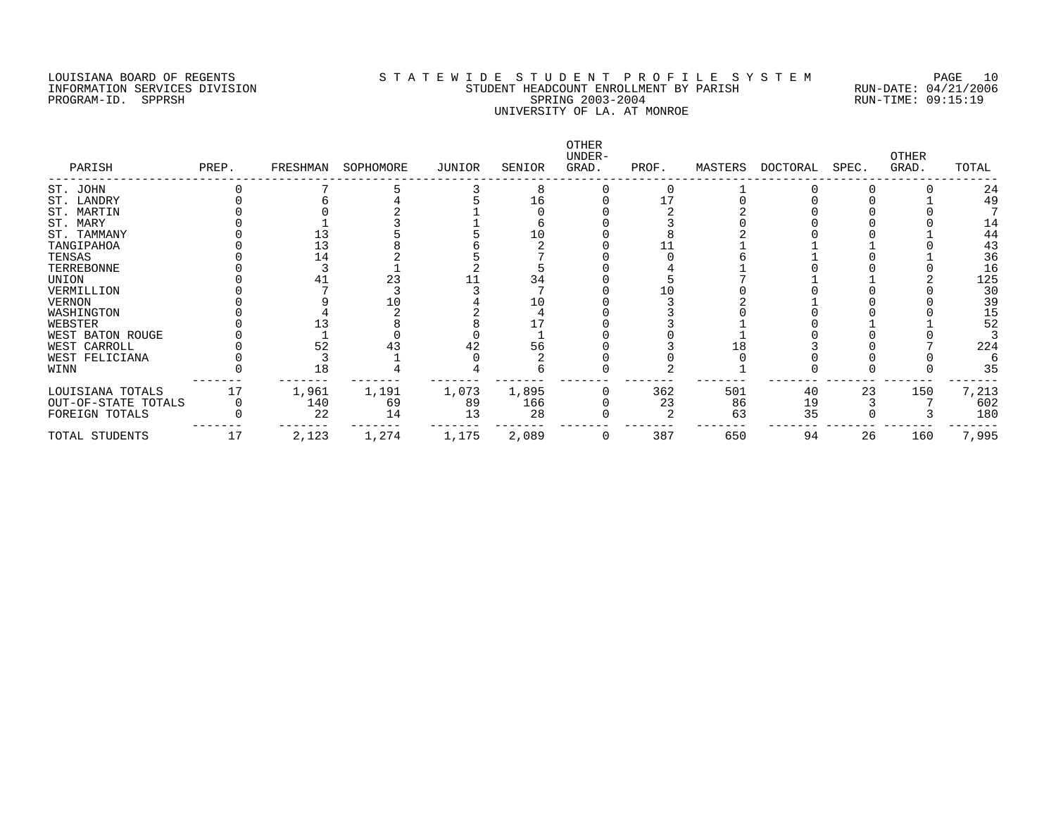# LOUISIANA BOARD OF REGENTS S T A T E W I D E S T U D E N T P R O F I L E S Y S T E M PAGE 10 INFORMATION SERVICES DIVISION STUDENT HEADCOUNT ENROLLMENT BY PARISH RUN-DATE: 04/21/2006 PROGRAM-ID. SPPRSH SPRING 2003-2004 RUN-TIME: 09:15:19 UNIVERSITY OF LA. AT MONROE

| PARISH              | PREP. | FRESHMAN | SOPHOMORE | JUNIOR | SENIOR | OTHER<br>UNDER-<br>GRAD. | PROF. | MASTERS | DOCTORAL | SPEC. | <b>OTHER</b><br>GRAD. | TOTAL |
|---------------------|-------|----------|-----------|--------|--------|--------------------------|-------|---------|----------|-------|-----------------------|-------|
| ST. JOHN            |       |          |           |        |        |                          |       |         |          |       |                       | 24    |
| ST. LANDRY          |       |          |           |        | 16     |                          |       |         |          |       |                       | 49    |
| ST. MARTIN          |       |          |           |        |        |                          |       |         |          |       |                       |       |
| ST. MARY            |       |          |           |        |        |                          |       |         |          |       |                       | 14    |
| ST. TAMMANY         |       |          |           |        |        |                          |       |         |          |       |                       | 44    |
| TANGIPAHOA          |       |          |           |        |        |                          |       |         |          |       |                       | 43    |
| TENSAS              |       | 14       |           |        |        |                          |       |         |          |       |                       | 36    |
| TERREBONNE          |       |          |           |        |        |                          |       |         |          |       |                       | 16    |
| UNION               |       |          | 23        |        | 34     |                          |       |         |          |       |                       | 125   |
| VERMILLION          |       |          |           |        |        |                          |       |         |          |       |                       | 30    |
| VERNON              |       |          |           |        |        |                          |       |         |          |       |                       | 39    |
| WASHINGTON          |       |          |           |        |        |                          |       |         |          |       |                       | 15    |
| WEBSTER             |       |          |           |        |        |                          |       |         |          |       |                       | 52    |
| WEST BATON ROUGE    |       |          |           |        |        |                          |       |         |          |       |                       |       |
| WEST CARROLL        |       |          |           |        | 56     |                          |       |         |          |       |                       | 224   |
| WEST FELICIANA      |       |          |           |        |        |                          |       |         |          |       |                       |       |
| WINN                |       | 18       |           |        |        |                          |       |         |          |       |                       | 35    |
| LOUISIANA TOTALS    |       | 1,961    | 1,191     | 1,073  | 1,895  |                          | 362   | 501     | 40       | 23    | 150                   | 7,213 |
| OUT-OF-STATE TOTALS |       | 140      | 69        | 89     | 166    |                          | 23    | 86      | 19       |       |                       | 602   |
| FOREIGN TOTALS      |       | 22       | 14        | 13     | 28     |                          |       | 63      | 35       |       |                       | 180   |
| TOTAL STUDENTS      | 17    | 2,123    | 1,274     | 1,175  | 2,089  |                          | 387   | 650     | 94       | 26    | 160                   | 7,995 |
|                     |       |          |           |        |        |                          |       |         |          |       |                       |       |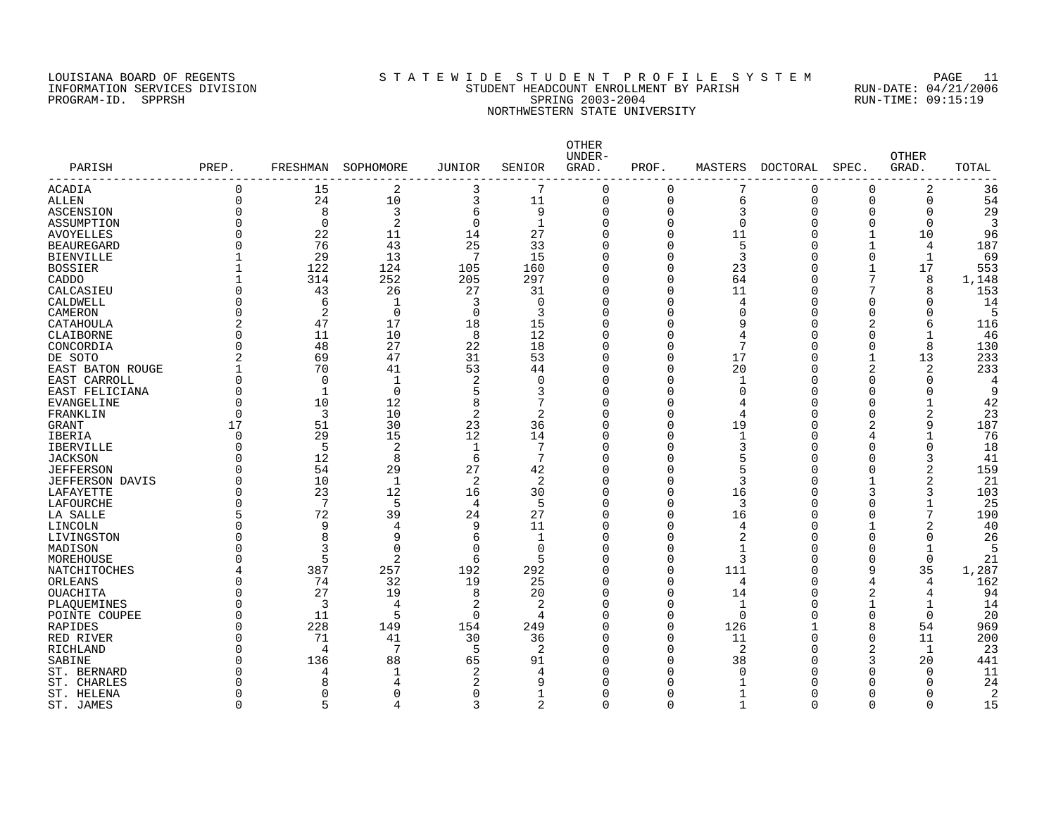# LOUISIANA BOARD OF REGENTS S T A T E W I D E S T U D E N T P R O F I L E S Y S T E M PAGE 11 INFORMATION SERVICES DIVISION STUDENT HEADCOUNT ENROLLMENT BY PARISH RUN-DATE: 04/21/2006 PROGRAM-ID. SPPRSH SPRING 2003-2004 RUN-TIME: 09:15:19 NORTHWESTERN STATE UNIVERSITY

| PARISH<br>----------    | PREP.          | FRESHMAN     | SOPHOMORE       | JUNIOR         | SENIOR         | OTHER<br>UNDER-<br>GRAD. | PROF.    | MASTERS        | <b>DOCTORAL</b> | SPEC.          | <b>OTHER</b><br>GRAD. | TOTAL |
|-------------------------|----------------|--------------|-----------------|----------------|----------------|--------------------------|----------|----------------|-----------------|----------------|-----------------------|-------|
| ACADIA                  | $\Omega$       | 15           | 2               | 3              | 7              | $\Omega$                 | 0        |                | 0               | 0              | 2                     | 36    |
| <b>ALLEN</b>            | $\Omega$       | 24           | 10              | 3              | 11             | $\mathbf 0$              | $\Omega$ | 6              | 0               | $\mathbf 0$    | 0                     | 54    |
| <b>ASCENSION</b>        | $\Omega$       | 8            | 3               | 6              | 9              | $\Omega$                 | 0        | 3              | $\Omega$        | 0              | $\Omega$              | 29    |
| ASSUMPTION              | $\Omega$       | $\mathbf 0$  | $\overline{2}$  | $\Omega$       | $\mathbf{1}$   | $\Omega$                 | 0        | $\Omega$       | 0               | $\Omega$       | 0                     | 3     |
| <b>AVOYELLES</b>        | $\Omega$       | 22           | 11              | 14             | 27             | $\Omega$                 | O        | 11             | U               | $\mathbf{1}$   | 10                    | 96    |
| <b>BEAUREGARD</b>       | $\Omega$       | 76           | 43              | 25             | 33             |                          | O        | 5              | C               | $\mathbf 1$    | 4                     | 187   |
| <b>BIENVILLE</b>        |                | 29           | 13              | 7              | 15             |                          | O        | 3              | C               | $\Omega$       | 1                     | 69    |
| <b>BOSSIER</b>          |                | 122          | 124             | 105            | 160            |                          | 0        | 23             | C               | -1             | 17                    | 553   |
| CADDO                   |                | 314          | 252             | 205            | 297            | $\Omega$                 | 0        | 64             | C               | 7              | 8                     | 1,148 |
| CALCASIEU               | $\Omega$       | 43           | 26              | 27             | 31             | $\Omega$                 | 0        | 11             | $\Omega$        | 7              | 8                     | 153   |
| CALDWELL                | $\Omega$       | 6            | 1               | 3              | $\Omega$       | $\Omega$                 | 0        | $\overline{4}$ | O               | O              | $\Omega$              | 14    |
| CAMERON                 | $\Omega$       | 2            | $\mathbf 0$     | $\Omega$       | 3              | $\Omega$                 | 0        | $\Omega$       | O               | O              | U                     | 5     |
| CATAHOULA               | $\overline{2}$ | 47           | 17              | 18             | 15             | $\Omega$                 | O        | 9              | C               | 2              | 6                     | 116   |
| CLAIBORNE               | $\Omega$       | 11           | 10              | 8              | 12             | $\Omega$                 | O        | 4              | O               | O              | 1                     | 46    |
| CONCORDIA               | $\Omega$       | 48           | 27              | 22             | 18             | $\Omega$                 | 0        | 7              | O               | $\Omega$       | 8                     | 130   |
| DE SOTO                 | $\overline{2}$ | 69           | 47              | 31             | 53             | $\Omega$                 | 0        | 17             | O               | $\mathbf 1$    | 13                    | 233   |
| <b>EAST BATON ROUGE</b> |                | 70           | 41              | 53             | 44             | $\Omega$                 | 0        | 20             | 0               | $\overline{2}$ | $\overline{c}$        | 233   |
| EAST CARROLL            | $\Omega$       | $\Omega$     | $\mathbf{1}$    | $\overline{2}$ | $\Omega$       | $\Omega$                 | O        | -1             | O               | O              | $\Omega$              | 4     |
| EAST FELICIANA          | $\Omega$       | $\mathbf{1}$ | $\Omega$        | 5              | 3              | $\Omega$                 | 0        | $\Omega$       | $\Omega$        | O              | $\Omega$              | 9     |
| <b>EVANGELINE</b>       | $\Omega$       | 10           | 12              | 8              | 7              | $\Omega$                 | 0        | 4              | O               | $\Omega$       | $\mathbf{1}$          | 42    |
| FRANKLIN                | $\Omega$       | 3            | 10              | 2              | 2              | $\Omega$                 | O        | 4              | O               | O              | 2                     | 23    |
| <b>GRANT</b>            | 17             | 51           | 30              | 23             | 36             | $\Omega$                 | 0        | 19             | C               | 2              | 9                     | 187   |
| <b>IBERIA</b>           | $\Omega$       | 29           | 15              | 12             | 14             | $\Omega$                 | 0        | $\mathbf{1}$   | C               | 4              | $\mathbf{1}$          | 76    |
| <b>IBERVILLE</b>        | $\Omega$       | 5            | 2               | $\mathbf{1}$   | 7              | $\Omega$                 | O        | 3              | U               | O              | $\Omega$              | 18    |
| <b>JACKSON</b>          | ∩              | 12           | 8               | 6              | 7              |                          | 0        | 5              | C               | C              | 3                     | 41    |
| <b>JEFFERSON</b>        | $\Omega$       | 54           | 29              | 27             | 42             | U                        | 0        | 5              | O               | O              | 2                     | 159   |
| <b>JEFFERSON DAVIS</b>  | $\Omega$       | 10           | $\mathbf{1}$    | $\overline{2}$ | 2              | O                        | 0        | 3              | C               |                | 2                     | 21    |
| LAFAYETTE               | $\Omega$       | 23           | 12              | 16             | 30             | $\Omega$                 | 0        | 16             | C               | 3              | 3                     | 103   |
| LAFOURCHE               | $\Omega$       | 7            | 5               | $\overline{4}$ | 5              | $\Omega$                 | 0        | 3              | C               | C              |                       | 25    |
| LA SALLE                | 5              | 72           | 39              | 24             | 27             | $\Omega$                 | 0        | 16             | O               | O              | 7                     | 190   |
| LINCOLN                 | ∩              | 9            | 4               | 9              | 11             | $\Omega$                 | O        | 4              | C               |                | 2                     | 40    |
| LIVINGSTON              | ∩              | 8            | 9               | 6              | 1              | $\Omega$                 | 0        | 2              | C               | O              | $\Omega$              | 26    |
| MADISON                 | ∩              | 3            | $\Omega$        | $\Omega$       | $\Omega$       | $\Omega$                 | O        | 1              | O               | O              | $\mathbf 1$           | 5     |
| MOREHOUSE               | ∩              | 5            | 2               | 6              | 5              | $\Omega$                 | 0        | 3              | O               | $\Omega$       | 0                     | 21    |
| NATCHITOCHES            |                | 387          | 257             | 192            | 292            | $\Omega$                 | 0        | 111            | $\Omega$        | 9              | 35                    | 1,287 |
| ORLEANS                 | $\Omega$       | 74           | 32              | 19             | 25             | $\Omega$                 | 0        | 4              | 0               | 4              | 4                     | 162   |
| <b>OUACHITA</b>         | $\Omega$       | 27           | 19              | 8              | 20             | $\Omega$                 | 0        | 14             | U               | 2              | 4                     | 94    |
| PLAQUEMINES             | ∩              | 3            | 4               | 2              | 2              | $\Omega$                 | 0        | $\mathbf 1$    | C               | $\mathbf{1}$   | 1                     | 14    |
| POINTE COUPEE           | $\Omega$       | 11           | 5               | $\Omega$       | 4              | $\Omega$                 | O        | $\Omega$       | U               | $\Omega$       | $\Omega$              | 20    |
| RAPIDES                 | $\Omega$       | 228          | 149             | 154            | 249            | $\Omega$                 | $\Omega$ | 126            |                 | 8              | 54                    | 969   |
| RED RIVER               | $\Omega$       | 71           | 41              | 30             | 36             | $\Omega$                 | $\Omega$ | 11             | O               | $\Omega$       | 11                    | 200   |
| <b>RICHLAND</b>         | $\Omega$       | 4            | $7\phantom{.0}$ | 5              | 2              |                          | 0        | 2              | C               | 2              | $\mathbf{1}$          | 23    |
| SABINE                  | ∩              | 136          | 88              | 65             | 91             | $\Omega$                 | O        | 38             | U               | 3              | 20                    | 441   |
| ST. BERNARD             | ∩              | 4            | 1               | $\overline{2}$ | 4              |                          | O        | O              | U               | O              | $\Omega$              | 11    |
| ST. CHARLES             | ∩              | $\mathsf{R}$ | 4               | 2              | 9              |                          | O        |                |                 | U              | U                     | 24    |
| ST. HELENA              | $\Omega$       | <sup>0</sup> | $\Omega$        | $\Omega$       | 1              |                          | 0        |                | Ω               | O              | Ω                     | 2     |
| ST. JAMES               | $\Omega$       | Б            | $\overline{4}$  | 3              | $\overline{2}$ | $\cap$                   | $\Omega$ | 1              | $\Omega$        | $\Omega$       | 0                     | 15    |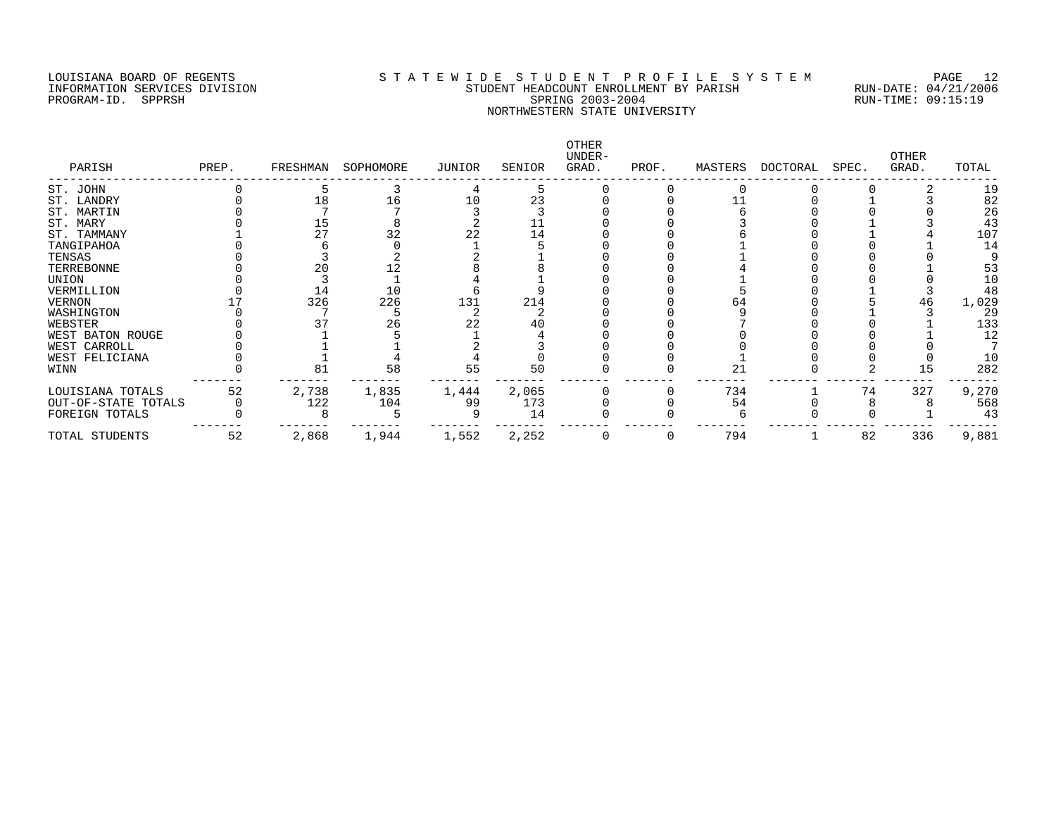## LOUISIANA BOARD OF REGENTS S T A T E W I D E S T U D E N T P R O F I L E S Y S T E M PAGE 12 INFORMATION SERVICES DIVISION STUDENT HEADCOUNT ENROLLMENT BY PARISH RUN-DATE: 04/21/2006 PROGRAM-ID. SPPRSH SPRING 2003-2004 RUN-TIME: 09:15:19 NORTHWESTERN STATE UNIVERSITY

| PARISH              | PREP. | FRESHMAN | SOPHOMORE | JUNIOR | SENIOR | OTHER<br>UNDER-<br>GRAD. | PROF. | MASTERS | DOCTORAL | SPEC. | <b>OTHER</b><br>GRAD. | TOTAL |
|---------------------|-------|----------|-----------|--------|--------|--------------------------|-------|---------|----------|-------|-----------------------|-------|
| ST. JOHN            |       |          |           |        |        |                          |       |         |          |       |                       | 19    |
| ST. LANDRY          |       |          | 16        | 10     | 23     |                          |       |         |          |       |                       | 82    |
| ST. MARTIN          |       |          |           |        |        |                          |       |         |          |       |                       | 26    |
| ST. MARY            |       | 15       |           |        |        |                          |       |         |          |       |                       | 43    |
| ST. TAMMANY         |       | 27       | 32        | 22     | 14     |                          |       |         |          |       |                       | 107   |
| TANGIPAHOA          |       |          |           |        |        |                          |       |         |          |       |                       | 14    |
| TENSAS              |       |          |           |        |        |                          |       |         |          |       |                       |       |
| TERREBONNE          |       |          |           |        |        |                          |       |         |          |       |                       | 53    |
| UNION               |       |          |           |        |        |                          |       |         |          |       |                       | 10    |
| VERMILLION          |       | 14       | 10        |        |        |                          |       |         |          |       |                       | 48    |
| VERNON              |       | 326      | 226       | 131    | 214    |                          |       | 64      |          |       | 46                    | 1,029 |
| WASHINGTON          |       |          |           |        |        |                          |       |         |          |       |                       | 29    |
| WEBSTER             |       |          | 26        |        |        |                          |       |         |          |       |                       | 133   |
| WEST BATON ROUGE    |       |          |           |        |        |                          |       |         |          |       |                       | 12    |
| WEST CARROLL        |       |          |           |        |        |                          |       |         |          |       |                       |       |
| WEST FELICIANA      |       |          |           |        |        |                          |       |         |          |       |                       | 10    |
| WINN                |       | 81       | 58        | 55     | 50     |                          |       | 21      |          |       |                       | 282   |
| LOUISIANA TOTALS    | 52    | 2,738    | 1,835     | 1,444  | 2,065  |                          |       | 734     |          | 74    | 327                   | 9,270 |
| OUT-OF-STATE TOTALS |       | 122      | 104       | 99     | 173    |                          |       | 54      |          |       |                       | 568   |
| FOREIGN TOTALS      |       |          |           |        | 14     |                          |       |         |          |       |                       | 43    |
| TOTAL STUDENTS      | 52    | 2,868    | 1,944     | 1,552  | 2,252  |                          |       | 794     |          | 82    | 336                   | 9,881 |
|                     |       |          |           |        |        |                          |       |         |          |       |                       |       |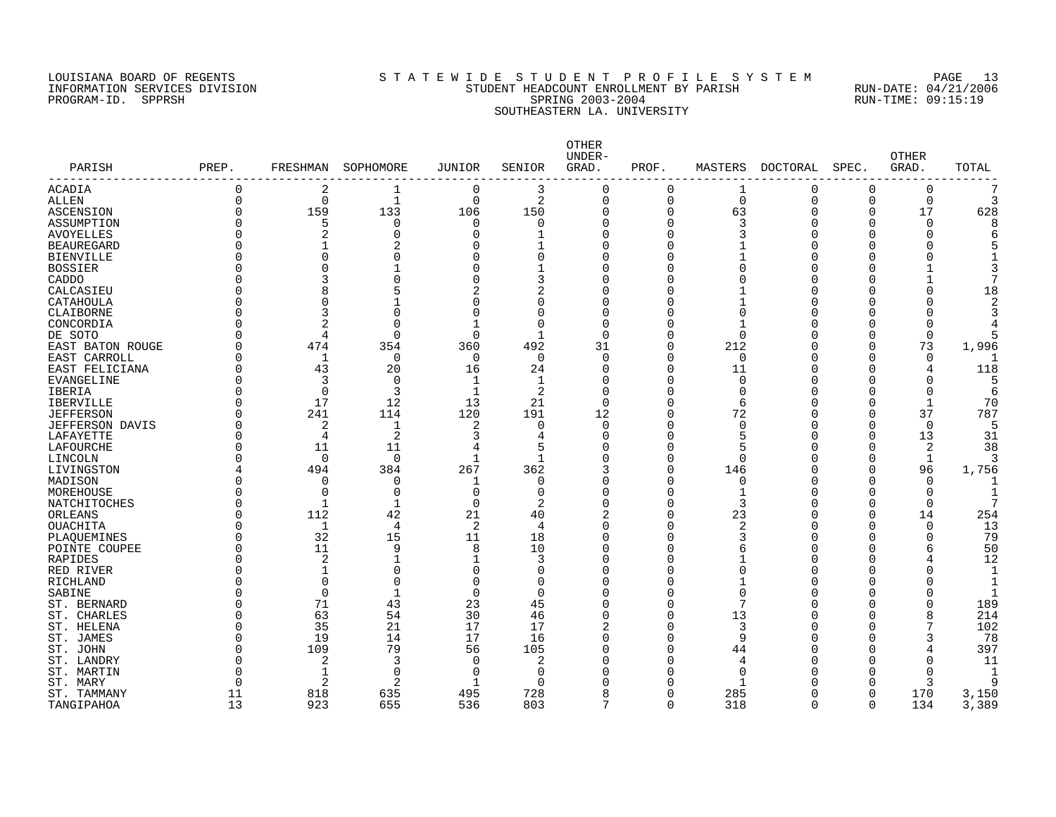## LOUISIANA BOARD OF REGENTS S T A T E W I D E S T U D E N T P R O F I L E S Y S T E M PAGE 13 INFORMATION SERVICES DIVISION STUDENT HEADCOUNT ENROLLMENT BY PARISH RUN-DATE: 04/21/2006 PROGRAM-ID. SPPRSH SPRING 2003-2004 RUN-TIME: 09:15:19 SOUTHEASTERN LA. UNIVERSITY

|                        |             |                |                |                |              | <b>OTHER</b><br>UNDER- |              |             |          |          | <b>OTHER</b> |       |
|------------------------|-------------|----------------|----------------|----------------|--------------|------------------------|--------------|-------------|----------|----------|--------------|-------|
| PARISH                 | PREP.       | FRESHMAN       | SOPHOMORE      | JUNIOR         | SENIOR       | GRAD.                  | PROF.        | MASTERS     | DOCTORAL | SPEC.    | GRAD.        | TOTAL |
| ACADIA                 | $\mathbf 0$ | 2              |                | 0              | 3            | $\mathbf 0$            | 0            | 1           | $\Omega$ | $\Omega$ | 0            |       |
| ALLEN                  | 0           | $\mathbf 0$    | 1              | $\mathbf 0$    | 2            | $\mathbf 0$            | 0            | $\mathbf 0$ | $\Omega$ | 0        | $\mathbf 0$  | 3     |
| ASCENSION              | 0           | 159            | 133            | 106            | 150          | 0                      | $\Omega$     | 63          | O        | $\Omega$ | 17           | 628   |
| ASSUMPTION             |             | 5              | $\mathbf 0$    | $\mathbf 0$    | 0            | $\Omega$               | $\Omega$     | 3           | Ω        | $\Omega$ | $\Omega$     |       |
| AVOYELLES              |             | 2              | $\Omega$       | $\Omega$       |              | $\Omega$               | $\Omega$     | 3           |          | U        | U            |       |
| <b>BEAUREGARD</b>      |             |                | 2              | $\Omega$       |              | O                      | U            |             |          |          | U            |       |
| <b>BIENVILLE</b>       |             | $\Omega$       |                | $\Omega$       | O            | O                      | ∩            |             |          |          |              |       |
| <b>BOSSIER</b>         |             | C              |                | $\Omega$       |              | U                      | O            | O           |          |          |              |       |
| CADDO                  |             |                |                | $\Omega$       | 3            | U                      | O            | O           |          |          |              |       |
| CALCASIEU              |             | 8              |                |                | 2            | O                      | ი            |             |          |          | 0            | 18    |
| CATAHOULA              |             | 0              |                | $\Omega$       | O            | O                      | 0            |             |          |          | O            |       |
| CLAIBORNE              |             |                |                | $\Omega$       | O            | $\Omega$               | 0            | $\Omega$    |          |          |              |       |
| CONCORDIA              |             | 2              | $\Omega$       |                | $\Omega$     | $\Omega$               | O            |             |          |          | O            |       |
| DE SOTO                |             | 4              | O              | $\Omega$       |              | $\Omega$               | O            | $\Omega$    |          |          | $\Omega$     |       |
| EAST BATON ROUGE       |             | 474            | 354            | 360            | 492          | 31                     | $\Omega$     | 212         |          | O        | 73           | 1,996 |
| EAST CARROLL           |             | 1              | 0              | 0              | 0            | $\Omega$               | O            | 0           |          | O        | 0            |       |
| EAST FELICIANA         |             | 43             | 20             | 16             | 24           | 0                      | $\Omega$     | 11          |          |          |              | 118   |
| EVANGELINE             |             | 3              | 0              | 1              | $\mathbf{1}$ | $\Omega$               | O            | $\Omega$    |          | U        |              |       |
| IBERIA                 |             | $\mathbf 0$    | 3              | 1              | 2            | $\Omega$               | 0            | $\Omega$    |          | O        | 0            | 6     |
| <b>IBERVILLE</b>       |             | 17             | 12             | 13             | 21           | $\Omega$               | O            | 6           |          | O        | $\mathbf{1}$ | 70    |
| <b>JEFFERSON</b>       |             | 241            | 114            | 120            | 191          | 12                     | O            | 72          |          | U        | 37           | 787   |
| <b>JEFFERSON DAVIS</b> |             | 2              | 1              | $\overline{2}$ | $\Omega$     | $\Omega$               | U            | ∩           |          | U        | $\Omega$     |       |
| LAFAYETTE              |             | 4              | 2              | 3              | 4            | $\Omega$               | O            | 5           |          | O        | 13           | 31    |
| LAFOURCHE              |             | 11             | 11             | 4              | 5            | O                      | O            | 5           |          | O        | 2            | 38    |
| LINCOLN                |             | $\Omega$       | $\Omega$       | $\mathbf{1}$   | 1            | O                      | O            | $\Omega$    |          | O        | 1            | 3     |
| LIVINGSTON             |             | 494            | 384            | 267            | 362          |                        | $\Omega$     | 146         |          | O        | 96           | 1,756 |
| MADISON                |             | $\Omega$       | $\Omega$       | $\mathbf 1$    | $\Omega$     | $\Omega$               | 0            | $\Omega$    |          | O        | $\Omega$     |       |
| MOREHOUSE              |             | $\Omega$       | $\Omega$       | $\Omega$       | $\Omega$     | U                      | $\Omega$     | 1           |          |          | $\Omega$     |       |
| NATCHITOCHES           |             | -1             | -1             | $\mathbf 0$    | 2            | U                      | 0            | 3           |          | U        | $\Omega$     |       |
| ORLEANS                |             | 112            | 42             | 21             | 40           |                        | 0            | 23          |          | O        | 14           | 254   |
| <b>OUACHITA</b>        |             | 1              | 4              | 2              | 4            | U                      | O            | 2           |          | U        | $\Omega$     | 13    |
| PLAQUEMINES            |             | 32             | 15             | 11             | 18           | U                      | O            | 3           |          |          |              | 79    |
| POINTE COUPEE          |             | 11             | 9              | 8              | 10           | O                      | O            | 6           |          |          | 6            | 50    |
| RAPIDES                |             | 2              |                |                | 3            | $\Omega$               | 0            |             |          |          |              | 12    |
| RED RIVER              |             | 1              |                | $\Omega$       | $\Omega$     | U                      | U            | $\Omega$    |          |          |              |       |
| RICHLAND               |             | $\Omega$       | O              | $\Omega$       | $\Omega$     | U                      | O            |             |          |          |              |       |
| SABINE                 |             | $\Omega$       |                | $\Omega$       | $\Omega$     | O                      | O            | $\Omega$    |          |          |              |       |
| ST. BERNARD            |             | 71             | 43             | 23             | 45           | U                      | O            | 7           |          |          | U            | 189   |
| ST. CHARLES            |             | 63             | 54             | 30             | 46           | U                      | <sup>0</sup> | 13          |          | U        | 8            | 214   |
| ST. HELENA             |             | 35             | 21             | 17             | 17           |                        | O            | 3           |          |          |              | 102   |
| ST. JAMES              |             | 19             | 14             | 17             | 16           | $\Omega$               | $\Omega$     | 9           |          |          |              | 78    |
| ST. JOHN               |             | 109            | 79             | 56             | 105          |                        | O            | 44          |          |          | 4            | 397   |
| ST. LANDRY             |             | $\overline{2}$ | 3              | $\Omega$       | 2            |                        | O            | 4           |          | U        | U            | 11    |
| ST. MARTIN             |             | 1              | $\mathbf 0$    | 0              | 0            |                        |              | 0           |          |          | U            | -1    |
| ST. MARY               | N           | $\overline{2}$ | $\overline{c}$ | -1             | $\cap$       |                        | U            | 1           |          | ∩        |              | Q     |
| ST. TAMMANY            | 11          | 818            | 635            | 495            | 728          |                        | $\Omega$     | 285         |          | $\Omega$ | 170          | 3,150 |
| TANGIPAHOA             | 13          | 923            | 655            | 536            | 803          | 7                      | $\Omega$     | 318         | $\Omega$ | $\Omega$ | 134          | 3,389 |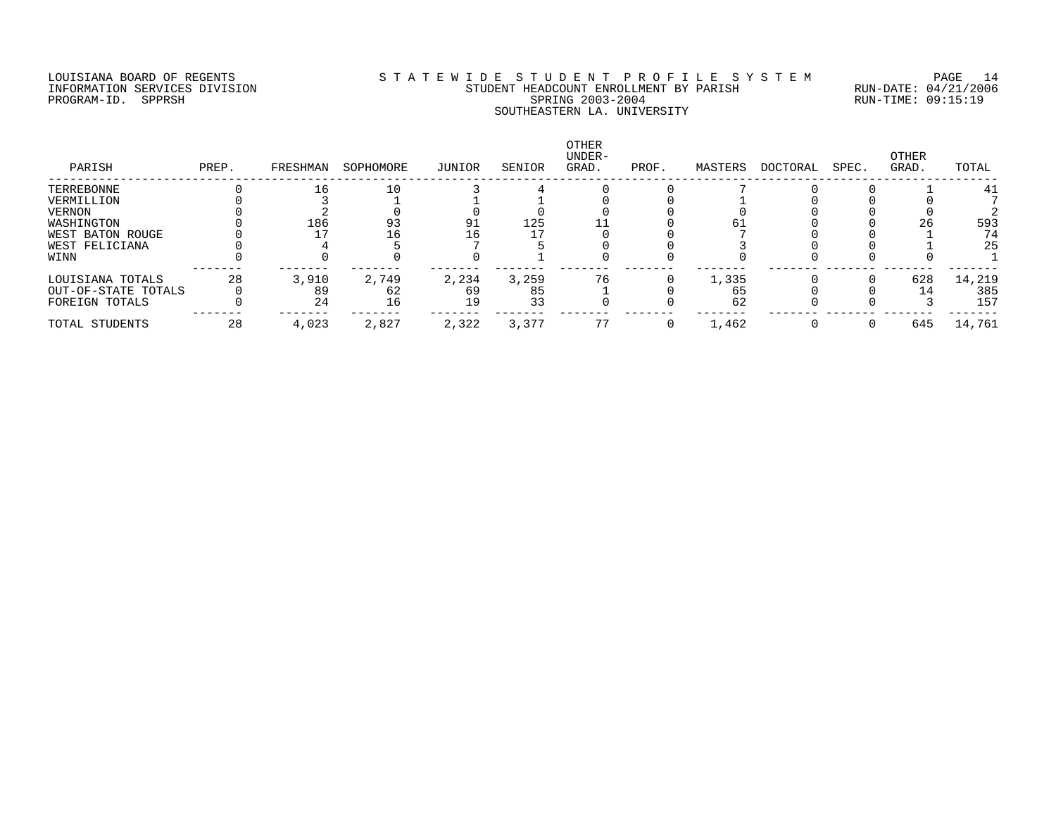## LOUISIANA BOARD OF REGENTS S T A T E W I D E S T U D E N T P R O F I L E S Y S T E M PAGE 14 INFORMATION SERVICES DIVISION STUDENT HEADCOUNT ENROLLMENT BY PARISH RUN-DATE: 04/21/2006 PROGRAM-ID. SPPRSH SPRING 2003-2004 RUN-TIME: 09:15:19 SOUTHEASTERN LA. UNIVERSITY

| PARISH              | PREP. | FRESHMAN | SOPHOMORE | JUNIOR | SENIOR | <b>OTHER</b><br>UNDER-<br>GRAD. | PROF. | MASTERS | DOCTORAL | SPEC. | OTHER<br>GRAD. | TOTAL  |
|---------------------|-------|----------|-----------|--------|--------|---------------------------------|-------|---------|----------|-------|----------------|--------|
| TERREBONNE          |       | 16       | 10        |        |        |                                 |       |         |          |       |                | 41     |
| VERMILLION          |       |          |           |        |        |                                 |       |         |          |       |                |        |
| VERNON              |       |          |           |        |        |                                 |       |         |          |       |                |        |
| WASHINGTON          |       | 186      | 93        | 91     | 125    |                                 |       | 61      |          |       | 26             | 593    |
| WEST BATON ROUGE    |       |          | 16        | Lб     |        |                                 |       |         |          |       |                | 74     |
| WEST FELICIANA      |       |          |           |        |        |                                 |       |         |          |       |                | 25     |
| WINN                |       |          |           |        |        |                                 |       |         |          |       |                |        |
| LOUISIANA TOTALS    | 28    | 3,910    | 2,749     | 2,234  | 3,259  | 76                              |       | 1,335   |          |       | 628            | 14,219 |
| OUT-OF-STATE TOTALS |       | 89       | 62        | 69     | 85     |                                 |       | 65      |          |       |                | 385    |
| FOREIGN TOTALS      |       | 24       | 16        | 19     | 33     |                                 |       | 62      |          |       |                | 157    |
| TOTAL STUDENTS      | 28    | 4,023    | 2,827     | 2,322  | 3,377  | 77                              |       | 1,462   |          |       | 645            | 14,761 |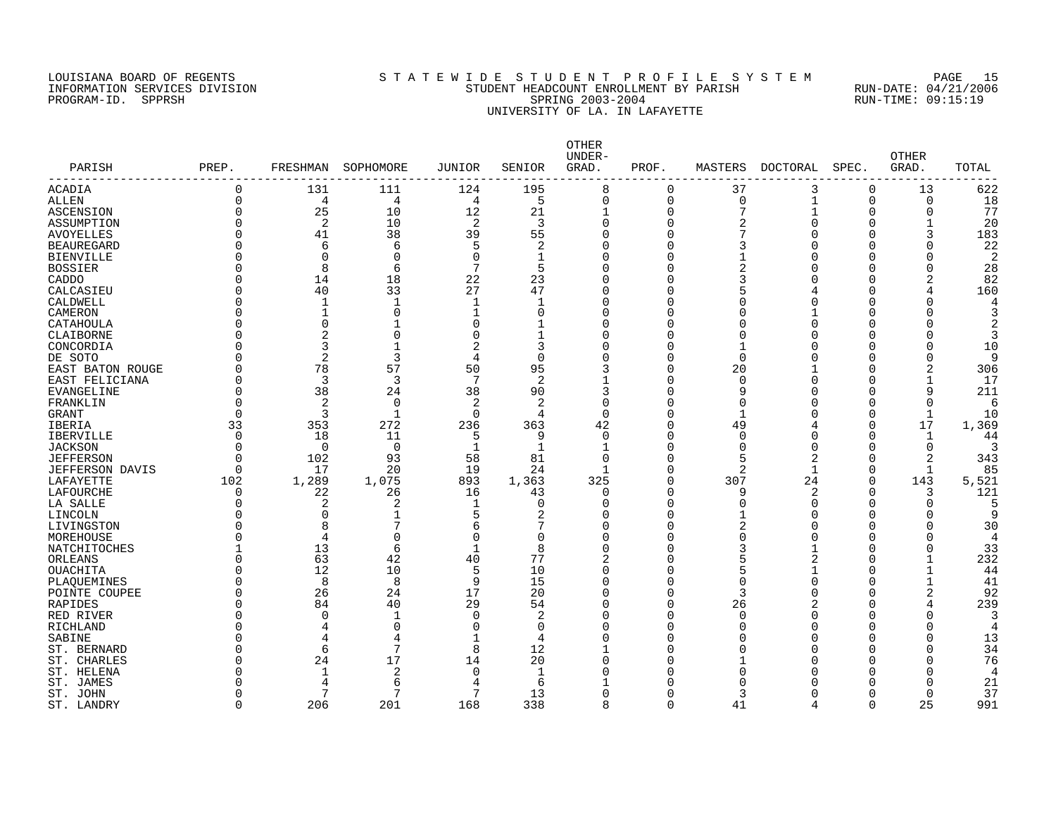## LOUISIANA BOARD OF REGENTS S T A T E W I D E S T U D E N T P R O F I L E S Y S T E M PAGE 15 INFORMATION SERVICES DIVISION STUDENT HEADCOUNT ENROLLMENT BY PARISH RUN-DATE: 04/21/2006 PROGRAM-ID. SPPRSH SPRING 2003-2004 RUN-TIME: 09:15:19 UNIVERSITY OF LA. IN LAFAYETTE

| 0<br>195<br>8<br>37<br>13<br>622<br><b>ACADIA</b><br>131<br>111<br>124<br>$\Omega$<br>3<br>$\Omega$<br>0<br>4<br>4<br>5<br>$\Omega$<br>0<br>$\mathbf 0$<br>$\mathbf 1$<br>0<br>0<br>18<br><b>ALLEN</b><br>4<br>7<br>77<br><b>ASCENSION</b><br>0<br>25<br>10<br>12<br>21<br>$\Omega$<br>1<br>1<br>$\Omega$<br>0<br>2<br>$\overline{2}$<br>$\overline{2}$<br>20<br>0<br>10<br>3<br>$\Omega$<br>0<br>$\Omega$<br>ASSUMPTION<br>$\Omega$<br>1<br>41<br>38<br>39<br>183<br>$\Omega$<br>55<br>$\Omega$<br>O<br>7<br>3<br><b>AVOYELLES</b><br>∩<br>5<br>22<br>6<br>2<br>0<br><b>BEAUREGARD</b><br>O<br>6<br>∩<br>3<br>∩<br>O<br>$\Omega$<br>0<br>$\mathbf 0$<br>$\Omega$<br>2<br>O<br>-1<br>0<br>O<br><b>BIENVILLE</b><br>∩<br>8<br>6<br>7<br>5<br>28<br><b>BOSSIER</b><br>0<br>$\Omega$<br>0<br>2<br>0<br>O<br>18<br>22<br>23<br>82<br>$\Omega$<br>14<br>$\Omega$<br>0<br>3<br>CADDO<br>U<br>40<br>33<br>27<br>CALCASIEU<br>$\Omega$<br>47<br>$\Omega$<br>0<br>5<br>160<br>Ω<br>CALDWELL<br>U<br>1<br>1<br>1<br>1<br>$\Omega$<br>O<br>$\Omega$<br>Ω<br>O<br>0<br>U<br>$\mathbf{1}$<br>$\Omega$<br>∩<br>O<br>$\Omega$<br>Ω<br>$\Omega$<br>$\mathbf 0$<br>CATAHOULA<br>O<br>$\Omega$<br>O<br>$\Omega$<br>-1<br>ſ<br>O<br>2<br>2<br>0<br>$\mathbf 0$<br>$\Omega$<br>$\Omega$<br>0<br>CLAIBORNE<br>1<br>$\Omega$<br>$\Omega$<br>O<br>3<br>2<br>$\Omega$<br>$\mathbf{1}$<br>3<br>0<br>$\Omega$<br>10<br>CONCORDIA<br>$\Omega$<br>1<br>O<br>$\overline{2}$<br>3<br>DE SOTO<br>$\overline{4}$<br>$\Omega$<br>$\Omega$<br>0<br>$\Omega$<br>$\Omega$<br>Q<br>∩<br>∩<br>78<br>57<br>50<br>306<br>95<br>3<br>0<br>20<br>2<br>EAST BATON ROUGE<br>O<br>O<br>3<br>3<br>7<br>2<br>$\mathbf{1}$<br>EAST FELICIANA<br>U<br>$\Omega$<br>n<br>17<br>O<br>38<br>38<br>3<br>9<br>211<br>EVANGELINE<br>O<br>24<br>90<br>O<br>9<br>Ω<br>2<br>FRANKLIN<br>$\Omega$<br>$\mathbf 0$<br>$\overline{2}$<br>2<br>$\Omega$<br>0<br>$\Omega$<br>O<br>$\Omega$<br>$\sqrt{2}$<br>$\Omega$<br>3<br>$\mathbf{1}$<br>$\Omega$<br>$\mathbf{1}$<br>10<br><b>GRANT</b><br>4<br>$\Omega$<br>O<br>1<br>$\Omega$<br>17<br>33<br>353<br>272<br>236<br>363<br>42<br>49<br>1,369<br>IBERIA<br>Ω<br>∩<br>18<br>IBERVILLE<br>$\Omega$<br>11<br>-5<br>9<br>$\Omega$<br>O<br>0<br>$\Omega$<br>1<br>44<br>$\Omega$<br>0<br>0<br>-1<br>O<br>$\Omega$<br>$\Omega$<br>0<br>JACKSON<br>-1<br>Λ<br>0<br>93<br>58<br>81<br>5<br>2<br>2<br>102<br>$\Omega$<br>0<br>$\Omega$<br>343<br><b>JEFFERSON</b><br>17<br>20<br>24<br>$\overline{2}$<br>85<br>0<br>19<br>0<br>$\Omega$<br>$\mathbf{1}$<br><b>JEFFERSON DAVIS</b><br>1<br>1,289<br>1,363<br>24<br>LAFAYETTE<br>102<br>1,075<br>893<br>325<br>0<br>307<br>$\Omega$<br>143<br>5,521<br>22<br>26<br>16<br>43<br>0<br>9<br>2<br>121<br>LAFOURCHE<br>$\Omega$<br>$\Omega$<br>$\Omega$<br>3<br>2<br>LA SALLE<br>O<br>2<br>$\mathbf{1}$<br>$\Omega$<br>$\Omega$<br>0<br>$\Omega$<br>U<br>U<br>O<br>5<br>LINCOLN<br>U<br>$\Omega$<br>2<br>$\Omega$<br>0<br>O<br>Λ<br>7<br>LIVINGSTON<br>8<br>7<br>0<br>2<br>30<br>U<br>6<br>$\Omega$<br>Ω<br>O<br>0<br>$\Omega$<br>$\Omega$<br>0<br>MOREHOUSE<br>$\overline{4}$<br>$\Omega$<br>$\Omega$<br>O<br>O<br>$\overline{4}$<br>13<br>6<br>33<br>NATCHITOCHES<br>-1<br>8<br>$\Omega$<br>Ω<br>3<br>O<br>Λ<br>77<br>63<br>42<br>40<br>2<br>0<br>$\mathbf{1}$<br>232<br>ORLEANS<br>U<br>5<br>2<br>Ω<br>12<br>5<br>10<br>10<br>$\Omega$<br>5<br>$\mathbf{1}$<br>44<br>OUACHITA<br>U<br>O<br>Λ<br>8<br>8<br>9<br>15<br>$\mathbf{1}$<br>41<br>$\Omega$<br>O<br>$\Omega$<br>PLAQUEMINES<br>U<br>Ω<br>26<br>24<br>17<br>20<br>3<br>2<br>POINTE COUPEE<br>$\Omega$<br>$\Omega$<br>0<br>92<br>Ω<br>29<br>RAPIDES<br>84<br>40<br>54<br>O<br>26<br>239<br>U<br>∩<br>Ω<br>4<br>2<br>RED RIVER<br>U<br>$\Omega$<br>1<br>$\Omega$<br>∩<br>Ω<br>$\Omega$<br>Λ<br>O<br>Λ<br>0<br>$\Omega$<br>RICHLAND<br>U<br>$\Omega$<br>Ω<br>$\Omega$<br>ſ<br>O<br>4<br>SABINE<br>O<br>-1<br>O<br>O<br>13<br>4<br>4<br>O<br>O<br>ſ<br>8<br>7<br>34<br>ST. BERNARD<br>6<br>12<br>0<br>O<br>$\Omega$<br>O<br>17<br>76<br>24<br>20<br>ST. CHARLES<br>O<br>14<br>∩<br>O<br>O<br>Λ<br>$\overline{2}$<br>$\Omega$<br>ST. HELENA<br>U<br>1<br>-1<br>O<br>∩<br>O<br>4<br>6<br>21<br>ST. JAMES<br>6<br>O<br>U<br>4<br>∩<br>7<br>7<br>13<br>37<br>ST. JOHN<br>O<br>0<br>3<br>$\Omega$<br>Λ<br>25<br>$\Omega$<br>206<br>201<br>168<br>338<br>$\mathsf{R}$<br>$\Omega$<br>41<br>$\Omega$<br>991<br>ST. LANDRY<br>Δ | PARISH<br>------------- | PREP. | FRESHMAN | SOPHOMORE | <b>JUNIOR</b> | SENIOR | OTHER<br>UNDER-<br>GRAD. | PROF. | MASTERS | DOCTORAL | SPEC. | <b>OTHER</b><br>GRAD. | TOTAL |
|-----------------------------------------------------------------------------------------------------------------------------------------------------------------------------------------------------------------------------------------------------------------------------------------------------------------------------------------------------------------------------------------------------------------------------------------------------------------------------------------------------------------------------------------------------------------------------------------------------------------------------------------------------------------------------------------------------------------------------------------------------------------------------------------------------------------------------------------------------------------------------------------------------------------------------------------------------------------------------------------------------------------------------------------------------------------------------------------------------------------------------------------------------------------------------------------------------------------------------------------------------------------------------------------------------------------------------------------------------------------------------------------------------------------------------------------------------------------------------------------------------------------------------------------------------------------------------------------------------------------------------------------------------------------------------------------------------------------------------------------------------------------------------------------------------------------------------------------------------------------------------------------------------------------------------------------------------------------------------------------------------------------------------------------------------------------------------------------------------------------------------------------------------------------------------------------------------------------------------------------------------------------------------------------------------------------------------------------------------------------------------------------------------------------------------------------------------------------------------------------------------------------------------------------------------------------------------------------------------------------------------------------------------------------------------------------------------------------------------------------------------------------------------------------------------------------------------------------------------------------------------------------------------------------------------------------------------------------------------------------------------------------------------------------------------------------------------------------------------------------------------------------------------------------------------------------------------------------------------------------------------------------------------------------------------------------------------------------------------------------------------------------------------------------------------------------------------------------------------------------------------------------------------------------------------------------------------------------------------------------------------------------------------------------------------------------------------------------------------------------------------------------------------------------------------------------------------------------------------------------------------------------------------------------------------------------------------------------------------------------------------------------------------------------------------------------------------------------------------------------------------------------------------------------------------------------------------------------------------------------------------------------------------------------------------------------------------------------------------------------------------------------------|-------------------------|-------|----------|-----------|---------------|--------|--------------------------|-------|---------|----------|-------|-----------------------|-------|
|                                                                                                                                                                                                                                                                                                                                                                                                                                                                                                                                                                                                                                                                                                                                                                                                                                                                                                                                                                                                                                                                                                                                                                                                                                                                                                                                                                                                                                                                                                                                                                                                                                                                                                                                                                                                                                                                                                                                                                                                                                                                                                                                                                                                                                                                                                                                                                                                                                                                                                                                                                                                                                                                                                                                                                                                                                                                                                                                                                                                                                                                                                                                                                                                                                                                                                                                                                                                                                                                                                                                                                                                                                                                                                                                                                                                                                                                                                                                                                                                                                                                                                                                                                                                                                                                                                                                                                                               |                         |       |          |           |               |        |                          |       |         |          |       |                       |       |
|                                                                                                                                                                                                                                                                                                                                                                                                                                                                                                                                                                                                                                                                                                                                                                                                                                                                                                                                                                                                                                                                                                                                                                                                                                                                                                                                                                                                                                                                                                                                                                                                                                                                                                                                                                                                                                                                                                                                                                                                                                                                                                                                                                                                                                                                                                                                                                                                                                                                                                                                                                                                                                                                                                                                                                                                                                                                                                                                                                                                                                                                                                                                                                                                                                                                                                                                                                                                                                                                                                                                                                                                                                                                                                                                                                                                                                                                                                                                                                                                                                                                                                                                                                                                                                                                                                                                                                                               |                         |       |          |           |               |        |                          |       |         |          |       |                       |       |
|                                                                                                                                                                                                                                                                                                                                                                                                                                                                                                                                                                                                                                                                                                                                                                                                                                                                                                                                                                                                                                                                                                                                                                                                                                                                                                                                                                                                                                                                                                                                                                                                                                                                                                                                                                                                                                                                                                                                                                                                                                                                                                                                                                                                                                                                                                                                                                                                                                                                                                                                                                                                                                                                                                                                                                                                                                                                                                                                                                                                                                                                                                                                                                                                                                                                                                                                                                                                                                                                                                                                                                                                                                                                                                                                                                                                                                                                                                                                                                                                                                                                                                                                                                                                                                                                                                                                                                                               |                         |       |          |           |               |        |                          |       |         |          |       |                       |       |
|                                                                                                                                                                                                                                                                                                                                                                                                                                                                                                                                                                                                                                                                                                                                                                                                                                                                                                                                                                                                                                                                                                                                                                                                                                                                                                                                                                                                                                                                                                                                                                                                                                                                                                                                                                                                                                                                                                                                                                                                                                                                                                                                                                                                                                                                                                                                                                                                                                                                                                                                                                                                                                                                                                                                                                                                                                                                                                                                                                                                                                                                                                                                                                                                                                                                                                                                                                                                                                                                                                                                                                                                                                                                                                                                                                                                                                                                                                                                                                                                                                                                                                                                                                                                                                                                                                                                                                                               |                         |       |          |           |               |        |                          |       |         |          |       |                       |       |
|                                                                                                                                                                                                                                                                                                                                                                                                                                                                                                                                                                                                                                                                                                                                                                                                                                                                                                                                                                                                                                                                                                                                                                                                                                                                                                                                                                                                                                                                                                                                                                                                                                                                                                                                                                                                                                                                                                                                                                                                                                                                                                                                                                                                                                                                                                                                                                                                                                                                                                                                                                                                                                                                                                                                                                                                                                                                                                                                                                                                                                                                                                                                                                                                                                                                                                                                                                                                                                                                                                                                                                                                                                                                                                                                                                                                                                                                                                                                                                                                                                                                                                                                                                                                                                                                                                                                                                                               |                         |       |          |           |               |        |                          |       |         |          |       |                       |       |
|                                                                                                                                                                                                                                                                                                                                                                                                                                                                                                                                                                                                                                                                                                                                                                                                                                                                                                                                                                                                                                                                                                                                                                                                                                                                                                                                                                                                                                                                                                                                                                                                                                                                                                                                                                                                                                                                                                                                                                                                                                                                                                                                                                                                                                                                                                                                                                                                                                                                                                                                                                                                                                                                                                                                                                                                                                                                                                                                                                                                                                                                                                                                                                                                                                                                                                                                                                                                                                                                                                                                                                                                                                                                                                                                                                                                                                                                                                                                                                                                                                                                                                                                                                                                                                                                                                                                                                                               |                         |       |          |           |               |        |                          |       |         |          |       |                       |       |
|                                                                                                                                                                                                                                                                                                                                                                                                                                                                                                                                                                                                                                                                                                                                                                                                                                                                                                                                                                                                                                                                                                                                                                                                                                                                                                                                                                                                                                                                                                                                                                                                                                                                                                                                                                                                                                                                                                                                                                                                                                                                                                                                                                                                                                                                                                                                                                                                                                                                                                                                                                                                                                                                                                                                                                                                                                                                                                                                                                                                                                                                                                                                                                                                                                                                                                                                                                                                                                                                                                                                                                                                                                                                                                                                                                                                                                                                                                                                                                                                                                                                                                                                                                                                                                                                                                                                                                                               |                         |       |          |           |               |        |                          |       |         |          |       |                       |       |
|                                                                                                                                                                                                                                                                                                                                                                                                                                                                                                                                                                                                                                                                                                                                                                                                                                                                                                                                                                                                                                                                                                                                                                                                                                                                                                                                                                                                                                                                                                                                                                                                                                                                                                                                                                                                                                                                                                                                                                                                                                                                                                                                                                                                                                                                                                                                                                                                                                                                                                                                                                                                                                                                                                                                                                                                                                                                                                                                                                                                                                                                                                                                                                                                                                                                                                                                                                                                                                                                                                                                                                                                                                                                                                                                                                                                                                                                                                                                                                                                                                                                                                                                                                                                                                                                                                                                                                                               |                         |       |          |           |               |        |                          |       |         |          |       |                       |       |
|                                                                                                                                                                                                                                                                                                                                                                                                                                                                                                                                                                                                                                                                                                                                                                                                                                                                                                                                                                                                                                                                                                                                                                                                                                                                                                                                                                                                                                                                                                                                                                                                                                                                                                                                                                                                                                                                                                                                                                                                                                                                                                                                                                                                                                                                                                                                                                                                                                                                                                                                                                                                                                                                                                                                                                                                                                                                                                                                                                                                                                                                                                                                                                                                                                                                                                                                                                                                                                                                                                                                                                                                                                                                                                                                                                                                                                                                                                                                                                                                                                                                                                                                                                                                                                                                                                                                                                                               |                         |       |          |           |               |        |                          |       |         |          |       |                       |       |
|                                                                                                                                                                                                                                                                                                                                                                                                                                                                                                                                                                                                                                                                                                                                                                                                                                                                                                                                                                                                                                                                                                                                                                                                                                                                                                                                                                                                                                                                                                                                                                                                                                                                                                                                                                                                                                                                                                                                                                                                                                                                                                                                                                                                                                                                                                                                                                                                                                                                                                                                                                                                                                                                                                                                                                                                                                                                                                                                                                                                                                                                                                                                                                                                                                                                                                                                                                                                                                                                                                                                                                                                                                                                                                                                                                                                                                                                                                                                                                                                                                                                                                                                                                                                                                                                                                                                                                                               |                         |       |          |           |               |        |                          |       |         |          |       |                       |       |
|                                                                                                                                                                                                                                                                                                                                                                                                                                                                                                                                                                                                                                                                                                                                                                                                                                                                                                                                                                                                                                                                                                                                                                                                                                                                                                                                                                                                                                                                                                                                                                                                                                                                                                                                                                                                                                                                                                                                                                                                                                                                                                                                                                                                                                                                                                                                                                                                                                                                                                                                                                                                                                                                                                                                                                                                                                                                                                                                                                                                                                                                                                                                                                                                                                                                                                                                                                                                                                                                                                                                                                                                                                                                                                                                                                                                                                                                                                                                                                                                                                                                                                                                                                                                                                                                                                                                                                                               |                         |       |          |           |               |        |                          |       |         |          |       |                       |       |
|                                                                                                                                                                                                                                                                                                                                                                                                                                                                                                                                                                                                                                                                                                                                                                                                                                                                                                                                                                                                                                                                                                                                                                                                                                                                                                                                                                                                                                                                                                                                                                                                                                                                                                                                                                                                                                                                                                                                                                                                                                                                                                                                                                                                                                                                                                                                                                                                                                                                                                                                                                                                                                                                                                                                                                                                                                                                                                                                                                                                                                                                                                                                                                                                                                                                                                                                                                                                                                                                                                                                                                                                                                                                                                                                                                                                                                                                                                                                                                                                                                                                                                                                                                                                                                                                                                                                                                                               | CAMERON                 |       |          |           |               |        |                          |       |         |          |       |                       |       |
|                                                                                                                                                                                                                                                                                                                                                                                                                                                                                                                                                                                                                                                                                                                                                                                                                                                                                                                                                                                                                                                                                                                                                                                                                                                                                                                                                                                                                                                                                                                                                                                                                                                                                                                                                                                                                                                                                                                                                                                                                                                                                                                                                                                                                                                                                                                                                                                                                                                                                                                                                                                                                                                                                                                                                                                                                                                                                                                                                                                                                                                                                                                                                                                                                                                                                                                                                                                                                                                                                                                                                                                                                                                                                                                                                                                                                                                                                                                                                                                                                                                                                                                                                                                                                                                                                                                                                                                               |                         |       |          |           |               |        |                          |       |         |          |       |                       |       |
|                                                                                                                                                                                                                                                                                                                                                                                                                                                                                                                                                                                                                                                                                                                                                                                                                                                                                                                                                                                                                                                                                                                                                                                                                                                                                                                                                                                                                                                                                                                                                                                                                                                                                                                                                                                                                                                                                                                                                                                                                                                                                                                                                                                                                                                                                                                                                                                                                                                                                                                                                                                                                                                                                                                                                                                                                                                                                                                                                                                                                                                                                                                                                                                                                                                                                                                                                                                                                                                                                                                                                                                                                                                                                                                                                                                                                                                                                                                                                                                                                                                                                                                                                                                                                                                                                                                                                                                               |                         |       |          |           |               |        |                          |       |         |          |       |                       |       |
|                                                                                                                                                                                                                                                                                                                                                                                                                                                                                                                                                                                                                                                                                                                                                                                                                                                                                                                                                                                                                                                                                                                                                                                                                                                                                                                                                                                                                                                                                                                                                                                                                                                                                                                                                                                                                                                                                                                                                                                                                                                                                                                                                                                                                                                                                                                                                                                                                                                                                                                                                                                                                                                                                                                                                                                                                                                                                                                                                                                                                                                                                                                                                                                                                                                                                                                                                                                                                                                                                                                                                                                                                                                                                                                                                                                                                                                                                                                                                                                                                                                                                                                                                                                                                                                                                                                                                                                               |                         |       |          |           |               |        |                          |       |         |          |       |                       |       |
|                                                                                                                                                                                                                                                                                                                                                                                                                                                                                                                                                                                                                                                                                                                                                                                                                                                                                                                                                                                                                                                                                                                                                                                                                                                                                                                                                                                                                                                                                                                                                                                                                                                                                                                                                                                                                                                                                                                                                                                                                                                                                                                                                                                                                                                                                                                                                                                                                                                                                                                                                                                                                                                                                                                                                                                                                                                                                                                                                                                                                                                                                                                                                                                                                                                                                                                                                                                                                                                                                                                                                                                                                                                                                                                                                                                                                                                                                                                                                                                                                                                                                                                                                                                                                                                                                                                                                                                               |                         |       |          |           |               |        |                          |       |         |          |       |                       |       |
|                                                                                                                                                                                                                                                                                                                                                                                                                                                                                                                                                                                                                                                                                                                                                                                                                                                                                                                                                                                                                                                                                                                                                                                                                                                                                                                                                                                                                                                                                                                                                                                                                                                                                                                                                                                                                                                                                                                                                                                                                                                                                                                                                                                                                                                                                                                                                                                                                                                                                                                                                                                                                                                                                                                                                                                                                                                                                                                                                                                                                                                                                                                                                                                                                                                                                                                                                                                                                                                                                                                                                                                                                                                                                                                                                                                                                                                                                                                                                                                                                                                                                                                                                                                                                                                                                                                                                                                               |                         |       |          |           |               |        |                          |       |         |          |       |                       |       |
|                                                                                                                                                                                                                                                                                                                                                                                                                                                                                                                                                                                                                                                                                                                                                                                                                                                                                                                                                                                                                                                                                                                                                                                                                                                                                                                                                                                                                                                                                                                                                                                                                                                                                                                                                                                                                                                                                                                                                                                                                                                                                                                                                                                                                                                                                                                                                                                                                                                                                                                                                                                                                                                                                                                                                                                                                                                                                                                                                                                                                                                                                                                                                                                                                                                                                                                                                                                                                                                                                                                                                                                                                                                                                                                                                                                                                                                                                                                                                                                                                                                                                                                                                                                                                                                                                                                                                                                               |                         |       |          |           |               |        |                          |       |         |          |       |                       |       |
|                                                                                                                                                                                                                                                                                                                                                                                                                                                                                                                                                                                                                                                                                                                                                                                                                                                                                                                                                                                                                                                                                                                                                                                                                                                                                                                                                                                                                                                                                                                                                                                                                                                                                                                                                                                                                                                                                                                                                                                                                                                                                                                                                                                                                                                                                                                                                                                                                                                                                                                                                                                                                                                                                                                                                                                                                                                                                                                                                                                                                                                                                                                                                                                                                                                                                                                                                                                                                                                                                                                                                                                                                                                                                                                                                                                                                                                                                                                                                                                                                                                                                                                                                                                                                                                                                                                                                                                               |                         |       |          |           |               |        |                          |       |         |          |       |                       |       |
|                                                                                                                                                                                                                                                                                                                                                                                                                                                                                                                                                                                                                                                                                                                                                                                                                                                                                                                                                                                                                                                                                                                                                                                                                                                                                                                                                                                                                                                                                                                                                                                                                                                                                                                                                                                                                                                                                                                                                                                                                                                                                                                                                                                                                                                                                                                                                                                                                                                                                                                                                                                                                                                                                                                                                                                                                                                                                                                                                                                                                                                                                                                                                                                                                                                                                                                                                                                                                                                                                                                                                                                                                                                                                                                                                                                                                                                                                                                                                                                                                                                                                                                                                                                                                                                                                                                                                                                               |                         |       |          |           |               |        |                          |       |         |          |       |                       |       |
|                                                                                                                                                                                                                                                                                                                                                                                                                                                                                                                                                                                                                                                                                                                                                                                                                                                                                                                                                                                                                                                                                                                                                                                                                                                                                                                                                                                                                                                                                                                                                                                                                                                                                                                                                                                                                                                                                                                                                                                                                                                                                                                                                                                                                                                                                                                                                                                                                                                                                                                                                                                                                                                                                                                                                                                                                                                                                                                                                                                                                                                                                                                                                                                                                                                                                                                                                                                                                                                                                                                                                                                                                                                                                                                                                                                                                                                                                                                                                                                                                                                                                                                                                                                                                                                                                                                                                                                               |                         |       |          |           |               |        |                          |       |         |          |       |                       |       |
|                                                                                                                                                                                                                                                                                                                                                                                                                                                                                                                                                                                                                                                                                                                                                                                                                                                                                                                                                                                                                                                                                                                                                                                                                                                                                                                                                                                                                                                                                                                                                                                                                                                                                                                                                                                                                                                                                                                                                                                                                                                                                                                                                                                                                                                                                                                                                                                                                                                                                                                                                                                                                                                                                                                                                                                                                                                                                                                                                                                                                                                                                                                                                                                                                                                                                                                                                                                                                                                                                                                                                                                                                                                                                                                                                                                                                                                                                                                                                                                                                                                                                                                                                                                                                                                                                                                                                                                               |                         |       |          |           |               |        |                          |       |         |          |       |                       |       |
|                                                                                                                                                                                                                                                                                                                                                                                                                                                                                                                                                                                                                                                                                                                                                                                                                                                                                                                                                                                                                                                                                                                                                                                                                                                                                                                                                                                                                                                                                                                                                                                                                                                                                                                                                                                                                                                                                                                                                                                                                                                                                                                                                                                                                                                                                                                                                                                                                                                                                                                                                                                                                                                                                                                                                                                                                                                                                                                                                                                                                                                                                                                                                                                                                                                                                                                                                                                                                                                                                                                                                                                                                                                                                                                                                                                                                                                                                                                                                                                                                                                                                                                                                                                                                                                                                                                                                                                               |                         |       |          |           |               |        |                          |       |         |          |       |                       |       |
|                                                                                                                                                                                                                                                                                                                                                                                                                                                                                                                                                                                                                                                                                                                                                                                                                                                                                                                                                                                                                                                                                                                                                                                                                                                                                                                                                                                                                                                                                                                                                                                                                                                                                                                                                                                                                                                                                                                                                                                                                                                                                                                                                                                                                                                                                                                                                                                                                                                                                                                                                                                                                                                                                                                                                                                                                                                                                                                                                                                                                                                                                                                                                                                                                                                                                                                                                                                                                                                                                                                                                                                                                                                                                                                                                                                                                                                                                                                                                                                                                                                                                                                                                                                                                                                                                                                                                                                               |                         |       |          |           |               |        |                          |       |         |          |       |                       |       |
|                                                                                                                                                                                                                                                                                                                                                                                                                                                                                                                                                                                                                                                                                                                                                                                                                                                                                                                                                                                                                                                                                                                                                                                                                                                                                                                                                                                                                                                                                                                                                                                                                                                                                                                                                                                                                                                                                                                                                                                                                                                                                                                                                                                                                                                                                                                                                                                                                                                                                                                                                                                                                                                                                                                                                                                                                                                                                                                                                                                                                                                                                                                                                                                                                                                                                                                                                                                                                                                                                                                                                                                                                                                                                                                                                                                                                                                                                                                                                                                                                                                                                                                                                                                                                                                                                                                                                                                               |                         |       |          |           |               |        |                          |       |         |          |       |                       |       |
|                                                                                                                                                                                                                                                                                                                                                                                                                                                                                                                                                                                                                                                                                                                                                                                                                                                                                                                                                                                                                                                                                                                                                                                                                                                                                                                                                                                                                                                                                                                                                                                                                                                                                                                                                                                                                                                                                                                                                                                                                                                                                                                                                                                                                                                                                                                                                                                                                                                                                                                                                                                                                                                                                                                                                                                                                                                                                                                                                                                                                                                                                                                                                                                                                                                                                                                                                                                                                                                                                                                                                                                                                                                                                                                                                                                                                                                                                                                                                                                                                                                                                                                                                                                                                                                                                                                                                                                               |                         |       |          |           |               |        |                          |       |         |          |       |                       |       |
|                                                                                                                                                                                                                                                                                                                                                                                                                                                                                                                                                                                                                                                                                                                                                                                                                                                                                                                                                                                                                                                                                                                                                                                                                                                                                                                                                                                                                                                                                                                                                                                                                                                                                                                                                                                                                                                                                                                                                                                                                                                                                                                                                                                                                                                                                                                                                                                                                                                                                                                                                                                                                                                                                                                                                                                                                                                                                                                                                                                                                                                                                                                                                                                                                                                                                                                                                                                                                                                                                                                                                                                                                                                                                                                                                                                                                                                                                                                                                                                                                                                                                                                                                                                                                                                                                                                                                                                               |                         |       |          |           |               |        |                          |       |         |          |       |                       |       |
|                                                                                                                                                                                                                                                                                                                                                                                                                                                                                                                                                                                                                                                                                                                                                                                                                                                                                                                                                                                                                                                                                                                                                                                                                                                                                                                                                                                                                                                                                                                                                                                                                                                                                                                                                                                                                                                                                                                                                                                                                                                                                                                                                                                                                                                                                                                                                                                                                                                                                                                                                                                                                                                                                                                                                                                                                                                                                                                                                                                                                                                                                                                                                                                                                                                                                                                                                                                                                                                                                                                                                                                                                                                                                                                                                                                                                                                                                                                                                                                                                                                                                                                                                                                                                                                                                                                                                                                               |                         |       |          |           |               |        |                          |       |         |          |       |                       |       |
|                                                                                                                                                                                                                                                                                                                                                                                                                                                                                                                                                                                                                                                                                                                                                                                                                                                                                                                                                                                                                                                                                                                                                                                                                                                                                                                                                                                                                                                                                                                                                                                                                                                                                                                                                                                                                                                                                                                                                                                                                                                                                                                                                                                                                                                                                                                                                                                                                                                                                                                                                                                                                                                                                                                                                                                                                                                                                                                                                                                                                                                                                                                                                                                                                                                                                                                                                                                                                                                                                                                                                                                                                                                                                                                                                                                                                                                                                                                                                                                                                                                                                                                                                                                                                                                                                                                                                                                               |                         |       |          |           |               |        |                          |       |         |          |       |                       |       |
|                                                                                                                                                                                                                                                                                                                                                                                                                                                                                                                                                                                                                                                                                                                                                                                                                                                                                                                                                                                                                                                                                                                                                                                                                                                                                                                                                                                                                                                                                                                                                                                                                                                                                                                                                                                                                                                                                                                                                                                                                                                                                                                                                                                                                                                                                                                                                                                                                                                                                                                                                                                                                                                                                                                                                                                                                                                                                                                                                                                                                                                                                                                                                                                                                                                                                                                                                                                                                                                                                                                                                                                                                                                                                                                                                                                                                                                                                                                                                                                                                                                                                                                                                                                                                                                                                                                                                                                               |                         |       |          |           |               |        |                          |       |         |          |       |                       |       |
|                                                                                                                                                                                                                                                                                                                                                                                                                                                                                                                                                                                                                                                                                                                                                                                                                                                                                                                                                                                                                                                                                                                                                                                                                                                                                                                                                                                                                                                                                                                                                                                                                                                                                                                                                                                                                                                                                                                                                                                                                                                                                                                                                                                                                                                                                                                                                                                                                                                                                                                                                                                                                                                                                                                                                                                                                                                                                                                                                                                                                                                                                                                                                                                                                                                                                                                                                                                                                                                                                                                                                                                                                                                                                                                                                                                                                                                                                                                                                                                                                                                                                                                                                                                                                                                                                                                                                                                               |                         |       |          |           |               |        |                          |       |         |          |       |                       |       |
|                                                                                                                                                                                                                                                                                                                                                                                                                                                                                                                                                                                                                                                                                                                                                                                                                                                                                                                                                                                                                                                                                                                                                                                                                                                                                                                                                                                                                                                                                                                                                                                                                                                                                                                                                                                                                                                                                                                                                                                                                                                                                                                                                                                                                                                                                                                                                                                                                                                                                                                                                                                                                                                                                                                                                                                                                                                                                                                                                                                                                                                                                                                                                                                                                                                                                                                                                                                                                                                                                                                                                                                                                                                                                                                                                                                                                                                                                                                                                                                                                                                                                                                                                                                                                                                                                                                                                                                               |                         |       |          |           |               |        |                          |       |         |          |       |                       |       |
|                                                                                                                                                                                                                                                                                                                                                                                                                                                                                                                                                                                                                                                                                                                                                                                                                                                                                                                                                                                                                                                                                                                                                                                                                                                                                                                                                                                                                                                                                                                                                                                                                                                                                                                                                                                                                                                                                                                                                                                                                                                                                                                                                                                                                                                                                                                                                                                                                                                                                                                                                                                                                                                                                                                                                                                                                                                                                                                                                                                                                                                                                                                                                                                                                                                                                                                                                                                                                                                                                                                                                                                                                                                                                                                                                                                                                                                                                                                                                                                                                                                                                                                                                                                                                                                                                                                                                                                               |                         |       |          |           |               |        |                          |       |         |          |       |                       |       |
|                                                                                                                                                                                                                                                                                                                                                                                                                                                                                                                                                                                                                                                                                                                                                                                                                                                                                                                                                                                                                                                                                                                                                                                                                                                                                                                                                                                                                                                                                                                                                                                                                                                                                                                                                                                                                                                                                                                                                                                                                                                                                                                                                                                                                                                                                                                                                                                                                                                                                                                                                                                                                                                                                                                                                                                                                                                                                                                                                                                                                                                                                                                                                                                                                                                                                                                                                                                                                                                                                                                                                                                                                                                                                                                                                                                                                                                                                                                                                                                                                                                                                                                                                                                                                                                                                                                                                                                               |                         |       |          |           |               |        |                          |       |         |          |       |                       |       |
|                                                                                                                                                                                                                                                                                                                                                                                                                                                                                                                                                                                                                                                                                                                                                                                                                                                                                                                                                                                                                                                                                                                                                                                                                                                                                                                                                                                                                                                                                                                                                                                                                                                                                                                                                                                                                                                                                                                                                                                                                                                                                                                                                                                                                                                                                                                                                                                                                                                                                                                                                                                                                                                                                                                                                                                                                                                                                                                                                                                                                                                                                                                                                                                                                                                                                                                                                                                                                                                                                                                                                                                                                                                                                                                                                                                                                                                                                                                                                                                                                                                                                                                                                                                                                                                                                                                                                                                               |                         |       |          |           |               |        |                          |       |         |          |       |                       |       |
|                                                                                                                                                                                                                                                                                                                                                                                                                                                                                                                                                                                                                                                                                                                                                                                                                                                                                                                                                                                                                                                                                                                                                                                                                                                                                                                                                                                                                                                                                                                                                                                                                                                                                                                                                                                                                                                                                                                                                                                                                                                                                                                                                                                                                                                                                                                                                                                                                                                                                                                                                                                                                                                                                                                                                                                                                                                                                                                                                                                                                                                                                                                                                                                                                                                                                                                                                                                                                                                                                                                                                                                                                                                                                                                                                                                                                                                                                                                                                                                                                                                                                                                                                                                                                                                                                                                                                                                               |                         |       |          |           |               |        |                          |       |         |          |       |                       |       |
|                                                                                                                                                                                                                                                                                                                                                                                                                                                                                                                                                                                                                                                                                                                                                                                                                                                                                                                                                                                                                                                                                                                                                                                                                                                                                                                                                                                                                                                                                                                                                                                                                                                                                                                                                                                                                                                                                                                                                                                                                                                                                                                                                                                                                                                                                                                                                                                                                                                                                                                                                                                                                                                                                                                                                                                                                                                                                                                                                                                                                                                                                                                                                                                                                                                                                                                                                                                                                                                                                                                                                                                                                                                                                                                                                                                                                                                                                                                                                                                                                                                                                                                                                                                                                                                                                                                                                                                               |                         |       |          |           |               |        |                          |       |         |          |       |                       |       |
|                                                                                                                                                                                                                                                                                                                                                                                                                                                                                                                                                                                                                                                                                                                                                                                                                                                                                                                                                                                                                                                                                                                                                                                                                                                                                                                                                                                                                                                                                                                                                                                                                                                                                                                                                                                                                                                                                                                                                                                                                                                                                                                                                                                                                                                                                                                                                                                                                                                                                                                                                                                                                                                                                                                                                                                                                                                                                                                                                                                                                                                                                                                                                                                                                                                                                                                                                                                                                                                                                                                                                                                                                                                                                                                                                                                                                                                                                                                                                                                                                                                                                                                                                                                                                                                                                                                                                                                               |                         |       |          |           |               |        |                          |       |         |          |       |                       |       |
|                                                                                                                                                                                                                                                                                                                                                                                                                                                                                                                                                                                                                                                                                                                                                                                                                                                                                                                                                                                                                                                                                                                                                                                                                                                                                                                                                                                                                                                                                                                                                                                                                                                                                                                                                                                                                                                                                                                                                                                                                                                                                                                                                                                                                                                                                                                                                                                                                                                                                                                                                                                                                                                                                                                                                                                                                                                                                                                                                                                                                                                                                                                                                                                                                                                                                                                                                                                                                                                                                                                                                                                                                                                                                                                                                                                                                                                                                                                                                                                                                                                                                                                                                                                                                                                                                                                                                                                               |                         |       |          |           |               |        |                          |       |         |          |       |                       |       |
|                                                                                                                                                                                                                                                                                                                                                                                                                                                                                                                                                                                                                                                                                                                                                                                                                                                                                                                                                                                                                                                                                                                                                                                                                                                                                                                                                                                                                                                                                                                                                                                                                                                                                                                                                                                                                                                                                                                                                                                                                                                                                                                                                                                                                                                                                                                                                                                                                                                                                                                                                                                                                                                                                                                                                                                                                                                                                                                                                                                                                                                                                                                                                                                                                                                                                                                                                                                                                                                                                                                                                                                                                                                                                                                                                                                                                                                                                                                                                                                                                                                                                                                                                                                                                                                                                                                                                                                               |                         |       |          |           |               |        |                          |       |         |          |       |                       |       |
|                                                                                                                                                                                                                                                                                                                                                                                                                                                                                                                                                                                                                                                                                                                                                                                                                                                                                                                                                                                                                                                                                                                                                                                                                                                                                                                                                                                                                                                                                                                                                                                                                                                                                                                                                                                                                                                                                                                                                                                                                                                                                                                                                                                                                                                                                                                                                                                                                                                                                                                                                                                                                                                                                                                                                                                                                                                                                                                                                                                                                                                                                                                                                                                                                                                                                                                                                                                                                                                                                                                                                                                                                                                                                                                                                                                                                                                                                                                                                                                                                                                                                                                                                                                                                                                                                                                                                                                               |                         |       |          |           |               |        |                          |       |         |          |       |                       |       |
|                                                                                                                                                                                                                                                                                                                                                                                                                                                                                                                                                                                                                                                                                                                                                                                                                                                                                                                                                                                                                                                                                                                                                                                                                                                                                                                                                                                                                                                                                                                                                                                                                                                                                                                                                                                                                                                                                                                                                                                                                                                                                                                                                                                                                                                                                                                                                                                                                                                                                                                                                                                                                                                                                                                                                                                                                                                                                                                                                                                                                                                                                                                                                                                                                                                                                                                                                                                                                                                                                                                                                                                                                                                                                                                                                                                                                                                                                                                                                                                                                                                                                                                                                                                                                                                                                                                                                                                               |                         |       |          |           |               |        |                          |       |         |          |       |                       |       |
|                                                                                                                                                                                                                                                                                                                                                                                                                                                                                                                                                                                                                                                                                                                                                                                                                                                                                                                                                                                                                                                                                                                                                                                                                                                                                                                                                                                                                                                                                                                                                                                                                                                                                                                                                                                                                                                                                                                                                                                                                                                                                                                                                                                                                                                                                                                                                                                                                                                                                                                                                                                                                                                                                                                                                                                                                                                                                                                                                                                                                                                                                                                                                                                                                                                                                                                                                                                                                                                                                                                                                                                                                                                                                                                                                                                                                                                                                                                                                                                                                                                                                                                                                                                                                                                                                                                                                                                               |                         |       |          |           |               |        |                          |       |         |          |       |                       |       |
|                                                                                                                                                                                                                                                                                                                                                                                                                                                                                                                                                                                                                                                                                                                                                                                                                                                                                                                                                                                                                                                                                                                                                                                                                                                                                                                                                                                                                                                                                                                                                                                                                                                                                                                                                                                                                                                                                                                                                                                                                                                                                                                                                                                                                                                                                                                                                                                                                                                                                                                                                                                                                                                                                                                                                                                                                                                                                                                                                                                                                                                                                                                                                                                                                                                                                                                                                                                                                                                                                                                                                                                                                                                                                                                                                                                                                                                                                                                                                                                                                                                                                                                                                                                                                                                                                                                                                                                               |                         |       |          |           |               |        |                          |       |         |          |       |                       |       |
|                                                                                                                                                                                                                                                                                                                                                                                                                                                                                                                                                                                                                                                                                                                                                                                                                                                                                                                                                                                                                                                                                                                                                                                                                                                                                                                                                                                                                                                                                                                                                                                                                                                                                                                                                                                                                                                                                                                                                                                                                                                                                                                                                                                                                                                                                                                                                                                                                                                                                                                                                                                                                                                                                                                                                                                                                                                                                                                                                                                                                                                                                                                                                                                                                                                                                                                                                                                                                                                                                                                                                                                                                                                                                                                                                                                                                                                                                                                                                                                                                                                                                                                                                                                                                                                                                                                                                                                               |                         |       |          |           |               |        |                          |       |         |          |       |                       |       |
|                                                                                                                                                                                                                                                                                                                                                                                                                                                                                                                                                                                                                                                                                                                                                                                                                                                                                                                                                                                                                                                                                                                                                                                                                                                                                                                                                                                                                                                                                                                                                                                                                                                                                                                                                                                                                                                                                                                                                                                                                                                                                                                                                                                                                                                                                                                                                                                                                                                                                                                                                                                                                                                                                                                                                                                                                                                                                                                                                                                                                                                                                                                                                                                                                                                                                                                                                                                                                                                                                                                                                                                                                                                                                                                                                                                                                                                                                                                                                                                                                                                                                                                                                                                                                                                                                                                                                                                               |                         |       |          |           |               |        |                          |       |         |          |       |                       |       |
|                                                                                                                                                                                                                                                                                                                                                                                                                                                                                                                                                                                                                                                                                                                                                                                                                                                                                                                                                                                                                                                                                                                                                                                                                                                                                                                                                                                                                                                                                                                                                                                                                                                                                                                                                                                                                                                                                                                                                                                                                                                                                                                                                                                                                                                                                                                                                                                                                                                                                                                                                                                                                                                                                                                                                                                                                                                                                                                                                                                                                                                                                                                                                                                                                                                                                                                                                                                                                                                                                                                                                                                                                                                                                                                                                                                                                                                                                                                                                                                                                                                                                                                                                                                                                                                                                                                                                                                               |                         |       |          |           |               |        |                          |       |         |          |       |                       |       |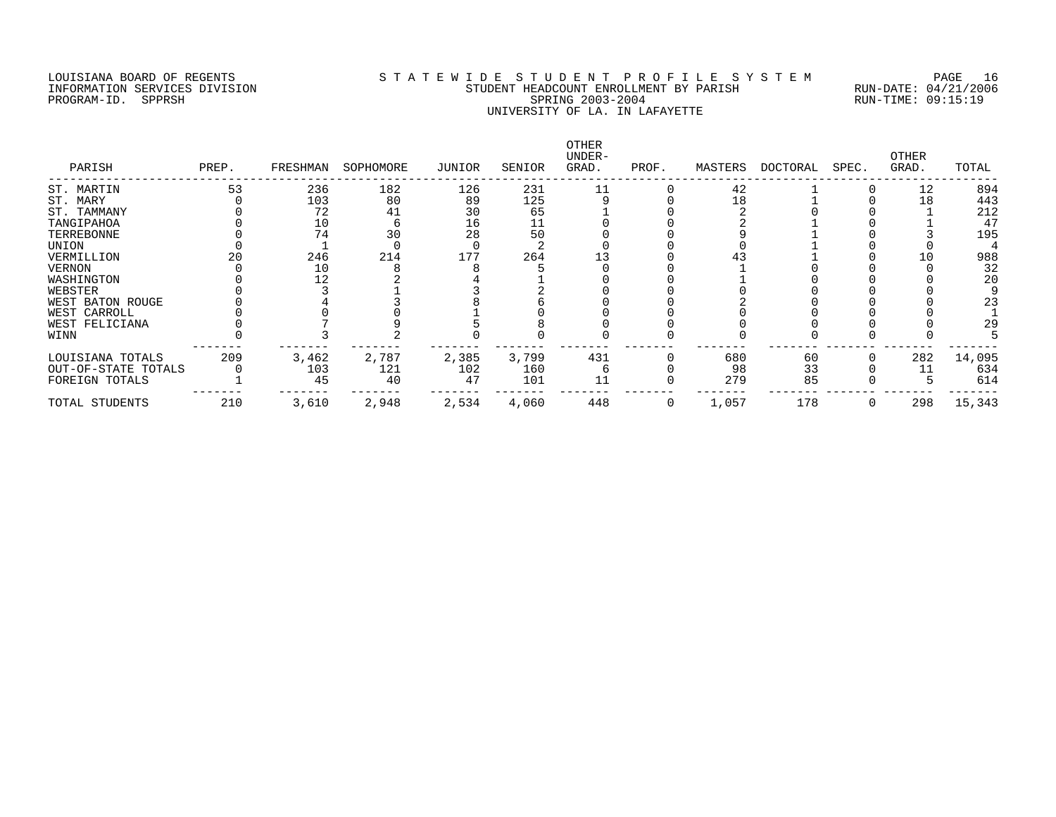# LOUISIANA BOARD OF REGENTS S T A T E W I D E S T U D E N T P R O F I L E S Y S T E M PAGE 16 INFORMATION SERVICES DIVISION STUDENT HEADCOUNT ENROLLMENT BY PARISH RUN-DATE: 04/21/2006 PROGRAM-ID. SPPRSH SPRING 2003-2004 RUN-TIME: 09:15:19 UNIVERSITY OF LA. IN LAFAYETTE

| PARISH              | PREP. | FRESHMAN | SOPHOMORE | JUNIOR | SENIOR | OTHER<br>UNDER-<br>GRAD. | PROF. | MASTERS | DOCTORAL | SPEC. | OTHER<br>GRAD. | TOTAL  |
|---------------------|-------|----------|-----------|--------|--------|--------------------------|-------|---------|----------|-------|----------------|--------|
| ST. MARTIN          | 53    | 236      | 182       | 126    | 231    |                          |       | 42      |          |       | 12             | 894    |
| ST. MARY            |       | 103      | 80        | 89     | 125    |                          |       | 18      |          |       | 18             | 443    |
| ST. TAMMANY         |       | 72       | 41        | 30     | 65     |                          |       |         |          |       |                | 212    |
| TANGIPAHOA          |       | 10       |           | 16     |        |                          |       |         |          |       |                | 47     |
| TERREBONNE          |       | 74       | 30        | 28     | 50     |                          |       |         |          |       |                | 195    |
| UNION               |       |          |           |        |        |                          |       |         |          |       |                |        |
| VERMILLION          |       | 246      | 214       | 177    | 264    |                          |       |         |          |       |                | 988    |
| VERNON              |       | 10       |           |        |        |                          |       |         |          |       |                | 32     |
| WASHINGTON          |       | 12       |           |        |        |                          |       |         |          |       |                | 20     |
| WEBSTER             |       |          |           |        |        |                          |       |         |          |       |                |        |
| WEST BATON ROUGE    |       |          |           |        |        |                          |       |         |          |       |                | 23     |
| WEST CARROLL        |       |          |           |        |        |                          |       |         |          |       |                |        |
| WEST FELICIANA      |       |          |           |        |        |                          |       |         |          |       |                | 29     |
| WINN                |       |          |           |        |        |                          |       |         |          |       |                |        |
| LOUISIANA TOTALS    | 209   | 3,462    | 2,787     | 2,385  | 3,799  | 431                      |       | 680     | 60       |       | 282            | 14,095 |
| OUT-OF-STATE TOTALS |       | 103      | 121       | 102    | 160    |                          |       | 98      | 33       |       |                | 634    |
| FOREIGN TOTALS      |       | 45       | 40        | 47     | 101    | 11                       |       | 279     | 85       |       |                | 614    |
| TOTAL STUDENTS      | 210   | 3,610    | 2,948     | 2,534  | 4,060  | 448                      |       | 1,057   | 178      |       | 298            | 15,343 |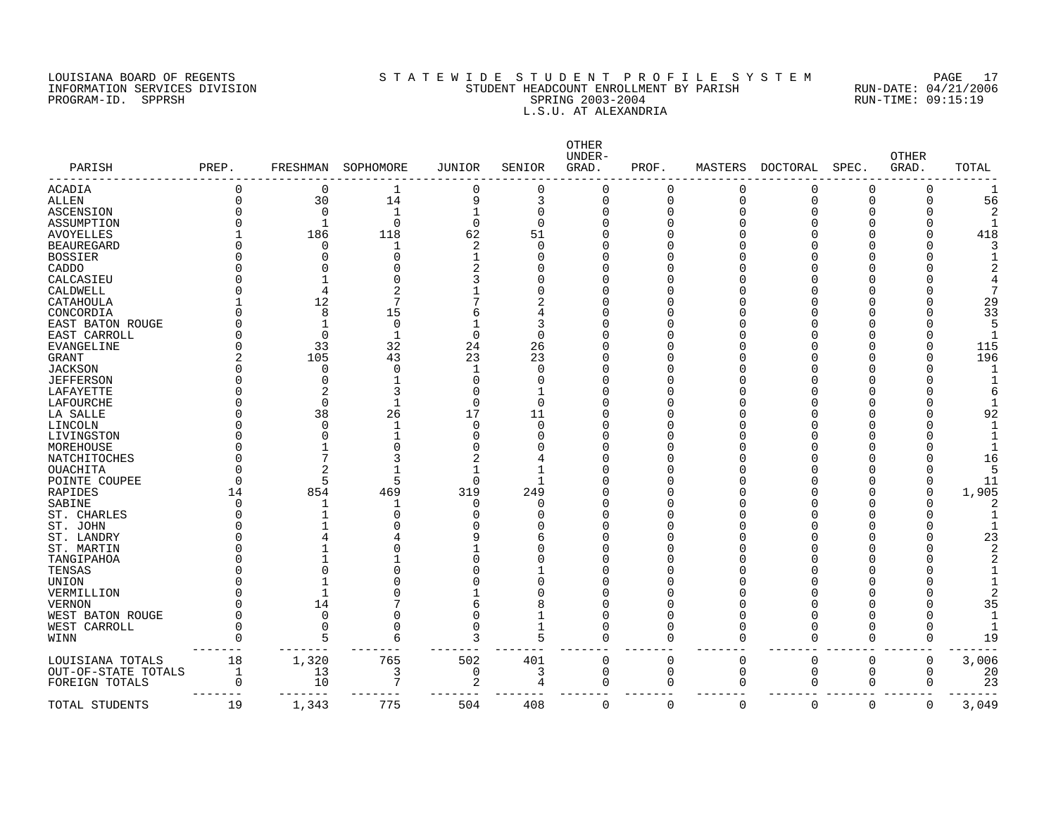### LOUISIANA BOARD OF REGENTS S T A T E W I D E S T U D E N T P R O F I L E S Y S T E M PAGE 17 INFORMATION SERVICES DIVISION STUDENT HEADCOUNT ENROLLMENT BY PARISH RUN-DATE: 04/21/2006 PROGRAM-ID. SPPRSH SPRING 2003-2004 RUN-TIME: 09:15:19 L.S.U. AT ALEXANDRIA

| PARISH              | PREP.       | FRESHMAN     | SOPHOMORE    | <b>JUNIOR</b>  | SENIOR       | OTHER<br>UNDER-<br>GRAD. | PROF. | MASTERS      | DOCTORAL | SPEC.    | <b>OTHER</b><br>GRAD. | TOTAL |
|---------------------|-------------|--------------|--------------|----------------|--------------|--------------------------|-------|--------------|----------|----------|-----------------------|-------|
| <b>ACADIA</b>       | 0           | 0            | 1            | 0              | $\Omega$     | O                        | 0     | <sup>0</sup> | O        | $\Omega$ | $\Omega$              |       |
| <b>ALLEN</b>        | $\mathbf 0$ | 30           | 14           | 9              | 3            | O                        | 0     | $\Omega$     | O        | $\Omega$ | $\Omega$              | 56    |
| <b>ASCENSION</b>    | O           | $\Omega$     | $\mathbf{1}$ |                | $\Omega$     |                          | 0     | ∩            |          | O        |                       |       |
| ASSUMPTION          |             | $\mathbf{1}$ | 0            | $\Omega$       | $\Omega$     |                          | 0     |              |          |          |                       |       |
| <b>AVOYELLES</b>    |             | 186          | 118          | 62             | 51           |                          | O     |              |          |          |                       | 418   |
| <b>BEAUREGARD</b>   |             | ∩            | -1           | $\overline{c}$ | ∩            |                          | O     |              |          |          |                       |       |
| <b>BOSSIER</b>      |             |              | O            |                |              |                          | Λ     |              |          |          |                       |       |
| CADDO               |             |              | Ω            |                |              |                          | Λ     |              |          |          |                       |       |
| CALCASIEU           |             |              | Ω            |                |              |                          | Λ     |              |          |          |                       |       |
| CALDWELL            |             |              | 2            |                |              |                          | Λ     |              |          |          |                       |       |
| CATAHOULA           |             | 12           | 7            |                |              |                          | Λ     |              |          |          |                       | 29    |
| CONCORDIA           |             | 8            | 15           |                |              |                          | Λ     |              |          |          |                       | 33    |
| EAST BATON ROUGE    |             |              | 0            |                | 3            |                          | O     |              |          |          |                       |       |
| EAST CARROLL        |             | $\Omega$     | $\mathbf{1}$ | $\mathbf 0$    | $\Omega$     |                          | ∩     |              |          |          |                       |       |
| EVANGELINE          |             | 33           | 32           | 24             | 26           |                          | Λ     |              |          |          |                       | 115   |
| <b>GRANT</b>        |             | 105          | 43           | 23             | 23           |                          | ∩     |              |          |          |                       | 196   |
| <b>JACKSON</b>      |             | ∩            | $\Omega$     |                | $\Omega$     |                          | ∩     |              |          |          |                       |       |
| <b>JEFFERSON</b>    |             | O            |              | ſ              | <sup>0</sup> |                          | ∩     |              |          |          |                       |       |
| LAFAYETTE           |             |              | 3            |                | $\mathbf{1}$ |                          | Λ     |              |          |          |                       |       |
| LAFOURCHE           |             | $\Omega$     |              | $\Omega$       | $\Omega$     |                          | Λ     |              |          |          |                       |       |
| LA SALLE            |             | 38           | 26           | 17             | 11           |                          | Λ     |              |          |          |                       | 92    |
| LINCOLN             |             | ∩            |              | $\cap$         | $\Omega$     |                          | ∩     |              |          |          |                       |       |
|                     |             |              |              |                |              |                          | O     |              |          |          |                       |       |
| LIVINGSTON          |             |              | O            |                | O            |                          | Λ     |              |          |          |                       |       |
| MOREHOUSE           |             |              |              |                |              |                          |       |              |          |          |                       |       |
| NATCHITOCHES        |             |              | 3            |                |              |                          | Λ     |              |          |          |                       | 16    |
| OUACHITA            | O           |              |              |                | -1           |                          | Λ     |              |          |          |                       |       |
| POINTE COUPEE       | O           |              | 5            | $\Omega$       | -1           |                          | ∩     |              |          |          |                       | 11    |
| RAPIDES             | 14          | 854          | 469          | 319            | 249          |                          | C     |              |          |          |                       | 1,905 |
| SABINE              | O           |              | 1            | <sup>0</sup>   | U            |                          | Λ     |              |          |          |                       |       |
| ST. CHARLES         |             |              | 0            |                |              |                          | Λ     |              |          |          |                       |       |
| ST. JOHN            |             |              | O            |                |              |                          | O     |              |          |          |                       |       |
| ST. LANDRY          |             |              |              |                | 6            |                          | Λ     |              |          |          |                       | 23    |
| ST. MARTIN          |             |              | Λ            |                |              |                          | U     |              |          |          |                       |       |
| TANGIPAHOA          |             |              |              |                |              |                          | ∩     |              |          |          |                       |       |
| TENSAS              |             |              | Λ            |                |              |                          | ∩     |              |          |          |                       |       |
| UNION               |             |              |              |                | O            |                          | Λ     |              |          |          |                       |       |
| VERMILLION          |             |              | Ω            |                |              |                          | ∩     |              |          |          |                       |       |
| <b>VERNON</b>       |             | 14           |              | 6              | 8            |                          | Λ     |              |          | U        |                       | 35    |
| WEST BATON ROUGE    | U           | $\Omega$     | O            | $\cap$         | -1           |                          | O     |              |          | ∩        |                       |       |
| WEST CARROLL        | O           | $\Omega$     | 0            | $\Omega$       | $\mathbf{1}$ |                          | O     |              | U        | O        | $\Omega$              |       |
| WINN                | O           | 5            | 6            | Р              | 5            |                          | O     | <sup>0</sup> | 0        | $\Omega$ | $\Omega$              | 19    |
| LOUISIANA TOTALS    | 18          | 1,320        | 765          | 502            | 401          | U                        | 0     | $\Omega$     | $\Omega$ | $\Omega$ | 0                     | 3,006 |
| OUT-OF-STATE TOTALS | 1           | 13           | 3            | 0              | 3            | $\Omega$                 | 0     | $\mathbf 0$  | 0        | 0        | $\Omega$              | 20    |
| FOREIGN TOTALS      | $\Omega$    | 10           | 7            | 2              | 4            |                          | 0     | $\cap$       | 0        | 0        | O                     | 23    |
| TOTAL STUDENTS      | 19          | 1,343        | 775          | 504            | 408          | O                        | 0     | $\Omega$     | 0        | 0        | 0                     | 3,049 |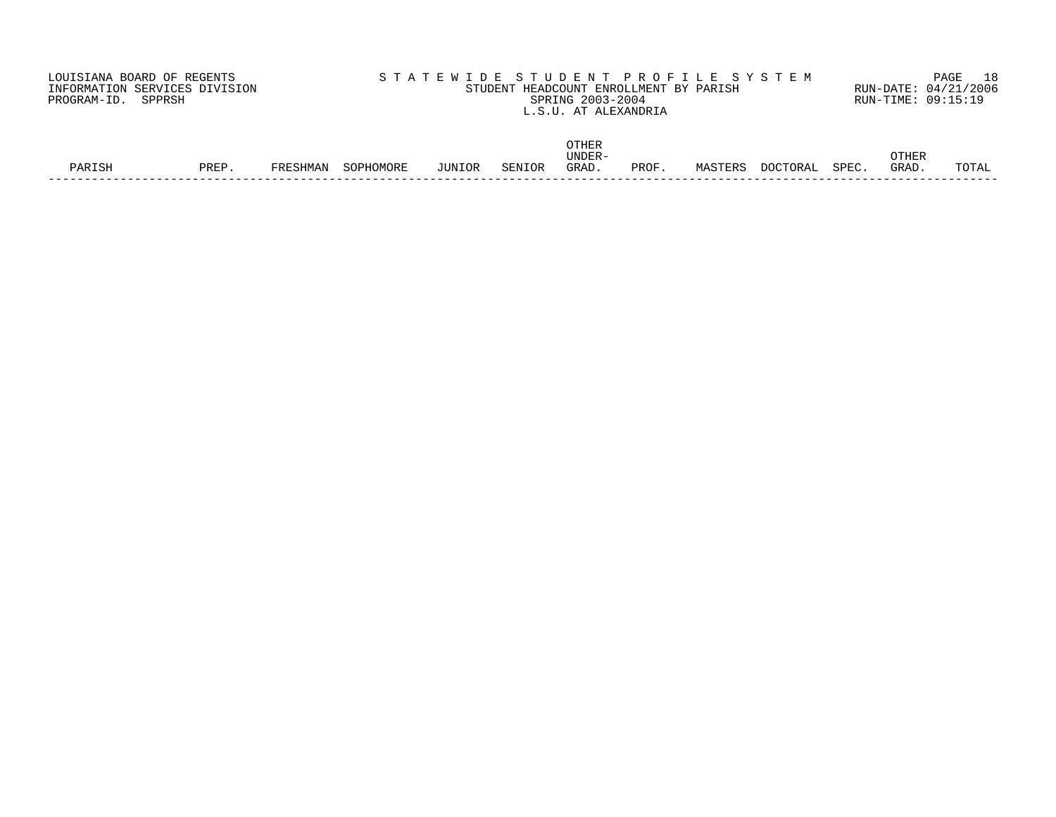| LOUISIANA BOARD OF REGENTS    | STATEWIDE STUDENT PROFILE SYSTEM       | PAGE 18              |
|-------------------------------|----------------------------------------|----------------------|
| INFORMATION SERVICES DIVISION | STUDENT HEADCOUNT ENROLLMENT BY PARISH | RUN-DATE: 04/21/2006 |
| PROGRAM-ID. SPPRSH            | SPRING 2003-2004                       | RUN-TIME: 09:15:19   |
|                               | L.S.U. AT ALEXANDRIA                   |                      |
|                               |                                        |                      |
|                               |                                        |                      |

|        |      |       |                                                                 |        |        | $\bigcap \Pi$<br>UINLIN |      |              |         |       |             |            |
|--------|------|-------|-----------------------------------------------------------------|--------|--------|-------------------------|------|--------------|---------|-------|-------------|------------|
|        |      |       |                                                                 |        |        | <b>UNDER</b>            |      |              |         |       | <b>THER</b> |            |
| PARTSH | PREF | SHMAN | $\sim$ $\sim$ $\sim$ $\sim$ $\sim$ $\sim$<br>HOMORL<br>$\cdots$ | JUNIOR | SENIOR | GRAD                    | PROF | TERS<br>MAST | ו ב חרי | SPEC. | GRAD        | COTT.<br>. |
|        |      |       |                                                                 |        |        |                         |      |              |         |       |             |            |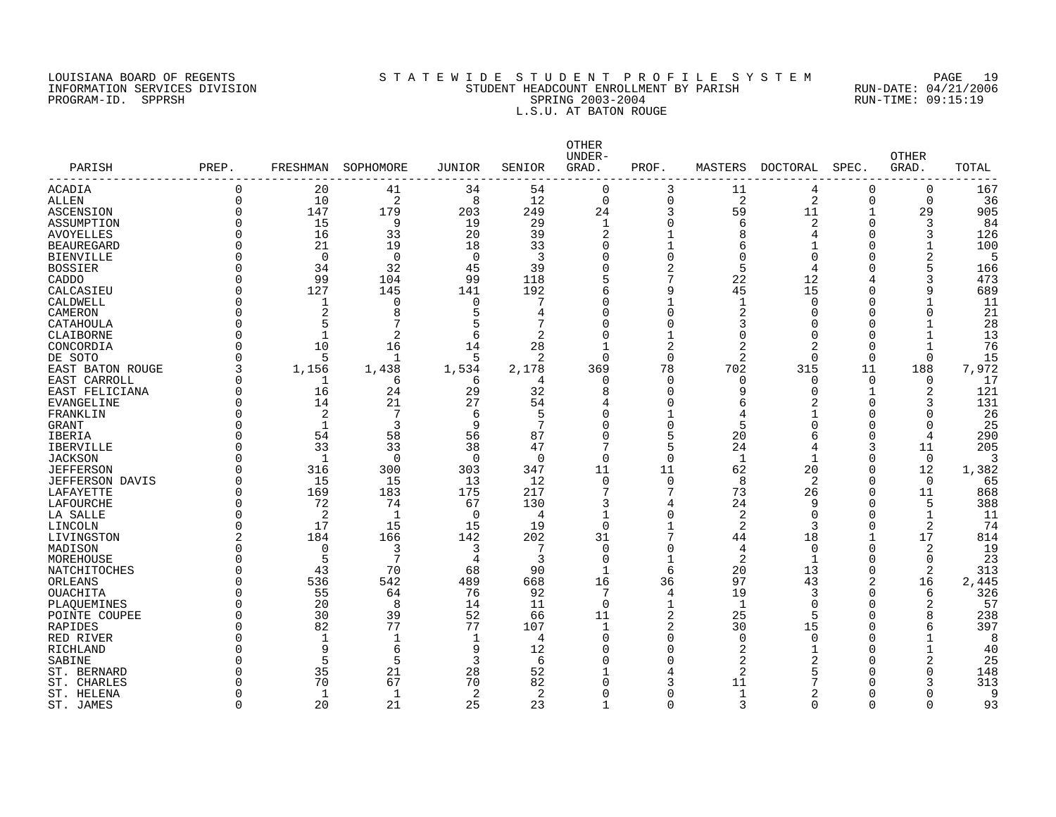### LOUISIANA BOARD OF REGENTS S T A T E W I D E S T U D E N T P R O F I L E S Y S T E M PAGE 19 INFORMATION SERVICES DIVISION STUDENT HEADCOUNT ENROLLMENT BY PARISH RUN-DATE: 04/21/2006 PROGRAM-ID. SPPRSH SPRING 2003-2004 RUN-TIME: 09:15:19 L.S.U. AT BATON ROUGE

|                        |          |              |             |              |                | <b>OTHER</b><br>UNDER- |                |                |                |                | <b>OTHER</b>   |       |
|------------------------|----------|--------------|-------------|--------------|----------------|------------------------|----------------|----------------|----------------|----------------|----------------|-------|
| PARISH<br>------------ | PREP.    | FRESHMAN     | SOPHOMORE   | JUNIOR       | SENIOR         | GRAD.                  | PROF.          | MASTERS        | DOCTORAL       | SPEC.          | GRAD.          | TOTAL |
| ACADIA                 | $\Omega$ | 20           | 41          | 34           | 54             | $\mathbf 0$            | 3              | 11             | 4              | 0              | 0              | 167   |
| <b>ALLEN</b>           | $\Omega$ | 10           | 2           | 8            | 12             | $\mathbf 0$            | $\mathbf 0$    | 2              | 2              | 0              | 0              | 36    |
| ASCENSION              | ∩        | 147          | 179         | 203          | 249            | 24                     | 3              | 59             | 11             | $\mathbf 1$    | 29             | 905   |
| ASSUMPTION             | $\Omega$ | 15           | 9           | 19           | 29             | $\mathbf{1}$           | $\Omega$       | 6              | 2              | $\overline{0}$ | 3              | 84    |
| <b>AVOYELLES</b>       | $\Omega$ | 16           | 33          | 20           | 39             | $\overline{2}$         |                | 8              | 4              | $\Omega$       | 3              | 126   |
| <b>BEAUREGARD</b>      | ∩        | 21           | 19          | 18           | 33             | $\Omega$               | 1              | 6              | $\mathbf{1}$   | $\Omega$       | $\mathbf 1$    | 100   |
| <b>BIENVILLE</b>       | $\Omega$ | $\Omega$     | $\Omega$    | $\Omega$     | 3              | O                      | $\Omega$       | $\Omega$       | $\Omega$       | $\Omega$       | $\overline{2}$ | 5     |
| <b>BOSSIER</b>         | $\Omega$ | 34           | 32          | 45           | 39             | O                      | $\overline{2}$ | 5              | 4              | $\Omega$       |                | 166   |
| CADDO                  | $\Omega$ | 99           | 104         | 99           | 118            |                        | 7              | 22             | 12             | 4              | 3              | 473   |
| CALCASIEU              | $\Omega$ | 127          | 145         | 141          | 192            |                        | 9              | 45             | 15             | $\mathbf 0$    | 9              | 689   |
| CALDWELL               | $\Omega$ | 1            | 0           | 0            | 7              | O                      |                | 1              | $\mathbf 0$    | $\mathbf 0$    | $\mathbf{1}$   | 11    |
| CAMERON                | $\Omega$ | 2            | 8           | 5            | 4              | $\Omega$               | $\Omega$       | 2              | $\mathbf 0$    | $\mathbf 0$    | $\overline{0}$ | 21    |
| CATAHOULA              | $\Omega$ | 5            | 7           | 5            | 7              | U                      | $\Omega$       | 3              | $\Omega$       | $\Omega$       | $\mathbf{1}$   | 28    |
| CLAIBORNE              | $\cap$   |              | 2           | 6            | $\mathfrak{D}$ | ∩                      |                | $\Omega$       | $\mathbf 0$    | $\Omega$       | $\mathbf{1}$   | 13    |
| CONCORDIA              | $\Omega$ | 10           | 16          | 14           | 28             |                        | 2              | 2              | 2              | $\mathbf 0$    | $\mathbf 1$    | 76    |
| DE SOTO                | ∩        | 5            | 1           | .5           | 2              | $\Omega$               | ∩              | 2              | $\Omega$       | 0              | $\mathbf 0$    | 15    |
| EAST BATON ROUGE       | 3        | 1,156        | 1,438       | 1,534        | 2,178          | 369                    | 78             | 702            | 315            | 11             | 188            | 7,972 |
| EAST CARROLL           | $\Omega$ |              | 6           | 6            | 4              | $\Omega$               | $\Omega$       | 0              | 0              | $\mathbf 0$    | 0              | 17    |
| EAST FELICIANA         | $\Omega$ | 16           | 24          | 29           | 32             | 8                      | $\Omega$       | 9              | $\mathbf 0$    | 1              | $\overline{2}$ | 121   |
| <b>EVANGELINE</b>      | $\Omega$ | 14           | 21          | 27           | 54             | 4                      | $\Omega$       | 6              | $\overline{a}$ | $\Omega$       | 3              | 131   |
| FRANKLIN               | ∩        | 2            | 7           | 6            | 5              | U                      |                | 4              | $\mathbf 1$    | $\mathbf 0$    | $\Omega$       | 26    |
| <b>GRANT</b>           | ∩        | $\mathbf{1}$ | 3           | 9            | 7              | O                      | $\Omega$       | 5              | $\Omega$       | $\Omega$       | $\Omega$       | 25    |
| IBERIA                 | ∩        | 54           | 58          | 56           | 87             | O                      | 5              | 20             | 6              | $\mathbf 0$    | $\overline{4}$ | 290   |
| <b>IBERVILLE</b>       | $\Omega$ | 33           | 33          | 38           | 47             | 7                      | 5              | 24             | 4              | 3              | 11             | 205   |
| <b>JACKSON</b>         | $\Omega$ | 1            | 0           | 0            | $\Omega$       | $\Omega$               | $\Omega$       | 1              | 1              | $\mathbf 0$    | $\overline{0}$ | 3     |
| <b>JEFFERSON</b>       | $\Omega$ | 316          | 300         | 303          | 347            | 11                     | 11             | 62             | 20             | $\mathbf 0$    | 12             | 1,382 |
| <b>JEFFERSON DAVIS</b> | $\Omega$ | 15           | 15          | 13           | 12             | $\Omega$               | $\Omega$       | 8              | 2              | $\Omega$       | $\overline{0}$ | 65    |
| LAFAYETTE              | $\Omega$ | 169          | 183         | 175          | 217            |                        | 7              | 73             | 26             | $\mathbf 0$    | 11             | 868   |
| LAFOURCHE              | $\Omega$ | 72           | 74          | 67           | 130            |                        | 4              | 24             | 9              | $\mathbf 0$    | 5              | 388   |
| LA SALLE               | $\Omega$ | 2            | -1          | $\Omega$     | 4              | $\mathbf{1}$           | $\Omega$       | 2              | $\overline{0}$ | $\mathbf 0$    | $\mathbf 1$    | 11    |
| LINCOLN                | $\Omega$ | 17           | 15          | 15           | 19             | $\Omega$               |                | 2              | 3              | 0              | 2              | 74    |
| LIVINGSTON             | 2        | 184          | 166         | 142          | 202            | 31                     | 7              | 44             | 18             | 1              | 17             | 814   |
| MADISON                | $\Omega$ | $\mathbf 0$  | 3           | 3            | 7              | $\Omega$               | $\Omega$       | 4              | $\mathbf 0$    | $\mathbf 0$    | 2              | 19    |
| MOREHOUSE              | $\Omega$ | 5            | 7           | 4            | 3              | $\mathbf 0$            | $\mathbf{1}$   | $\overline{2}$ | 1              | $\mathbf 0$    | $\mathbf 0$    | 23    |
| NATCHITOCHES           | ∩        | 43           | 70          | 68           | 90             | $\mathbf{1}$           | 6              | 20             | 13             | $\Omega$       | $\overline{2}$ | 313   |
| ORLEANS                | ∩        | 536          | 542         | 489          | 668            | 16                     | 36             | 97             | 43             | 2              | 16             | 2,445 |
| <b>OUACHITA</b>        | ∩        | 55           | 64          | 76           | 92             | 7                      | 4              | 19             | 3              | 0              | 6              | 326   |
| PLAQUEMINES            | ∩        | 20           | 8           | 14           | 11             | $\Omega$               | 1              | 1              | $\mathbf 0$    | 0              | $\overline{2}$ | 57    |
| POINTE COUPEE          | ∩        | 30           | 39          | 52           | 66             | 11                     | 2              | 25             | 5              | $\Omega$       | 8              | 238   |
| RAPIDES                | ∩        | 82           | 77          | 77           | 107            | $\mathbf{1}$           | 2              | 30             | 15             | $\mathbf 0$    | 6              | 397   |
| RED RIVER              | $\Omega$ | 1            | $\mathbf 1$ | $\mathbf{1}$ | 4              | $\Omega$               | $\Omega$       | 0              | $\mathbf 0$    | 0              | $\mathbf{1}$   | 8     |
| RICHLAND               | ∩        | 9            | 6           | 9            | 12             | U                      | U              | 2              | $\mathbf{1}$   | $\Omega$       | $\mathbf{1}$   | 40    |
| SABINE                 | ∩        | 5            | 5           | 3            | 6              | U                      | ∩              | 2              | $\overline{2}$ | $\Omega$       | $\overline{2}$ | 25    |
| ST. BERNARD            |          | 35           | 21          | 28           | 52             |                        |                | 2              |                | $\Omega$       | $\Omega$       | 148   |
| ST. CHARLES            |          | 70           | 67          | 70           | 82             |                        | 3              | 11             |                | $\Omega$       | 3              | 313   |
| ST. HELENA             | ∩        | 1            | 1           | 2            | 2              | U                      | $\Omega$       | 1              | 2              | 0              | $\Omega$       | 9     |
| ST. JAMES              | $\Omega$ | 20           | 21          | 25           | 23             | $\mathbf{1}$           | $\cap$         | 3              | $\Omega$       | $\Omega$       | $\Omega$       | 93    |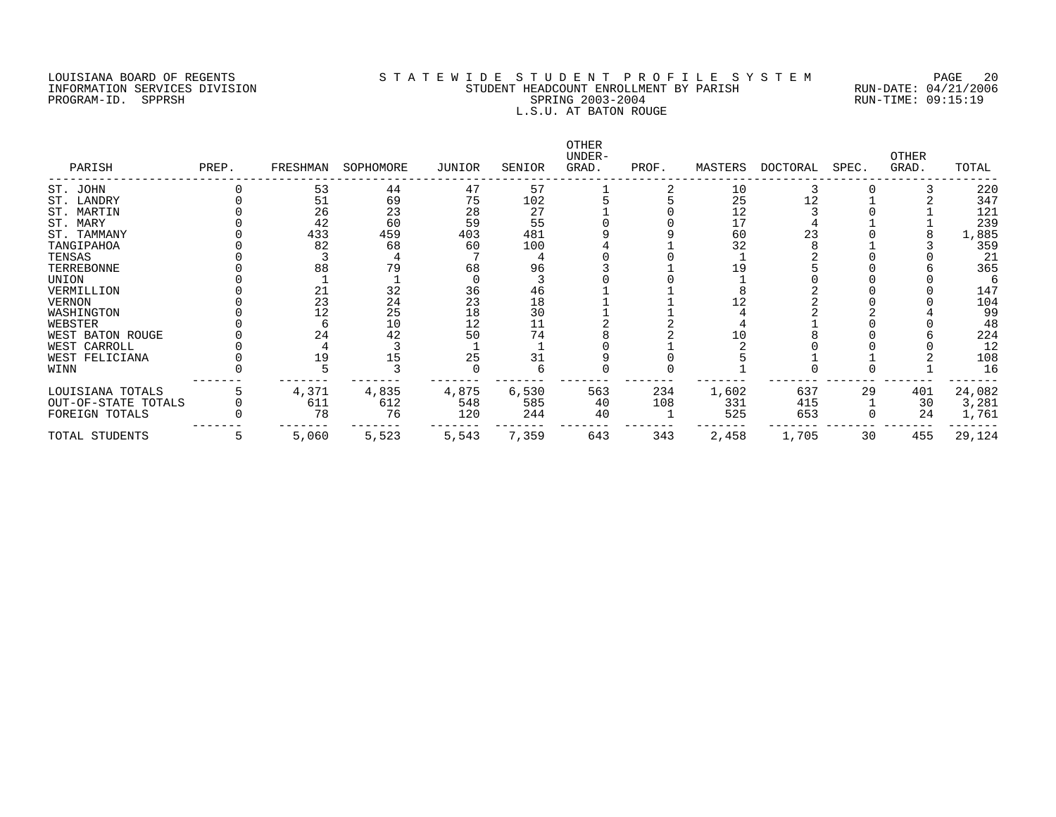#### LOUISIANA BOARD OF REGENTS SOURCLAINA SUBSTATE MANUS ARE STOURN THE STOURN THE SOURCLAINE STOURN THE STOURN T<br>STUDENT HEADCOUNT ENROLLMENT BY PARISH RUN-DATE: 04/21/2006 INFORMATION SERVICES DIVISION STRUCTURES AND STUDENT HEADCOUNT ENROLLMENT BY PARISH RUN-DATION SERVICES DIVISION PROGRAM-ID. SPPRSH SPRING 2003-2004 SPRING 2003-2004 RUN-TIME: 09:15:19 L.S.U. AT BATON ROUGE

| PARISH              | PREP. | FRESHMAN | SOPHOMORE | JUNIOR | SENIOR | OTHER<br>UNDER-<br>GRAD. | PROF. | MASTERS | DOCTORAL | SPEC. | OTHER<br>GRAD. | TOTAL  |
|---------------------|-------|----------|-----------|--------|--------|--------------------------|-------|---------|----------|-------|----------------|--------|
| ST. JOHN            |       | 53       | 44        | 47     | 57     |                          |       | 10      |          |       |                | 220    |
| ST. LANDRY          |       | 51       | 69        | 75     | 102    |                          |       | 25      | 12       |       |                | 347    |
| ST. MARTIN          |       | 26       | 23        | 28     | 27     |                          |       | 12      |          |       |                | 121    |
| ST. MARY            |       | 42       | 60        | 59     | 55     |                          |       | 17      |          |       |                | 239    |
| ST. TAMMANY         |       | 433      | 459       | 403    | 481    |                          |       | 60      | 23       |       |                | 1,885  |
| TANGIPAHOA          |       | 82       | 68        | 60     | 100    |                          |       | 32      |          |       |                | 359    |
| TENSAS              |       |          |           |        |        |                          |       |         |          |       |                | 21     |
| TERREBONNE          |       | 88       | 79        | 68     | 96     |                          |       | 19      |          |       |                | 365    |
| UNION               |       |          |           |        |        |                          |       |         |          |       |                | 6      |
| VERMILLION          |       | 21       | 32        | 36     | 46     |                          |       |         |          |       |                | 147    |
| VERNON              |       | 23       | 24        | 23     | 18     |                          |       |         |          |       |                | 104    |
| WASHINGTON          |       |          | 25        | 18     | 30     |                          |       |         |          |       |                | 99     |
| WEBSTER             |       |          | 10        | 12     | 11     |                          |       |         |          |       |                | 48     |
| WEST BATON ROUGE    |       | 24       | 42        | 50     | 74     |                          |       | 10      |          |       |                | 224    |
| WEST CARROLL        |       |          |           |        |        |                          |       |         |          |       |                | 12     |
| WEST FELICIANA      |       | 19       | 15        | 25     | 31     |                          |       |         |          |       |                | 108    |
| WINN                |       |          |           |        |        |                          |       |         |          |       |                | 16     |
| LOUISIANA TOTALS    |       | 4,371    | 4,835     | 4,875  | 6,530  | 563                      | 234   | 1,602   | 637      | 29    | 401            | 24,082 |
| OUT-OF-STATE TOTALS |       | 611      | 612       | 548    | 585    | 40                       | 108   | 331     | 415      |       | 30             | 3,281  |
| FOREIGN TOTALS      |       | 78       | 76        | 120    | 244    | 40                       |       | 525     | 653      |       | 24             | 1,761  |
| TOTAL STUDENTS      | 5     | 5,060    | 5,523     | 5,543  | 7,359  | 643                      | 343   | 2,458   | 1,705    | 30    | 455            | 29,124 |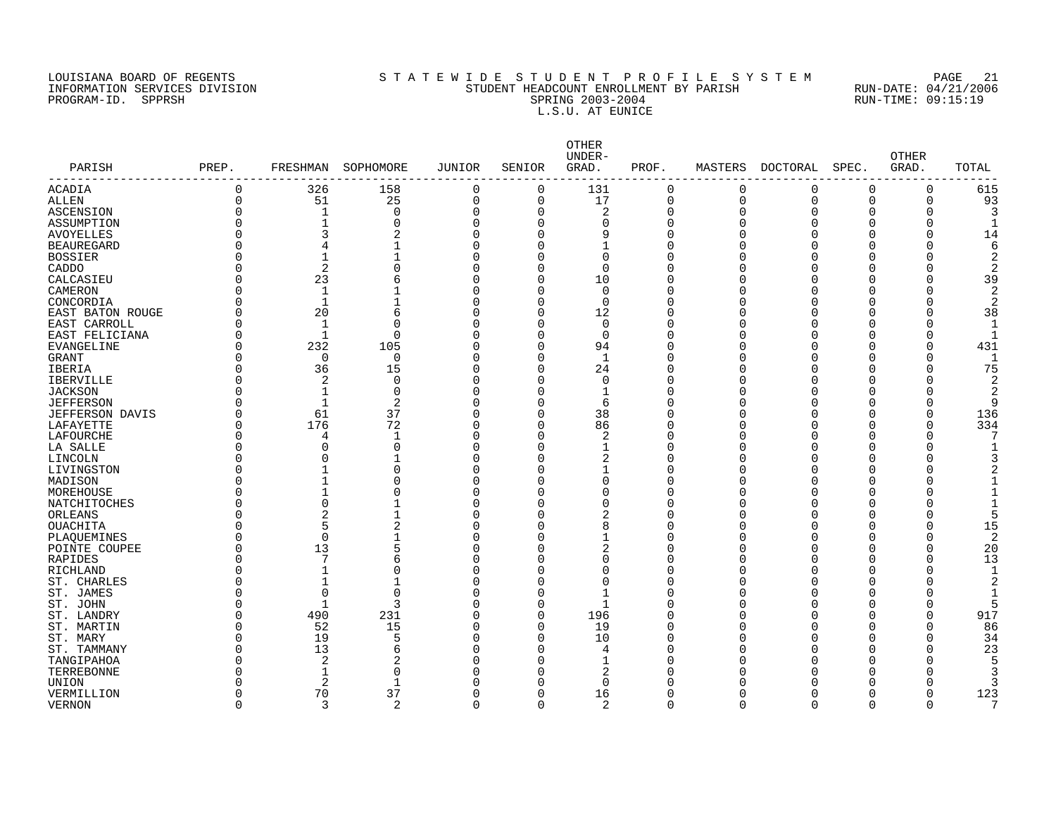PROGRAM-ID. SPPRSH

# LOUISIANA BOARD OF REGENTS SOURCOMER'S STATEWIDE STUDENT PROFILE SYSTEM PAGE 21<br>STUDENT HEADCOUNT ENROLLMENT BY PARISH RUN-DATE: 04/21/2006 INFORMATION SERVICES DIVISION STATE STATE STUDENT HEADCOUNT ENROLLMENT BY PARISH SPARISH RUN-DATE: 04/21/2006<br>PROGRAM-ID. SPPRSH SPRING 2003-2004 SPRING 2003-2004 L.S.U. AT EUNICE

| PARISH                  | PREP.    | FRESHMAN            | SOPHOMORE      | <b>JUNIOR</b>           | SENIOR   | OTHER<br>UNDER-<br>GRAD. | PROF.                | MASTERS  | DOCTORAL    | SPEC.    | <b>OTHER</b><br>GRAD. | TOTAL |
|-------------------------|----------|---------------------|----------------|-------------------------|----------|--------------------------|----------------------|----------|-------------|----------|-----------------------|-------|
| -------------<br>ACADIA | 0        | 326                 | 158            | 0                       | 0        | 131                      | $\mathbf 0$          | 0        | $\mathbf 0$ | $\Omega$ | $\mathbf 0$           | 615   |
| ALLEN                   | $\Omega$ | 51                  | 25             | $\mathbf 0$             | 0        | 17                       | $\Omega$             | $\Omega$ | $\Omega$    | $\Omega$ | $\Omega$              | 93    |
| ASCENSION               | $\Omega$ | $\mathbf{1}$        | $\Omega$       | $\mathbf 0$             | 0        | $\overline{2}$           | $\Omega$             | $\Omega$ | $\Omega$    | Ω        | U                     |       |
| ASSUMPTION              |          | $\mathbf{1}$        | $\Omega$       | $\mathbf 0$             | $\Omega$ | $\mathbf 0$              | $\Omega$             | U        |             |          |                       |       |
| <b>AVOYELLES</b>        |          | 3                   | 2              | $\overline{0}$          | 0        | 9                        | $\Omega$             |          |             |          | $\Omega$              | 14    |
| <b>BEAUREGARD</b>       |          | $\overline{4}$      |                | $\mathbf 0$             | $\Omega$ | $\mathbf{1}$             | $\Omega$             |          |             |          |                       | 6     |
| <b>BOSSIER</b>          |          | $\mathbf{1}$        |                | $\mathbf 0$             | $\Omega$ | $\Omega$                 | $\Omega$             |          |             |          |                       | 2     |
| CADDO                   |          | $\overline{2}$      | $\Omega$       | $\mathbf 0$             | 0        | $\Omega$                 | $\cap$               |          |             |          |                       | 2     |
| CALCASIEU               | 0        | 23                  | 6              | $\overline{0}$          | 0        | 10                       | $\cap$               |          |             |          | U                     | 39    |
| CAMERON                 |          | $\mathbf{1}$        |                | $\overline{0}$          | $\Omega$ | $\Omega$                 | ∩                    |          |             |          |                       | 2     |
| CONCORDIA               | 0        | $\mathbf{1}$        | $\mathbf{1}$   | $\mathbf 0$             | 0        | $\mathbf 0$              | $\Omega$             |          |             | Λ        | U                     | 2     |
| EAST BATON ROUGE        | $\Omega$ | 20                  | 6              | $\mathbf 0$             | $\Omega$ | 12                       | ∩                    |          |             |          |                       | 38    |
| EAST CARROLL            | O        | 1                   | $\Omega$       | $\mathbf 0$             | $\Omega$ | $\mathbf 0$              | $\cap$               |          |             |          |                       |       |
| EAST FELICIANA          | O        | $\mathbf{1}$        | $\Omega$       | $\mathbf 0$             | $\Omega$ | $\Omega$                 | $\cap$               |          |             |          | Ω                     |       |
| <b>EVANGELINE</b>       |          | 232                 | 105            | $\mathbf 0$             | $\Omega$ | 94                       | $\Omega$             |          |             |          | 0                     | 431   |
| <b>GRANT</b>            | O        | $\mathbf 0$         | $\mathbf 0$    | $\overline{0}$          | 0        | $\mathbf{1}$             | $\Omega$             |          |             |          | $\Omega$              |       |
| <b>IBERIA</b>           |          | 36                  | 15             | $\overline{0}$          | $\Omega$ | 24                       | $\Omega$             |          |             |          |                       | 75    |
| <b>IBERVILLE</b>        | O        | 2                   | $\mathbf 0$    | $\overline{0}$          | 0        | $\mathbf 0$              | $\cap$               |          |             |          |                       |       |
| <b>JACKSON</b>          |          | $\mathbf 1$         | $\mathbf 0$    | $\mathsf 0$             | 0        | $\mathbf{1}$             | $\Omega$             |          |             |          |                       | 2     |
| <b>JEFFERSON</b>        | $\Omega$ | $\mathbf{1}$        | $\overline{2}$ | $\overline{0}$          | 0        | 6                        | $\Omega$             |          |             |          |                       | q     |
| <b>JEFFERSON DAVIS</b>  | O        | 61                  | 37             | $\mathbf 0$             | $\Omega$ | 38                       | $\Omega$             |          |             |          | O                     | 136   |
| LAFAYETTE               | O        | 176                 | 72             | $\overline{0}$          | $\Omega$ | 86                       | $\Omega$             |          |             |          | $\Omega$              | 334   |
| LAFOURCHE               | O        | 4                   | $\mathbf{1}$   | $\Omega$                | 0        | 2                        | ∩                    |          |             | Λ        | U                     |       |
| LA SALLE                |          | $\Omega$            | $\mathbf 0$    | $\Omega$                | 0        | 1                        | $\cap$               |          |             |          | U                     |       |
| LINCOLN                 |          | $\Omega$            |                | $\Omega$                | $\Omega$ | $\overline{2}$           | ∩                    |          |             |          |                       |       |
|                         | O        | $\mathbf{1}$        | $\mathbf 0$    | $\mathbf 0$             | 0        | $\mathbf{1}$             | $\Omega$             |          |             | Λ        |                       |       |
| LIVINGSTON              |          | $\mathbf{1}$        | $\Omega$       | $\overline{0}$          | $\Omega$ | $\Omega$                 | $\cap$               |          |             |          |                       |       |
| MADISON                 |          | $\mathbf{1}$        | $\Omega$       |                         | $\Omega$ | $\Omega$                 | $\cap$               |          |             |          |                       |       |
| MOREHOUSE               | O        | $\Omega$            | $\mathbf{1}$   | $\mathbf 0$<br>$\Omega$ | $\Omega$ | $\Omega$                 | $\cap$               |          |             |          |                       |       |
| NATCHITOCHES            |          |                     | $\mathbf{1}$   |                         |          |                          |                      |          |             |          |                       |       |
| ORLEANS                 |          | $\overline{2}$<br>5 |                | $\Omega$                | $\Omega$ | $\overline{2}$           | n<br>∩               |          |             |          | $\Omega$              |       |
| OUACHITA                | O        |                     | $\overline{2}$ | 0                       | $\Omega$ | 8                        |                      |          |             |          |                       | 15    |
| PLAQUEMINES             |          | $\mathbf 0$         | $\mathbf{1}$   | $\mathbf 0$             | $\Omega$ | 1                        | n                    |          |             |          |                       | 2     |
| POINTE COUPEE           | $\Omega$ | 13                  | 5              | $\mathbf 0$             | 0        | $\overline{c}$           | $\Omega$<br>$\Omega$ |          |             |          | $\Omega$<br>O         | 20    |
| RAPIDES                 |          | 7                   | 6              | $\mathsf 0$             | 0        | $\mathbf 0$              |                      |          |             |          |                       | 13    |
| RICHLAND                | $\Omega$ | $\mathbf{1}$        | $\Omega$       | $\mathsf 0$             | 0        | $\mathbf 0$              | $\Omega$             |          |             |          |                       |       |
| ST. CHARLES             |          |                     |                | 0                       | 0        | $\mathbf 0$              | $\Omega$             |          |             |          |                       |       |
| ST. JAMES               | $\Omega$ | $\overline{0}$      | $\Omega$       | 0                       | 0        | $\mathbf{1}$             | $\Omega$             |          |             |          |                       |       |
| ST. JOHN                |          | $\mathbf{1}$        | 3              | $\mathbf 0$             | 0        | $\mathbf{1}$             | n                    |          |             |          |                       |       |
| ST. LANDRY              | 0        | 490                 | 231            | $\mathbf 0$             | 0        | 196                      | $\Omega$             |          |             | n        | $\Omega$              | 917   |
| ST. MARTIN              |          | 52                  | 15             | $\Omega$                | $\Omega$ | 19                       | n                    |          |             |          | ∩                     | 86    |
| ST. MARY                | O        | 19                  | 5              | $\mathbf 0$             | $\Omega$ | 10                       | $\Omega$             |          |             | Λ        | $\Omega$              | 34    |
| ST. TAMMANY             | $\Omega$ | 13                  | 6              | $\overline{0}$          | $\Omega$ | 4                        | $\cap$               |          |             |          | Λ                     | 23    |
| TANGIPAHOA              |          | 2                   | 2              | $\Omega$                | $\Omega$ | $\mathbf{1}$             | ∩                    |          |             |          |                       |       |
| TERREBONNE              |          | 1                   | $\Omega$       | $\Omega$                | $\Omega$ | 2                        | ∩                    |          |             |          |                       |       |
| UNION                   |          | 2                   | $\mathbf{1}$   | $\Omega$                | $\Omega$ | $\Omega$                 | ∩                    |          |             |          |                       |       |
| VERMILLION              |          | 70                  | 37             | $\Omega$                | $\Omega$ | 16                       | n                    | Λ        |             |          | O                     | 123   |
| <b>VERNON</b>           | $\Omega$ | 3                   | 2              | 0                       | 0        | $\overline{2}$           | $\Omega$             | $\Omega$ | $\Omega$    | $\Omega$ | $\mathbf 0$           | 7     |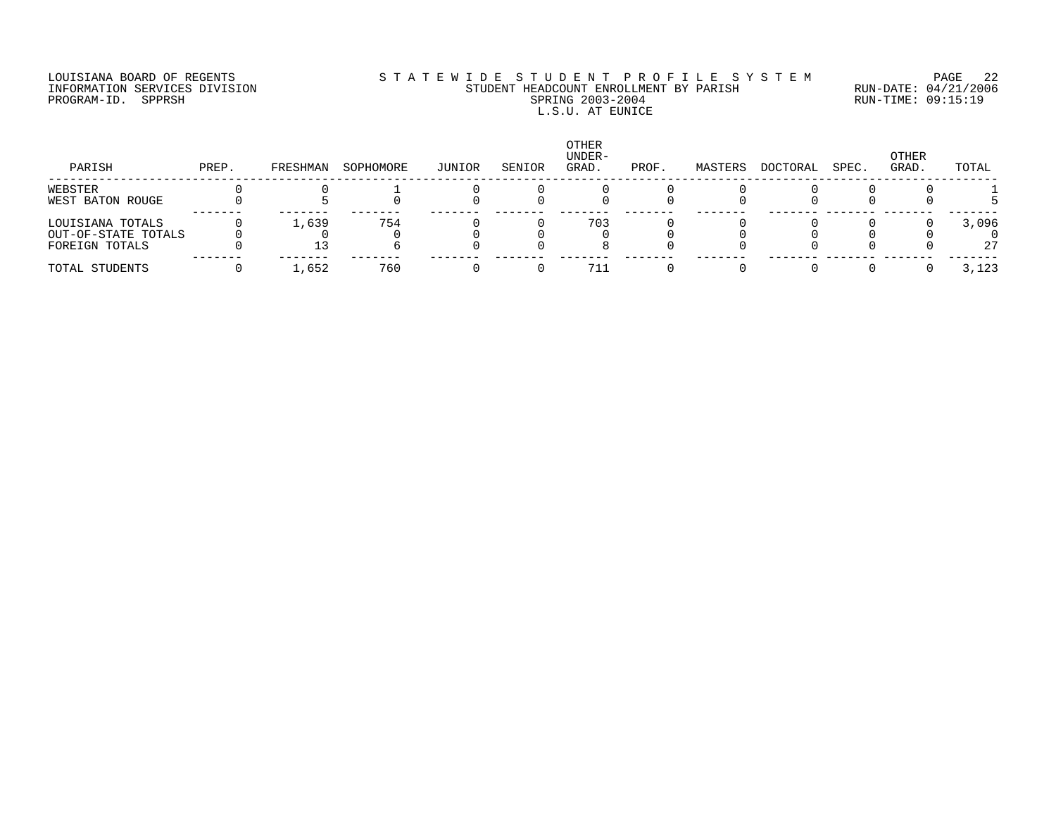### LOUISIANA BOARD OF REGENTS S T A T E W I D E S T U D E N T P R O F I L E S Y S T E M PAGE 22 INFORMATION SERVICES DIVISION STUDENT HEADCOUNT ENROLLMENT BY PARISH RUN-DATE: 04/21/2006 PROGRAM-ID. SPPRSH SPRING 2003-2004 RUN-TIME: 09:15:19 L.S.U. AT EUNICE

| PARISH              | PREP. | FRESHMAN | SOPHOMORE | JUNIOR | SENIOR | <b>OTHER</b><br>UNDER-<br>GRAD. | PROF. | MASTERS | DOCTORAL | SPEC. | OTHER<br>GRAD. | TOTAL |
|---------------------|-------|----------|-----------|--------|--------|---------------------------------|-------|---------|----------|-------|----------------|-------|
| WEBSTER             |       |          |           |        |        |                                 |       |         |          |       |                |       |
| WEST BATON ROUGE    |       |          |           |        |        |                                 |       |         |          |       |                |       |
| LOUISIANA TOTALS    |       | 1,639    | 754       |        |        | 703                             |       |         |          |       |                | 3,096 |
| OUT-OF-STATE TOTALS |       |          |           |        |        |                                 |       |         |          |       |                |       |
| FOREIGN TOTALS      |       |          |           |        |        |                                 |       |         |          |       |                | 27    |
| TOTAL STUDENTS      |       | 1,652    | 760       |        |        | 711                             |       |         |          |       |                | 3,123 |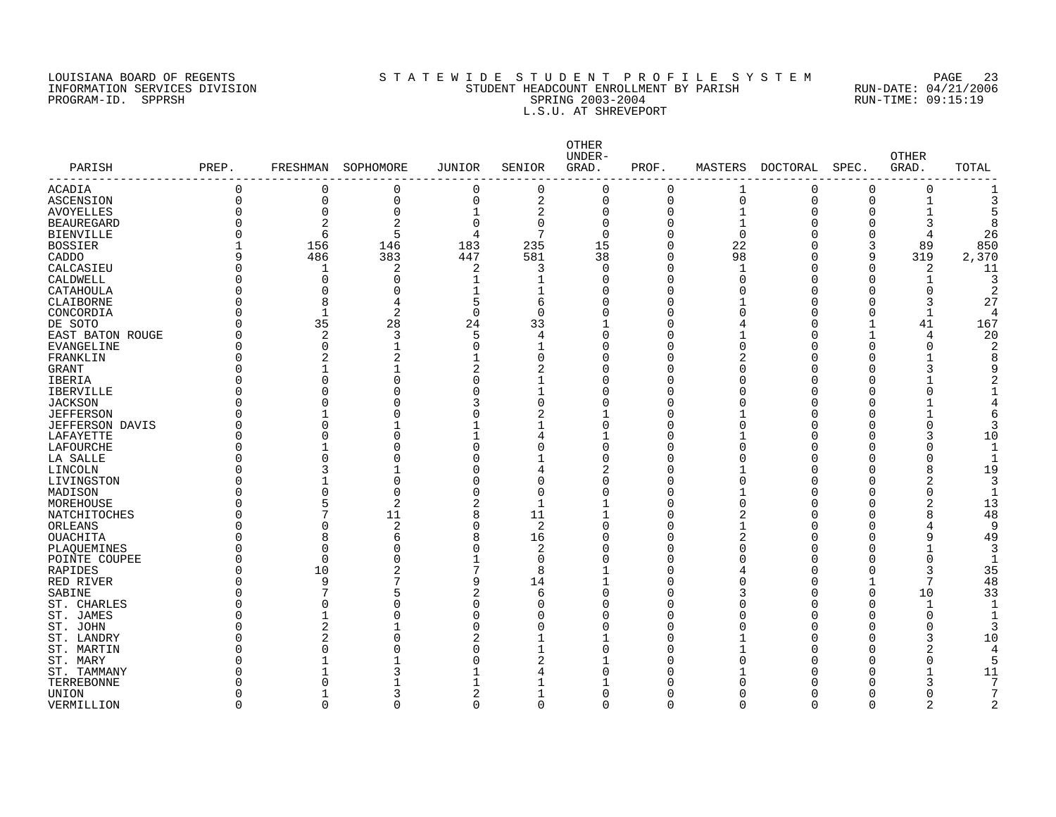### LOUISIANA BOARD OF REGENTS S T A T E W I D E S T U D E N T P R O F I L E S Y S T E M PAGE 23 INFORMATION SERVICES DIVISION STUDENT HEADCOUNT ENROLLMENT BY PARISH RUN-DATE: 04/21/2006 PROGRAM-ID. SPPRSH SPRING 2003-2004 RUN-TIME: 09:15:19 L.S.U. AT SHREVEPORT

| PARISH                     | PREP.    |                         | FRESHMAN SOPHOMORE | <b>JUNIOR</b>  | SENIOR         | <b>OTHER</b><br>UNDER-<br>GRAD. | PROF.    |               | MASTERS DOCTORAL | SPEC.       | <b>OTHER</b><br>GRAD. | TOTAL |
|----------------------------|----------|-------------------------|--------------------|----------------|----------------|---------------------------------|----------|---------------|------------------|-------------|-----------------------|-------|
|                            |          |                         |                    |                |                |                                 |          |               |                  |             |                       |       |
| <b>ACADIA</b>              | 0        | $\Omega$                | 0                  | $\mathbf 0$    | 0              | $\mathbf 0$                     | $\Omega$ | 1             | 0                | 0           | $\Omega$              |       |
| ASCENSION                  | 0        | 0                       | 0                  | 0              | 2              | 0                               | 0        | 0             | 0                | 0           | 1                     |       |
| AVOYELLES                  | 0        | $\Omega$                | $\Omega$           |                | 2              | $\Omega$                        | O        | $\mathbf{1}$  | $\Omega$         | 0           |                       |       |
| <b>BEAUREGARD</b>          | U        | 2                       | 2                  | $\Omega$       | 0              | $\Omega$                        | $\Omega$ | 1             | Λ                | 0           | 3                     |       |
| <b>BIENVILLE</b>           | U        | 6                       | 5                  | 4              | 7              | $\Omega$                        | ∩        | $\mathbf 0$   | n                | 0           | 4                     | 26    |
| BOSSIER                    |          | 156                     | 146                | 183            | 235            | 15                              | $\Omega$ | 22            | ∩                | 3           | 89                    | 850   |
| CADDO                      | 9        | 486                     | 383                | 447            | 581            | 38                              | $\Omega$ | 98            | O                | 9           | 319                   | 2,370 |
| CALCASIEU                  | 0        | 1                       | 2<br>$\Omega$      | 2              | 3              | $\mathbf 0$                     | U<br>U   | 1<br>$\Omega$ | O                | $\mathbf 0$ | 2                     | 11    |
| CALDWELL                   | O        | $\mathbf 0$<br>$\Omega$ | O                  |                |                | $\Omega$                        |          | $\Omega$      | O                | 0           | 1                     |       |
| CATAHOULA                  | Λ<br>O   | 8                       | 4                  | 5              | 6              | $\Omega$<br>$\Omega$            | Ω        |               | Ω                | 0<br>0      | $\Omega$<br>3         | 27    |
| CLAIBORNE                  | U        | $\overline{1}$          | 2                  | $\Omega$       | $\Omega$       | $\Omega$                        |          | U             | ſ                | O           | $\mathbf 1$           | 4     |
| CONCORDIA<br>DE SOTO       | N        | 35                      | 28                 | 24             | 33             | $\mathbf{1}$                    | Λ        | 4             | Λ                | -1          | 41                    | 167   |
| EAST BATON ROUGE           | O        | $\overline{2}$          | 3                  | 5              | 4              | $\Omega$                        |          |               |                  |             | 4                     | 20    |
| EVANGELINE                 | O        | $\Omega$                |                    | $\overline{0}$ |                | $\Omega$                        |          | O             |                  | O           | O                     |       |
| FRANKLIN                   | 0        | 2                       | 2                  |                | 0              | O                               |          | 2             |                  | ſ           |                       |       |
| GRANT                      | ი        |                         |                    | $\overline{2}$ | 2              | $\Omega$                        |          | 0             |                  | O           | 3                     |       |
| IBERIA                     | O        | U                       | ი                  | $\Omega$       |                | $\Omega$                        | Λ        | O             |                  | O           |                       |       |
| <b>IBERVILLE</b>           | O        |                         |                    | $\Omega$       | $\mathbf 1$    | $\Omega$                        | Λ        | O             |                  | O           |                       |       |
| <b>JACKSON</b>             | O        |                         |                    | 3              | $\Omega$       | $\Omega$                        |          | O             |                  | O           |                       |       |
| <b>JEFFERSON</b>           |          |                         | O                  | $\Omega$       | $\overline{2}$ | $\mathbf{1}$                    | U        |               |                  | O           |                       |       |
| <b>JEFFERSON DAVIS</b>     | ი        | $\Omega$                |                    |                |                | $\mathbf 0$                     | Ω        | O             |                  | O           | $\Omega$              |       |
| LAFAYETTE                  | Λ        | 0                       | $\Omega$           |                | 4              | $\mathbf{1}$                    | N        |               |                  | O           | 3                     | 10    |
| LAFOURCHE                  | O        |                         | U                  | $\Omega$       | $\Omega$       | $\Omega$                        | Ω        | $\Omega$      | Λ                | O           | $\Omega$              |       |
| LA SALLE                   | Λ        | $\Omega$                |                    | $\Omega$       |                | $\Omega$                        |          | $\Omega$      |                  | ſ           | $\Omega$              |       |
| LINCOLN                    | U        | 3                       |                    | $\Omega$       | 4              | 2                               |          |               | r                | O           | 8                     | 19    |
| LIVINGSTON                 | Λ        |                         | $\Omega$           | $\Omega$       | $\Omega$       | $\Omega$                        |          | O             |                  | O           | 2                     |       |
| MADISON                    | Λ        | O                       | $\Omega$           | $\Omega$       | $\Omega$       | $\Omega$                        | Λ        | 1             | ſ                | O           | O                     |       |
| MOREHOUSE                  | ი        |                         | 2                  | $\overline{2}$ | 1              | -1                              |          | 0             |                  | O           | 2                     | 13    |
| NATCHITOCHES               | ი        |                         | 11                 | 8              | 11             | $\mathbf 1$                     |          | 2             |                  | O           | 8                     | 48    |
| <b>ORLEANS</b>             | O        | $\Omega$                | 2                  | $\Omega$       | 2              | $\Omega$                        |          | 1             |                  | O           |                       | 9     |
| OUACHITA                   | ი        | 8                       | б                  | 8              | 16             | 0                               | Ω        | 2             |                  | O           | 9                     | 49    |
| PLAQUEMINES                | $\Omega$ | $\Omega$                | Λ                  | $\Omega$       | 2              | $\Omega$                        | O        | $\Omega$      |                  | C           |                       | 3     |
| POINTE COUPEE              | O        | $\Omega$                |                    |                | $\Omega$       | $\Omega$                        | Λ        | O             | ſ                | O           | $\Omega$              |       |
| <b>RAPIDES</b>             | O        | 10                      | 2                  | 7              | 8              |                                 |          | 4             | Ω                | 0           | 3                     | 35    |
| RED RIVER                  | N        | 9                       |                    | 9              | 14             | $\mathbf{1}$                    | U        | 0             | ſ                | 1           | 7                     | 48    |
| SABINE                     | ი        | 7                       | 5                  | $\overline{2}$ | 6              | $\Omega$                        | Ω        | 3             | O                | 0           | 10                    | 33    |
| ST. CHARLES                | N        | $\Omega$                | $\Omega$           | $\Omega$       | O              | $\Omega$                        | Ω        | O             | ſ                | O           | 1                     |       |
| ST. JAMES                  | N        |                         | U                  | $\Omega$       | U              | $\Omega$                        | Λ        | U             | Λ                | n           | O                     |       |
| ST. JOHN                   |          | $\overline{2}$          |                    | $\Omega$       | O              | $\Omega$                        |          | U             |                  | U           | O                     |       |
| ST. LANDRY                 | N        | 2                       | U                  | 2              |                | $\mathbf 1$                     |          |               |                  | O           | 3                     | 10    |
| ST. MARTIN                 | ∩        | $\Omega$                |                    | $\Omega$       |                | $\Omega$                        |          |               |                  | C           | 2                     | 4     |
| ST. MARY                   | Λ<br>ი   |                         |                    | $\Omega$       | 2              | $\mathbf 1$<br>O                |          | O             |                  | O<br>C      | 0                     |       |
| ST. TAMMANY                | ი        |                         |                    |                |                |                                 |          |               |                  |             | 3                     | 11    |
| TERREBONNE<br><b>UNION</b> | 0        |                         | 3                  | 2              |                | U                               |          | O             |                  | C           | O                     |       |
| VERMILLION                 | $\Omega$ | $\Omega$                | $\Omega$           | $\Omega$       | $\Omega$       | $\cap$                          | $\cap$   | $\Omega$      | $\cap$           | $\Omega$    | $\overline{c}$        |       |
|                            |          |                         |                    |                |                |                                 |          |               |                  |             |                       |       |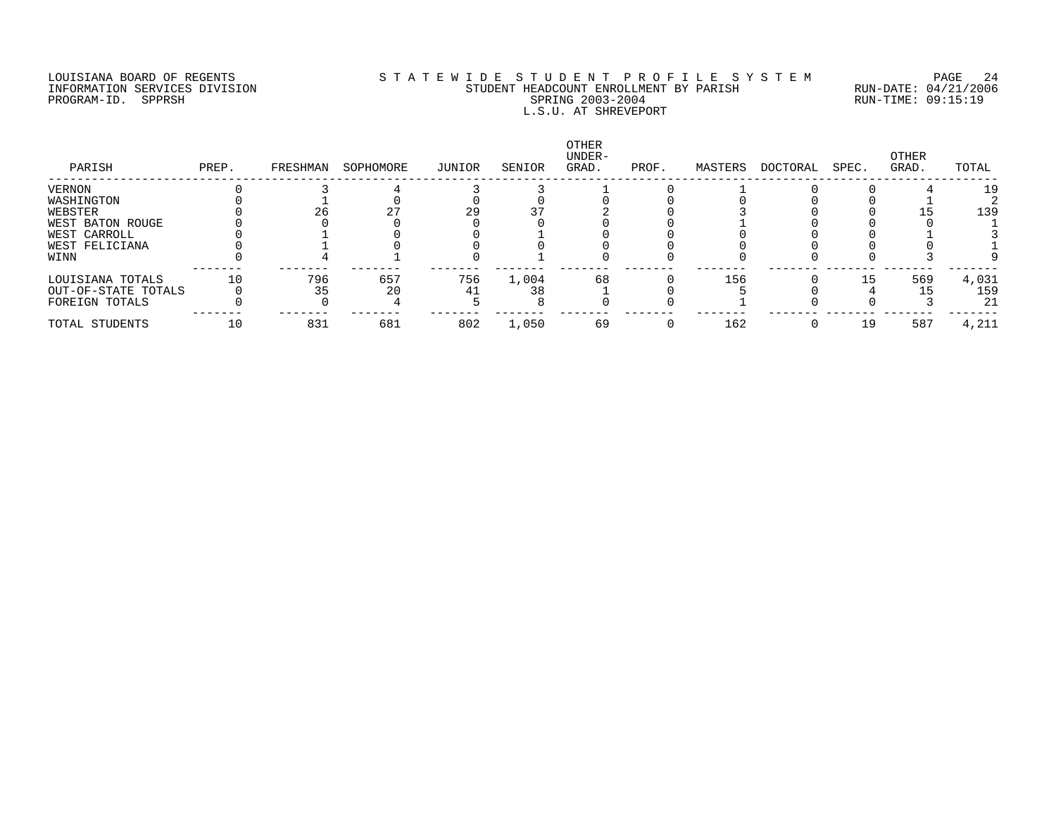### LOUISIANA BOARD OF REGENTS S T A T E W I D E S T U D E N T P R O F I L E S Y S T E M PAGE 24 INFORMATION SERVICES DIVISION STUDENT HEADCOUNT ENROLLMENT BY PARISH RUN-DATE: 04/21/2006 PROGRAM-ID. SPPRSH SPRING 2003-2004 RUN-TIME: 09:15:19 L.S.U. AT SHREVEPORT

| PARISH              | PREP. | FRESHMAN | SOPHOMORE | JUNIOR | SENIOR | OTHER<br>UNDER-<br>GRAD. | PROF. | MASTERS | DOCTORAL | SPEC. | OTHER<br>GRAD. | TOTAL |
|---------------------|-------|----------|-----------|--------|--------|--------------------------|-------|---------|----------|-------|----------------|-------|
| VERNON              |       |          |           |        |        |                          |       |         |          |       |                | 1 S   |
| WASHINGTON          |       |          |           |        |        |                          |       |         |          |       |                |       |
| WEBSTER             |       | 26       |           | 29     |        |                          |       |         |          |       |                | 139   |
| WEST BATON ROUGE    |       |          |           |        |        |                          |       |         |          |       |                |       |
| WEST CARROLL        |       |          |           |        |        |                          |       |         |          |       |                |       |
| WEST FELICIANA      |       |          |           |        |        |                          |       |         |          |       |                |       |
| WINN                |       |          |           |        |        |                          |       |         |          |       |                |       |
| LOUISIANA TOTALS    | 10    | 796      | 657       | 756    | 1,004  | 68                       |       | 156     |          | 15    | 569            | 4,031 |
| OUT-OF-STATE TOTALS |       | 35       | 20        |        | 38     |                          |       |         |          |       |                | 159   |
| FOREIGN TOTALS      |       |          |           |        |        |                          |       |         |          |       |                | 21    |
| TOTAL STUDENTS      | 10    | 831      | 681       | 802    | 1,050  | 69                       |       | 162     |          | 19    | 587            | 4,211 |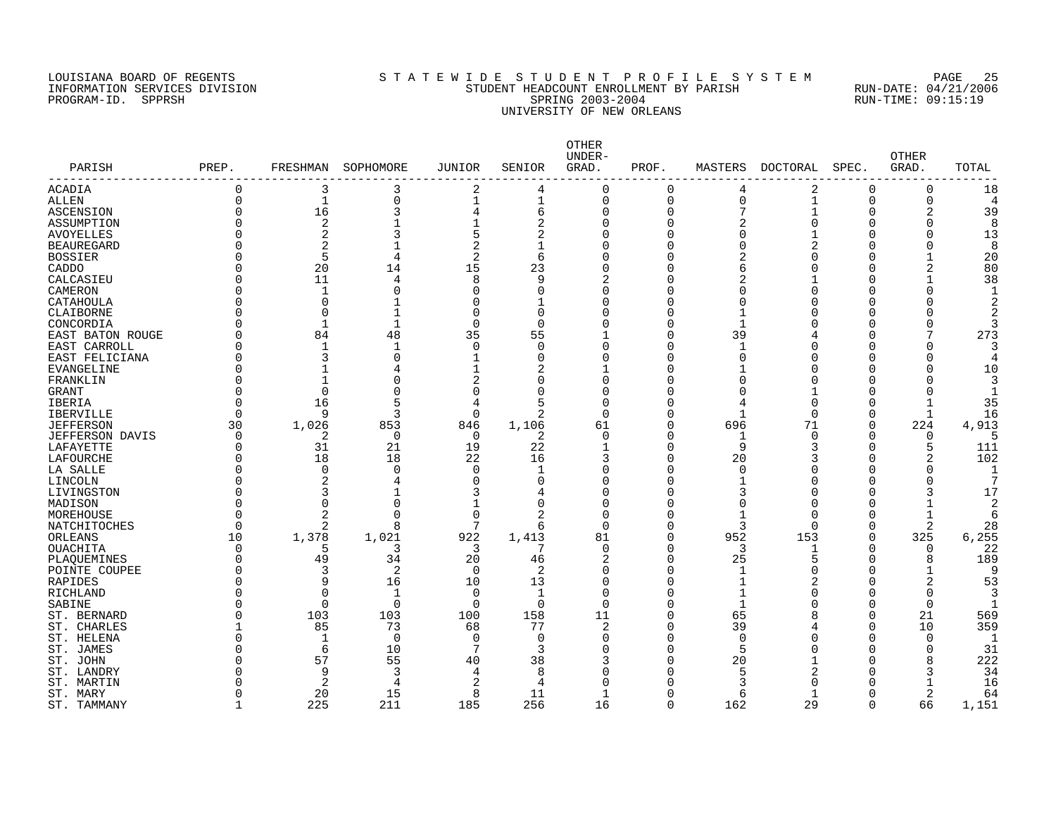### LOUISIANA BOARD OF REGENTS S T A T E W I D E S T U D E N T P R O F I L E S Y S T E M PAGE 25 INFORMATION SERVICES DIVISION STUDENT HEADCOUNT ENROLLMENT BY PARISH RUN-DATE: 04/21/2006 PROGRAM-ID. SPPRSH SPRING 2003-2004 RUN-TIME: 09:15:19 UNIVERSITY OF NEW ORLEANS

| PARISH                  | PREP.          | FRESHMAN       | SOPHOMORE      | JUNIOR         | SENIOR         | OTHER<br>UNDER-<br>GRAD. | PROF.    | MASTERS      | DOCTORAL     | SPEC.        | <b>OTHER</b><br>GRAD. | TOTAL          |
|-------------------------|----------------|----------------|----------------|----------------|----------------|--------------------------|----------|--------------|--------------|--------------|-----------------------|----------------|
| ACADIA                  | $\mathbf 0$    | 3              | 3              | $\overline{a}$ | 4              | $\mathbf 0$              | 0        | 4            | 2            | $\Omega$     | 0                     | 18             |
| <b>ALLEN</b>            | $\Omega$       | $\mathbf{1}$   | 0              | $\mathbf 1$    | 1              | $\mathbf 0$              | $\Omega$ | $\Omega$     | $\mathbf{1}$ | $\Omega$     | $\Omega$              | $\overline{4}$ |
| <b>ASCENSION</b>        | $\Omega$       | 16             | 3              | 4              | б              | $\mathbf 0$              | $\Omega$ | 7            |              | U            | $\overline{2}$        | 39             |
| ASSUMPTION              |                | $\overline{2}$ |                | 1              | 2              | $\Omega$                 | $\Omega$ | 2            | ∩            | <sup>n</sup> | $\Omega$              | $\mathsf{R}$   |
| <b>AVOYELLES</b>        |                | $\overline{2}$ |                | 5              | 2              | $\Omega$                 | $\Omega$ | U            |              | ∩            | $\Omega$              | 13             |
| <b>BEAUREGARD</b>       |                | $\overline{c}$ |                | 2              | 1              | $\Omega$                 | $\Omega$ | C            |              | U            | $\Omega$              | 8              |
| <b>BOSSIER</b>          |                | 5              | 4              | 2              | 6              | $\Omega$                 | $\Omega$ | 2            |              | ∩            |                       | 20             |
| CADDO                   |                | 20             | 14             | 15             | 23             | $\Omega$                 | $\Omega$ | 6            |              | <sup>0</sup> | 2                     | 80             |
| CALCASIEU               |                | 11             | 4              | 8              | 9              | 2                        | $\Omega$ | 2            |              | <sup>0</sup> |                       | 38             |
| CAMERON                 |                | -1             | O              | $\Omega$       | $\Omega$       | $\Omega$                 | $\Omega$ | $\Omega$     |              | <sup>n</sup> | $\Omega$              |                |
| CATAHOULA               |                | $\Omega$       |                | $\mathbf 0$    | 1              | $\mathbf 0$              | $\Omega$ | $\Omega$     |              | U            | $\Omega$              |                |
| CLAIBORNE               | $\Omega$       | $\Omega$       |                | $\Omega$       | $\mathbf 0$    | $\Omega$                 | $\Omega$ | -1           |              | U            |                       |                |
| CONCORDIA               |                | $\mathbf{1}$   | $\mathbf{1}$   | $\Omega$       | 0              | $\Omega$                 | $\Omega$ | $\mathbf{1}$ |              | n            |                       |                |
| <b>EAST BATON ROUGE</b> | O              | 84             | 48             | 35             | 55             | 1                        | $\Omega$ | 39           |              | ∩            |                       | 273            |
| EAST CARROLL            |                | $\mathbf{1}$   | $\mathbf{1}$   | $\Omega$       | $\Omega$       | $\Omega$                 | $\Omega$ | $\mathbf{1}$ |              | n            |                       |                |
| EAST FELICIANA          | O              | 3              | $\Omega$       | 1              | $\Omega$       | $\Omega$                 | $\Omega$ | $\Omega$     |              | ∩            | $\Omega$              |                |
| <b>EVANGELINE</b>       |                |                |                | $\mathbf 1$    | 2              | $\mathbf{1}$             | $\Omega$ |              |              |              |                       | 10             |
| FRANKLIN                | Λ              | -1             |                | 2              | 0              | $\Omega$                 | $\Omega$ | n            |              | ∩            |                       |                |
| <b>GRANT</b>            |                | $\Omega$       |                | $\mathbf 0$    | $\Omega$       | $\Omega$                 | $\Omega$ | C            |              | U            | $\Omega$              |                |
| <b>IBERIA</b>           | C              | 16             | 5              | 4              | 5              | $\Omega$                 | $\Omega$ | 4            | ∩            | <sup>n</sup> | $\mathbf{1}$          | 35             |
| <b>IBERVILLE</b>        | ∩              | q              | 3              | $\Omega$       | 2              | $\Omega$                 | $\Omega$ |              | $\Omega$     | $\Omega$     | 1                     | 16             |
|                         |                |                | 853            |                | 1,106          |                          | $\Omega$ | 696          | 71           | $\Omega$     | 224                   | 4,913          |
| <b>JEFFERSON</b>        | 30<br>$\Omega$ | 1,026          |                | 846            |                | 61                       | $\Omega$ | $\mathbf 1$  | $\Omega$     | $\Omega$     |                       |                |
| <b>JEFFERSON DAVIS</b>  | $\Omega$       | 2<br>31        | $\Omega$<br>21 | $\Omega$<br>19 | 2<br>22        | 0<br>$\mathbf{1}$        | $\Omega$ | 9            | 3            | $\Omega$     | 0<br>5                | 111            |
| LAFAYETTE               |                |                |                |                |                |                          | $\Omega$ |              |              |              |                       |                |
| LAFOURCHE               | O              | 18             | 18<br>$\Omega$ | 22             | 16             | 3                        |          | 20           |              | $\Omega$     |                       | 102            |
| LA SALLE                |                | $\mathbf 0$    |                | $\overline{0}$ | 1              | $\mathbf 0$              | $\Omega$ | 0            |              | U            | 0                     | $\mathbf{1}$   |
| LINCOLN                 |                | 2              |                | $\Omega$       | $\Omega$       | $\Omega$                 | $\Omega$ | -1           |              | U            | $\Omega$              |                |
| LIVINGSTON              |                | 3              |                | 3              | 4              | $\Omega$                 | $\Omega$ | 3            |              | n            |                       | 17             |
| MADISON                 |                | $\Omega$       | O              |                | 0              | $\Omega$                 | $\Omega$ | $\Omega$     |              | <sup>n</sup> |                       |                |
| MOREHOUSE               |                | 2              |                | $\Omega$       | $\overline{a}$ | $\Omega$                 | $\Omega$ |              |              | <sup>n</sup> | $\mathbf{1}$          | 6              |
| NATCHITOCHES            | $\Omega$       | 2              | 8              | 7              | 6              | $\Omega$                 | $\Omega$ | 3            | ∩            | $\Omega$     | 2                     | 28             |
| ORLEANS                 | 10             | 1,378          | 1,021          | 922            | 1,413          | 81                       | $\Omega$ | 952          | 153          | $\Omega$     | 325                   | 6,255          |
| OUACHITA                | 0              | 5              | 3              | 3              | 7              | 0                        | $\Omega$ | 3            |              | <sup>0</sup> | 0                     | 22             |
| PLAQUEMINES             |                | 49             | 34             | 20             | 46             | 2                        | $\Omega$ | 25           |              | $\Omega$     | 8                     | 189            |
| POINTE COUPEE           |                | 3              | 2              | $\mathbf 0$    | 2              | $\mathbf 0$              | $\Omega$ | -1           |              | U            |                       | $\Omega$       |
| RAPIDES                 |                | q              | 16             | 10             | 13             | $\Omega$                 | $\Omega$ |              |              | U            |                       | 53             |
| RICHLAND                |                | $\Omega$       | $\mathbf{1}$   | $\Omega$       | $\mathbf{1}$   | $\Omega$                 | $\Omega$ | -1           |              | <sup>n</sup> | $\Omega$              |                |
| <b>SABINE</b>           |                | $\Omega$       | $\Omega$       | $\Omega$       | 0              | $\Omega$                 | $\Omega$ | -1           |              | $\Omega$     | $\mathbf 0$           |                |
| ST. BERNARD             | O              | 103            | 103            | 100            | 158            | 11                       | $\Omega$ | 65           |              | $\Omega$     | 21                    | 569            |
| ST. CHARLES             |                | 85             | 73             | 68             | 77             | $\overline{2}$           | $\Omega$ | 39           |              | $\Omega$     | 10                    | 359            |
| ST. HELENA              |                | $\mathbf{1}$   | $\Omega$       | $\overline{0}$ | $\mathbf 0$    | $\Omega$                 | $\Omega$ | $\Omega$     |              | <sup>0</sup> | $\Omega$              | 1              |
| ST. JAMES               |                | 6              | 10             | 7              | 3              | $\Omega$                 | $\Omega$ | 5            |              | <sup>n</sup> | $\Omega$              | 31             |
| ST. JOHN                |                | 57             | 55             | 40             | 38             | 3                        | $\Omega$ | 20           |              | <sup>n</sup> | 8                     | 222            |
| ST. LANDRY              |                | q              | 3              | $\overline{4}$ | 8              | O                        | $\Omega$ | 5            |              | U            |                       | 34             |
| ST.<br>MARTIN           |                | $\overline{2}$ | 4              | 2              | 4              | $\Omega$                 | $\Omega$ | 3            |              | ∩            |                       | 16             |
| ST. MARY                |                | 20             | 15             | 8              | 11             | $\mathbf 1$              | $\Omega$ | 6            |              | ∩            | $\overline{2}$        | 64             |
| ST. TAMMANY             | 1              | 225            | 211            | 185            | 256            | 16                       | $\Omega$ | 162          | 29           | $\Omega$     | 66                    | 1,151          |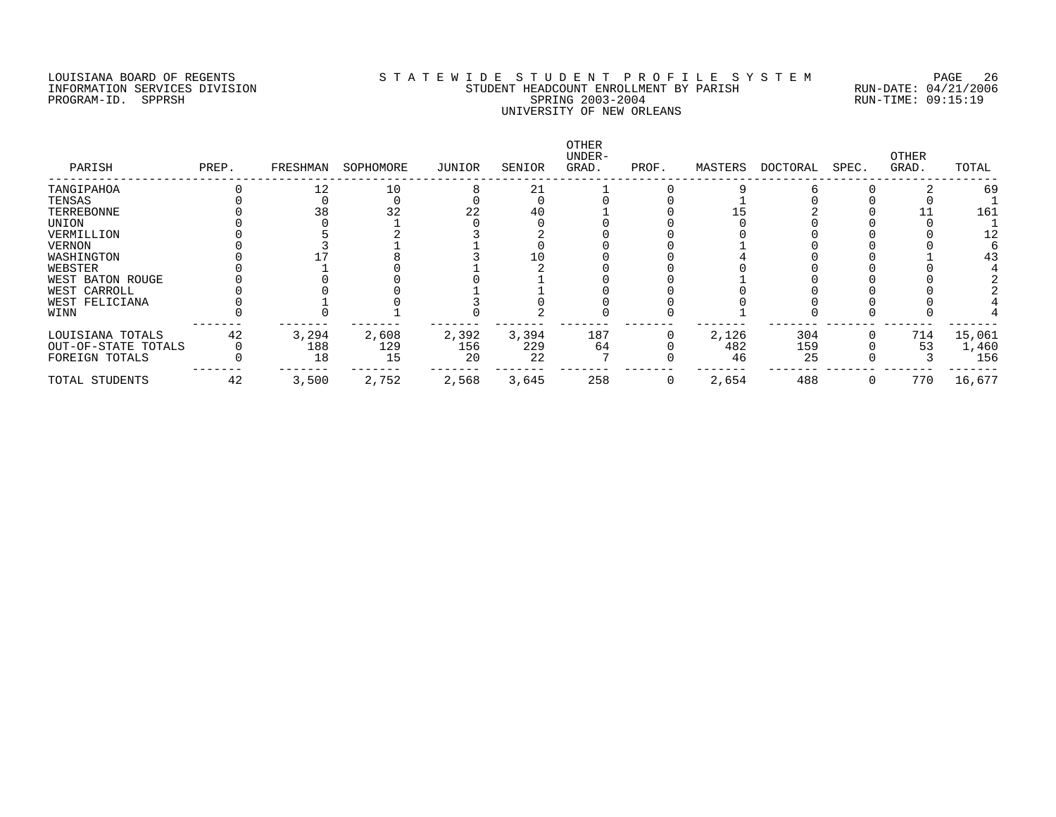### LOUISIANA BOARD OF REGENTS S T A T E W I D E S T U D E N T P R O F I L E S Y S T E M PAGE 26 INFORMATION SERVICES DIVISION STUDENT HEADCOUNT ENROLLMENT BY PARISH RUN-DATE: 04/21/2006 PROGRAM-ID. SPPRSH SPRING 2003-2004 RUN-TIME: 09:15:19 UNIVERSITY OF NEW ORLEANS

| PARISH              | PREP. | FRESHMAN | SOPHOMORE | JUNIOR | SENIOR | OTHER<br>UNDER-<br>GRAD. | PROF. | MASTERS | DOCTORAL | SPEC. | OTHER<br>GRAD. | TOTAL  |
|---------------------|-------|----------|-----------|--------|--------|--------------------------|-------|---------|----------|-------|----------------|--------|
| TANGIPAHOA          |       | 12       | 10        |        | 21     |                          |       |         |          |       |                | 69     |
| TENSAS              |       |          |           |        |        |                          |       |         |          |       |                |        |
| TERREBONNE          |       | 38       | 32        | 22     | 40     |                          |       |         |          |       |                | 161    |
| UNION               |       |          |           |        |        |                          |       |         |          |       |                |        |
| VERMILLION          |       |          |           |        |        |                          |       |         |          |       |                |        |
| <b>VERNON</b>       |       |          |           |        |        |                          |       |         |          |       |                |        |
| WASHINGTON          |       |          |           |        |        |                          |       |         |          |       |                | 43     |
| WEBSTER             |       |          |           |        |        |                          |       |         |          |       |                |        |
| WEST BATON ROUGE    |       |          |           |        |        |                          |       |         |          |       |                |        |
| WEST CARROLL        |       |          |           |        |        |                          |       |         |          |       |                |        |
| WEST FELICIANA      |       |          |           |        |        |                          |       |         |          |       |                |        |
| WINN                |       |          |           |        |        |                          |       |         |          |       |                |        |
| LOUISIANA TOTALS    | 42    | 3,294    | 2,608     | 2,392  | 3,394  | 187                      |       | 2,126   | 304      |       | 714            | 15,061 |
| OUT-OF-STATE TOTALS |       | 188      | 129       | 156    | 229    | 64                       |       | 482     | 159      |       | 53             | 1,460  |
| FOREIGN TOTALS      |       | 18       | 15        | 20     | 22     |                          |       | 46      | 25       |       |                | 156    |
| TOTAL STUDENTS      | 42    | 3,500    | 2,752     | 2,568  | 3,645  | 258                      |       | 2,654   | 488      |       | 770            | 16,677 |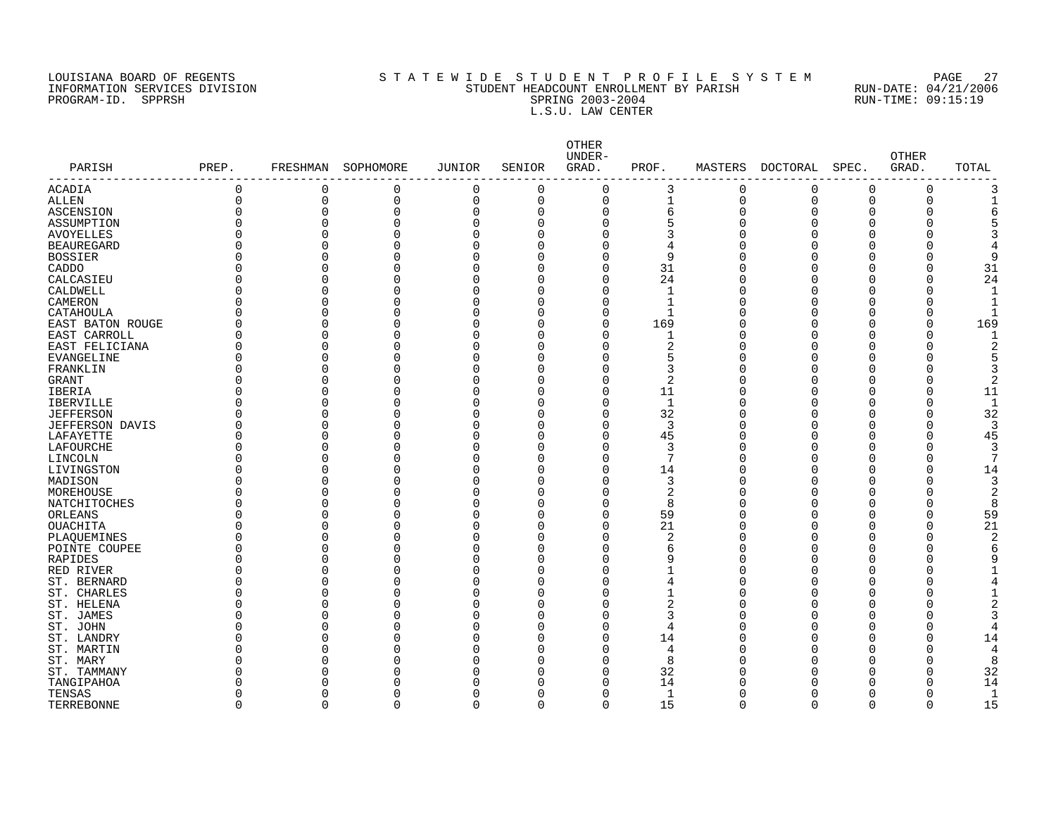PROGRAM-ID. SPPRSH

# LOUISIANA BOARD OF REGENTS SOURCOMERY AS T A T E W I D E S T U D E N T P R O F I L E S Y S T E M PAGE 27<br>STUDENT HEADCOUNT ENROLLMENT BY PARISH RUN-DATE: 04/21/2006 INFORMATION SERVICES DIVISION SANTO STUDENT HEADCOUNT ENROLLMENT BY PARISH SERISH RUN-DATE: 04/21/2000<br>PROGRAM-ID. SPPRSH RUN-TIME: 09:15:19 L.S.U. LAW CENTER

|                           |          |             |                    |          |             | OTHER<br>UNDER- |                |             |          |              | <b>OTHER</b> |                         |
|---------------------------|----------|-------------|--------------------|----------|-------------|-----------------|----------------|-------------|----------|--------------|--------------|-------------------------|
| PARISH<br>--------------- | PREP.    |             | FRESHMAN SOPHOMORE | JUNIOR   | SENIOR      | GRAD.           | PROF.          | MASTERS     | DOCTORAL | SPEC.        | GRAD.        | TOTAL                   |
| <b>ACADIA</b>             | $\Omega$ | 0           | 0                  | 0        | $\mathbf 0$ | 0               | 3              | $\mathbf 0$ | 0        | 0            | $\Omega$     | 3                       |
| ALLEN                     | $\Omega$ | $\mathbf 0$ | 0                  | 0        | $\mathbf 0$ | $\mathbf 0$     | $\mathbf{1}$   | $\mathbf 0$ | 0        | 0            | 0            | $\mathbf 1$             |
| ASCENSION                 | O        | $\mathbf 0$ | $\Omega$           | 0        | $\mathbf 0$ | $\mathbf 0$     | 6              | O           | 0        | $\Omega$     | 0            | 6                       |
| ASSUMPTION                |          | $\Omega$    | 0                  | 0        | $\Omega$    | $\Omega$        | 5              |             | $\Omega$ | 0            | 0            | 5                       |
| <b>AVOYELLES</b>          |          | $\Omega$    | O                  | 0        | $\mathbf 0$ | $\Omega$        | 3              |             | $\Omega$ | U            | 0            | 3                       |
| <b>BEAUREGARD</b>         |          | $\Omega$    | O                  | 0        | $\Omega$    | $\Omega$        | 4              |             | $\Omega$ | U            | 0            | 4                       |
| <b>BOSSIER</b>            |          | $\Omega$    | 0                  | 0        | 0           | $\Omega$        | 9              |             | $\Omega$ | 0            | 0            | 9                       |
| CADDO                     |          | $\Omega$    | 0                  | 0        | $\Omega$    | 0               | 31             |             | 0        | 0            | 0            | 31                      |
| CALCASIEU                 |          | $\Omega$    | O                  | 0        | $\Omega$    | $\Omega$        | 24             |             | $\Omega$ | 0            | 0            | 24                      |
| CALDWELL                  |          | $\Omega$    | O                  | 0        | $\Omega$    | $\Omega$        | $\mathbf{1}$   |             | 0        | O            | 0            | $\mathbf{1}$            |
| CAMERON                   |          | $\Omega$    | 0                  | 0        | 0           | $\Omega$        | $\mathbf{1}$   |             | $\Omega$ | O            | 0            | $\mathbf{1}$            |
| CATAHOULA                 |          | $\Omega$    | O                  | 0        | $\Omega$    | $\Omega$        | $\mathbf{1}$   |             | 0        | O            | 0            |                         |
| EAST BATON ROUGE          |          | $\Omega$    | 0                  | 0        | 0           | $\mathbf 0$     | 169            |             | $\Omega$ | 0            | 0            | 169                     |
| EAST CARROLL              |          | $\Omega$    | 0                  | 0        | $\Omega$    | $\Omega$        | $\mathbf 1$    |             | $\Omega$ | O            | 0            | 1                       |
| EAST FELICIANA            |          | $\Omega$    | O                  | 0        | $\Omega$    | $\Omega$        | $\overline{2}$ |             | $\Omega$ | O            | 0            | $\overline{2}$          |
| EVANGELINE                | Ω        | $\Omega$    | O                  | $\Omega$ | $\Omega$    | $\Omega$        | 5              |             | $\Omega$ | O            | 0            | 5                       |
| FRANKLIN                  |          | $\cap$      | U                  | $\Omega$ | $\Omega$    | $\Omega$        | 3              |             | O        | U            | O            | 3                       |
| GRANT                     |          | $\Omega$    | U                  | O        | ∩           | $\Omega$        | 2              |             | O        | U            | 0            | 2                       |
| IBERIA                    |          | $\Omega$    | O                  | 0        | $\Omega$    | $\Omega$        | 11             |             | $\Omega$ | O            | O            | 11                      |
| <b>IBERVILLE</b>          |          | $\Omega$    | O                  | 0        | $\Omega$    | $\Omega$        | $\mathbf{1}$   |             | $\Omega$ | O            | $\Omega$     | $\mathbf{1}$            |
| <b>JEFFERSON</b>          |          | $\Omega$    | O                  | 0        | $\Omega$    | $\Omega$        | 32             |             | $\Omega$ | O            | $\Omega$     | 32                      |
| <b>JEFFERSON DAVIS</b>    |          | $\Omega$    | O                  | 0        | $\Omega$    | $\Omega$        | 3              |             | $\Omega$ | O            | $\Omega$     | 3                       |
| LAFAYETTE                 |          | $\Omega$    | U                  | 0        | ∩           | $\Omega$        | 45             |             | O        | U            | 0            | 45                      |
| LAFOURCHE                 |          | $\cap$      | O                  | 0        | $\Omega$    | $\Omega$        | 3              |             | O        | O            | O            | 3                       |
| LINCOLN                   |          | $\cap$      | U                  | 0        | ∩           | $\Omega$        | 7              |             | O        | U            | O            | 7                       |
| LIVINGSTON                |          | $\Omega$    | O                  | 0        | $\Omega$    | $\Omega$        | 14             |             | $\Omega$ | O            | O            | 14                      |
|                           |          | $\Omega$    | O                  | O        | $\Omega$    | $\Omega$        | 3              |             | O        | Λ            | O            |                         |
| MADISON                   |          | $\Omega$    | O                  | 0        | $\Omega$    | $\Omega$        | 2              |             | $\Omega$ | O            | O            | 3<br>$\overline{2}$     |
| MOREHOUSE                 |          | $\cap$      | U                  | 0        | ∩           | $\Omega$        | 8              |             | O        | U            | 0            | 8                       |
| NATCHITOCHES              |          | $\cap$      |                    |          |             |                 |                |             |          |              |              |                         |
| ORLEANS                   |          |             | U                  | 0        | ∩           | $\Omega$        | 59             |             | O        | U            | 0            | 59                      |
| <b>OUACHITA</b>           |          | $\Omega$    | U                  | O        | ∩           | $\Omega$        | 21             |             | $\Omega$ | U            | O            | 21                      |
| PLAQUEMINES               |          | $\cap$      | U                  | O        | ∩           | $\Omega$        | 2              |             | U        | U            | O            | $\overline{\mathbf{c}}$ |
| POINTE COUPEE             |          | $\Omega$    | O                  | 0        | $\Omega$    | $\Omega$        | 6              |             | $\Omega$ | U            | O            | 6                       |
| RAPIDES                   |          | $\Omega$    | O                  | 0        | $\Omega$    | $\Omega$        | 9              |             | $\Omega$ | U            | 0            | 9                       |
| RED RIVER                 |          | $\Omega$    | O                  | 0        | $\Omega$    | $\Omega$        | -1             |             | $\Omega$ | U            | O            |                         |
| ST. BERNARD               |          | $\Omega$    | U                  | 0        | ∩           | $\Omega$        | 4              |             | 0        | U            | O            | 4                       |
| ST. CHARLES               |          | $\Omega$    | O                  | 0        | ∩           | $\Omega$        | 1              |             | 0        | U            | O            |                         |
| ST. HELENA                |          | $\cap$      | U                  | 0        | ∩           | $\Omega$        | 2              |             | O        | U            | O            | 2                       |
| ST. JAMES                 |          | $\cap$      | O                  | 0        | $\Omega$    | $\Omega$        | 3              |             | O        | Ω            | O            | 3                       |
| ST. JOHN                  |          | $\Omega$    |                    | 0        | $\Omega$    | 0               | 4              |             | O        | Λ            | O            |                         |
| ST. LANDRY                |          | $\Omega$    | O                  | 0        | O           | $\mathbf 0$     | 14             |             | $\Omega$ | U            | 0            | 14                      |
| ST. MARTIN                |          | $\Omega$    | O                  | 0        | $\Omega$    | $\Omega$        | 4              |             | O        | U            | O            | 4                       |
| ST. MARY                  |          | $\cap$      | U                  | 0        | ∩           | $\Omega$        | 8              |             | O        | U            | O            | 8                       |
| ST. TAMMANY               |          | ∩           | U                  | O        | ∩           | $\Omega$        | 32             |             | O        | U            | O            | 32                      |
| TANGIPAHOA                |          | $\cap$      | U                  | O        | ∩           | $\Omega$        | 14             |             | U        | U            | O            | 14                      |
| TENSAS                    |          | $\Omega$    | O                  | 0        | 0           | $\Omega$        | 1              |             | U        | <sup>0</sup> | O            | 1                       |
| TERREBONNE                | $\Omega$ | $\mathbf 0$ | $\Omega$           | 0        | $\mathbf 0$ | $\mathbf 0$     | 15             | $\Omega$    | $\Omega$ | 0            | $\Omega$     | 15                      |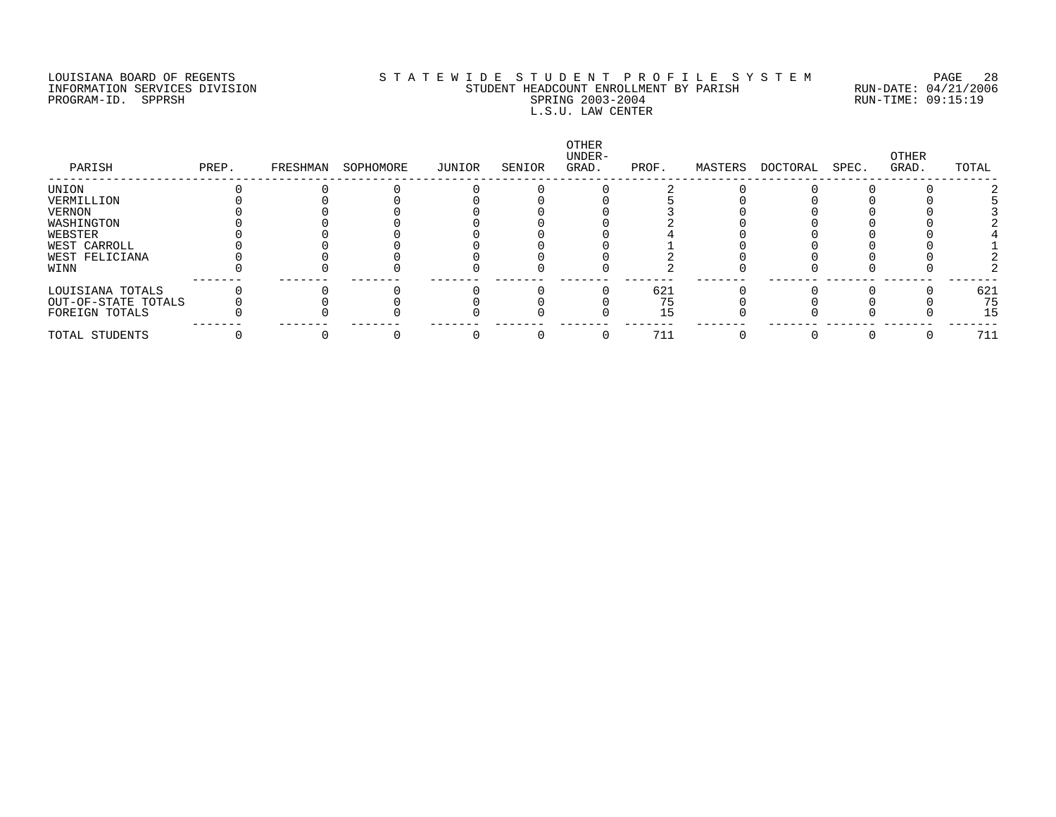### LOUISIANA BOARD OF REGENTS S T A T E W I D E S T U D E N T P R O F I L E S Y S T E M PAGE 28 INFORMATION SERVICES DIVISION STUDENT HEADCOUNT ENROLLMENT BY PARISH RUN-DATE: 04/21/2006 PROGRAM-ID. SPPRSH SPRING 2003-2004 RUN-TIME: 09:15:19 L.S.U. LAW CENTER

| PARISH              | PREP. | FRESHMAN | SOPHOMORE | JUNIOR | SENIOR | OTHER<br>UNDER-<br>GRAD. | PROF. | MASTERS | DOCTORAL | SPEC. | OTHER<br>GRAD. | TOTAL |
|---------------------|-------|----------|-----------|--------|--------|--------------------------|-------|---------|----------|-------|----------------|-------|
| UNION               |       |          |           |        |        |                          |       |         |          |       |                |       |
| VERMILLION          |       |          |           |        |        |                          |       |         |          |       |                |       |
| <b>VERNON</b>       |       |          |           |        |        |                          |       |         |          |       |                |       |
| WASHINGTON          |       |          |           |        |        |                          |       |         |          |       |                |       |
| WEBSTER             |       |          |           |        |        |                          |       |         |          |       |                |       |
| WEST CARROLL        |       |          |           |        |        |                          |       |         |          |       |                |       |
| WEST FELICIANA      |       |          |           |        |        |                          |       |         |          |       |                |       |
| WINN                |       |          |           |        |        |                          |       |         |          |       |                |       |
| LOUISIANA TOTALS    |       |          |           |        |        |                          | 621   |         |          |       |                | 621   |
| OUT-OF-STATE TOTALS |       |          |           |        |        |                          | 75    |         |          |       |                | 75    |
| FOREIGN TOTALS      |       |          |           |        |        |                          | 15    |         |          |       |                | 15    |
| TOTAL STUDENTS      |       |          |           |        |        |                          | 711   |         |          |       |                | 711   |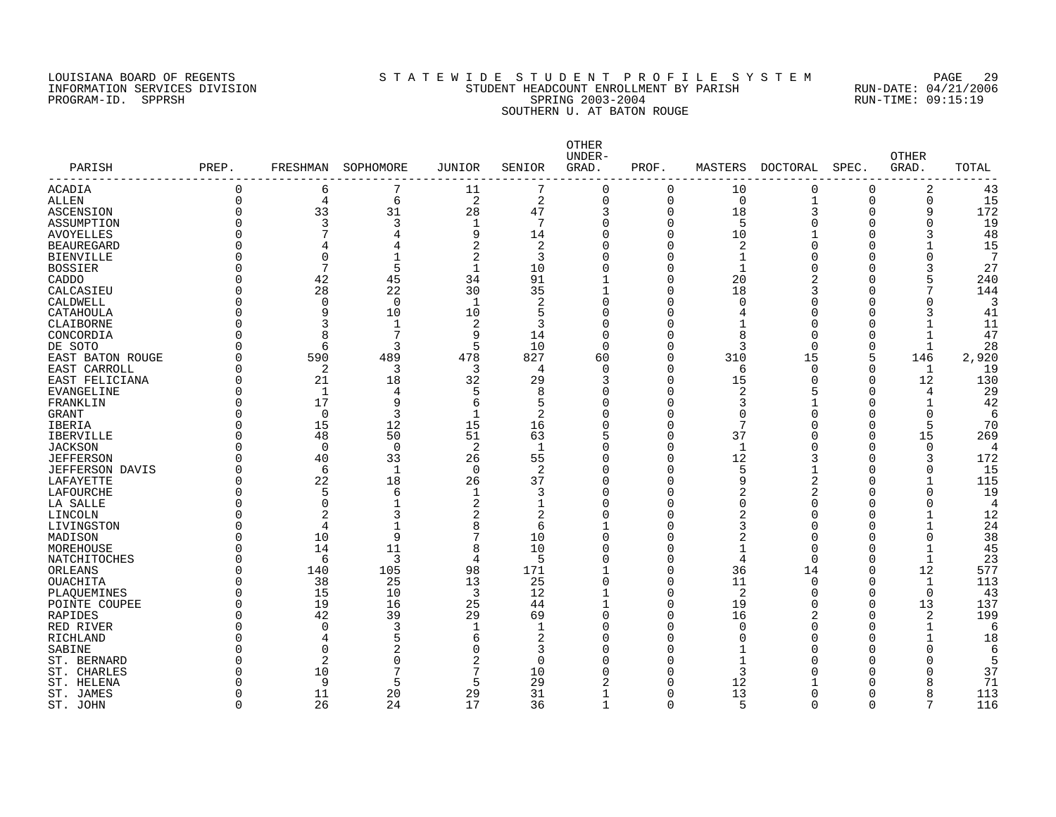# LOUISIANA BOARD OF REGENTS S T A T E W I D E S T U D E N T P R O F I L E S Y S T E M PAGE 29 INFORMATION SERVICES DIVISION STUDENT HEADCOUNT ENROLLMENT BY PARISH RUN-DATE: 04/21/2006 PROGRAM-ID. SPPRSH SPRING 2003-2004 RUN-TIME: 09:15:19 SOUTHERN U. AT BATON ROUGE

| PARISH                 | PREP.    | FRESHMAN       | SOPHOMORE      | JUNIOR         | SENIOR         | OTHER<br>UNDER-<br>GRAD. | PROF.    | MASTERS        | DOCTORAL | SPEC.    | <b>OTHER</b><br>GRAD. | TOTAL          |
|------------------------|----------|----------------|----------------|----------------|----------------|--------------------------|----------|----------------|----------|----------|-----------------------|----------------|
| ACADIA                 | $\Omega$ | 6              | 7              | 11             | 7              | $\Omega$                 | 0        | 10             | 0        | $\Omega$ | 2                     | 43             |
| ALLEN                  | $\Omega$ | 4              | 6              | 2              | $\overline{a}$ | $\mathbf 0$              | 0        | 0              | 1        | $\Omega$ | 0                     | 15             |
| ASCENSION              | $\Omega$ | 33             | 31             | 28             | 47             | 3                        | 0        | 18             | 3        | 0        | 9                     | 172            |
| ASSUMPTION             | $\Omega$ | 3              | 3              | $\mathbf{1}$   | 7              | $\Omega$                 | 0        | 5              |          | $\Omega$ | $\Omega$              | 19             |
| <b>AVOYELLES</b>       | $\Omega$ |                | 4              | 9              | 14             | $\Omega$                 | 0        | 10             |          | $\Omega$ | 3                     | 48             |
| <b>BEAUREGARD</b>      | ∩        | 4              | 4              | 2              | 2              |                          | 0        | 2              |          | O        |                       | 15             |
| <b>BIENVILLE</b>       | $\Omega$ | $\mathbf 0$    |                | 2              | 3              |                          | 0        | 1              |          | O        | 0                     | 7              |
| <b>BOSSIER</b>         | $\Omega$ | 7              | 5              | $\mathbf{1}$   | 10             |                          | 0        | 1              |          | $\Omega$ |                       | 27             |
| CADDO                  | $\Omega$ | 42             | 45             | 34             | 91             |                          | 0        | 20             |          | U        | 5                     | 240            |
| CALCASIEU              | $\Omega$ | 28             | 22             | 30             | 35             |                          | 0        | 18             |          | U        |                       | 144            |
| CALDWELL               | $\Omega$ | 0              | 0              | 1              | 2              | ∩                        | 0        | <sup>0</sup>   |          | O        | 0                     | 3              |
| CATAHOULA              | $\Omega$ | 9              | 10             | 10             | 5              | ∩                        | 0        | 4              |          | O        | 3                     | 41             |
| CLAIBORNE              | $\Omega$ | 3              | 1              | $\overline{2}$ | 3              | $\Omega$                 | $\Omega$ |                | O        | O        | $\mathbf{1}$          | 11             |
| CONCORDIA              | $\Omega$ | $\mathsf{R}$   | 7              | 9              | 14             | $\Omega$                 | $\Omega$ | 8              | U        | $\Omega$ | $\mathbf{1}$          | 47             |
| DE SOTO                | ∩        | 6              | 3              | 5              | 10             | $\Omega$                 | $\Omega$ | 3              | $\Omega$ | 0        | $\mathbf{1}$          | 28             |
| EAST BATON ROUGE       | ∩        | 590            | 489            | 478            | 827            | 60                       | 0        | 310            | 15       | 5        | 146                   | 2,920          |
| EAST CARROLL           | $\Omega$ | 2              | 3              | 3              | 4              | $\cap$                   | 0        | 6              | $\Omega$ | $\Omega$ | $\mathbf{1}$          | 19             |
| EAST FELICIANA         | $\Omega$ | 21             | 18             | 32             | 29             | 3                        | $\Omega$ | 15             | Ω        | $\Omega$ | 12                    | 130            |
| <b>EVANGELINE</b>      | $\Omega$ | 1              | 4              | 5              | 8              | ∩                        | $\Omega$ | 2              | ↳        | $\Omega$ | 4                     | 29             |
| FRANKLIN               | $\Omega$ | 17             | 9              | 6              | 5              | $\Omega$                 | O        | 3              |          | U        | $\mathbf{1}$          | 42             |
| <b>GRANT</b>           | $\Omega$ | $\Omega$       | 3              | 1              | 2              | ∩                        | 0        | $\Omega$       |          | U        | $\Omega$              | 6              |
| IBERIA                 | $\Omega$ | 15             | 12             | 15             | 16             | O                        | 0        | 7              |          | O        | 5                     | 70             |
| <b>IBERVILLE</b>       | $\Omega$ | 48             | 50             | 51             | 63             |                          | 0        | 37             |          | $\Omega$ | 15                    | 269            |
| <b>JACKSON</b>         | $\Omega$ | $\Omega$       | $\mathbf 0$    | 2              | 1              | U                        | 0        | 1              |          | $\Omega$ | $\Omega$              | $\overline{4}$ |
| <b>JEFFERSON</b>       | $\Omega$ | 40             | 33             | 26             | 55             | $\Omega$                 | 0        | 12             |          | $\Omega$ | 3                     | 172            |
| <b>JEFFERSON DAVIS</b> | $\Omega$ | 6              | $\mathbf{1}$   | $\overline{0}$ | 2              | U                        | 0        | 5              |          | U        | 0                     | 15             |
| LAFAYETTE              | $\Omega$ | 22             | 18             | 26             | 37             | $\Omega$                 | 0        | 9              |          | O        | $\mathbf{1}$          | 115            |
| LAFOURCHE              | $\Omega$ | 5              | 6              | $\mathbf{1}$   | 3              | O                        | 0        | 2              |          | O        | 0                     | 19             |
| LA SALLE               | ∩        | $\Omega$       | 1              | 2              | 1              | Λ                        | O        | $\Omega$       |          | U        | $\Omega$              | $\overline{4}$ |
| LINCOLN                | $\Omega$ | 2              | 3              | 2              | 2              |                          | $\Omega$ | 2              |          |          | $\mathbf{1}$          | 12             |
| LIVINGSTON             | $\Omega$ | $\overline{4}$ |                | 8              | 6              |                          | 0        | 3              |          | U        | 1                     | 24             |
| MADISON                | $\Omega$ | 10             | 9              | 7              | 10             | ∩                        | 0        | 2              |          | O        | 0                     | 38             |
| MOREHOUSE              | $\Omega$ | 14             | 11             | 8              | 10             | ∩                        | $\Omega$ | 1              | O        | $\Omega$ | $\mathbf{1}$          | 45             |
| NATCHITOCHES           | ∩        | 6              | 3              | $\overline{4}$ | 5              | $\Omega$                 | $\Omega$ | $\overline{4}$ | $\Omega$ | $\Omega$ | $\mathbf{1}$          | 23             |
| ORLEANS                | $\Omega$ | 140            | 105            | 98             | 171            |                          | $\Omega$ | 36             | 14       | $\Omega$ | 12                    | 577            |
| <b>OUACHITA</b>        | ∩        | 38             | 25             | 13             | 25             | $\Omega$                 | 0        | 11             | $\Omega$ | $\Omega$ | 1                     | 113            |
| PLAQUEMINES            | ∩        | 15             | 10             | 3              | 12             |                          | 0        | 2              | U        | $\Omega$ | $\mathbf 0$           | 43             |
| POINTE COUPEE          | $\Omega$ | 19             | 16             | 25             | 44             | $\mathbf{1}$             | $\Omega$ | 19             | O        | $\Omega$ | 13                    | 137            |
| <b>RAPIDES</b>         | $\Omega$ | 42             | 39             | 29             | 69             | $\Omega$                 | O        | 16             | 2        | ∩        | 2                     | 199            |
| RED RIVER              | ∩        | $\Omega$       | 3              | $\mathbf{1}$   | $\mathbf 1$    | Λ                        | O        | $\Omega$       |          | U        | $\mathbf{1}$          | 6              |
| RICHLAND               | $\Omega$ | 4              | 5              | 6              | 2              | ∩                        | O        | <sup>0</sup>   |          | U        | 1                     | 18             |
| SABINE                 | $\Omega$ | $\Omega$       | $\overline{2}$ | O              | 3              | ∩                        | 0        |                |          |          | 0                     | 6              |
| ST. BERNARD            | $\Omega$ | $\overline{2}$ | 0              | $\overline{2}$ | $\Omega$       | ∩                        | 0        | 1              |          | U        | 0                     |                |
| ST. CHARLES            | ∩        | 10             | 7              | 7              | 10             |                          | 0        | 3              |          | U        |                       | 37             |
| ST. HELENA             | $\Omega$ | 9              | 5              | 5              | 29             |                          | O        | 12             |          | U        |                       | 71             |
| ST. JAMES              | $\Omega$ | 11             | 20             | 29             | 31             |                          | 0        | 13             |          | $\Omega$ | 8                     | 113            |
| ST. JOHN               | $\Omega$ | 26             | 24             | 17             | 36             |                          | $\Omega$ | 5              | $\Omega$ | $\Omega$ |                       | 116            |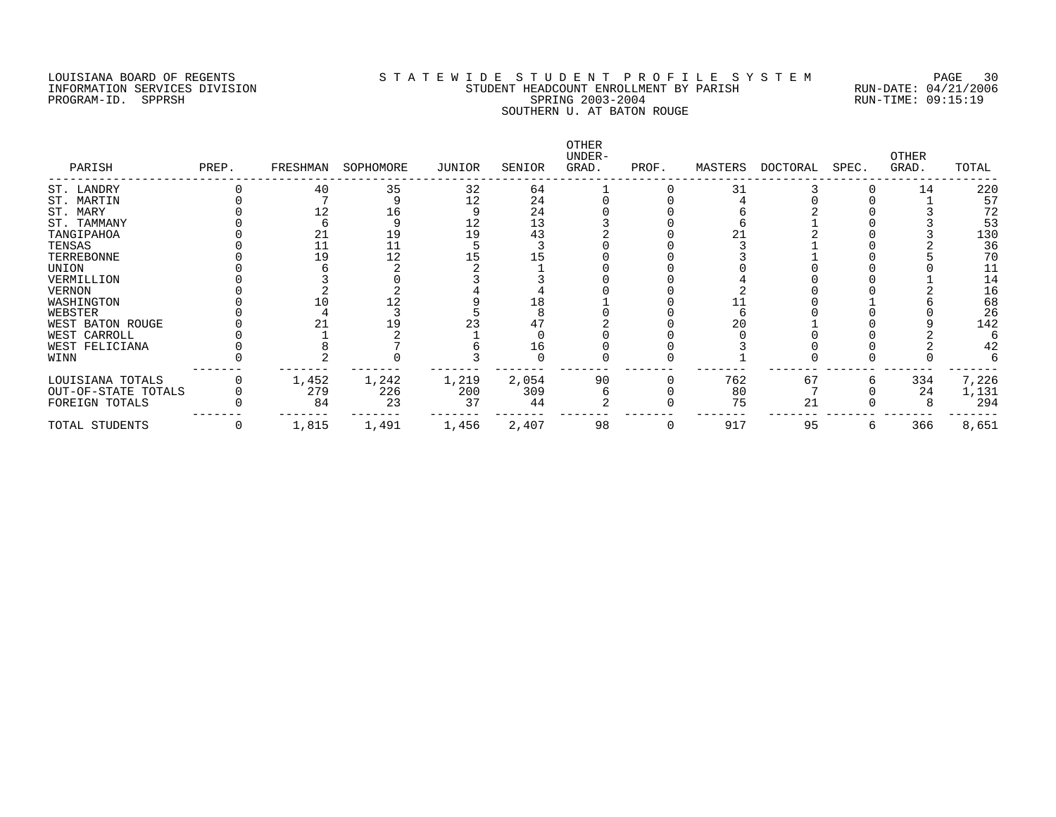PROGRAM-ID. SPPRSH

# LOUISIANA BOARD OF REGENTS SOURCOMERY AS T A T E W I D E S T U D E N T P R O F I L E S Y S T E M PAGE 30<br>STUDENT HEADCOUNT ENROLLMENT BY PARISH RUN-DATE: 04/21/2006 INFORMATION SERVICES DIVISION SANTO STUDENT HEADCOUNT ENROLLMENT BY PARISH SERISH RUN-DATE: 04/21/2000<br>PROGRAM-ID. SPPRSH SPRING 2003-2004 SPRING 2003-2004 SOUTHERN U. AT BATON ROUGE

| PARISH              | PREP. | FRESHMAN | SOPHOMORE | JUNIOR | SENIOR | OTHER<br>UNDER-<br>GRAD. | PROF. | MASTERS | DOCTORAL | SPEC. | <b>OTHER</b><br>GRAD. | TOTAL |
|---------------------|-------|----------|-----------|--------|--------|--------------------------|-------|---------|----------|-------|-----------------------|-------|
| ST. LANDRY          |       | 40       | 35        | 32     | 64     |                          |       | 31      |          |       | 14                    | 220   |
| ST. MARTIN          |       |          |           | 12     | 24     |                          |       |         |          |       |                       | 57    |
| ST. MARY            |       |          | 16        |        | 24     |                          |       |         |          |       |                       | 72    |
| ST. TAMMANY         |       |          |           |        | 13     |                          |       |         |          |       |                       | 53    |
| TANGIPAHOA          |       |          | 19        | 19     | 43     |                          |       |         |          |       |                       | 130   |
| TENSAS              |       |          |           |        |        |                          |       |         |          |       |                       | 36    |
| TERREBONNE          |       | 19       | 12        |        | 15     |                          |       |         |          |       |                       | 70    |
| UNION               |       |          |           |        |        |                          |       |         |          |       |                       | 11    |
| VERMILLION          |       |          |           |        |        |                          |       |         |          |       |                       | 14    |
| VERNON              |       |          |           |        |        |                          |       |         |          |       |                       | 16    |
| WASHINGTON          |       |          |           |        | 18     |                          |       |         |          |       |                       | 68    |
| WEBSTER             |       |          |           |        |        |                          |       |         |          |       |                       | 26    |
| WEST BATON ROUGE    |       |          |           |        |        |                          |       | 20      |          |       |                       | 142   |
| WEST CARROLL        |       |          |           |        |        |                          |       |         |          |       |                       |       |
| WEST FELICIANA      |       |          |           |        | 16     |                          |       |         |          |       |                       | 42    |
| WINN                |       |          |           |        |        |                          |       |         |          |       |                       |       |
| LOUISIANA TOTALS    |       | 1,452    | 1,242     | 1,219  | 2,054  | 90                       |       | 762     | 67       |       | 334                   | 7,226 |
| OUT-OF-STATE TOTALS |       | 279      | 226       | 200    | 309    |                          |       | 80      |          |       | 24                    | 1,131 |
| FOREIGN TOTALS      |       | 84       | 23        | 37     | 44     |                          |       | 75      | 21       |       |                       | 294   |
| TOTAL STUDENTS      |       | 1,815    | 1,491     | 1,456  | 2,407  | 98                       |       | 917     | 95       | 6     | 366                   | 8,651 |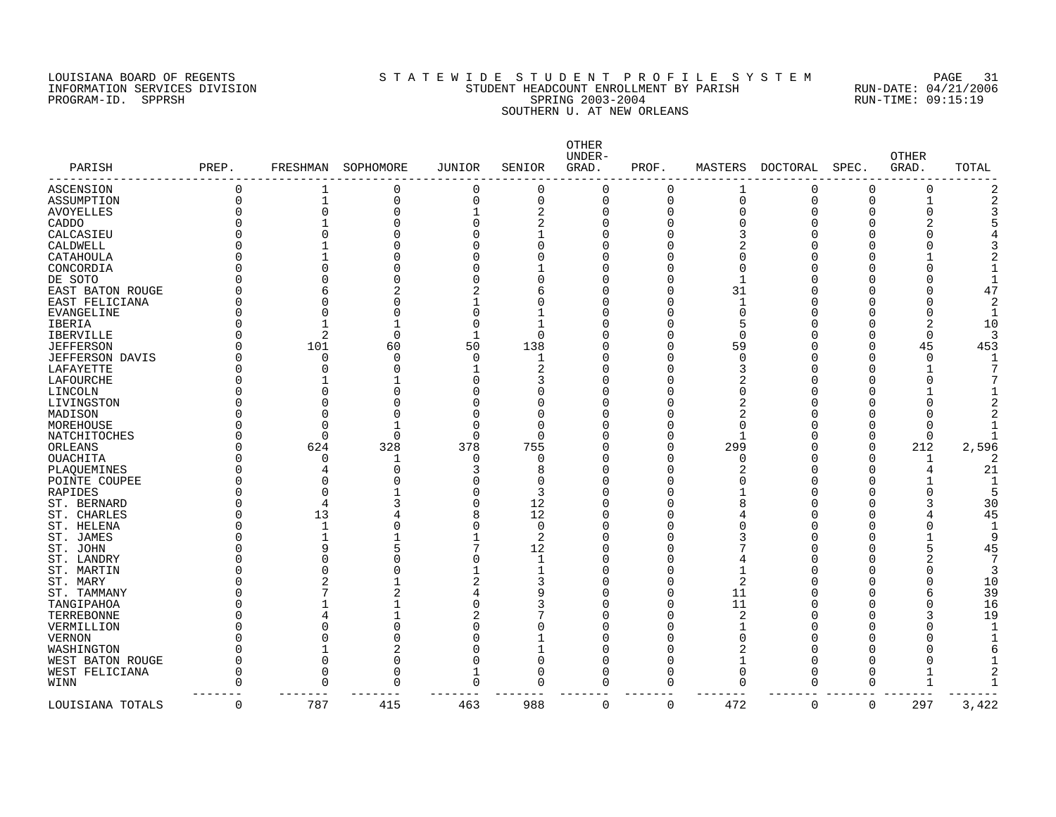### LOUISIANA BOARD OF REGENTS SOURCLEARIE S T A T E W I D E S T U D E N T P R O F I L E S Y S T E M PAGE 31 INFORMATION SERVICES DIVISION STUDENT HEADCOUNT ENROLLMENT BY PARISH RUN-DATE: 04/21/2006 PROGRAM-ID. SPPRSH SPRING 2003-2004 RUN-TIME: 09:15:19 SOUTHERN U. AT NEW ORLEANS

| PARISH            | PREP.    | FRESHMAN     | SOPHOMORE | <b>JUNIOR</b>  | SENIOR      | OTHER<br>UNDER-<br>GRAD. | PROF. | MASTERS        | DOCTORAL    | SPEC.    | <b>OTHER</b><br>GRAD. | TOTAL |
|-------------------|----------|--------------|-----------|----------------|-------------|--------------------------|-------|----------------|-------------|----------|-----------------------|-------|
| ASCENSION         | 0        | 1            | 0         | 0              | $\Omega$    | O                        | 0     | 1              | 0           | O        | O                     |       |
| ASSUMPTION        | 0        | $\mathbf 1$  | 0         | $\overline{0}$ | $\mathbf 0$ | $\Omega$                 | 0     | $\overline{0}$ | $\Omega$    | $\Omega$ |                       |       |
| <b>AVOYELLES</b>  | U        | $\Omega$     | 0         |                | 2           | U                        | O     | ∩              |             |          |                       |       |
| CADDO             |          |              | 0         | $\Omega$       | 2           |                          | O     |                |             |          |                       |       |
| CALCASIEU         |          |              | U         |                | -1          |                          | O     |                |             |          |                       |       |
| CALDWELL          |          |              | Λ         |                | O           |                          | O     |                |             |          |                       |       |
| CATAHOULA         |          |              | Λ         |                |             |                          | N     |                |             |          |                       |       |
| CONCORDIA         |          |              | Λ         |                |             |                          | N     |                |             |          |                       |       |
| DE SOTO           |          |              | Λ         |                | U           |                          | 0     |                |             |          |                       |       |
| EAST BATON ROUGE  |          |              |           |                | 6           |                          | 0     | 31             |             |          |                       | 47    |
| EAST FELICIANA    |          |              | Ω         |                | O           |                          | 0     | $\mathbf{1}$   |             |          |                       |       |
| <b>EVANGELINE</b> |          |              | Λ         |                |             |                          | O     | $\cap$         |             |          |                       |       |
| IBERIA            |          |              |           | ſ              | -1          |                          | O     | 5              |             |          | 2                     | 10    |
| <b>IBERVILLE</b>  |          | 2            | 0         |                | $\Omega$    |                          | O     | $\cap$         |             | n        | O                     |       |
| <b>JEFFERSON</b>  |          | 101          | 60        | 50             | 138         |                          | 0     | 59             |             | $\Omega$ | 45                    | 453   |
| JEFFERSON DAVIS   |          | O            | 0         | $\Omega$       | 1           |                          | 0     |                |             | O        | $\Omega$              |       |
| LAFAYETTE         |          |              | O         |                | 2           |                          | O     |                |             |          |                       |       |
|                   |          |              |           |                |             |                          | Ω     |                |             |          |                       |       |
| LAFOURCHE         |          |              |           |                |             |                          | Ω     |                |             |          |                       |       |
| LINCOLN           |          |              | Ω         |                | 0           |                          |       |                |             |          |                       |       |
| LIVINGSTON        |          |              | Λ         |                | O           |                          | Ω     | 2              |             |          |                       |       |
| MADISON           |          |              |           |                | U           |                          | Ω     | 2              |             |          |                       |       |
| MOREHOUSE         |          |              |           |                | $\Omega$    |                          | Ω     | $\cap$         |             |          |                       |       |
| NATCHITOCHES      |          | $\Omega$     | 0         | <sup>0</sup>   | $\Omega$    |                          | O     | -1             |             | ∩        | $\Omega$              |       |
| ORLEANS           |          | 624          | 328       | 378            | 755         |                          | 0     | 299            |             | $\Omega$ | 212                   | 2,596 |
| <b>OUACHITA</b>   |          | $\Omega$     | 1         | $\sqrt{ }$     | O           |                          | 0     |                |             | $\Omega$ | 1                     |       |
| PLAQUEMINES       |          |              | 0         |                | 8           |                          | O     |                |             | n        |                       | 21    |
| POINTE COUPEE     |          | ∩            |           |                | U           |                          | O     |                |             |          |                       |       |
| RAPIDES           |          |              |           |                | 3           |                          | N     |                |             |          |                       |       |
| ST. BERNARD       |          | 4            |           | C              | 12          |                          | 0     |                |             |          |                       | 30    |
| ST. CHARLES       |          | 13           |           | ٤              | 12          |                          | U     |                |             |          |                       | 45    |
| ST. HELENA        |          | $\mathbf{1}$ | Λ         |                | $\Omega$    |                          | N     |                |             |          |                       |       |
| ST. JAMES         |          |              |           |                | 2           |                          | N     |                |             |          |                       |       |
| ST. JOHN          |          | 9            | 5         |                | 12          |                          | O     |                |             |          |                       | 45    |
| ST. LANDRY        |          | $\Omega$     | 0         |                | -1          |                          | 0     |                |             |          | 2                     |       |
| ST. MARTIN        |          |              | Λ         |                | -1          |                          | O     |                |             |          |                       | 3     |
| ST. MARY          |          |              |           |                | 3           |                          | 0     | 2              |             |          |                       | 10    |
| ST. TAMMANY       |          |              | 2         |                | 9           |                          | 0     | 11             |             |          | 6                     | 39    |
| TANGIPAHOA        |          |              |           | C              | 3           |                          | 0     | 11             |             |          | $\Omega$              | 16    |
| TERREBONNE        |          |              |           |                |             |                          | O     |                |             |          | 3                     | 19    |
| VERMILLION        |          |              | Λ         |                | O           |                          | O     |                |             |          |                       |       |
| <b>VERNON</b>     |          |              | Λ         |                |             |                          | U     |                |             |          |                       |       |
| WASHINGTON        |          |              | 2         |                | -1          |                          | 0     |                |             |          |                       |       |
| WEST BATON ROUGE  | U        | $\Omega$     | 0         | $\Omega$       | $\Omega$    |                          | O     |                |             | n        |                       |       |
| WEST FELICIANA    | O        | $\Omega$     | 0         | 1              | $\Omega$    |                          | O     | $\Omega$       |             | ∩        |                       |       |
|                   | U        | $\Omega$     | 0         | $\mathbf 0$    | $\Omega$    |                          | O     | $\Omega$       | $\Omega$    | $\Omega$ |                       |       |
| WINN              |          |              |           |                |             |                          |       |                |             |          |                       |       |
| LOUISIANA TOTALS  | $\Omega$ | 787          | 415       | 463            | 988         | $\Omega$                 | 0     | 472            | $\mathbf 0$ | 0        | 297                   | 3,422 |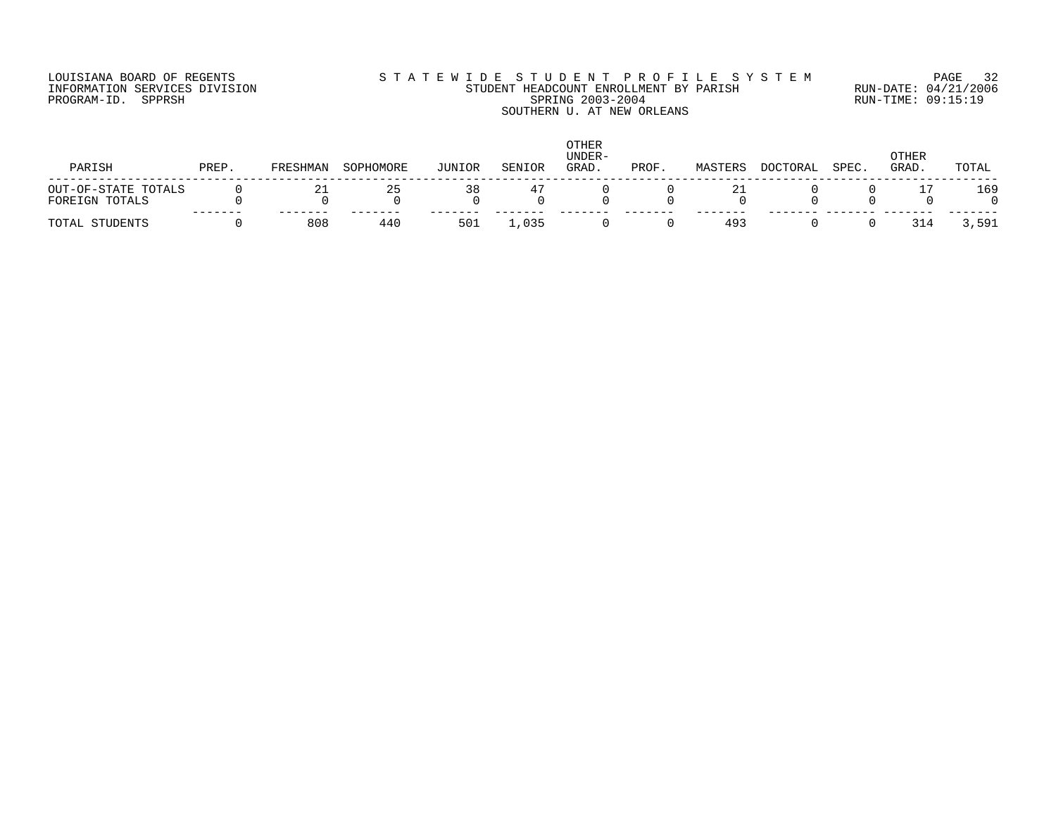## LOUISIANA BOARD OF REGENTS S T A T E W I D E S T U D E N T P R O F I L E S Y S T E M PAGE 32 INFORMATION SERVICES DIVISION STUDENT HEADCOUNT ENROLLMENT BY PARISH RUN-DATE: 04/21/2006 PROGRAM-ID. SPPRSH SPRING 2003-2004 RUN-TIME: 09:15:19 SOUTHERN U. AT NEW ORLEANS

| PARISH              | PREP. | FRESHMAN | SOPHOMORE | JUNIOR | SENIOR | <b>OTHER</b><br>UNDER-<br>GRAD. | PROF. | MASTERS | <b>DOCTORAL</b> | SPEC. | OTHER<br>GRAD. | TOTAL |
|---------------------|-------|----------|-----------|--------|--------|---------------------------------|-------|---------|-----------------|-------|----------------|-------|
| OUT-OF-STATE TOTALS |       | 21       | 25        | 38     | 47     |                                 |       | 21      |                 |       |                | 169   |
| FOREIGN TOTALS      |       |          |           |        |        |                                 |       |         |                 |       |                |       |
| TOTAL STUDENTS      |       | 808      | 440       | 501    | ,035   |                                 |       | 493     |                 |       | 314            | 3,591 |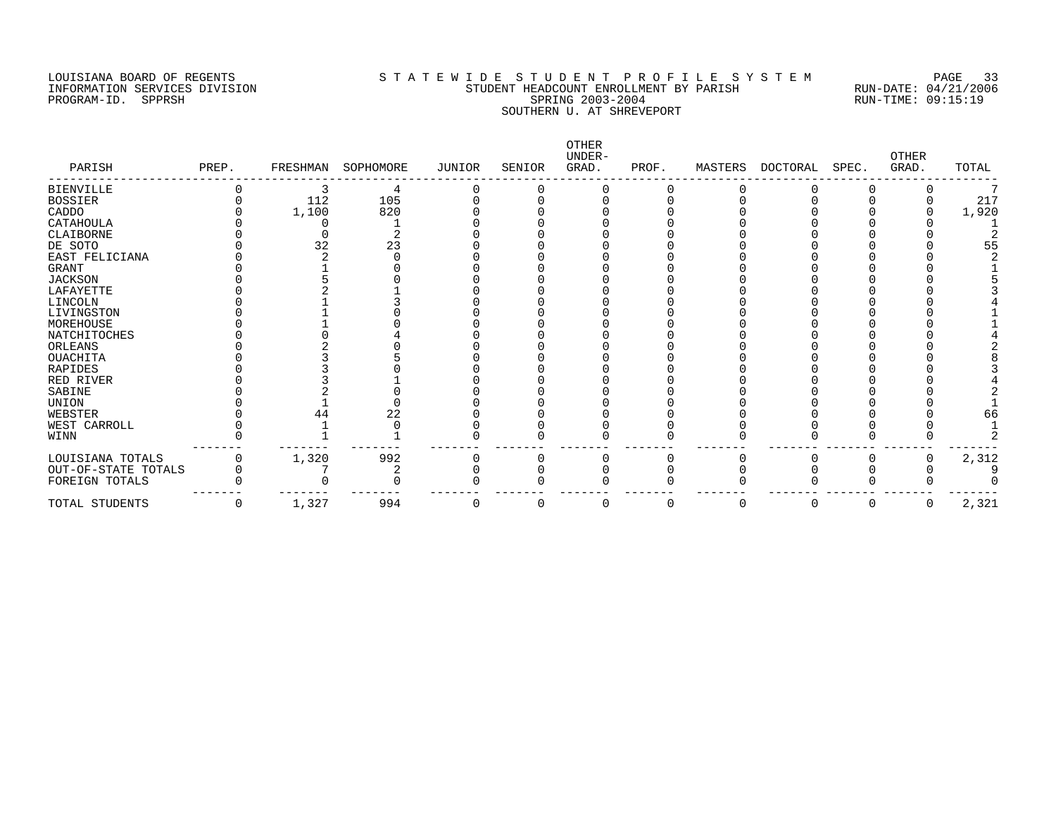# LOUISIANA BOARD OF REGENTS S T A T E W I D E S T U D E N T P R O F I L E S Y S T E M PAGE 33 INFORMATION SERVICES DIVISION STUDENT HEADCOUNT ENROLLMENT BY PARISH RUN-DATE: 04/21/2006 PROGRAM-ID. SPPRSH SPRING 2003-2004 RUN-TIME: 09:15:19 SOUTHERN U. AT SHREVEPORT

| PARISH              | PREP. | FRESHMAN | SOPHOMORE | JUNIOR | SENIOR | OTHER<br>UNDER-<br>GRAD. | PROF. | MASTERS | DOCTORAL | SPEC. | <b>OTHER</b><br>GRAD. | TOTAL |
|---------------------|-------|----------|-----------|--------|--------|--------------------------|-------|---------|----------|-------|-----------------------|-------|
| <b>BIENVILLE</b>    |       |          | 4         |        |        |                          |       |         |          |       |                       |       |
| <b>BOSSIER</b>      |       | 112      | 105       |        |        |                          |       |         |          |       |                       | 217   |
| CADDO               |       | 1,100    | 820       |        |        |                          |       |         |          |       |                       | 1,920 |
| CATAHOULA           |       |          |           |        |        |                          |       |         |          |       |                       |       |
| CLAIBORNE           |       |          |           |        |        |                          |       |         |          |       |                       |       |
| DE SOTO             |       | 32       | 23        |        |        |                          |       |         |          |       |                       |       |
| EAST FELICIANA      |       |          |           |        |        |                          |       |         |          |       |                       |       |
| GRANT               |       |          |           |        |        |                          |       |         |          |       |                       |       |
| <b>JACKSON</b>      |       |          |           |        |        |                          |       |         |          |       |                       |       |
| LAFAYETTE           |       |          |           |        |        |                          |       |         |          |       |                       |       |
| LINCOLN             |       |          |           |        |        |                          |       |         |          |       |                       |       |
| LIVINGSTON          |       |          |           |        |        |                          |       |         |          |       |                       |       |
| MOREHOUSE           |       |          |           |        |        |                          |       |         |          |       |                       |       |
| NATCHITOCHES        |       |          |           |        |        |                          |       |         |          |       |                       |       |
| ORLEANS             |       |          |           |        |        |                          |       |         |          |       |                       |       |
| OUACHITA            |       |          |           |        |        |                          |       |         |          |       |                       |       |
| RAPIDES             |       |          |           |        |        |                          |       |         |          |       |                       |       |
| RED RIVER           |       |          |           |        |        |                          |       |         |          |       |                       |       |
| SABINE              |       |          |           |        |        |                          |       |         |          |       |                       |       |
| UNION               |       |          |           |        |        |                          |       |         |          |       |                       |       |
| WEBSTER             |       |          | 22        |        |        |                          |       |         |          |       |                       | 66    |
| WEST CARROLL        |       |          |           |        |        |                          |       |         |          |       |                       |       |
| WINN                |       |          |           |        |        |                          |       |         |          |       |                       |       |
| LOUISIANA TOTALS    |       | 1,320    | 992       |        |        |                          |       |         |          |       |                       | 2,312 |
| OUT-OF-STATE TOTALS |       |          |           |        |        |                          |       |         |          |       |                       |       |
| FOREIGN TOTALS      |       |          |           |        |        |                          |       |         |          |       |                       |       |
| TOTAL STUDENTS      | 0     | 1,327    | 994       | O      | 0      |                          | 0     | 0       | 0        |       | 0                     | 2,321 |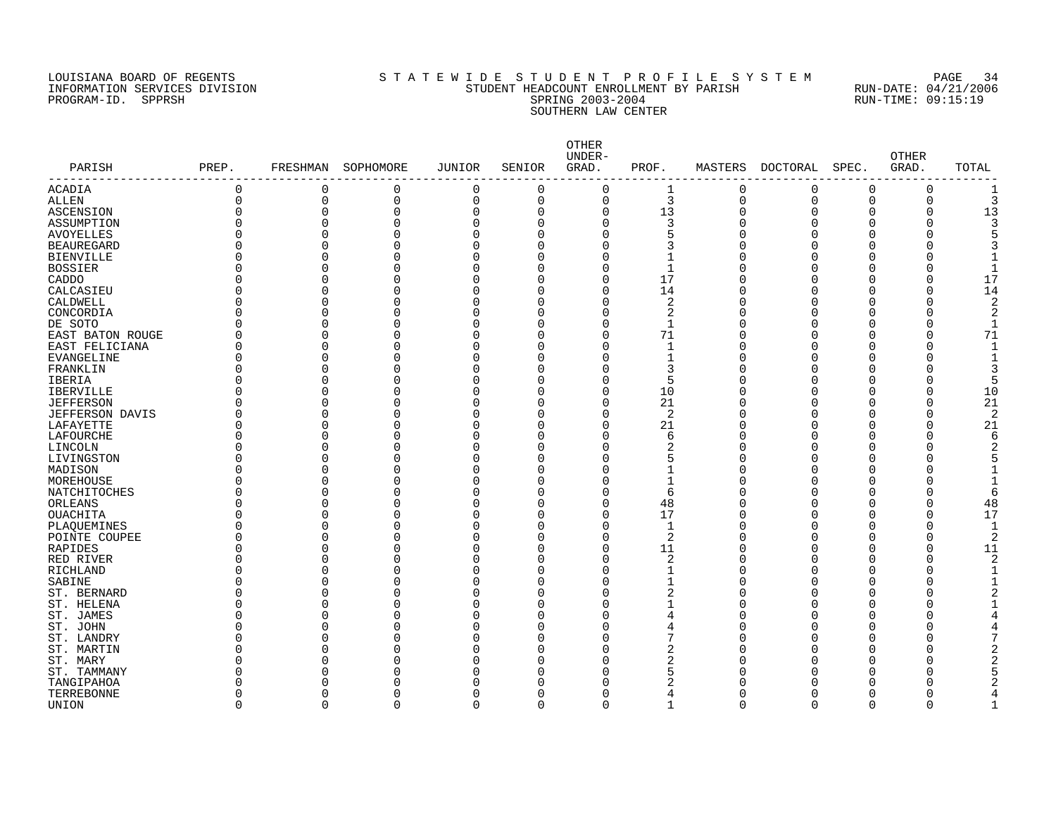### LOUISIANA BOARD OF REGENTS S T A T E W I D E S T U D E N T P R O F I L E S Y S T E M PAGE 34 INFORMATION SERVICES DIVISION STUDENT HEADCOUNT ENROLLMENT BY PARISH RUN-DATE: 04/21/2006 PROGRAM-ID. SPPRSH SPRING 2003-2004 RUN-TIME: 09:15:19 SOUTHERN LAW CENTER

| PARISH            | PREP.    |             | FRESHMAN SOPHOMORE | <b>JUNIOR</b> | SENIOR      | <b>OTHER</b><br>UNDER-<br>GRAD. | PROF.          |                | MASTERS DOCTORAL | SPEC.        | <b>OTHER</b><br>GRAD. | TOTAL |
|-------------------|----------|-------------|--------------------|---------------|-------------|---------------------------------|----------------|----------------|------------------|--------------|-----------------------|-------|
| <b>ACADIA</b>     | 0        | 0           | 0                  | 0             | 0           | 0                               | 1              | 0              | 0                | 0            | 0                     | 1     |
| ALLEN             | 0        | 0           | 0                  | $\mathbf 0$   | $\mathbf 0$ | $\mathbf 0$                     | 3              | $\overline{0}$ | $\Omega$         | $\mathsf 0$  | 0                     |       |
| ASCENSION         | 0        | $\mathbf 0$ | 0                  | $\mathbf 0$   | $\Omega$    | 0                               | 13             | $\Omega$       |                  | $\Omega$     | 0                     | 13    |
| ASSUMPTION        | 0        | $\mathbf 0$ | 0                  | $\Omega$      | $\Omega$    | 0                               | 3              | $\Omega$       |                  | 0            | 0                     |       |
| <b>AVOYELLES</b>  | N        | $\Omega$    | 0                  | $\Omega$      | $\Omega$    | 0                               | 5              | $\cap$         |                  | $\Omega$     | U                     |       |
| <b>BEAUREGARD</b> | N        | $\Omega$    | 0                  | $\Omega$      | $\Omega$    | 0                               | 3              | Λ              |                  | $\Omega$     | Ω                     |       |
| <b>BIENVILLE</b>  | N        | $\Omega$    | 0                  | $\Omega$      | $\Omega$    | 0                               | 1              | ſ              |                  | $\Omega$     | ი                     |       |
| <b>BOSSIER</b>    | U        | $\mathbf 0$ | 0                  | $\Omega$      | 0           | 0                               | 1              |                |                  | $\Omega$     | 0                     |       |
| CADDO             | O        | $\Omega$    | 0                  | $\Omega$      | $\Omega$    | 0                               | 17             | Ω              |                  | $\Omega$     | 0                     | 17    |
| CALCASIEU         | N        | $\Omega$    | 0                  | $\Omega$      | $\Omega$    | 0                               | 14             |                |                  | $\Omega$     | 0                     | 14    |
| CALDWELL          | U        | $\Omega$    | 0                  | $\Omega$      | $\Omega$    | 0                               | 2              | ſ              |                  | $\Omega$     | O                     |       |
| CONCORDIA         | O        | $\Omega$    | 0                  | $\Omega$      | ∩           | $\Omega$                        | 2              |                |                  | C            | O                     |       |
| DE SOTO           | O        | $\Omega$    | 0                  | $\Omega$      | ∩           | 0                               | $\mathbf{1}$   | ſ              |                  | <sup>0</sup> | O                     |       |
| EAST BATON ROUGE  | O        | $\Omega$    | 0                  | $\Omega$      | $\Omega$    | 0                               | 71             |                |                  | O            | 0                     | 71    |
| EAST FELICIANA    | $\Omega$ | $\Omega$    | 0                  | $\Omega$      | $\Omega$    | 0                               | $\mathbf{1}$   | ſ              |                  | O            | 0                     |       |
| EVANGELINE        | $\Omega$ | $\Omega$    | 0                  | $\Omega$      | $\Omega$    | 0                               | $\mathbf{1}$   |                |                  | O            | 0                     |       |
| FRANKLIN          | $\Omega$ | $\Omega$    | 0                  | $\Omega$      | $\Omega$    | $\Omega$                        | 3              |                |                  | $\Omega$     | O                     |       |
| IBERIA            | $\Omega$ | $\Omega$    | 0                  | $\Omega$      | $\Omega$    | 0                               | 5              |                |                  | $\Omega$     | 0                     |       |
| <b>IBERVILLE</b>  | 0        | $\Omega$    | 0                  | $\Omega$      | $\Omega$    | 0                               | 10             |                |                  | $\Omega$     | 0                     | 10    |
| <b>JEFFERSON</b>  | 0        | 0           | 0                  | $\Omega$      | $\Omega$    | 0                               | 21             |                |                  | $\Omega$     | 0                     | 21    |
| JEFFERSON DAVIS   | 0        | 0           | 0                  | $\Omega$      | $\Omega$    | 0                               | $\overline{2}$ |                |                  | $\Omega$     | 0                     |       |
| LAFAYETTE         | 0        | $\Omega$    | 0                  | $\Omega$      | $\Omega$    | $\Omega$                        | 21             |                |                  | $\Omega$     | 0                     | 21    |
| LAFOURCHE         | O        | $\Omega$    | 0                  | $\Omega$      | ∩           | $\Omega$                        | 6              |                |                  | O            | 0                     |       |
| LINCOLN           | O        | $\Omega$    | 0                  | $\Omega$      | $\Omega$    | 0                               | $\overline{2}$ | r              |                  | $\Omega$     | U                     |       |
| LIVINGSTON        | N        | 0           | 0                  | $\Omega$      | $\Omega$    | 0                               | 5              |                |                  | O            | Ω                     |       |
| MADISON           | O        | $\Omega$    | 0                  | $\Omega$      | 0           | 0                               | 1              | r              |                  | $\Omega$     | Λ                     |       |
| MOREHOUSE         | 0        | $\Omega$    | 0                  | $\Omega$      | 0           | $\Omega$                        | $\mathbf{1}$   |                |                  | 0            | ſ                     |       |
| NATCHITOCHES      | O        | 0           | 0                  | $\Omega$      | $\Omega$    | 0                               | 6              |                |                  | $\Omega$     | O                     | 6     |
| ORLEANS           |          | $\Omega$    | 0                  | $\Omega$      | ∩           | 0                               | 48             |                |                  | U            | O                     | 48    |
| <b>OUACHITA</b>   | U        | $\Omega$    | $\Omega$           | $\Omega$      | $\Omega$    | $\Omega$                        | 17             | ſ              |                  | $\Omega$     | 0                     | 17    |
| PLAQUEMINES       | ი        | O           | 0                  | $\Omega$      | $\Omega$    | 0                               | 1              |                |                  | O            | 0                     | -1    |
| POINTE COUPEE     | N        | $\Omega$    | 0                  | $\Omega$      | ∩           | $\Omega$                        | 2              |                |                  | $\Omega$     | O                     |       |
| RAPIDES           | O        | O           | 0                  | $\Omega$      | $\Omega$    | 0                               | 11             |                |                  | $\Omega$     | 0                     | 11    |
| RED RIVER         | 0        | $\Omega$    | 0                  | $\Omega$      | $\Omega$    | 0                               | 2              |                |                  | $\Omega$     | 0                     |       |
| RICHLAND          | O        | $\Omega$    | $\Omega$           | $\Omega$      | $\Omega$    | 0                               | 1              |                |                  | O            | 0                     |       |
| SABINE            | U        | $\Omega$    | 0                  | $\Omega$      | $\Omega$    | 0                               | $\mathbf{1}$   |                |                  | $\Omega$     | 0                     |       |
| ST. BERNARD       | O        | $\Omega$    | 0                  | $\Omega$      | $\Omega$    | $\Omega$                        | $\overline{2}$ |                |                  | O            | O                     |       |
| ST. HELENA        | 0        | O           | 0                  | $\Omega$      | $\Omega$    | $\Omega$                        | 1              |                |                  | 0            | 0                     |       |
| ST. JAMES         | 0        | O           | 0                  | $\Omega$      | $\Omega$    | 0                               | 4              |                |                  | O            | 0                     |       |
| ST. JOHN          |          | $\Omega$    | 0                  | $\Omega$      | $\Omega$    | $\Omega$                        | 4              |                |                  | $\Omega$     | 0                     |       |
| ST. LANDRY        | 0        | $\Omega$    | 0                  | $\Omega$      | $\Omega$    | $\Omega$                        | 7              |                |                  | O            | 0                     |       |
| ST. MARTIN        |          | O           | 0                  | $\Omega$      | O           | $\Omega$                        | 2              |                |                  | O            | 0                     |       |
| ST. MARY          | N        | O           | 0                  | n             | ∩           | $\Omega$                        | 2              |                |                  | O            | O                     |       |
| ST. TAMMANY       | N        | O           | 0                  | ſ             | ∩           | $\Omega$                        | 5              |                |                  | O            | Λ                     |       |
| TANGIPAHOA        |          |             | 0                  |               | O           | O                               | 2              |                |                  |              |                       |       |
| TERREBONNE        | 0        | $\Omega$    | 0                  | $\Omega$      | 0           | $\Omega$                        | 4              | Ω              |                  | $\Omega$     | Ω                     |       |
| UNION             | $\Omega$ | $\Omega$    | $\Omega$           | $\cap$        | $\cap$      | $\Omega$                        | $\mathbf{1}$   | $\cap$         |                  | $\cap$       | O                     |       |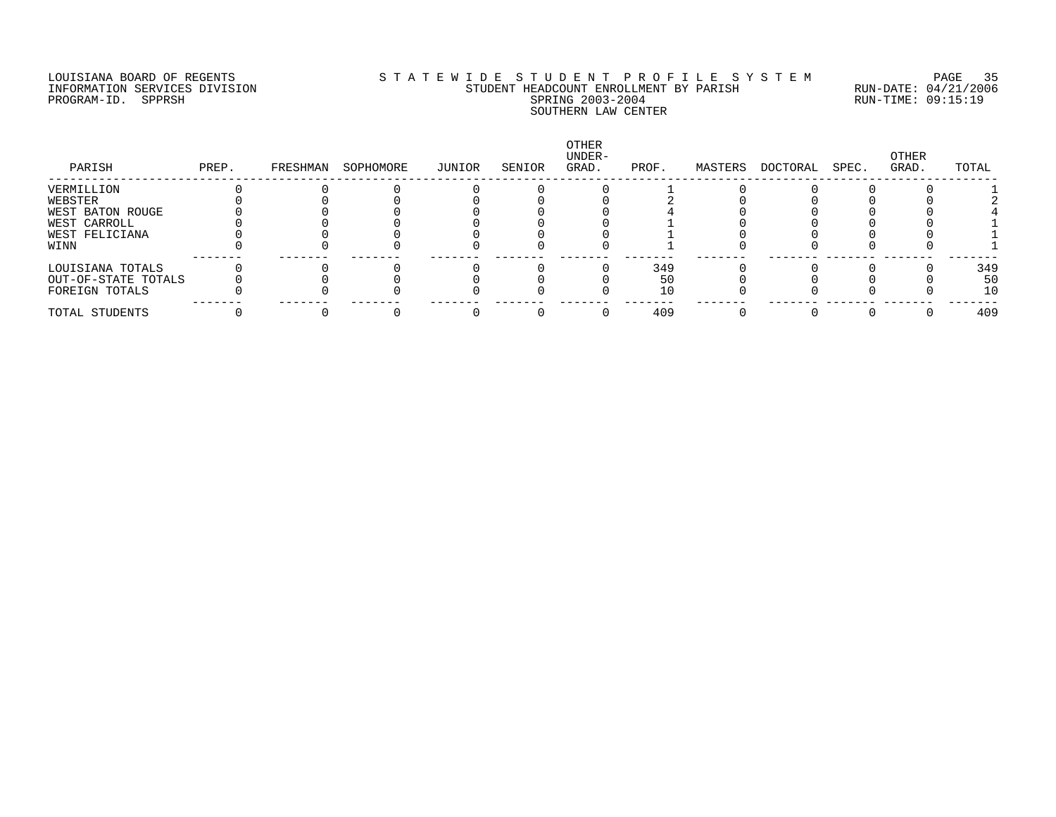### LOUISIANA BOARD OF REGENTS S T A T E W I D E S T U D E N T P R O F I L E S Y S T E M PAGE 35 INFORMATION SERVICES DIVISION STUDENT HEADCOUNT ENROLLMENT BY PARISH RUN-DATE: 04/21/2006 PROGRAM-ID. SPPRSH SPRING 2003-2004 RUN-TIME: 09:15:19 SOUTHERN LAW CENTER

| PREP. | FRESHMAN | SOPHOMORE | JUNIOR | SENIOR | OTHER<br>UNDER-<br>GRAD. | PROF. | MASTERS | DOCTORAL | SPEC. | OTHER<br>GRAD. | TOTAL |
|-------|----------|-----------|--------|--------|--------------------------|-------|---------|----------|-------|----------------|-------|
|       |          |           |        |        |                          |       |         |          |       |                |       |
|       |          |           |        |        |                          |       |         |          |       |                |       |
|       |          |           |        |        |                          |       |         |          |       |                |       |
|       |          |           |        |        |                          |       |         |          |       |                |       |
|       |          |           |        |        |                          |       |         |          |       |                |       |
|       |          |           |        |        |                          |       |         |          |       |                |       |
|       |          |           |        |        |                          |       |         |          |       |                | 349   |
|       |          |           |        |        |                          | 50    |         |          |       |                | 50    |
|       |          |           |        |        |                          | 10    |         |          |       |                | 10    |
|       |          |           |        |        |                          | 409   |         |          |       |                | 409   |
|       |          |           |        |        |                          |       | 349     |          |       |                |       |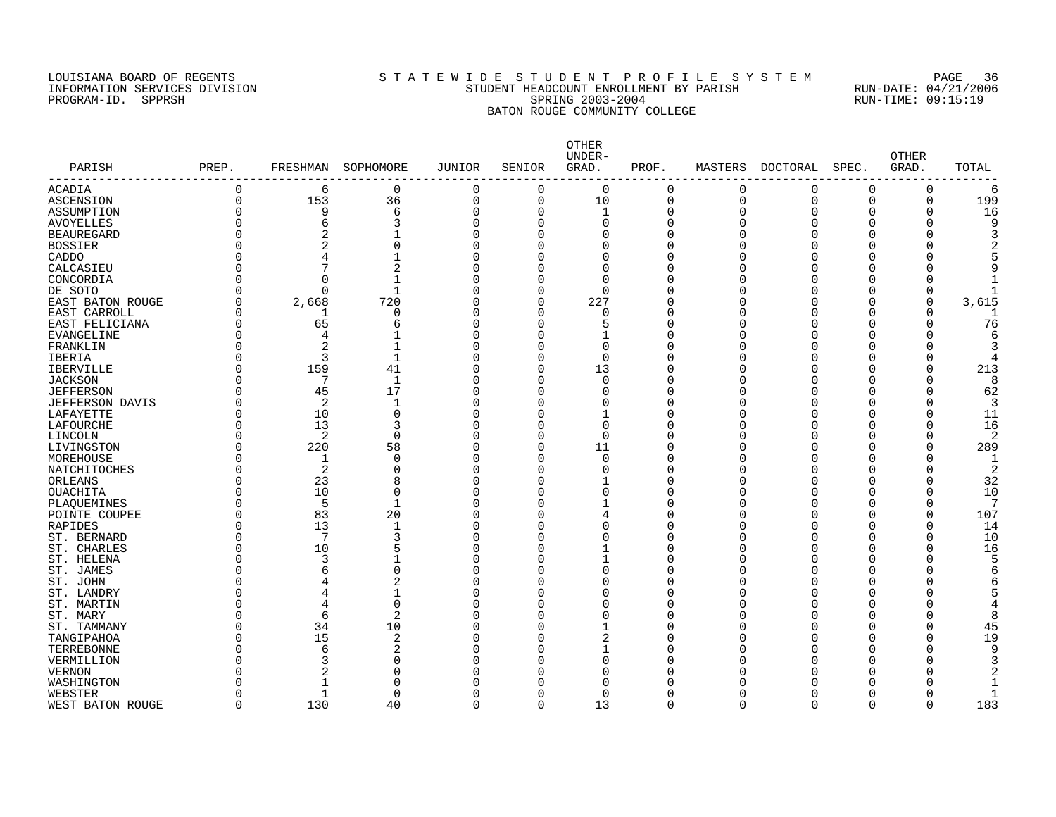### LOUISIANA BOARD OF REGENTS S T A T E W I D E S T U D E N T P R O F I L E S Y S T E M PAGE 36 INFORMATION SERVICES DIVISION STUDENT HEADCOUNT ENROLLMENT BY PARISH RUN-DATE: 04/21/2006 PROGRAM-ID. SPPRSH SPRING 2003-2004 RUN-TIME: 09:15:19 BATON ROUGE COMMUNITY COLLEGE

| PARISH                 | PREP.<br>----------- | FRESHMAN       | SOPHOMORE      | <b>JUNIOR</b> | SENIOR   | OTHER<br>UNDER-<br>GRAD. | PROF.    | MASTERS     | DOCTORAL    | SPEC.    | <b>OTHER</b><br>GRAD. | TOTAL |
|------------------------|----------------------|----------------|----------------|---------------|----------|--------------------------|----------|-------------|-------------|----------|-----------------------|-------|
| ACADIA                 | $\Omega$             | 6              | 0              | 0             | $\Omega$ | $\Omega$                 | 0        | 0           | 0           | 0        | 0                     | 6     |
| <b>ASCENSION</b>       | $\Omega$             | 153            | 36             | 0             | $\Omega$ | 10                       | 0        | $\mathbf 0$ | $\mathbf 0$ | $\Omega$ | $\Omega$              | 199   |
| ASSUMPTION             | $\Omega$             | 9              | 6              | 0             | $\Omega$ | $\mathbf{1}$             | $\Omega$ | $\Omega$    | O           | O        | O                     | 16    |
| <b>AVOYELLES</b>       |                      | 6              | 3              | $\Omega$      | $\Omega$ | $\Omega$                 | 0        | n           | O           | O        |                       | Q     |
| <b>BEAUREGARD</b>      | $\Omega$             | $\overline{2}$ |                | $\Omega$      | $\Omega$ | $\Omega$                 | 0        | n           |             | O        |                       |       |
| <b>BOSSIER</b>         |                      | $\overline{2}$ | 0              | $\Omega$      | $\Omega$ | $\Omega$                 | 0        |             |             | O        |                       |       |
| CADDO                  | $\Omega$             |                |                | C             | ∩        | $\Omega$                 | O        |             |             | U        |                       |       |
| CALCASIEU              | $\Omega$             |                | 2              | C             | ∩        | $\Omega$                 | U        |             |             | U        |                       |       |
| CONCORDIA              | $\Omega$             | O              | $\mathbf{1}$   | U             | ∩        | $\Omega$                 | U        |             |             | U        |                       |       |
| DE SOTO                |                      |                | 1              | C             | $\Omega$ | ∩                        | U        |             |             | O        | $\Omega$              |       |
| EAST BATON ROUGE       | $\Omega$             | 2,668          | 720            | O             | 0        | 227                      | 0        |             |             | O        | $\Omega$              | 3,615 |
| EAST CARROLL           | $\Omega$             | 1              | 0              | O             | $\Omega$ | $\Omega$                 | U        |             | O           | O        |                       |       |
| EAST FELICIANA         | $\Omega$             | 65             | 6              | O             | 0        | 5                        | 0        |             | O           | 0        | 0                     | 76    |
| EVANGELINE             | $\Omega$             | 4              |                | U             | ∩        |                          | U        |             |             | U        |                       | 6     |
| FRANKLIN               |                      | $\overline{2}$ | 1              | O             | ∩        | $\Omega$                 | O        |             |             | U        |                       |       |
| <b>IBERIA</b>          | $\Omega$             | 3              | $\mathbf{1}$   | $\cap$        | ∩        | $\Omega$                 | U        |             |             | U        | $\Omega$              |       |
| <b>IBERVILLE</b>       | $\Omega$             | 159            | 41             | C             | $\Omega$ | 13                       | O        |             |             | U        |                       | 213   |
| <b>JACKSON</b>         | $\Omega$             |                | 1              | O             | ∩        | $\Omega$                 | U        |             |             | U        | <sup>0</sup>          |       |
| <b>JEFFERSON</b>       | $\Omega$             | 45             | 17             | C             | $\Omega$ | $\Omega$                 | U        |             |             | O        | $\Omega$              | 62    |
| <b>JEFFERSON DAVIS</b> | $\Omega$             | 2              | $\mathbf{1}$   | C             | $\Omega$ | $\Omega$                 | U        |             |             | O        | $\Omega$              |       |
| LAFAYETTE              | $\Omega$             | 10             | $\mathbf 0$    | C             | $\Omega$ |                          | U        |             |             | O        |                       | 11    |
| LAFOURCHE              | $\Omega$             | 13             | 3              | C             | ∩        | $\Omega$                 | U        |             |             | U        | $\Omega$              | 16    |
| LINCOLN                | $\Omega$             | $\overline{2}$ | $\mathbf 0$    | $\Omega$      | O        | 0                        | U        |             |             | O        | $\Omega$              |       |
| LIVINGSTON             | $\Omega$             | 220            | 58             | C             | O        | 11                       | 0        |             |             | U        | $\Omega$              | 289   |
| MOREHOUSE              | $\Omega$             | 1              | 0              | C             | $\Omega$ | 0                        | 0        |             |             | U        |                       | -1    |
| NATCHITOCHES           | $\Omega$             | 2              | 0              | $\Omega$      | $\Omega$ | $\Omega$                 | O        |             |             | O        |                       | 2     |
| ORLEANS                | O                    | 23             | 8              | $\Omega$      | ∩        |                          | 0        |             |             | O        |                       | 32    |
| OUACHITA               | O                    | 10             | $\Omega$       | C             | $\Omega$ | $\Omega$                 | U        |             |             | O        |                       | 10    |
| PLAQUEMINES            |                      | 5              | 1              | U             | ∩        |                          | U        |             |             | U        | O                     |       |
| POINTE COUPEE          | $\Omega$             | 83             | 20             | C             | O        | 4                        | O        |             |             | O        | $\Omega$              | 107   |
| RAPIDES                | $\Omega$             | 13             | 1              | O             | ∩        | O                        | U        |             | O           | O        | O                     | 14    |
| ST. BERNARD            | $\Omega$             | 7              | 3              | O             | O        | O                        | U        |             |             | O        | O                     | 10    |
| ST. CHARLES            | $\Omega$             | 10             | 5              | O             | ∩        |                          | U        |             |             | U        | $\Omega$              | 16    |
| ST. HELENA             | $\Omega$             | 3              | $\mathbf{1}$   | C             | ∩        | $\mathbf{1}$             | O        |             |             | U        |                       |       |
| ST. JAMES              | $\Omega$             | 6              | $\Omega$       | C             | ∩        | $\Omega$                 | O        |             |             | U        |                       |       |
| ST. JOHN               | $\Omega$             | 4              | 2              | U             | ∩        | ∩                        | U        |             |             | U        |                       |       |
| ST. LANDRY             | $\Omega$             | $\overline{4}$ | 1              | U             | ∩        | $\Omega$                 | U        |             |             | U        |                       |       |
| ST. MARTIN             | $\Omega$             | 4              | $\mathbf 0$    | U             | ∩        | $\Omega$                 | U        |             |             | U        |                       |       |
| ST. MARY               | $\Omega$             | 6              | 2              | U             | O        | $\Omega$                 | U        |             |             | U        | <sup>0</sup>          | 8     |
| ST. TAMMANY            | $\Omega$             | 34             | 10             |               | $\Omega$ |                          | 0        |             |             | O        | $\Omega$              | 45    |
|                        | $\Omega$             | 15             | $\overline{2}$ | C             |          | 2                        | 0        |             |             | O        | $\Omega$              | 19    |
| TANGIPAHOA             | $\Omega$             |                | 2              | O             | ∩        |                          | 0        |             |             |          |                       | q     |
| TERREBONNE             |                      | 6<br>3         | $\Omega$       |               |          | $\Omega$                 | U        |             |             | O<br>U   |                       |       |
| VERMILLION             |                      |                | 0              |               |          | U                        | Ω        |             |             | U        |                       |       |
| <b>VERNON</b>          |                      | 2              |                |               |          |                          |          |             |             |          |                       |       |
| WASHINGTON             |                      |                | 0              |               |          | ∩                        | Ω        |             |             | U        |                       |       |
| WEBSTER                | <sup>0</sup>         |                | $\Omega$       | O             | O        | $\Omega$                 | U        |             |             | O        |                       |       |
| WEST BATON ROUGE       | $\Omega$             | 130            | 40             | $\Omega$      | $\Omega$ | 13                       | $\Omega$ | $\Omega$    | U           | $\Omega$ | $\Omega$              | 183   |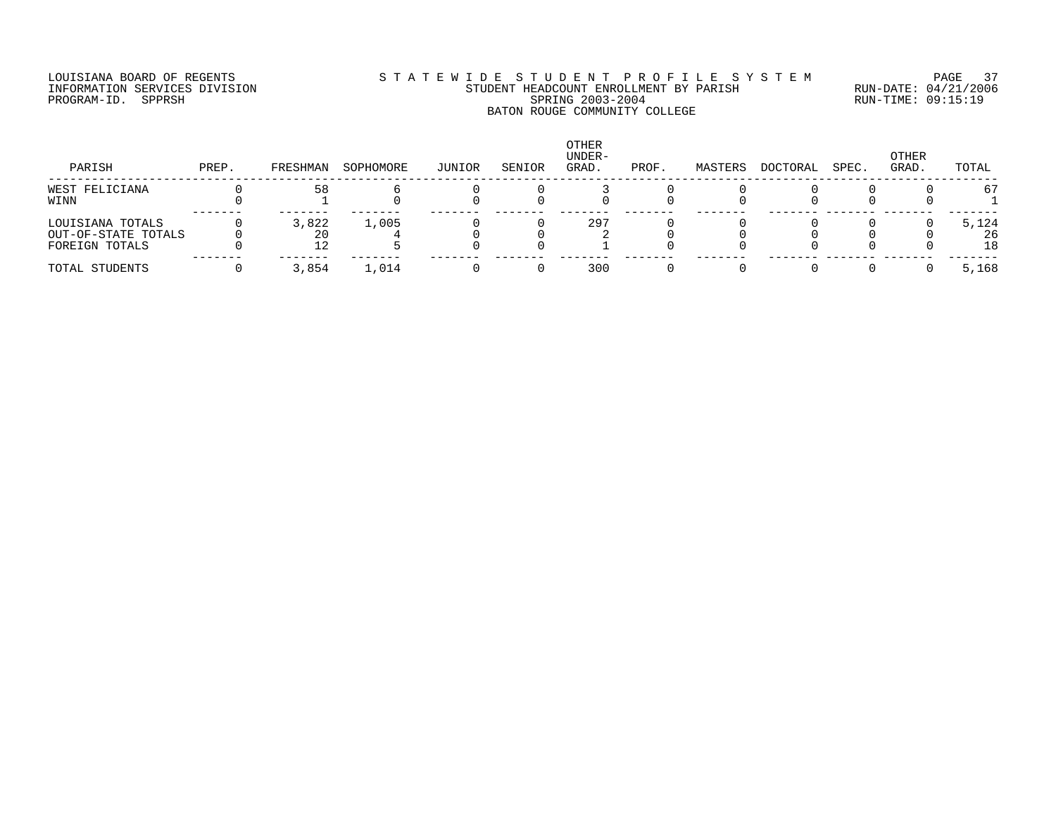### LOUISIANA BOARD OF REGENTS S T A T E W I D E S T U D E N T P R O F I L E S Y S T E M PAGE 37 INFORMATION SERVICES DIVISION STUDENT HEADCOUNT ENROLLMENT BY PARISH RUN-DATE: 04/21/2006 PROGRAM-ID. SPPRSH SPRING 2003-2004 RUN-TIME: 09:15:19 BATON ROUGE COMMUNITY COLLEGE

| PARISH                                                    | PREP. | FRESHMAN    | SOPHOMORE | JUNIOR | SENIOR | <b>OTHER</b><br>UNDER-<br>GRAD. | PROF. | MASTERS | DOCTORAL | SPEC. | OTHER<br>GRAD. | TOTAL             |
|-----------------------------------------------------------|-------|-------------|-----------|--------|--------|---------------------------------|-------|---------|----------|-------|----------------|-------------------|
| WEST FELICIANA<br>WINN                                    |       | 58          |           |        |        |                                 |       |         |          |       |                | 67                |
| LOUISIANA TOTALS<br>OUT-OF-STATE TOTALS<br>FOREIGN TOTALS |       | 3,822<br>20 | 1,005     |        |        | 297                             |       |         |          |       |                | 5,124<br>26<br>18 |
| TOTAL STUDENTS                                            |       | 3,854       | 1,014     |        |        | 300                             |       |         |          |       |                | 5,168             |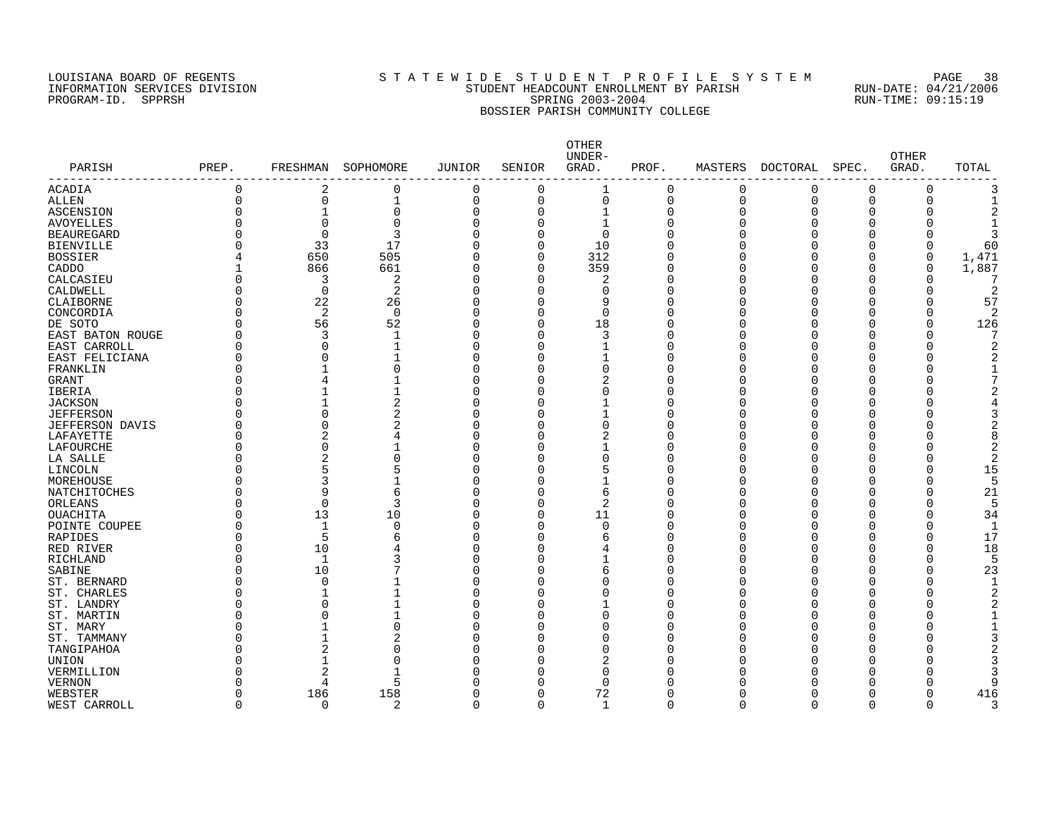PROGRAM-ID. SPPRSH

# LOUISIANA BOARD OF REGENTS SOURCLASS TO STATE WIDE STUDE NT PROFILE SYSTEM PAGE 38<br>STUDENT HEADCOUNT ENROLLMENT BY PARISH RUN-DATE: 04/21/2006 INFORMATION SERVICES DIVISION STATE: STUDENT HEADCOUNT ENROLLMENT BY PARISH RUN-DATE: 04/21/2006<br>PROGRAM-ID. SPPRSH SPRING 2003-2004 SPRING 2003-2004 RUN-TIME: 09:15:19 BOSSIER PARISH COMMUNITY COLLEGE

|                                  |                |                |                |                |             | OTHER<br>UNDER- |             |         |                |              | <b>OTHER</b> |                |
|----------------------------------|----------------|----------------|----------------|----------------|-------------|-----------------|-------------|---------|----------------|--------------|--------------|----------------|
| PARISH                           | PREP.          | FRESHMAN       | SOPHOMORE      | JUNIOR         | SENIOR      | GRAD.           | PROF.       | MASTERS | DOCTORAL       | SPEC.        | GRAD.        | TOTAL          |
| ---------------<br><b>ACADIA</b> | $\mathbf 0$    | $\overline{2}$ | $\mathbf 0$    | $\mathbf 0$    | $\mathbf 0$ |                 | $\Omega$    | 0       | $\Omega$       | $\mathbf 0$  | $\mathbf 0$  | 3              |
| <b>ALLEN</b>                     | $\overline{0}$ | 0              | $1\,$          | $\mathbf 0$    | 0           | $\mathbf 0$     | $\mathbf 0$ | 0       | $\overline{0}$ | $\mathbf 0$  | $\mathbf 0$  | $\mathbf{1}$   |
| ASCENSION                        | C              | $\mathbf{1}$   | $\mathbf 0$    | $\mathbf 0$    | $\Omega$    | $\mathbf{1}$    | $\Omega$    | 0       | $\Omega$       | $\mathbf 0$  | $\mathbf 0$  | $\overline{a}$ |
| <b>AVOYELLES</b>                 |                | 0              | $\mathbf 0$    | $\Omega$       | $\Omega$    | $\mathbf{1}$    | n           | 0       | $\Omega$       | $\mathbf 0$  | $\mathbf 0$  | $\mathbf{1}$   |
| <b>BEAUREGARD</b>                | C              | $\Omega$       | $\overline{3}$ | $\Omega$       | $\Omega$    | $\Omega$        | $\Omega$    | O       | $\Omega$       | $\mathbf 0$  | $\mathbf 0$  | 3              |
| <b>BIENVILLE</b>                 | Ω              | 33             | 17             | $\Omega$       | $\Omega$    | 10              | n           | U       | $\Omega$       | $\Omega$     | $\mathbf 0$  | 60             |
| <b>BOSSIER</b>                   |                | 650            | 505            | $\Omega$       | $\Omega$    | 312             |             | 0       | $\Omega$       | $\mathbf 0$  | $\mathbf 0$  | 1,471          |
| CADDO                            |                | 866            | 661            | $\overline{0}$ | $\Omega$    | 359             |             | 0       | $\Omega$       | $\mathbf 0$  | $\mathbf 0$  | 1,887          |
| CALCASIEU                        | 0              | 3              | $\overline{2}$ | $\Omega$       | $\Omega$    | 2               | $\Omega$    | 0       | $\Omega$       | $\mathbf 0$  | 0            | 7              |
| CALDWELL                         | 0              | $\mathbf 0$    | $\overline{2}$ | $\Omega$       | $\Omega$    | $\Omega$        | $\Omega$    | O       | $\Omega$       | $\Omega$     | $\mathbf 0$  | $\overline{2}$ |
| <b>CLAIBORNE</b>                 | 0              | 22             | 26             | $\Omega$       | 0           | 9               | $\Omega$    | 0       | $\Omega$       | $\Omega$     | $\mathbf 0$  | 57             |
| CONCORDIA                        | C              | 2              | $\Omega$       | $\Omega$       | 0           | $\Omega$        | $\Omega$    | O       | $\Omega$       | $\Omega$     | $\Omega$     | 2              |
| DE SOTO                          | O              | 56             | 52             | $\Omega$       | $\Omega$    | 18              | $\Omega$    | 0       | $\Omega$       | $\Omega$     | $\Omega$     | 126            |
| <b>EAST BATON ROUGE</b>          | O              | 3              | $\mathbf 1$    | $\Omega$       | $\Omega$    | 3               | n           | O       | $\Omega$       | $\Omega$     | $\Omega$     | 7              |
| EAST CARROLL                     | C              | $\Omega$       | $\mathbf{1}$   | $\Omega$       | $\Omega$    | $\mathbf{1}$    | $\Omega$    | N       | $\Omega$       | $\Omega$     | $\Omega$     | 2              |
| EAST FELICIANA                   | C              | $\Omega$       | 1              | $\Omega$       | $\Omega$    | $\mathbf{1}$    | n           | O       | $\Omega$       | $\Omega$     | $\Omega$     | 2              |
| FRANKLIN                         | U              |                | $\Omega$       | $\Omega$       | $\cap$      | $\Omega$        | n           | U       | $\Omega$       | $\Omega$     | $\Omega$     | $\mathbf{1}$   |
| <b>GRANT</b>                     | U              | 4              | $\mathbf{1}$   | $\Omega$       | $\Omega$    | $\overline{2}$  | n           | ∩       | $\Omega$       | $\Omega$     | $\Omega$     | 7              |
| IBERIA                           |                | $\mathbf{1}$   | $\mathbf{1}$   | $\Omega$       | U           | $\Omega$        |             | N       | $\Omega$       | $\Omega$     | $\Omega$     | $\overline{2}$ |
| <b>JACKSON</b>                   | U              | $\mathbf{1}$   | $\overline{2}$ | $\Omega$       | U           |                 | Λ           | ∩       | $\Omega$       | $\Omega$     | $\Omega$     | 4              |
| <b>JEFFERSON</b>                 | U              | 0              | $\overline{2}$ | $\Omega$       | U           |                 | n           | O       | $\Omega$       | $\Omega$     | $\mathbf 0$  | 3              |
| <b>JEFFERSON DAVIS</b>           | C              | $\Omega$       | $\overline{2}$ | $\Omega$       | U           | $\Omega$        | ∩           | O       | $\Omega$       | $\Omega$     | $\Omega$     | 2              |
| LAFAYETTE                        | O              | 2              | 4              | $\Omega$       | U           |                 |             | U       | $\Omega$       | $\Omega$     | $\Omega$     | 8              |
| LAFOURCHE                        |                | 0              |                | $\Omega$       | U           |                 | n           | O       | $\Omega$       | $\Omega$     | $\Omega$     | 2              |
| LA SALLE                         |                | 2              | $\Omega$       | $\Omega$       | U           | $\Omega$        |             | O       | $\Omega$       | $\Omega$     | $\Omega$     | 2              |
| LINCOLN                          | U              | 5              | 5              | $\Omega$       | 0           | 5               | n           | O       | $\Omega$       | $\Omega$     | $\mathbf 0$  | 15             |
| MOREHOUSE                        | C              | 3              | $\mathbf{1}$   | $\Omega$       | 0           |                 | n           | O       | $\Omega$       | $\Omega$     | $\Omega$     | 5              |
| NATCHITOCHES                     | U              | 9              | 6              | $\Omega$       | 0           | 6               | ∩           | O       | $\Omega$       | $\Omega$     | $\mathbf 0$  | 21             |
| ORLEANS                          | U              | $\Omega$       | 3              | $\Omega$       | $\Omega$    | $\overline{2}$  | ∩           | U       | $\Omega$       | <sup>n</sup> | $\Omega$     | 5              |
| <b>OUACHITA</b>                  | C              | 13             | 10             | $\Omega$       | $\Omega$    | 11              | Λ           | N       | $\Omega$       | $\Omega$     | $\Omega$     | 34             |
| POINTE COUPEE                    | O              | $\mathbf{1}$   | $\Omega$       | $\Omega$       | $\Omega$    | $\Omega$        | n           | ∩       | $\Omega$       | $\Omega$     | $\Omega$     | 1              |
| <b>RAPIDES</b>                   |                | 5              | 6              | $\Omega$       | 0           | 6               |             | U       | $\Omega$       | $\Omega$     | $\Omega$     | 17             |
| RED RIVER                        | O              | 10             | 4              | $\Omega$       | U           |                 | ∩           | O       | $\Omega$       | $\Omega$     | $\Omega$     | 18             |
| RICHLAND                         | O              | 1              | 3              | $\Omega$       | U           |                 | ∩           | N       | $\Omega$       | $\Omega$     | $\mathbf 0$  | 5              |
| SABINE                           | C              | 10             | 7              | $\Omega$       | U           | 6               | ∩           | O       | $\Omega$       | $\Omega$     | $\mathbf 0$  | 23             |
| ST. BERNARD                      | U              | $\mathbf 0$    | $\mathbf{1}$   | $\Omega$       | U           | $\Omega$        |             | O       | $\Omega$       | $\Omega$     | $\Omega$     | $\mathbf{1}$   |
| ST. CHARLES                      | C              | 1              | 1              | $\Omega$       | U           | $\Omega$        |             | O       | $\Omega$       | $\Omega$     | $\Omega$     | 2              |
| ST. LANDRY                       | U              | 0              | $\mathbf{1}$   | $\Omega$       | U           |                 | n           | U       | $\Omega$       | $\Omega$     | $\Omega$     | 2              |
| ST. MARTIN                       | ⋂              | $\Omega$       | 1              | 0              | 0           | $\Omega$        | n           | O       | $\Omega$       | $\Omega$     | $\mathbf 0$  | 1              |
| ST. MARY                         | U              | $\mathbf{1}$   | $\mathbf 0$    | $\Omega$       | O           | $\Omega$        |             | N       | $\Omega$       | $\Omega$     | $\Omega$     | 1              |
| ST. TAMMANY                      | ⋂              | $\mathbf{1}$   | 2              | $\Omega$       | O           | O               | n           | N       | $\Omega$       | $\Omega$     | $\mathbf 0$  | 3              |
| TANGIPAHOA                       | ⋂              | 2              | $\Omega$       | $\Omega$       | O           | $\Omega$        | Λ           | U       | ∩              | $\Omega$     | $\Omega$     | $\overline{2}$ |
| <b>UNION</b>                     | ⋂              | $\mathbf{1}$   | $\Omega$       | $\Omega$       | 0           |                 | ∩           | N       | ∩              | $\Omega$     | $\Omega$     | 3              |
| VERMILLION                       |                | 2              | 1              | $\Omega$       | U           | $\Omega$        |             | Ω       | ∩              | $\Omega$     | $\Omega$     | 3              |
| <b>VERNON</b>                    |                | 4              | 5              | $\Omega$       | O           | $\Omega$        |             |         | ∩              | $\Omega$     | $\Omega$     | 9              |
| WEBSTER                          | O              | 186            | 158            | 0              | $\Omega$    | 72              | ∩           | N       | $\Omega$       | 0            | $\Omega$     | 416            |
| WEST CARROLL                     | $\Omega$       | 0              | $\overline{2}$ | 0              | 0           | $\mathbf{1}$    | $\Omega$    | O       | $\Omega$       | $\mathbf 0$  | $\Omega$     | 3              |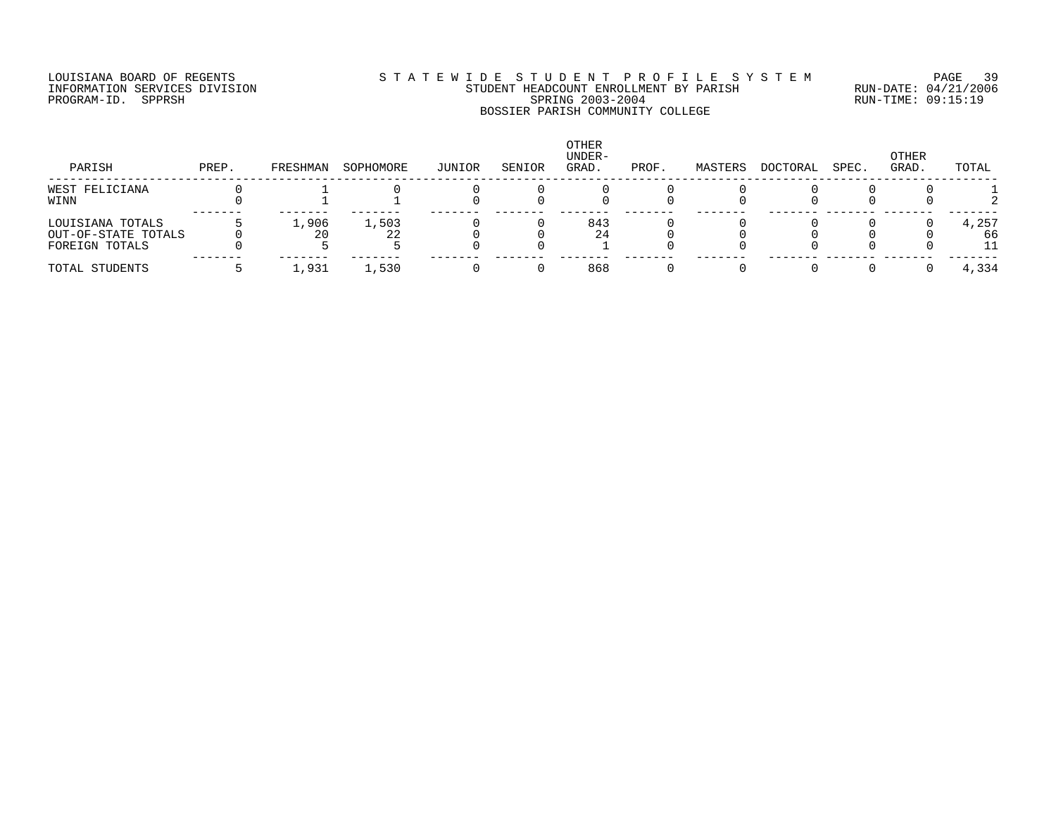## LOUISIANA BOARD OF REGENTS S T A T E W I D E S T U D E N T P R O F I L E S Y S T E M PAGE 39 INFORMATION SERVICES DIVISION STUDENT HEADCOUNT ENROLLMENT BY PARISH RUN-DATE: 04/21/2006 PROGRAM-ID. SPPRSH SPRING 2003-2004 RUN-TIME: 09:15:19 BOSSIER PARISH COMMUNITY COLLEGE

| PARISH                                                    | PREP. | FRESHMAN | SOPHOMORE | JUNIOR | SENIOR | OTHER<br>UNDER-<br>GRAD. | PROF. | MASTERS | DOCTORAL | SPEC. | OTHER<br>GRAD. | TOTAL             |
|-----------------------------------------------------------|-------|----------|-----------|--------|--------|--------------------------|-------|---------|----------|-------|----------------|-------------------|
| WEST FELICIANA<br>WINN                                    |       |          |           |        |        |                          |       |         |          |       |                |                   |
| LOUISIANA TOTALS<br>OUT-OF-STATE TOTALS<br>FOREIGN TOTALS |       | 1,906    | 1,503     |        |        | 843<br>24                |       |         |          |       |                | 4,257<br>66<br>11 |
| TOTAL STUDENTS                                            |       | 1,931    | 1,530     |        |        | 868                      |       |         |          |       |                | 4,334             |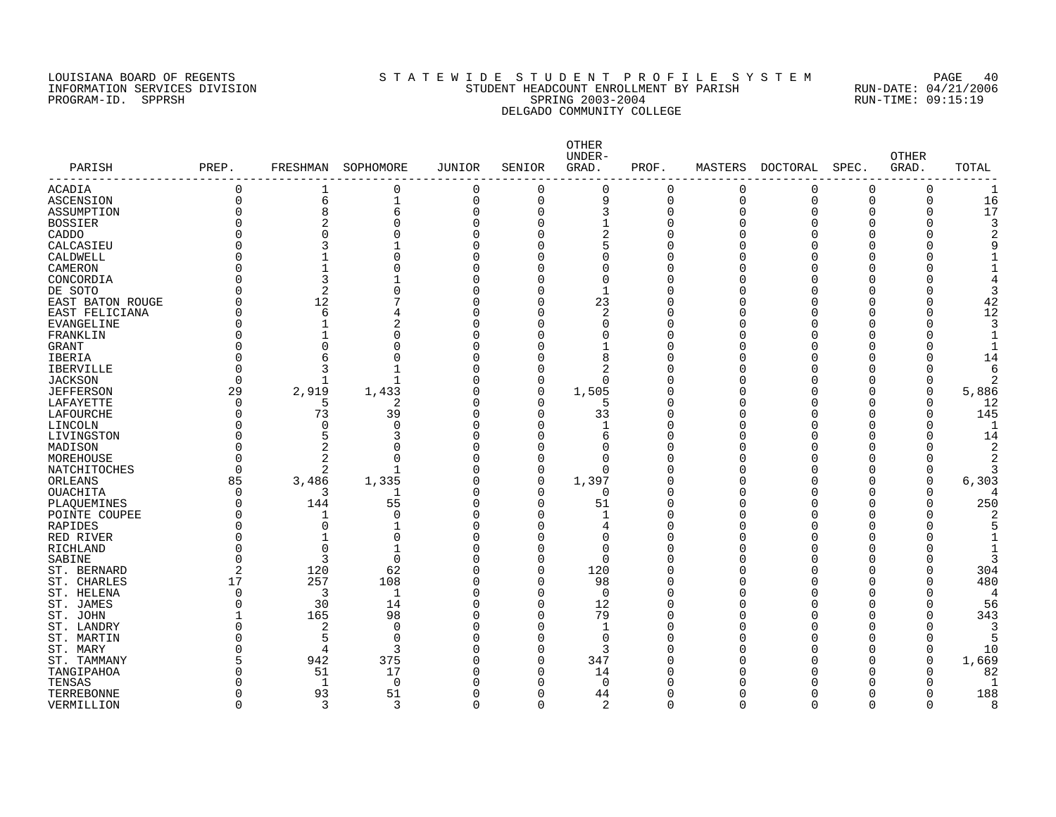### LOUISIANA BOARD OF REGENTS S T A T E W I D E S T U D E N T P R O F I L E S Y S T E M PAGE 40 INFORMATION SERVICES DIVISION STUDENT HEADCOUNT ENROLLMENT BY PARISH RUN-DATE: 04/21/2006 PROGRAM-ID. SPPRSH SPRING 2003-2004 RUN-TIME: 09:15:19 DELGADO COMMUNITY COLLEGE

| PARISH           | PREP.    | FRESHMAN       | SOPHOMORE   | <b>JUNIOR</b> | SENIOR   | OTHER<br>UNDER-<br>GRAD. | PROF.    | MASTERS     | DOCTORAL | SPEC.        | <b>OTHER</b><br>GRAD. | TOTAL |
|------------------|----------|----------------|-------------|---------------|----------|--------------------------|----------|-------------|----------|--------------|-----------------------|-------|
| ACADIA           | 0        | 1              | 0           | 0             | 0        | $\Omega$                 | 0        | $\Omega$    | 0        | $\Omega$     | O                     |       |
| ASCENSION        | 0        | 6              | $\mathbf 1$ | $\mathbf 0$   | $\Omega$ | 9                        | 0        | $\mathbf 0$ | 0        | $\Omega$     | 0                     | 16    |
| ASSUMPTION       | 0        | 8              | б           | $\mathbf 0$   | $\Omega$ | 3                        | $\Omega$ | $\Omega$    | O        | $\Omega$     | $\Omega$              | 17    |
| <b>BOSSIER</b>   | U        | $\overline{2}$ | 0           | $\Omega$      | 0        | $\mathbf{1}$             | $\Omega$ |             | O        | $\Omega$     |                       |       |
| CADDO            | U        | $\Omega$       | O           | $\Omega$      | U        | $\overline{c}$           | O        |             |          | ∩            |                       |       |
| CALCASIEU        | U        |                |             | $\Omega$      | U        |                          | 0        |             |          | ∩            |                       |       |
| CALDWELL         | U        |                | 0           | $\Omega$      |          |                          | O        |             |          |              |                       |       |
| CAMERON          | 0        |                | 0           | 0             |          | O                        | 0        |             |          | ∩            |                       |       |
| CONCORDIA        | O        | 3              |             | $\Omega$      | U        | $\Omega$                 | $\Omega$ |             |          | $\cap$       |                       |       |
| DE SOTO          | Ω        | $\overline{2}$ | O           | $\Omega$      | $\Omega$ |                          | C        |             |          | $\cap$       |                       | 3     |
| EAST BATON ROUGE | O        | 12             |             | $\Omega$      | U        | 23                       | O        |             |          | ∩            | $\Omega$              | 42    |
| EAST FELICIANA   | O        | 6              |             | $\Omega$      | U        | 2                        | 0        |             |          | ∩            | $\Omega$              | 12    |
| EVANGELINE       | 0        | 1              | 2           | $\Omega$      | U        | ∩                        | 0        |             |          | ∩            | O                     |       |
| FRANKLIN         | O        |                | O           | $\Omega$      | 0        | U                        | O        |             |          |              |                       |       |
| <b>GRANT</b>     | 0        | 0              | 0           | $\Omega$      |          |                          | 0        |             |          |              |                       |       |
| IBERIA           | O        | 6              | $\Omega$    | $\Omega$      | U        | $\mathsf{R}$             | C        |             | ∩        | n            | ∩                     | 14    |
| <b>IBERVILLE</b> | $\Omega$ | 3              |             | $\Omega$      | 0        | 2                        | C        |             | O        | ∩            | $\Omega$              | 6     |
| <b>JACKSON</b>   | O        |                |             | $\Omega$      | $\Omega$ |                          | O        |             | O        | <sup>n</sup> | $\Omega$              |       |
| <b>JEFFERSON</b> | 29       | 2,919          | 1,433       | $\Omega$      | 0        | 1,505                    | 0        |             | ∩        | ∩            | $\Omega$              | 5,886 |
| LAFAYETTE        | O        | 5              | 2           | $\mathbf 0$   | $\Omega$ | 5                        | O        |             |          | $\cap$       |                       | 12    |
| LAFOURCHE        | O        | 73             | 39          | $\Omega$      | $\Omega$ | 33                       | O        |             |          | $\Omega$     |                       | 145   |
| LINCOLN          | U        | $\Omega$       | $\Omega$    | $\Omega$      | ∩        |                          | C        |             |          | ∩            |                       |       |
| LIVINGSTON       | O        | 5              | 3           | $\Omega$      | U        | 6                        | O        |             |          | ∩            | O                     | 14    |
| MADISON          | 0        | 2              | $\Omega$    | 0             | O        | ∩                        | O        |             |          |              |                       |       |
| MOREHOUSE        | 0        | 2              | $\Omega$    | $\Omega$      | $\Omega$ | $\Omega$                 | 0        |             |          |              |                       | 2     |
| NATCHITOCHES     | 0        | $\overline{2}$ | 1           | $\Omega$      | 0        | $\Omega$                 | 0        |             |          | ∩            | $\Omega$              |       |
| ORLEANS          | 85       | 3,486          | 1,335       | $\Omega$      | $\Omega$ | 1,397                    | $\Omega$ |             |          | ∩            | $\Omega$              | 6,303 |
| OUACHITA         | O        | 3              | 1           | $\Omega$      | $\Omega$ | $\Omega$                 | 0        |             |          | n            | O                     |       |
| PLAQUEMINES      | O        | 144            | 55          | $\Omega$      | $\Omega$ | 51                       | 0        |             |          | ∩            | O                     | 250   |
| POINTE COUPEE    | 0        | -1             | $\Omega$    | $\Omega$      | 0        |                          | 0        |             |          | ∩            | $\Omega$              |       |
| RAPIDES          | O        | $\Omega$       |             | $\Omega$      | O        | 4                        | 0        |             | O        | $\Omega$     |                       |       |
| RED RIVER        | O        | 1              | $\Omega$    | $\Omega$      |          | $\Omega$                 | O        |             |          | $\Omega$     |                       |       |
| RICHLAND         | U        | $\Omega$       |             | $\Omega$      | U        | $\Omega$                 | O        |             |          | ∩            |                       |       |
| SABINE           | $\Omega$ | 3              | $\mathbf 0$ | $\Omega$      | O        | $\Omega$                 | O        |             | O        | ∩            |                       |       |
| ST. BERNARD      | 2        | 120            | 62          | $\mathbf 0$   | $\Omega$ | 120                      | O        |             | O        | U            |                       | 304   |
| ST. CHARLES      | 17       | 257            | 108         | $\Omega$      | 0        | 98                       | 0        |             | ∩        | U            |                       | 480   |
| ST. HELENA       | 0        | 3              | 1           | $\mathbf 0$   | $\Omega$ | $\Omega$                 | O        |             | O        | ∩            |                       |       |
| ST. JAMES        | O        | 30             | 14          | $\Omega$      | $\Omega$ | 12                       | C        |             |          | ∩            |                       | 56    |
| ST. JOHN         |          | 165            | 98          | $\Omega$      | ∩        | 79                       | O        |             |          | n            |                       | 343   |
| ST. LANDRY       | O        | 2              | $\Omega$    | $\Omega$      | U        | $\mathbf 1$              | C        |             |          |              |                       | 3     |
| ST. MARTIN       | O        | 5              | 0           | $\Omega$      | U        | ∩                        | O        |             |          | ∩            |                       |       |
| ST. MARY         | 0        | 4              | 3           | $\Omega$      | O        | 3                        | C        |             |          | $\Omega$     | $\Omega$              | 10    |
| ST. TAMMANY      | 5        | 942            | 375         | $\Omega$      | $\Omega$ | 347                      | 0        |             |          | O            | $\Omega$              | 1,669 |
| TANGIPAHOA       | O        | 51             | 17          | $\Omega$      | U        | 14                       | O        |             |          | ∩            |                       | 82    |
| TENSAS           | U        | $\mathbf{1}$   | $\mathbf 0$ | $\cap$        | U        | $\Omega$                 | U        |             |          |              |                       |       |
| TERREBONNE       | 0        | 93             | 51          | $\Omega$      | 0        | 44                       | 0        |             |          | <sup>n</sup> | O                     | 188   |
| VERMILLION       | $\Omega$ | 3              | 3           | $\Omega$      | $\Omega$ | 2                        | $\Omega$ | $\Omega$    | U        | $\Omega$     | $\Omega$              | 8     |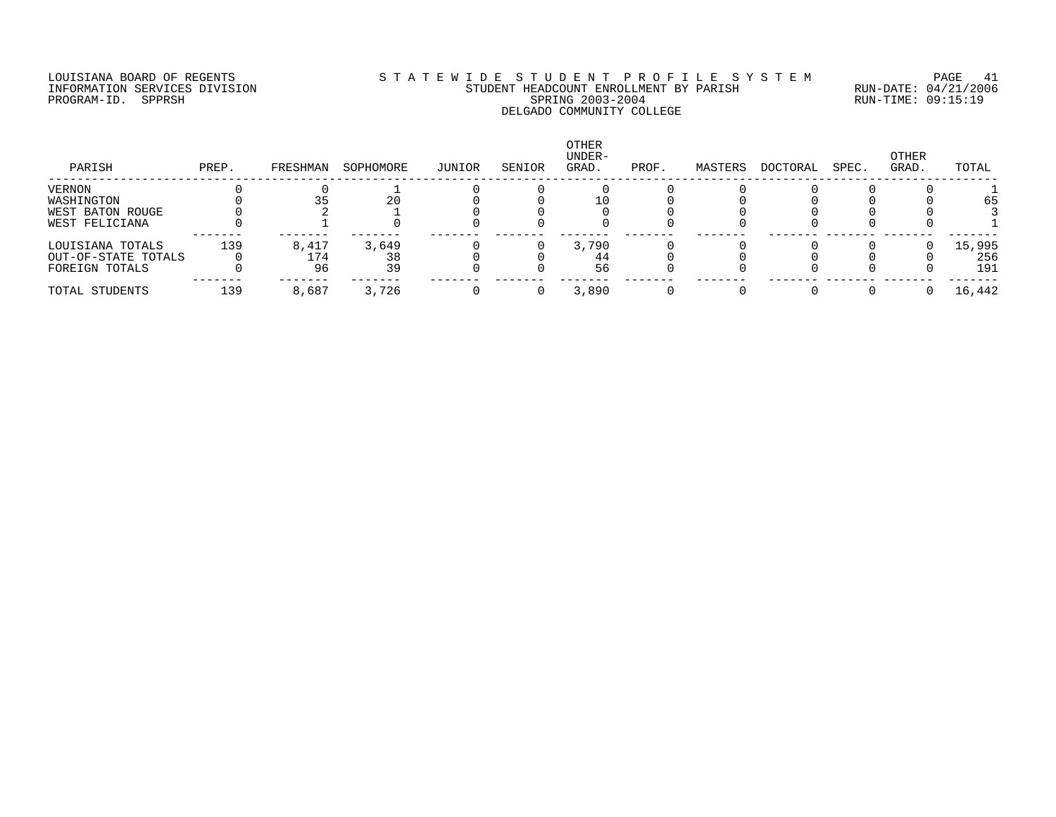### LOUISIANA BOARD OF REGENTS S T A T E W I D E S T U D E N T P R O F I L E S Y S T E M PAGE 41 INFORMATION SERVICES DIVISION STUDENT HEADCOUNT ENROLLMENT BY PARISH RUN-DATE: 04/21/2006 PROGRAM-ID. SPPRSH SPRING 2003-2004 RUN-TIME: 09:15:19 DELGADO COMMUNITY COLLEGE

| PARISH              | PREP. | FRESHMAN | SOPHOMORE | JUNIOR | SENIOR | OTHER<br>UNDER-<br>GRAD. | PROF. | MASTERS | DOCTORAL | SPEC. | OTHER<br>GRAD. | TOTAL  |
|---------------------|-------|----------|-----------|--------|--------|--------------------------|-------|---------|----------|-------|----------------|--------|
| VERNON              |       |          |           |        |        |                          |       |         |          |       |                |        |
| WASHINGTON          |       |          | 20        |        |        |                          |       |         |          |       |                | 65     |
| WEST BATON ROUGE    |       |          |           |        |        |                          |       |         |          |       |                |        |
| WEST FELICIANA      |       |          |           |        |        |                          |       |         |          |       |                |        |
| LOUISIANA TOTALS    | 139   | 8,417    | 3,649     |        |        | 3,790                    |       |         |          |       |                | 15,995 |
| OUT-OF-STATE TOTALS |       | ⊥74      | 38        |        |        | 44                       |       |         |          |       |                | 256    |
| FOREIGN TOTALS      |       | 96       | 39        |        |        | 56                       |       |         |          |       |                | 191    |
| TOTAL STUDENTS      | 139   | 8,687    | 3,726     |        |        | 3,890                    |       |         |          |       |                | 16,442 |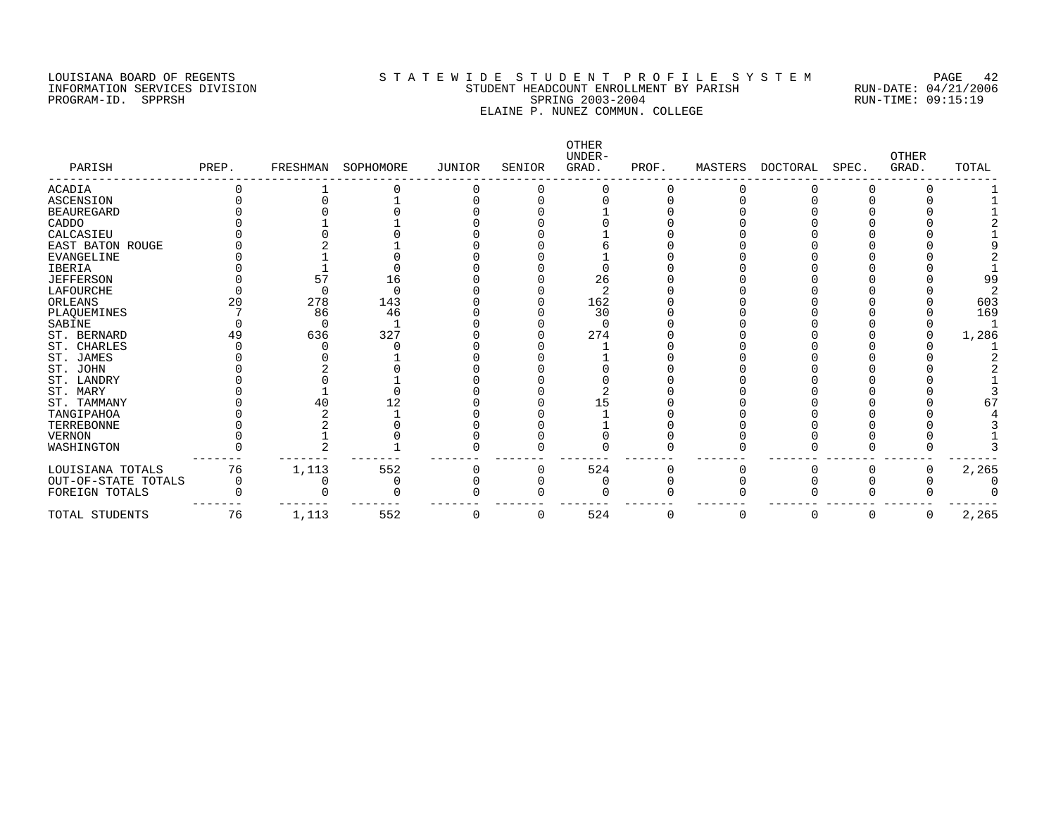### LOUISIANA BOARD OF REGENTS S T A T E W I D E S T U D E N T P R O F I L E S Y S T E M PAGE 42 INFORMATION SERVICES DIVISION STUDENT HEADCOUNT ENROLLMENT BY PARISH RUN-DATE: 04/21/2006 PROGRAM-ID. SPPRSH SPRING 2003-2004 RUN-TIME: 09:15:19 ELAINE P. NUNEZ COMMUN. COLLEGE

| PARISH              | PREP. | FRESHMAN | SOPHOMORE | <b>JUNIOR</b> | SENIOR   | OTHER<br>UNDER-<br>GRAD. | PROF.    | MASTERS  | DOCTORAL | SPEC.    | <b>OTHER</b><br>GRAD. | TOTAL |
|---------------------|-------|----------|-----------|---------------|----------|--------------------------|----------|----------|----------|----------|-----------------------|-------|
| <b>ACADIA</b>       |       |          |           |               |          |                          |          |          |          |          |                       |       |
| ASCENSION           |       |          |           |               |          |                          |          |          |          |          |                       |       |
| <b>BEAUREGARD</b>   |       |          |           |               |          |                          |          |          |          |          |                       |       |
| CADDO               |       |          |           |               |          |                          |          |          |          |          |                       |       |
| CALCASIEU           |       |          |           |               |          |                          |          |          |          |          |                       |       |
| EAST BATON ROUGE    |       |          |           |               |          |                          |          |          |          |          |                       |       |
| <b>EVANGELINE</b>   |       |          |           |               |          |                          |          |          |          |          |                       |       |
| <b>IBERIA</b>       |       |          |           |               |          |                          |          |          |          |          |                       |       |
| <b>JEFFERSON</b>    |       | 57       | 16        |               |          | 26                       |          |          |          |          |                       | 99    |
| LAFOURCHE           |       |          |           |               |          |                          |          |          |          |          |                       |       |
| ORLEANS             | 20    | 278      | 143       |               |          | 162                      |          |          |          |          |                       | 603   |
| PLAQUEMINES         |       | 86       | 46        |               |          | 30                       |          |          |          |          |                       | 169   |
| SABINE              |       |          |           |               |          |                          |          |          |          |          |                       |       |
| ST. BERNARD         | 49    | 636      | 327       |               |          | 274                      |          |          |          |          |                       | 1,286 |
| ST. CHARLES         |       |          |           |               |          |                          |          |          |          |          |                       |       |
| ST. JAMES           |       |          |           |               |          |                          |          |          |          |          |                       |       |
| ST. JOHN            |       |          |           |               |          |                          |          |          |          |          |                       |       |
| ST. LANDRY          |       |          |           |               |          |                          |          |          |          |          |                       |       |
| ST. MARY            |       |          |           |               |          |                          |          |          |          |          |                       |       |
| ST. TAMMANY         |       |          |           |               |          |                          |          |          |          |          |                       |       |
| TANGIPAHOA          |       |          |           |               |          |                          |          |          |          |          |                       |       |
| TERREBONNE          |       |          |           |               |          |                          |          |          |          |          |                       |       |
| <b>VERNON</b>       |       |          |           |               |          |                          |          |          |          |          |                       |       |
| WASHINGTON          |       |          |           |               |          |                          |          |          |          |          |                       |       |
| LOUISIANA TOTALS    | 76    | 1,113    | 552       |               |          | 524                      |          |          |          |          |                       | 2,265 |
| OUT-OF-STATE TOTALS | 0     |          |           |               |          |                          |          |          |          |          |                       |       |
| FOREIGN TOTALS      |       |          |           |               |          |                          |          |          |          |          |                       |       |
| TOTAL STUDENTS      | 76    | 1,113    | 552       |               | $\Omega$ | 524                      | $\Omega$ | $\Omega$ | $\Omega$ | $\Omega$ | $\Omega$              | 2,265 |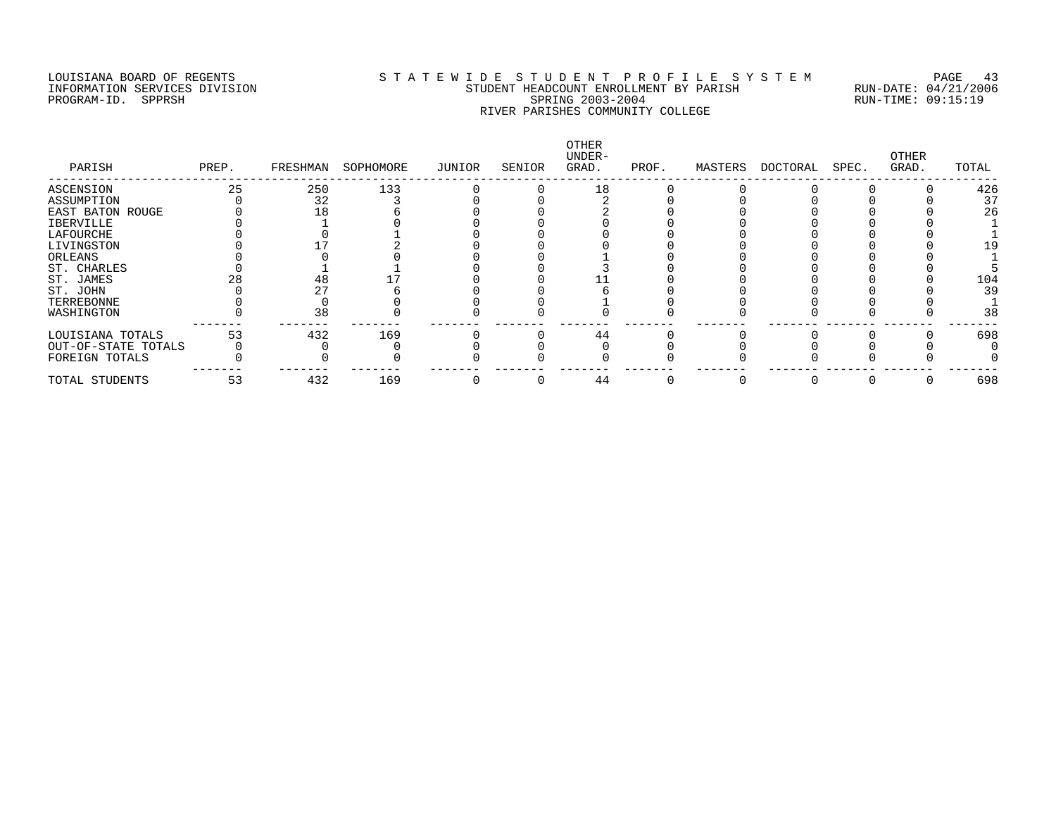## LOUISIANA BOARD OF REGENTS S T A T E W I D E S T U D E N T P R O F I L E S Y S T E M PAGE 43 INFORMATION SERVICES DIVISION STUDENT HEADCOUNT ENROLLMENT BY PARISH RUN-DATE: 04/21/2006 PROGRAM-ID. SPPRSH SPRING 2003-2004 RUN-TIME: 09:15:19 RIVER PARISHES COMMUNITY COLLEGE

| PARISH              | PREP. | FRESHMAN | SOPHOMORE | JUNIOR | SENIOR | <b>OTHER</b><br>UNDER-<br>GRAD. | PROF. | MASTERS | DOCTORAL | SPEC. | OTHER<br>GRAD. | TOTAL |
|---------------------|-------|----------|-----------|--------|--------|---------------------------------|-------|---------|----------|-------|----------------|-------|
| ASCENSION           | 25    | 250      | 133       |        |        | 18                              |       |         |          |       |                | 426   |
| ASSUMPTION          |       | 32       |           |        |        |                                 |       |         |          |       |                | 37    |
| EAST BATON ROUGE    |       |          |           |        |        |                                 |       |         |          |       |                | 26    |
| <b>IBERVILLE</b>    |       |          |           |        |        |                                 |       |         |          |       |                |       |
| LAFOURCHE           |       |          |           |        |        |                                 |       |         |          |       |                |       |
| LIVINGSTON          |       |          |           |        |        |                                 |       |         |          |       |                |       |
| ORLEANS             |       |          |           |        |        |                                 |       |         |          |       |                |       |
| ST. CHARLES         |       |          |           |        |        |                                 |       |         |          |       |                |       |
| ST. JAMES           |       | 48       |           |        |        |                                 |       |         |          |       |                | 104   |
| ST. JOHN            |       |          |           |        |        |                                 |       |         |          |       |                | 39    |
| TERREBONNE          |       |          |           |        |        |                                 |       |         |          |       |                |       |
| WASHINGTON          |       | 38       |           |        |        |                                 |       |         |          |       |                | 38    |
| LOUISIANA TOTALS    | 53    | 432      | 169       |        |        | 44                              |       |         |          |       |                | 698   |
| OUT-OF-STATE TOTALS |       |          |           |        |        |                                 |       |         |          |       |                |       |
| FOREIGN TOTALS      |       |          |           |        |        |                                 |       |         |          |       |                |       |
| TOTAL STUDENTS      | 53    | 432      | 169       |        |        | 44                              |       |         |          |       |                | 698   |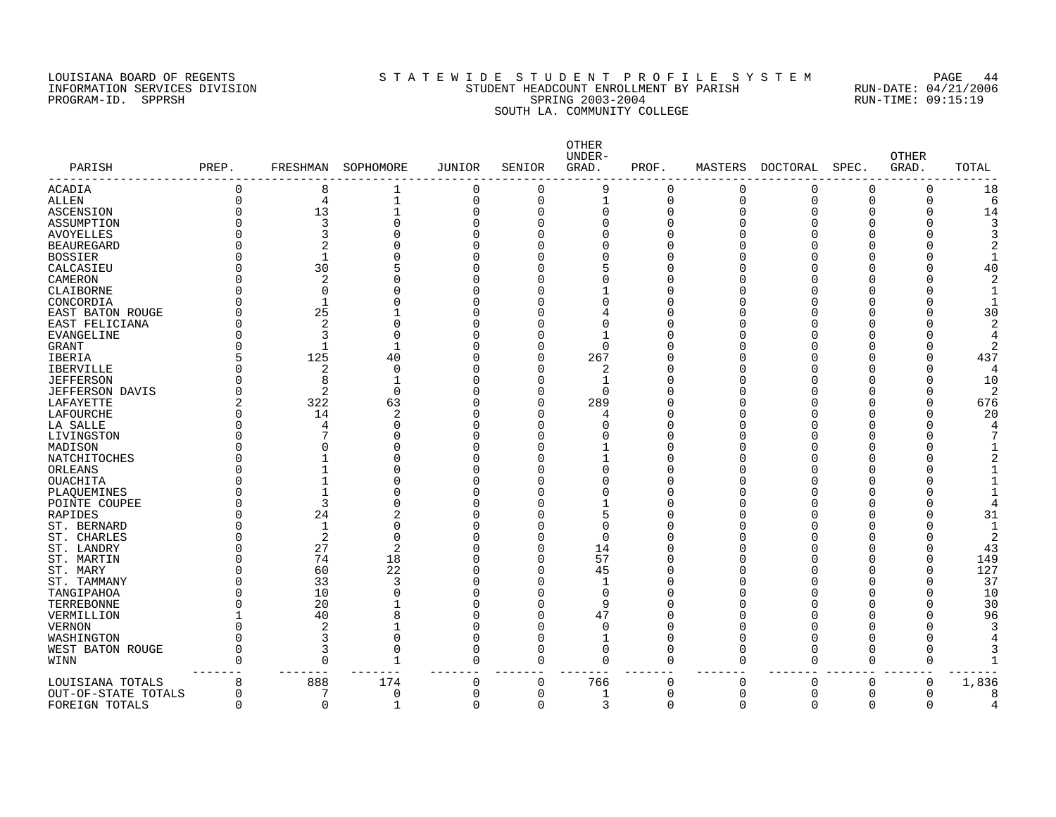### LOUISIANA BOARD OF REGENTS S T A T E W I D E S T U D E N T P R O F I L E S Y S T E M PAGE 44 INFORMATION SERVICES DIVISION STUDENT HEADCOUNT ENROLLMENT BY PARISH RUN-DATE: 04/21/2006 PROGRAM-ID. SPPRSH SPRING 2003-2004 RUN-TIME: 09:15:19 SOUTH LA. COMMUNITY COLLEGE

| PARISH              | PREP.    | FRESHMAN       | SOPHOMORE      | <b>JUNIOR</b>  | SENIOR   | OTHER<br>UNDER-<br>GRAD. | PROF.    | MASTERS  | DOCTORAL | SPEC.    | <b>OTHER</b><br>GRAD. | TOTAL |
|---------------------|----------|----------------|----------------|----------------|----------|--------------------------|----------|----------|----------|----------|-----------------------|-------|
| ACADIA              | 0        | 8              | 1              | 0              | 0        | 9                        | 0        | 0        | 0        | $\Omega$ | 0                     | 18    |
| ALLEN               | $\Omega$ | 4              | $\mathbf{1}$   | $\overline{0}$ | $\Omega$ | $\mathbf{1}$             | $\Omega$ | $\Omega$ | $\Omega$ | $\Omega$ | $\Omega$              | 6     |
| ASCENSION           | O        | 13             |                | $\Omega$       | 0        | $\Omega$                 | 0        | $\cap$   | O        |          | O                     | 14    |
| ASSUMPTION          |          | 3              | 0              | $\Omega$       | U        |                          | C        |          |          |          |                       |       |
| AVOYELLES           |          |                | O              | $\Omega$       |          |                          | C        |          |          |          |                       |       |
| <b>BEAUREGARD</b>   |          |                | N              | $\Omega$       |          |                          | O        |          |          | ∩        |                       |       |
| <b>BOSSIER</b>      |          | $\mathbf{1}$   |                | $\Omega$       |          |                          | 0        |          |          |          |                       |       |
| CALCASIEU           | U        | 30             | 5              | $\Omega$       |          |                          | O        |          |          | n        |                       | 40    |
| CAMERON             | O        | 2              | ი              | 0              |          |                          | O        |          |          |          |                       |       |
| CLAIBORNE           |          | $\Omega$       | N              | 0              |          |                          | C        |          |          |          |                       |       |
| CONCORDIA           | O        | $\mathbf{1}$   | O              | $\Omega$       |          |                          | 0        |          |          |          |                       |       |
| EAST BATON ROUGE    | O        | 25             |                | $\Omega$       |          |                          | C        |          |          |          |                       | 30    |
| EAST FELICIANA      |          | 2              | O              | $\Omega$       |          |                          | Λ        |          |          |          |                       |       |
| EVANGELINE          | U        | 3              | $\Omega$       | 0              |          |                          | C        |          |          |          |                       |       |
| <b>GRANT</b>        | U        | $\mathbf{1}$   | 1              | $\Omega$       |          |                          | C        |          |          |          |                       |       |
| IBERIA              | 5        | 125            | 40             | $\Omega$       | $\Omega$ | 267                      | C        |          |          | ∩        |                       | 437   |
| <b>IBERVILLE</b>    | U        | 2              | $\Omega$       | $\Omega$       | U        | 2                        | C        |          |          |          |                       | 4     |
| <b>JEFFERSON</b>    | O        | 8              |                | $\Omega$       | U        |                          | O        |          |          |          |                       | 10    |
| JEFFERSON DAVIS     | 0        | 2              | $\Omega$       | $\Omega$       | U        |                          | 0        |          |          | n        |                       | 2     |
| LAFAYETTE           | 2        | 322            | 63             | $\Omega$       | 0        | 289                      | C        |          |          |          | 0                     | 676   |
| LAFOURCHE           | O        | 14             | 2              | $\Omega$       | U        |                          | 0        |          |          |          |                       | 20    |
| LA SALLE            | U        | 4              | 0              | $\Omega$       |          |                          | 0        |          |          |          |                       |       |
| LIVINGSTON          | O        |                | U              | $\Omega$       |          |                          | C        |          |          | ∩        |                       |       |
| MADISON             | O        |                |                | $\Omega$       |          |                          | O        |          |          |          |                       |       |
|                     | O        |                | U              | $\Omega$       |          |                          | C        |          |          |          |                       |       |
| NATCHITOCHES        | O        |                | O              | $\Omega$       |          |                          | 0        |          |          |          |                       |       |
| ORLEANS             |          |                |                |                |          |                          |          |          |          |          |                       |       |
| <b>OUACHITA</b>     |          |                | O              | $\Omega$       |          |                          | C        |          |          |          |                       |       |
| PLAQUEMINES         |          | $\mathbf{1}$   | O              | $\Omega$       |          |                          | C        |          |          |          |                       |       |
| POINTE COUPEE       | Λ        | 3              | U              | $\Omega$       |          |                          | C        |          |          | ∩        |                       |       |
| RAPIDES             |          | 24             | 2              | $\Omega$       |          |                          | C        |          |          |          |                       | 31    |
| ST. BERNARD         | O        | -1             | O              | $\Omega$       |          |                          | C        |          |          |          |                       |       |
| ST. CHARLES         | O        | 2              | 0              | $\Omega$       | C        | $\Omega$                 | C        |          |          |          |                       | 2     |
| ST. LANDRY          | O        | 27             | $\overline{2}$ | $\Omega$       | U        | 14                       | O        |          |          |          |                       | 43    |
| ST. MARTIN          | O        | 74             | 18             | $\Omega$       | U        | 57                       | 0        |          |          | n        |                       | 149   |
| ST. MARY            | O        | 60             | 22             | $\Omega$       | O        | 45                       | 0        |          |          |          |                       | 127   |
| ST. TAMMANY         | U        | 33             | 3              | $\Omega$       | U        |                          | 0        |          |          | ∩        |                       | 37    |
| TANGIPAHOA          |          | 10             | 0              | $\Omega$       |          | $\Omega$                 | 0        |          |          |          |                       | 10    |
| TERREBONNE          | U        | 20             |                | $\Omega$       |          | 9                        | 0        |          |          | $\Omega$ |                       | 30    |
| VERMILLION          |          | 40             | 8              | $\Omega$       | 0        | 47                       | 0        |          |          |          |                       | 96    |
| <b>VERNON</b>       | O        | $\overline{2}$ |                | $\Omega$       | O        | $\Omega$                 | 0        |          |          | O        |                       |       |
| WASHINGTON          | 0        | 3              | 0              | $\mathbf 0$    | 0        | $\mathbf{1}$             | $\Omega$ |          | O        | O        |                       |       |
| WEST BATON ROUGE    | O        | 3              | $\Omega$       | $\mathbf 0$    | $\Omega$ | $\Omega$                 | $\Omega$ | ∩        | O        | U        | ∩                     |       |
| WINN                | $\Omega$ | $\Omega$       | $\mathbf 1$    | $\mathbf 0$    | $\Omega$ | $\Omega$                 | $\Omega$ | $\Omega$ | $\Omega$ | $\Omega$ | $\Omega$              |       |
| LOUISIANA TOTALS    | 8        | 888            | 174            | 0              | $\Omega$ | 766                      | 0        | $\Omega$ | $\Omega$ | $\Omega$ | 0                     | 1,836 |
| OUT-OF-STATE TOTALS | 0        | 7              | 0              | 0              | O        |                          | 0        | $\Omega$ | O        | $\Omega$ | O                     |       |
| FOREIGN TOTALS      | 0        | 0              | 1              | $\mathbf 0$    | 0        | 3                        | 0        | $\Omega$ | 0        | 0        | $\Omega$              |       |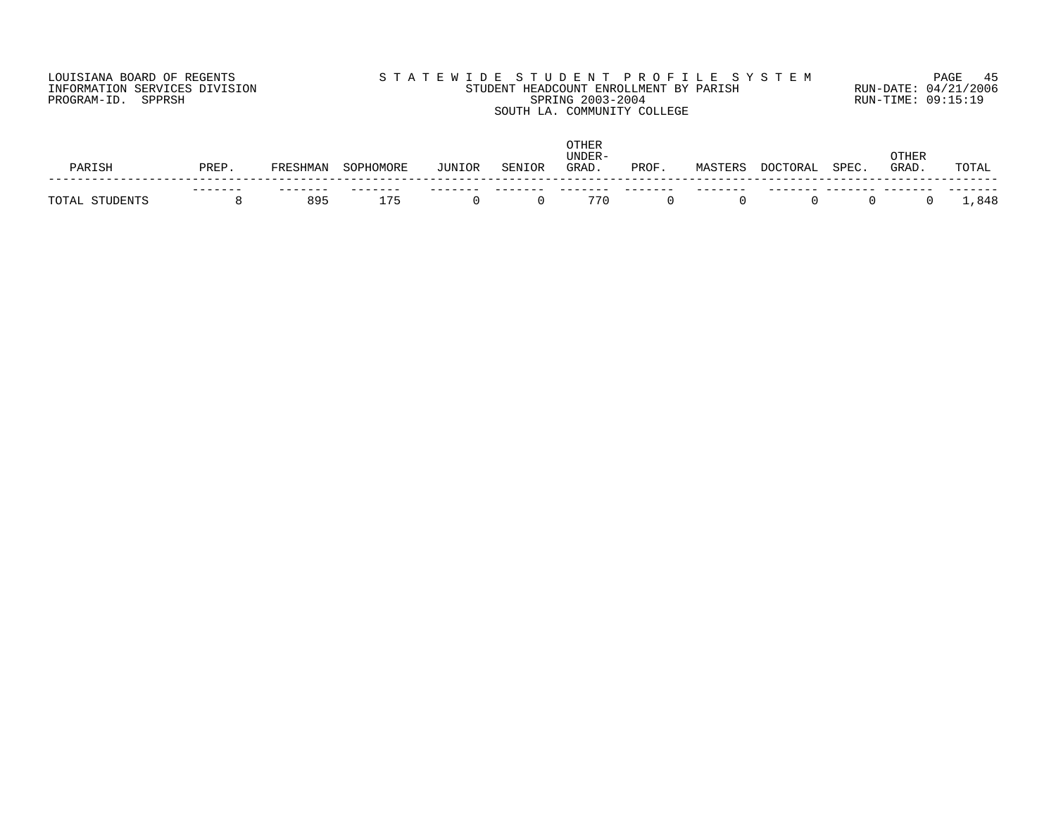## LOUISIANA BOARD OF REGENTS S T A T E W I D E S T U D E N T P R O F I L E S Y S T E M PAGE 45 INFORMATION SERVICES DIVISION STUDENT HEADCOUNT ENROLLMENT BY PARISH RUN-DATE: 04/21/2006 PROGRAM-ID. SPPRSH SPRING 2003-2004 RUN-TIME: 09:15:19 SOUTH LA. COMMUNITY COLLEGE

| TCL<br>D∆D | PREP | FRESHMAN | SOPHOMORE | JUNIOR | SENIOR | <b>OTHER</b><br>UNDER-<br>GRAD | PROF | MASTERS | DOCTORAL | SPEC. | <b>)THER</b><br>GRAD. | TOTAL |
|------------|------|----------|-----------|--------|--------|--------------------------------|------|---------|----------|-------|-----------------------|-------|
| JDENTS     |      | 895      | ___<br>75 |        |        | 770                            |      | ___     |          |       |                       | ,848  |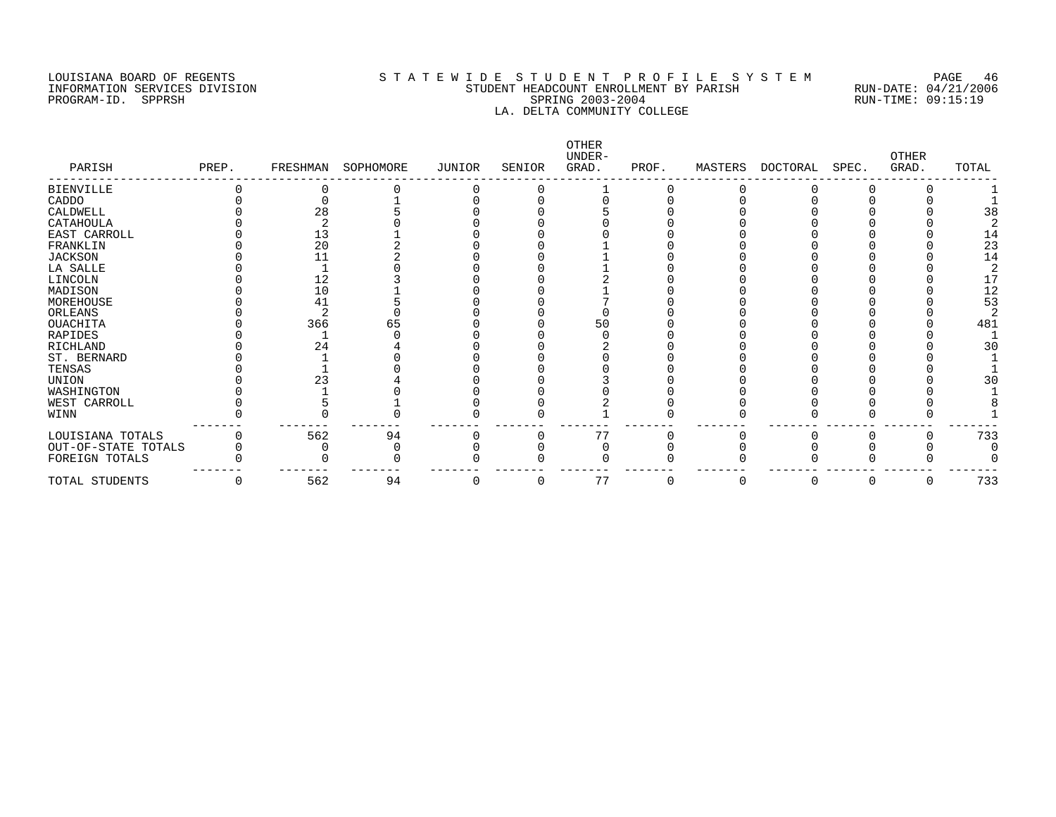### LOUISIANA BOARD OF REGENTS S T A T E W I D E S T U D E N T P R O F I L E S Y S T E M PAGE 46 INFORMATION SERVICES DIVISION STUDENT HEADCOUNT ENROLLMENT BY PARISH RUN-DATE: 04/21/2006 PROGRAM-ID. SPPRSH SPRING 2003-2004 RUN-TIME: 09:15:19 LA. DELTA COMMUNITY COLLEGE

| PARISH              | PREP. | FRESHMAN | SOPHOMORE | JUNIOR | SENIOR | OTHER<br>UNDER-<br>GRAD. | PROF. | MASTERS | DOCTORAL | SPEC. | <b>OTHER</b><br>GRAD. | TOTAL |
|---------------------|-------|----------|-----------|--------|--------|--------------------------|-------|---------|----------|-------|-----------------------|-------|
| <b>BIENVILLE</b>    |       |          |           |        |        |                          |       |         |          |       |                       |       |
| CADDO               |       |          |           |        |        |                          |       |         |          |       |                       |       |
| CALDWELL            |       | 28       |           |        |        |                          |       |         |          |       |                       | 38    |
| CATAHOULA           |       |          |           |        |        |                          |       |         |          |       |                       |       |
| EAST CARROLL        |       | 13       |           |        |        |                          |       |         |          |       |                       |       |
| FRANKLIN            |       | 20       |           |        |        |                          |       |         |          |       |                       | 23    |
| <b>JACKSON</b>      |       |          |           |        |        |                          |       |         |          |       |                       | 14    |
| LA SALLE            |       |          |           |        |        |                          |       |         |          |       |                       |       |
| LINCOLN             |       | 12       |           |        |        |                          |       |         |          |       |                       | 17    |
| MADISON             |       | 10       |           |        |        |                          |       |         |          |       |                       | 12    |
| MOREHOUSE           |       | 41       |           |        |        |                          |       |         |          |       |                       | 53    |
| ORLEANS             |       |          |           |        |        |                          |       |         |          |       |                       |       |
| OUACHITA            |       | 366      |           |        |        | 50                       |       |         |          |       |                       | 481   |
| RAPIDES             |       |          |           |        |        |                          |       |         |          |       |                       |       |
| RICHLAND            |       | 24       |           |        |        |                          |       |         |          |       |                       |       |
| ST. BERNARD         |       |          |           |        |        |                          |       |         |          |       |                       |       |
| TENSAS              |       |          |           |        |        |                          |       |         |          |       |                       |       |
| UNION               |       |          |           |        |        |                          |       |         |          |       |                       | 3 C   |
| WASHINGTON          |       |          |           |        |        |                          |       |         |          |       |                       |       |
| WEST CARROLL        |       |          |           |        |        |                          |       |         |          |       |                       |       |
| WINN                |       |          |           |        |        |                          |       |         |          |       |                       |       |
| LOUISIANA TOTALS    |       | 562      | 94        |        |        | 77                       |       |         |          |       |                       | 733   |
| OUT-OF-STATE TOTALS |       |          |           |        |        |                          |       |         |          |       |                       |       |
| FOREIGN TOTALS      |       |          |           |        |        |                          |       |         |          |       |                       |       |
| TOTAL STUDENTS      | 0     | 562      | 94        |        | C      | 77                       |       | 0       |          |       | 0                     | 733   |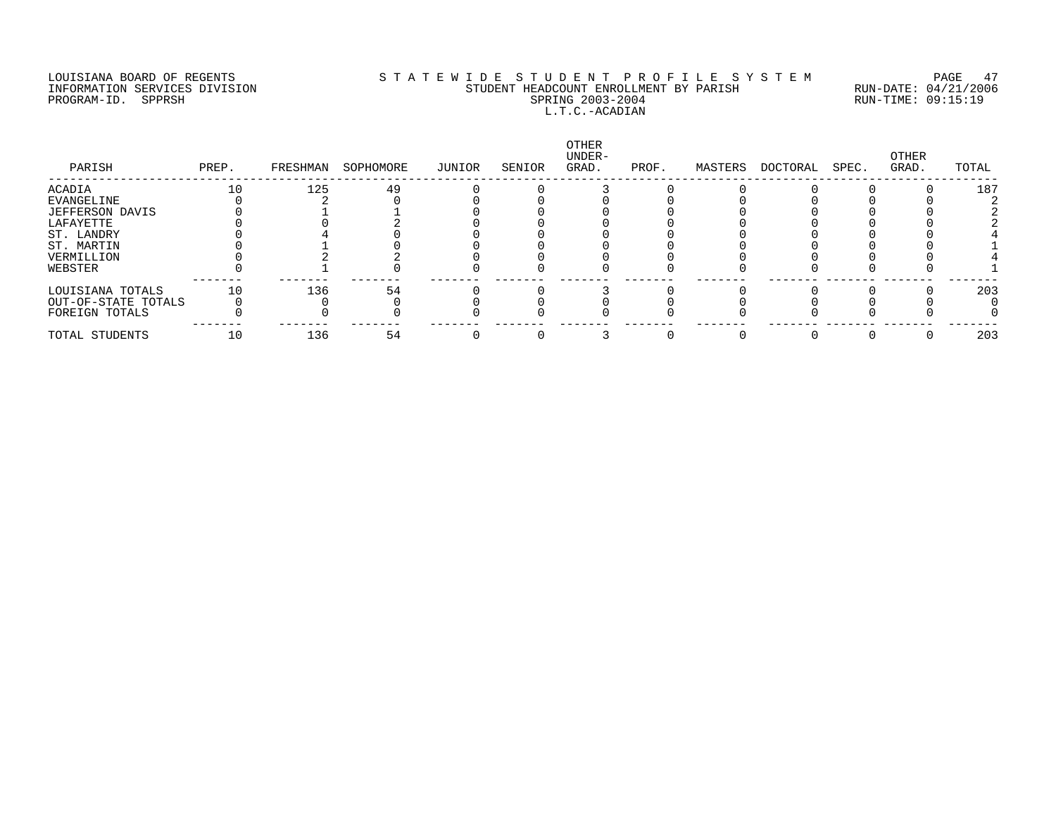### LOUISIANA BOARD OF REGENTS S T A T E W I D E S T U D E N T P R O F I L E S Y S T E M PAGE 47 INFORMATION SERVICES DIVISION STUDENT HEADCOUNT ENROLLMENT BY PARISH RUN-DATE: 04/21/2006 PROGRAM-ID. SPPRSH SPRING 2003-2004 RUN-TIME: 09:15:19 L.T.C.-ACADIAN

| PARISH              | PREP. | FRESHMAN | SOPHOMORE | JUNIOR | SENIOR | OTHER<br>UNDER-<br>GRAD. | PROF. | MASTERS | DOCTORAL | SPEC. | OTHER<br>GRAD. | TOTAL |
|---------------------|-------|----------|-----------|--------|--------|--------------------------|-------|---------|----------|-------|----------------|-------|
| ACADIA              | 10    | 125      | 49        |        |        |                          |       |         |          |       |                | 187   |
| EVANGELINE          |       |          |           |        |        |                          |       |         |          |       |                |       |
| JEFFERSON DAVIS     |       |          |           |        |        |                          |       |         |          |       |                |       |
| LAFAYETTE           |       |          |           |        |        |                          |       |         |          |       |                |       |
| ST. LANDRY          |       |          |           |        |        |                          |       |         |          |       |                |       |
| ST. MARTIN          |       |          |           |        |        |                          |       |         |          |       |                |       |
| VERMILLION          |       |          |           |        |        |                          |       |         |          |       |                |       |
| WEBSTER             |       |          |           |        |        |                          |       |         |          |       |                |       |
| LOUISIANA TOTALS    | 10    | 136      | 54        |        |        |                          |       |         |          |       |                | 203   |
| OUT-OF-STATE TOTALS |       |          |           |        |        |                          |       |         |          |       |                |       |
| FOREIGN TOTALS      |       |          |           |        |        |                          |       |         |          |       |                |       |
| TOTAL STUDENTS      | 10    | 136      | 54        |        |        |                          |       |         |          |       |                | 203   |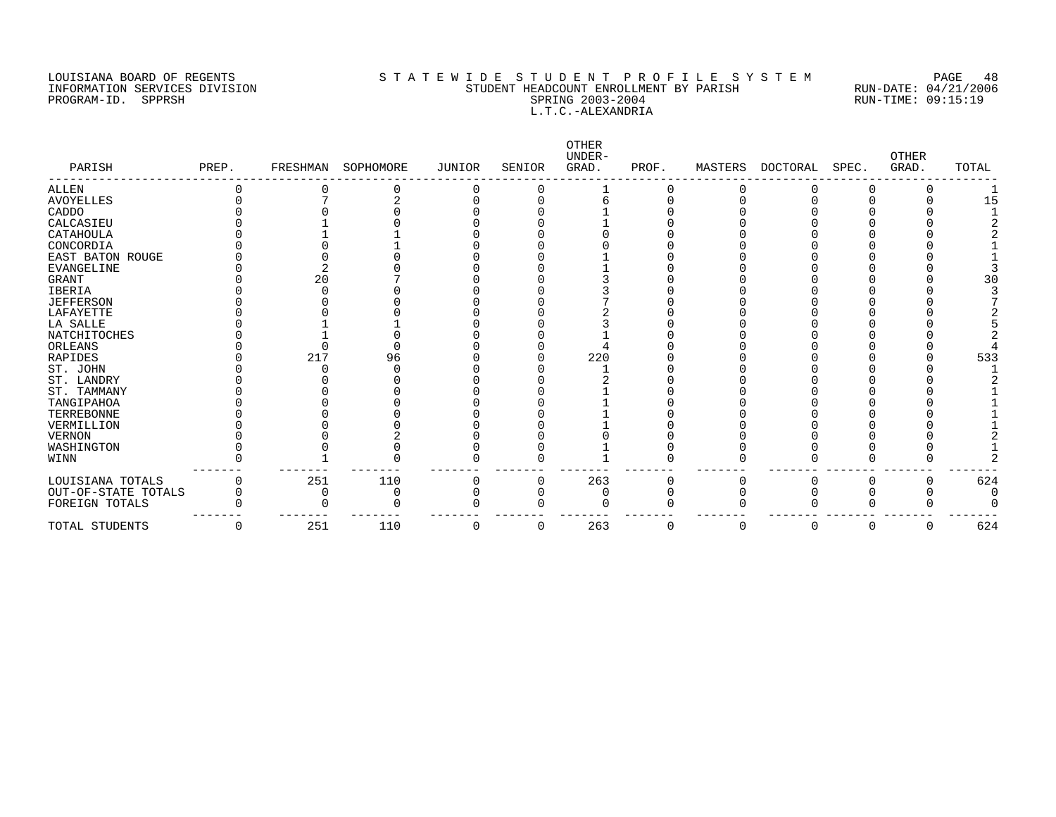PROGRAM-ID. SPPRSH

# LOUISIANA BOARD OF REGENTS SOURCOMER'S STATEWIDE STUDENT PROFILE SYSTEM PAGE 48<br>STUDENT HEADCOUNT ENROLLMENT BY PARISH RUN-DATE: 04/21/2006 ETUDENT HEADCOUNT ENROLLMENT BY PARISH RUN-DATE: 04/21/2006<br>SPRING 2003-2004 RUN-TIME: 09:15:19 L.T.C.-ALEXANDRIA

| PARISH              | PREP. | FRESHMAN | SOPHOMORE | JUNIOR | SENIOR | OTHER<br>UNDER-<br>GRAD. | PROF. | MASTERS | DOCTORAL | SPEC. | OTHER<br>GRAD. | TOTAL |
|---------------------|-------|----------|-----------|--------|--------|--------------------------|-------|---------|----------|-------|----------------|-------|
| <b>ALLEN</b>        |       |          |           |        |        |                          |       |         |          |       |                |       |
| <b>AVOYELLES</b>    |       |          |           |        |        |                          |       |         |          |       |                | 15    |
| CADDO               |       |          |           |        |        |                          |       |         |          |       |                |       |
| CALCASIEU           |       |          |           |        |        |                          |       |         |          |       |                |       |
| CATAHOULA           |       |          |           |        |        |                          |       |         |          |       |                |       |
| CONCORDIA           |       |          |           |        |        |                          |       |         |          |       |                |       |
| EAST BATON ROUGE    |       |          |           |        |        |                          |       |         |          |       |                |       |
| <b>EVANGELINE</b>   |       |          |           |        |        |                          |       |         |          |       |                |       |
| <b>GRANT</b>        |       | 20       |           |        |        |                          |       |         |          |       |                | 3 C   |
| <b>IBERIA</b>       |       |          |           |        |        |                          |       |         |          |       |                |       |
| <b>JEFFERSON</b>    |       |          |           |        |        |                          |       |         |          |       |                |       |
| LAFAYETTE           |       |          |           |        |        |                          |       |         |          |       |                |       |
| LA SALLE            |       |          |           |        |        |                          |       |         |          |       |                |       |
| NATCHITOCHES        |       |          |           |        |        |                          |       |         |          |       |                |       |
| ORLEANS             |       |          |           |        |        |                          |       |         |          |       |                |       |
| RAPIDES             |       | 217      | 96        |        |        | 220                      |       |         |          |       |                | 533   |
| ST. JOHN            |       |          |           |        |        |                          |       |         |          |       |                |       |
| ST. LANDRY          |       |          |           |        |        |                          |       |         |          |       |                |       |
| ST. TAMMANY         |       |          |           |        |        |                          |       |         |          |       |                |       |
| TANGIPAHOA          |       |          |           |        |        |                          |       |         |          |       |                |       |
| TERREBONNE          |       |          |           |        |        |                          |       |         |          |       |                |       |
| VERMILLION          |       |          |           |        |        |                          |       |         |          |       |                |       |
| <b>VERNON</b>       |       |          |           |        |        |                          |       |         |          |       |                |       |
| WASHINGTON          |       |          |           |        |        |                          |       |         |          |       |                |       |
| WINN                |       |          |           |        |        |                          |       |         |          |       |                |       |
| LOUISIANA TOTALS    |       | 251      | 110       |        |        | 263                      |       |         |          |       |                | 624   |
| OUT-OF-STATE TOTALS |       |          | N         |        |        |                          |       |         |          |       |                |       |
| FOREIGN TOTALS      |       |          |           |        |        |                          |       |         |          |       |                |       |
| TOTAL STUDENTS      | 0     | 251      | 110       | 0      | 0      | 263                      | 0     | 0       | 0        | 0     | 0              | 624   |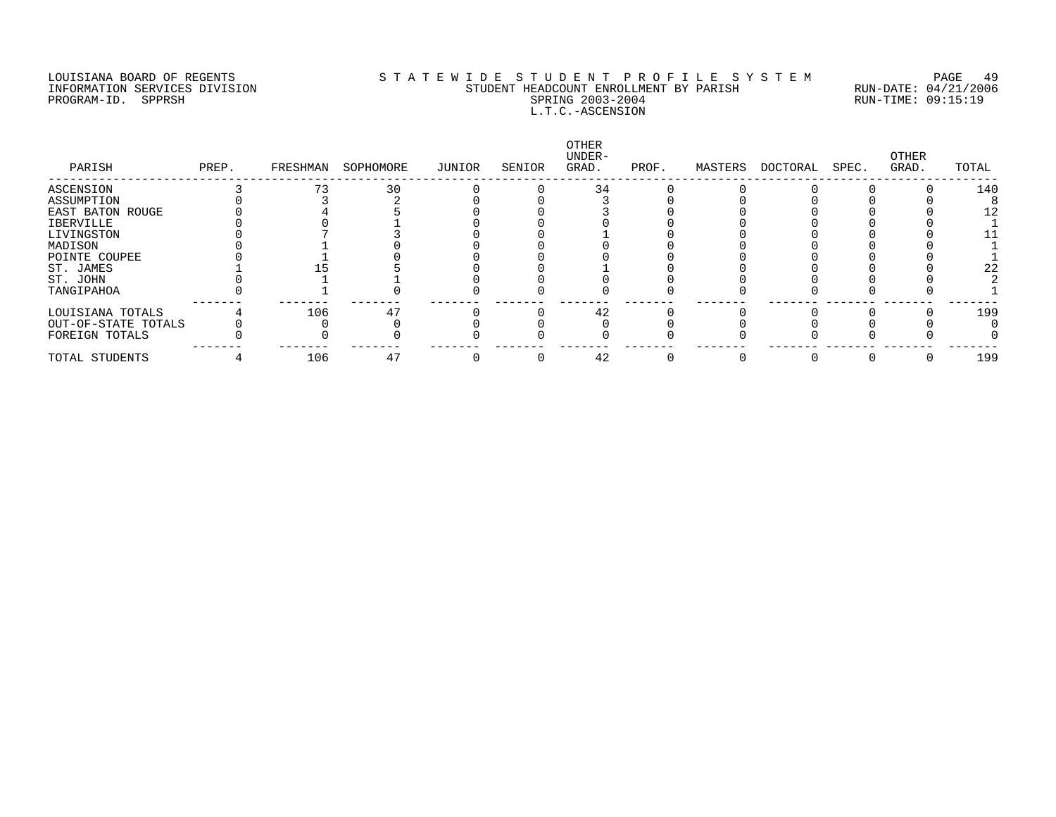### LOUISIANA BOARD OF REGENTS S T A T E W I D E S T U D E N T P R O F I L E S Y S T E M PAGE 49 INFORMATION SERVICES DIVISION STUDENT HEADCOUNT ENROLLMENT BY PARISH RUN-DATE: 04/21/2006 PROGRAM-ID. SPPRSH SPRING 2003-2004 RUN-TIME: 09:15:19 L.T.C.-ASCENSION

| PARISH              | PREP. | FRESHMAN | SOPHOMORE | JUNIOR | SENIOR | OTHER<br>UNDER-<br>GRAD. | PROF. | MASTERS | DOCTORAL | SPEC. | OTHER<br>GRAD. | TOTAL |
|---------------------|-------|----------|-----------|--------|--------|--------------------------|-------|---------|----------|-------|----------------|-------|
| ASCENSION           |       |          | 30        |        |        | 34                       |       |         |          |       |                | 140   |
| ASSUMPTION          |       |          |           |        |        |                          |       |         |          |       |                |       |
| EAST BATON ROUGE    |       |          |           |        |        |                          |       |         |          |       |                |       |
| IBERVILLE           |       |          |           |        |        |                          |       |         |          |       |                |       |
| LIVINGSTON          |       |          |           |        |        |                          |       |         |          |       |                |       |
| MADISON             |       |          |           |        |        |                          |       |         |          |       |                |       |
| POINTE COUPEE       |       |          |           |        |        |                          |       |         |          |       |                |       |
| ST. JAMES           |       |          |           |        |        |                          |       |         |          |       |                | 22    |
| ST. JOHN            |       |          |           |        |        |                          |       |         |          |       |                |       |
| TANGIPAHOA          |       |          |           |        |        |                          |       |         |          |       |                |       |
| LOUISIANA TOTALS    |       | 106      | 47        |        |        | 42                       |       |         |          |       |                | 199   |
| OUT-OF-STATE TOTALS |       |          |           |        |        |                          |       |         |          |       |                |       |
| FOREIGN TOTALS      |       |          |           |        |        |                          |       |         |          |       |                |       |
| TOTAL STUDENTS      |       | 106      | 47        |        |        | 42                       |       |         |          |       |                | 199   |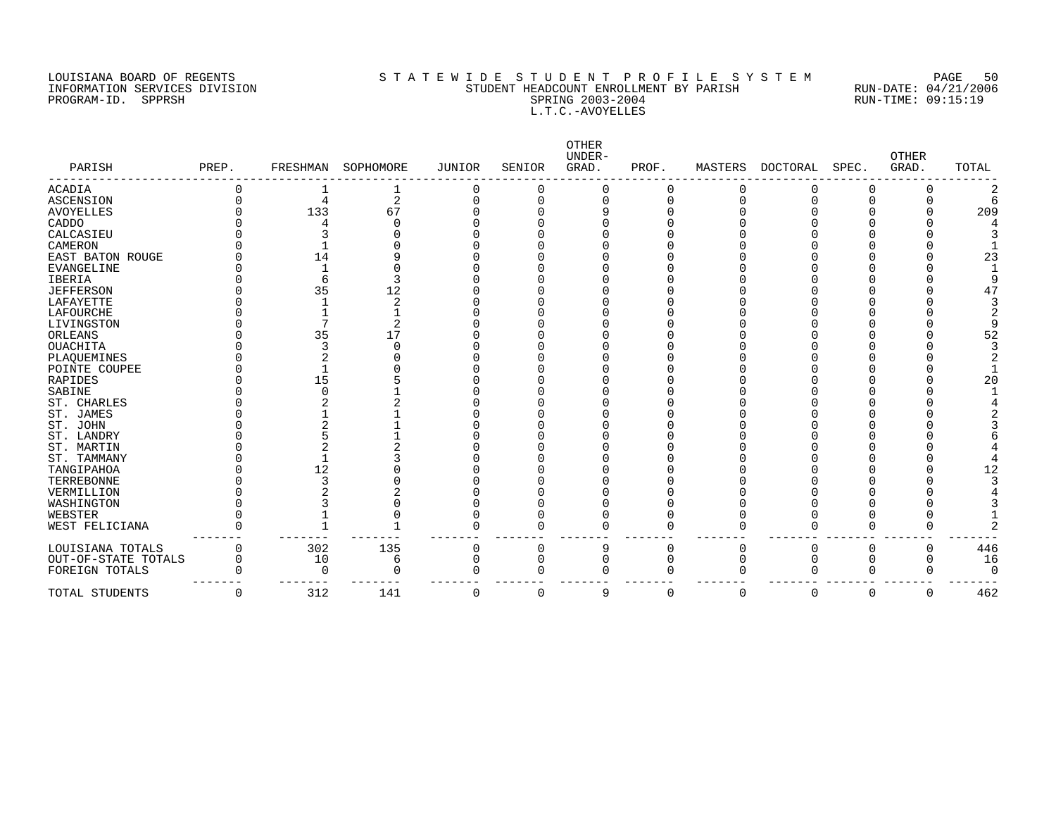### LOUISIANA BOARD OF REGENTS S T A T E W I D E S T U D E N T P R O F I L E S Y S T E M PAGE 50 INFORMATION SERVICES DIVISION STUDENT HEADCOUNT ENROLLMENT BY PARISH RUN-DATE: 04/21/2006 PROGRAM-ID. SPPRSH SPRING 2003-2004 RUN-TIME: 09:15:19 L.T.C.-AVOYELLES

| PARISH              | PREP.    | FRESHMAN | SOPHOMORE | <b>JUNIOR</b> | SENIOR   | OTHER<br>UNDER-<br>GRAD. | PROF.    | MASTERS | <b>DOCTORAL</b> | SPEC.        | <b>OTHER</b><br>GRAD. | TOTAL    |
|---------------------|----------|----------|-----------|---------------|----------|--------------------------|----------|---------|-----------------|--------------|-----------------------|----------|
|                     |          |          |           |               |          |                          |          |         |                 |              |                       |          |
| ACADIA              |          |          |           | 0             |          |                          |          | 0       |                 | 0            |                       |          |
| <b>ASCENSION</b>    |          |          | 2         |               |          | ∩                        |          |         |                 | $\Omega$     |                       |          |
| <b>AVOYELLES</b>    |          | 133      | 67        |               |          |                          |          |         |                 |              |                       | 209      |
| CADDO               |          |          |           |               |          |                          |          |         |                 |              |                       |          |
| CALCASIEU           |          |          |           |               |          |                          |          |         |                 |              |                       |          |
| CAMERON             |          |          |           |               |          |                          |          |         |                 |              |                       |          |
| EAST BATON ROUGE    |          | 14       |           |               |          |                          |          |         |                 |              |                       | 23       |
| <b>EVANGELINE</b>   |          |          |           |               |          |                          |          |         |                 |              |                       |          |
| IBERIA              |          |          |           |               |          |                          |          |         |                 |              |                       |          |
| <b>JEFFERSON</b>    |          | 35       | 12        |               |          |                          |          |         |                 |              |                       | 47       |
| LAFAYETTE           |          |          |           |               |          |                          |          |         |                 |              |                       |          |
| LAFOURCHE           |          |          |           |               |          |                          |          |         |                 |              |                       |          |
| LIVINGSTON          |          |          |           |               |          |                          |          |         |                 |              |                       |          |
| ORLEANS             |          | 35       | 17        |               |          |                          |          |         |                 |              |                       | 52       |
| OUACHITA            |          |          |           |               |          |                          |          |         |                 |              |                       |          |
| PLAQUEMINES         |          |          |           |               |          |                          |          |         |                 |              |                       |          |
| POINTE COUPEE       |          |          |           |               |          |                          |          |         |                 |              |                       |          |
| RAPIDES             |          | 15       |           |               |          |                          |          |         |                 |              |                       | 20       |
| SABINE              |          |          |           |               |          |                          |          |         |                 |              |                       |          |
| ST. CHARLES         |          |          |           |               |          |                          |          |         |                 |              |                       |          |
| ST. JAMES           |          |          |           |               |          |                          |          |         |                 |              |                       |          |
| ST. JOHN            |          |          |           |               |          |                          |          |         |                 |              |                       |          |
| ST. LANDRY          |          |          |           |               |          |                          |          |         |                 |              |                       |          |
| ST. MARTIN          |          |          |           |               |          |                          |          |         |                 |              |                       |          |
| ST. TAMMANY         |          |          |           |               |          |                          |          |         |                 |              |                       |          |
| TANGIPAHOA          |          | 12       |           |               |          |                          |          |         |                 |              |                       | 12       |
| TERREBONNE          |          |          |           |               |          |                          |          |         |                 |              |                       |          |
| VERMILLION          |          |          |           |               |          |                          |          |         |                 |              |                       |          |
| WASHINGTON          |          |          |           |               |          |                          |          |         |                 |              |                       |          |
| WEBSTER             |          |          |           |               |          |                          |          |         |                 |              |                       |          |
| WEST FELICIANA      |          |          |           |               |          |                          |          |         |                 |              |                       |          |
|                     |          |          |           |               |          |                          |          |         |                 |              |                       |          |
| LOUISIANA TOTALS    |          | 302      | 135       | 0             |          | q                        |          | 0       | $\Omega$        | 0            | 0                     | 446      |
| OUT-OF-STATE TOTALS | $\Omega$ | 10       | 6         |               |          | O                        |          | O       |                 |              | O                     | 16       |
| FOREIGN TOTALS      |          | ∩        |           |               |          |                          |          |         |                 | <sup>0</sup> |                       | $\Omega$ |
| TOTAL STUDENTS      | 0        | 312      | 141       | 0             | $\Omega$ | q                        | $\Omega$ | 0       | $\mathbf 0$     | $\mathbf 0$  | $\mathbf 0$           | 462      |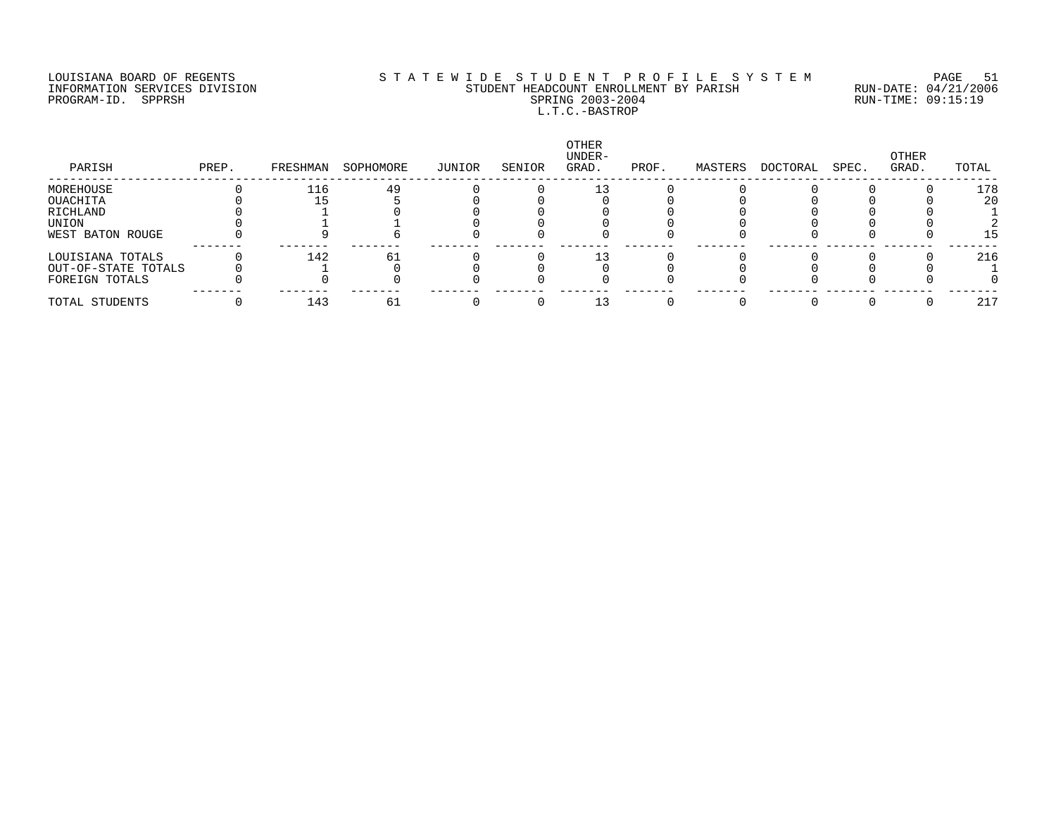### LOUISIANA BOARD OF REGENTS S T A T E W I D E S T U D E N T P R O F I L E S Y S T E M PAGE 51 INFORMATION SERVICES DIVISION STUDENT HEADCOUNT ENROLLMENT BY PARISH RUN-DATE: 04/21/2006 PROGRAM-ID. SPPRSH SPRING 2003-2004 RUN-TIME: 09:15:19 L.T.C.-BASTROP

| PARISH              | PREP. | FRESHMAN | SOPHOMORE | JUNIOR | SENIOR | <b>OTHER</b><br>UNDER-<br>GRAD. | PROF. | MASTERS | DOCTORAL | SPEC. | OTHER<br>GRAD. | TOTAL |
|---------------------|-------|----------|-----------|--------|--------|---------------------------------|-------|---------|----------|-------|----------------|-------|
| MOREHOUSE           |       | 116      | 49        |        |        |                                 |       |         |          |       |                | 178   |
| OUACHITA            |       |          |           |        |        |                                 |       |         |          |       |                | 20    |
| RICHLAND            |       |          |           |        |        |                                 |       |         |          |       |                |       |
| UNION               |       |          |           |        |        |                                 |       |         |          |       |                |       |
| WEST BATON ROUGE    |       |          |           |        |        |                                 |       |         |          |       |                | 15    |
| LOUISIANA TOTALS    |       | 142      | 61        |        |        |                                 |       |         |          |       |                | 216   |
| OUT-OF-STATE TOTALS |       |          |           |        |        |                                 |       |         |          |       |                |       |
| FOREIGN TOTALS      |       |          |           |        |        |                                 |       |         |          |       |                |       |
| TOTAL STUDENTS      |       | 143      | 6⊥        |        |        |                                 |       |         |          |       |                | 217   |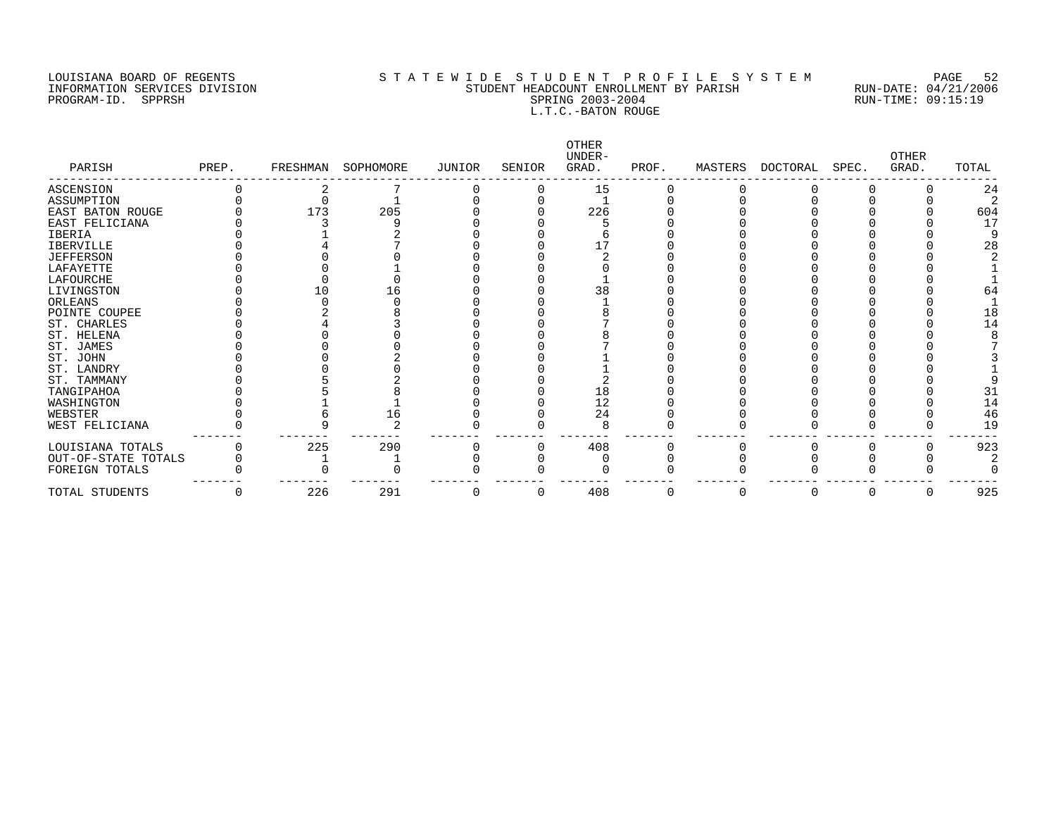### LOUISIANA BOARD OF REGENTS S T A T E W I D E S T U D E N T P R O F I L E S Y S T E M PAGE 52 INFORMATION SERVICES DIVISION STUDENT HEADCOUNT ENROLLMENT BY PARISH RUN-DATE: 04/21/2006 PROGRAM-ID. SPPRSH SPRING 2003-2004 RUN-TIME: 09:15:19 L.T.C.-BATON ROUGE

| PARISH              | PREP. | FRESHMAN | SOPHOMORE | JUNIOR | SENIOR | OTHER<br>UNDER-<br>GRAD. | PROF. | MASTERS | DOCTORAL | SPEC. | <b>OTHER</b><br>GRAD. | TOTAL |
|---------------------|-------|----------|-----------|--------|--------|--------------------------|-------|---------|----------|-------|-----------------------|-------|
| ASCENSION           |       |          |           |        |        | 15                       |       |         |          |       |                       | 24    |
| ASSUMPTION          |       |          |           |        |        |                          |       |         |          |       |                       |       |
| EAST BATON ROUGE    |       | 173      | 205       |        |        | 226                      |       |         |          |       |                       | 604   |
| EAST FELICIANA      |       |          |           |        |        |                          |       |         |          |       |                       | 17    |
| <b>IBERIA</b>       |       |          |           |        |        |                          |       |         |          |       |                       |       |
| <b>IBERVILLE</b>    |       |          |           |        |        |                          |       |         |          |       |                       | 28    |
| <b>JEFFERSON</b>    |       |          |           |        |        |                          |       |         |          |       |                       |       |
| LAFAYETTE           |       |          |           |        |        |                          |       |         |          |       |                       |       |
| LAFOURCHE           |       |          |           |        |        |                          |       |         |          |       |                       |       |
| LIVINGSTON          |       | ΙO       |           |        |        | 38                       |       |         |          |       |                       |       |
| ORLEANS             |       |          |           |        |        |                          |       |         |          |       |                       |       |
| POINTE COUPEE       |       |          |           |        |        |                          |       |         |          |       |                       |       |
| ST. CHARLES         |       |          |           |        |        |                          |       |         |          |       |                       | 14    |
| ST. HELENA          |       |          |           |        |        |                          |       |         |          |       |                       |       |
| ST. JAMES           |       |          |           |        |        |                          |       |         |          |       |                       |       |
| ST. JOHN            |       |          |           |        |        |                          |       |         |          |       |                       |       |
| ST. LANDRY          |       |          |           |        |        |                          |       |         |          |       |                       |       |
| ST. TAMMANY         |       |          |           |        |        |                          |       |         |          |       |                       |       |
| TANGIPAHOA          |       |          |           |        |        | 18                       |       |         |          |       |                       | 31    |
| WASHINGTON          |       |          |           |        |        | 12                       |       |         |          |       |                       | 14    |
| WEBSTER             |       |          | 16        |        |        | 24                       |       |         |          |       |                       | 46    |
| WEST FELICIANA      |       |          |           |        |        |                          |       |         |          |       |                       | 19    |
| LOUISIANA TOTALS    |       | 225      | 290       |        |        | 408                      |       |         |          |       |                       | 923   |
| OUT-OF-STATE TOTALS |       |          |           |        |        |                          |       |         |          |       |                       |       |
| FOREIGN TOTALS      |       |          |           |        |        |                          |       |         |          |       |                       |       |
| TOTAL STUDENTS      | 0     | 226      | 291       | U      | O      | 408                      | 0     | 0       | $\Omega$ |       | 0                     | 925   |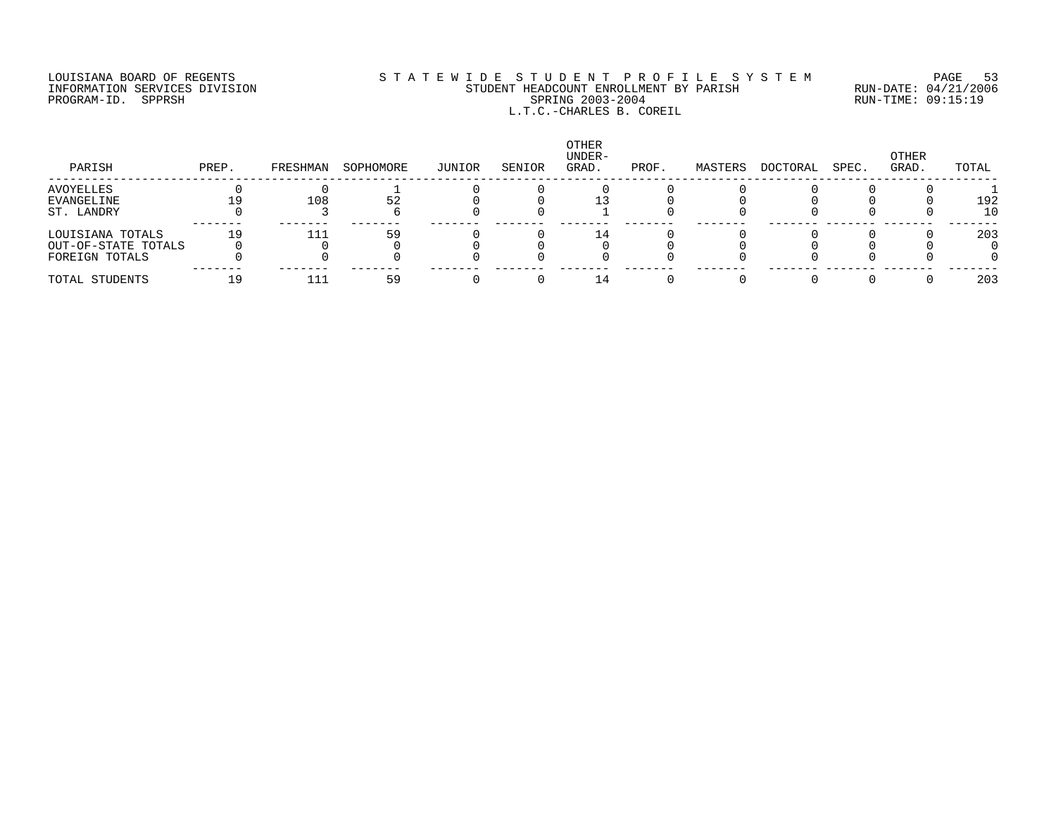## LOUISIANA BOARD OF REGENTS S T A T E W I D E S T U D E N T P R O F I L E S Y S T E M PAGE 53 INFORMATION SERVICES DIVISION STUDENT HEADCOUNT ENROLLMENT BY PARISH RUN-DATE: 04/21/2006 PROGRAM-ID. SPPRSH SPRING 2003-2004 RUN-TIME: 09:15:19 L.T.C.-CHARLES B. COREIL

| PARISH              | PREP. | FRESHMAN                              | SOPHOMORE | JUNIOR | SENIOR | <b>OTHER</b><br>UNDER-<br>GRAD. | PROF. | MASTERS | DOCTORAL | SPEC. | OTHER<br>GRAD. | TOTAL |
|---------------------|-------|---------------------------------------|-----------|--------|--------|---------------------------------|-------|---------|----------|-------|----------------|-------|
| AVOYELLES           |       |                                       |           |        |        |                                 |       |         |          |       |                |       |
| EVANGELINE          |       | 108                                   | 52        |        |        |                                 |       |         |          |       |                | 192   |
| ST. LANDRY          |       |                                       |           |        |        |                                 |       |         |          |       |                | 1 C   |
| LOUISIANA TOTALS    | 1 Q   | 111                                   | 59        |        |        |                                 |       |         |          |       |                | 203   |
| OUT-OF-STATE TOTALS |       |                                       |           |        |        |                                 |       |         |          |       |                |       |
| FOREIGN TOTALS      |       |                                       |           |        |        |                                 |       |         |          |       |                |       |
| TOTAL STUDENTS      |       | $\begin{array}{c} \hline \end{array}$ |           |        |        |                                 |       |         |          |       |                | 203   |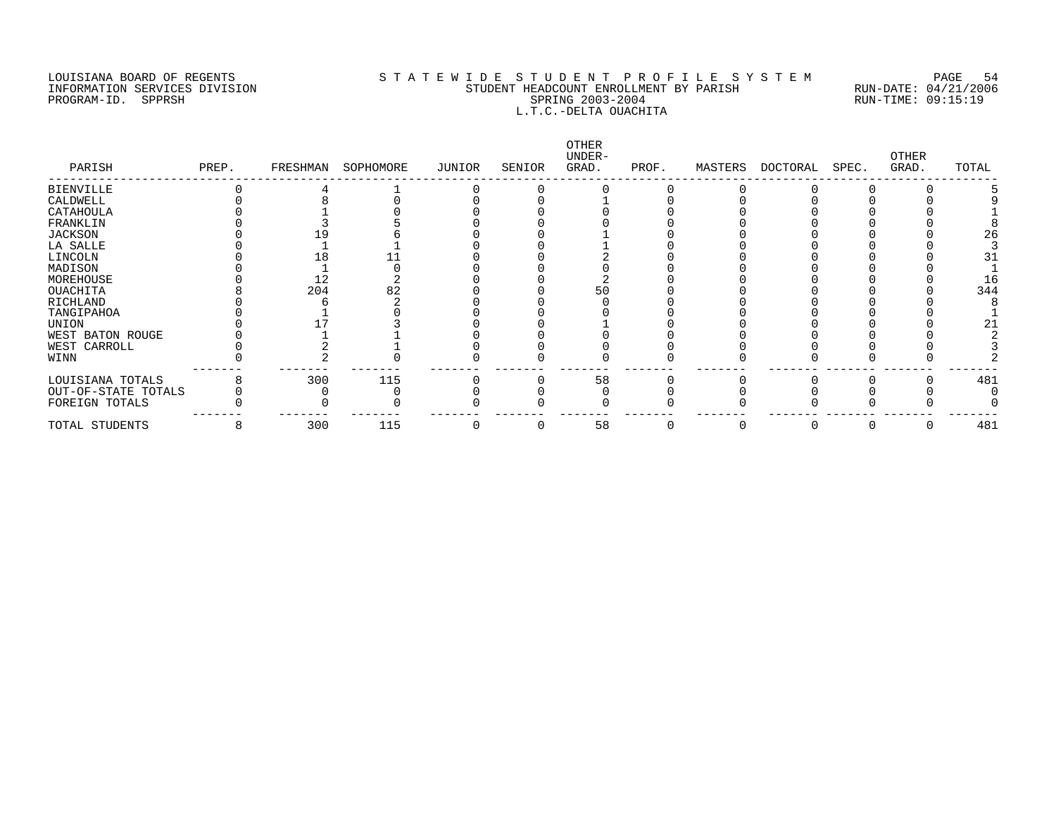### LOUISIANA BOARD OF REGENTS S T A T E W I D E S T U D E N T P R O F I L E S Y S T E M PAGE 54 INFORMATION SERVICES DIVISION STUDENT HEADCOUNT ENROLLMENT BY PARISH RUN-DATE: 04/21/2006 PROGRAM-ID. SPPRSH SPRING 2003-2004 RUN-TIME: 09:15:19 L.T.C.-DELTA OUACHITA

| PARISH              | PREP. | FRESHMAN | SOPHOMORE | JUNIOR | SENIOR | OTHER<br>UNDER-<br>GRAD. | PROF. | MASTERS | DOCTORAL | SPEC. | <b>OTHER</b><br>GRAD. | TOTAL |
|---------------------|-------|----------|-----------|--------|--------|--------------------------|-------|---------|----------|-------|-----------------------|-------|
| <b>BIENVILLE</b>    |       |          |           |        |        |                          |       |         |          |       |                       |       |
| CALDWELL            |       |          |           |        |        |                          |       |         |          |       |                       |       |
| CATAHOULA           |       |          |           |        |        |                          |       |         |          |       |                       |       |
| FRANKLIN            |       |          |           |        |        |                          |       |         |          |       |                       |       |
| JACKSON             |       |          |           |        |        |                          |       |         |          |       |                       | 26    |
| LA SALLE            |       |          |           |        |        |                          |       |         |          |       |                       |       |
| LINCOLN             |       |          |           |        |        |                          |       |         |          |       |                       | 31    |
| MADISON             |       |          |           |        |        |                          |       |         |          |       |                       |       |
| MOREHOUSE           |       | 12       |           |        |        |                          |       |         |          |       |                       | 16    |
| <b>OUACHITA</b>     |       | 204      | 82        |        |        | 50                       |       |         |          |       |                       | 344   |
| RICHLAND            |       |          |           |        |        |                          |       |         |          |       |                       |       |
| TANGIPAHOA          |       |          |           |        |        |                          |       |         |          |       |                       |       |
| UNION               |       |          |           |        |        |                          |       |         |          |       |                       |       |
| WEST BATON ROUGE    |       |          |           |        |        |                          |       |         |          |       |                       |       |
| WEST CARROLL        |       |          |           |        |        |                          |       |         |          |       |                       |       |
| WINN                |       |          |           |        |        |                          |       |         |          |       |                       |       |
| LOUISIANA TOTALS    |       | 300      | 115       |        |        | 58                       |       |         |          |       |                       | 481   |
| OUT-OF-STATE TOTALS |       |          |           |        |        |                          |       |         |          |       |                       |       |
| FOREIGN TOTALS      |       |          |           |        |        |                          |       |         |          |       |                       |       |
| TOTAL STUDENTS      | 8     | 300      | 115       |        |        | 58                       |       |         |          |       |                       | 481   |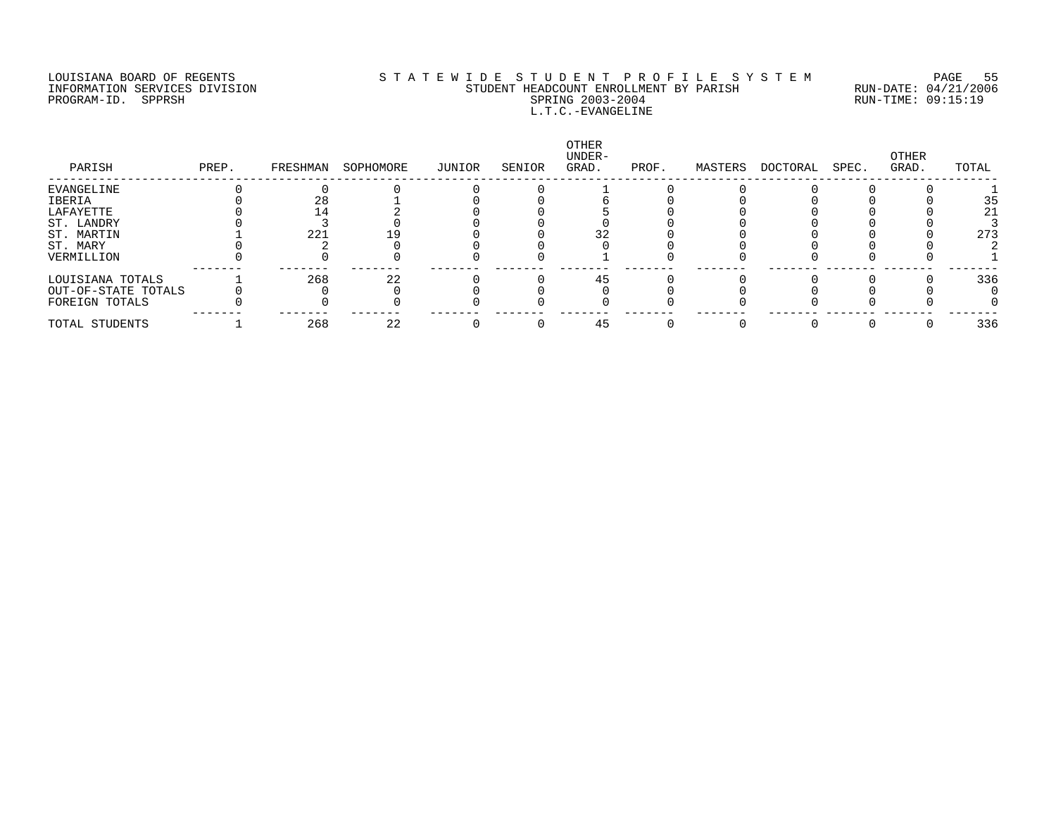### LOUISIANA BOARD OF REGENTS S T A T E W I D E S T U D E N T P R O F I L E S Y S T E M PAGE 55 INFORMATION SERVICES DIVISION STUDENT HEADCOUNT ENROLLMENT BY PARISH RUN-DATE: 04/21/2006 PROGRAM-ID. SPPRSH SPRING 2003-2004 RUN-TIME: 09:15:19 L.T.C.-EVANGELINE

| PARISH              | PREP. | FRESHMAN | SOPHOMORE | JUNIOR | SENIOR | OTHER<br>UNDER-<br>GRAD. | PROF. | MASTERS | DOCTORAL | SPEC. | OTHER<br>GRAD. | TOTAL |
|---------------------|-------|----------|-----------|--------|--------|--------------------------|-------|---------|----------|-------|----------------|-------|
| EVANGELINE          |       |          |           |        |        |                          |       |         |          |       |                |       |
| IBERIA              |       | 28       |           |        |        |                          |       |         |          |       |                | 35    |
| LAFAYETTE           |       |          |           |        |        |                          |       |         |          |       |                | 21    |
| ST. LANDRY          |       |          |           |        |        |                          |       |         |          |       |                |       |
| ST. MARTIN          |       | 221      |           |        |        |                          |       |         |          |       |                | 273   |
| ST. MARY            |       |          |           |        |        |                          |       |         |          |       |                |       |
| VERMILLION          |       |          |           |        |        |                          |       |         |          |       |                |       |
| LOUISIANA TOTALS    |       | 268      | 22        |        |        |                          |       |         |          |       |                | 336   |
| OUT-OF-STATE TOTALS |       |          |           |        |        |                          |       |         |          |       |                |       |
| FOREIGN TOTALS      |       |          |           |        |        |                          |       |         |          |       |                |       |
| TOTAL STUDENTS      |       | 268      | 22        |        |        |                          |       |         |          |       |                | 336   |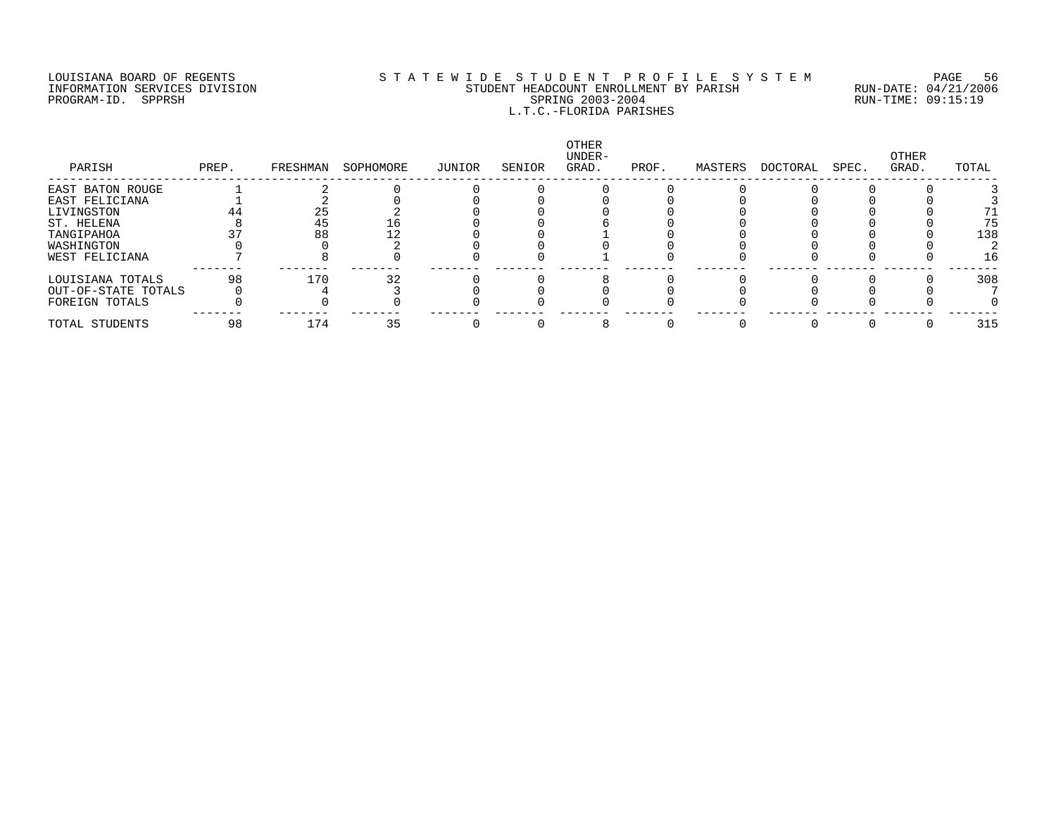### LOUISIANA BOARD OF REGENTS S T A T E W I D E S T U D E N T P R O F I L E S Y S T E M PAGE 56 INFORMATION SERVICES DIVISION STUDENT HEADCOUNT ENROLLMENT BY PARISH RUN-DATE: 04/21/2006 PROGRAM-ID. SPPRSH SPRING 2003-2004 RUN-TIME: 09:15:19 L.T.C.-FLORIDA PARISHES

| PARISH              | PREP. | FRESHMAN | SOPHOMORE | JUNIOR | SENIOR | OTHER<br>UNDER-<br>GRAD. | PROF. | MASTERS | DOCTORAL | SPEC. | OTHER<br>GRAD. | TOTAL |
|---------------------|-------|----------|-----------|--------|--------|--------------------------|-------|---------|----------|-------|----------------|-------|
| EAST BATON ROUGE    |       |          |           |        |        |                          |       |         |          |       |                |       |
| EAST FELICIANA      |       |          |           |        |        |                          |       |         |          |       |                |       |
| LIVINGSTON          | 44    | 25       |           |        |        |                          |       |         |          |       |                |       |
| ST. HELENA          |       | 45       |           |        |        |                          |       |         |          |       |                | 75    |
| TANGIPAHOA          |       | 88       |           |        |        |                          |       |         |          |       |                | 138   |
| WASHINGTON          |       |          |           |        |        |                          |       |         |          |       |                |       |
| WEST FELICIANA      |       |          |           |        |        |                          |       |         |          |       |                | 16    |
| LOUISIANA TOTALS    | 98    | 170      | 32        |        |        |                          |       |         |          |       |                | 308   |
| OUT-OF-STATE TOTALS |       |          |           |        |        |                          |       |         |          |       |                |       |
| FOREIGN TOTALS      |       |          |           |        |        |                          |       |         |          |       |                |       |
| TOTAL STUDENTS      | 98    | 174      | 35        |        |        |                          |       |         |          |       |                | 315   |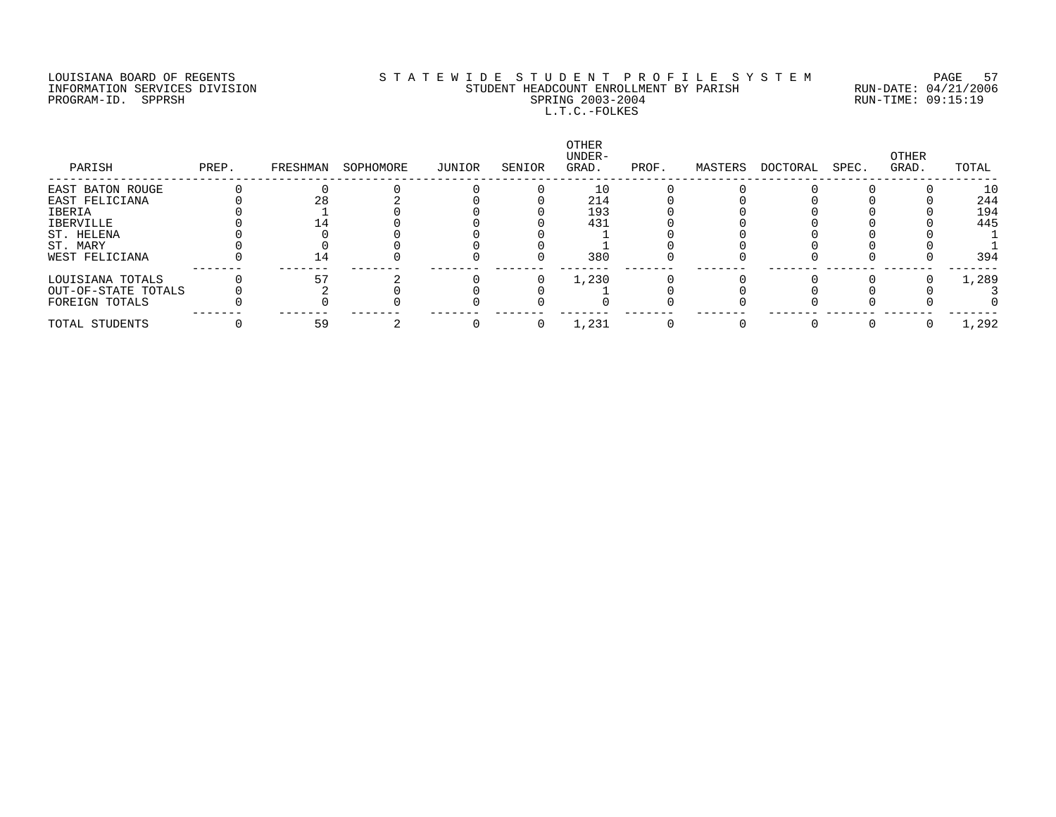### LOUISIANA BOARD OF REGENTS S T A T E W I D E S T U D E N T P R O F I L E S Y S T E M PAGE 57 INFORMATION SERVICES DIVISION STUDENT HEADCOUNT ENROLLMENT BY PARISH RUN-DATE: 04/21/2006 PROGRAM-ID. SPPRSH SPRING 2003-2004 RUN-TIME: 09:15:19 L.T.C.-FOLKES

| PARISH              | PREP. | FRESHMAN | SOPHOMORE | JUNIOR | SENIOR | OTHER<br>UNDER-<br>GRAD. | PROF. | MASTERS | DOCTORAL | SPEC. | OTHER<br>GRAD. | TOTAL |
|---------------------|-------|----------|-----------|--------|--------|--------------------------|-------|---------|----------|-------|----------------|-------|
| EAST BATON ROUGE    |       |          |           |        |        |                          |       |         |          |       |                | 10    |
| EAST FELICIANA      |       |          |           |        |        | 214                      |       |         |          |       |                | 244   |
| IBERIA              |       |          |           |        |        | 193                      |       |         |          |       |                | 194   |
| IBERVILLE           |       |          |           |        |        | 431                      |       |         |          |       |                | 445   |
| ST. HELENA          |       |          |           |        |        |                          |       |         |          |       |                |       |
| ST. MARY            |       |          |           |        |        |                          |       |         |          |       |                |       |
| WEST FELICIANA      |       | 14       |           |        |        | 380                      |       |         |          |       |                | 394   |
| LOUISIANA TOTALS    |       |          |           |        |        | 1,230                    |       |         |          |       |                | 1,289 |
| OUT-OF-STATE TOTALS |       |          |           |        |        |                          |       |         |          |       |                |       |
| FOREIGN TOTALS      |       |          |           |        |        |                          |       |         |          |       |                |       |
| TOTAL STUDENTS      |       | 59       |           |        |        | 1,231                    |       |         |          |       |                | 1,292 |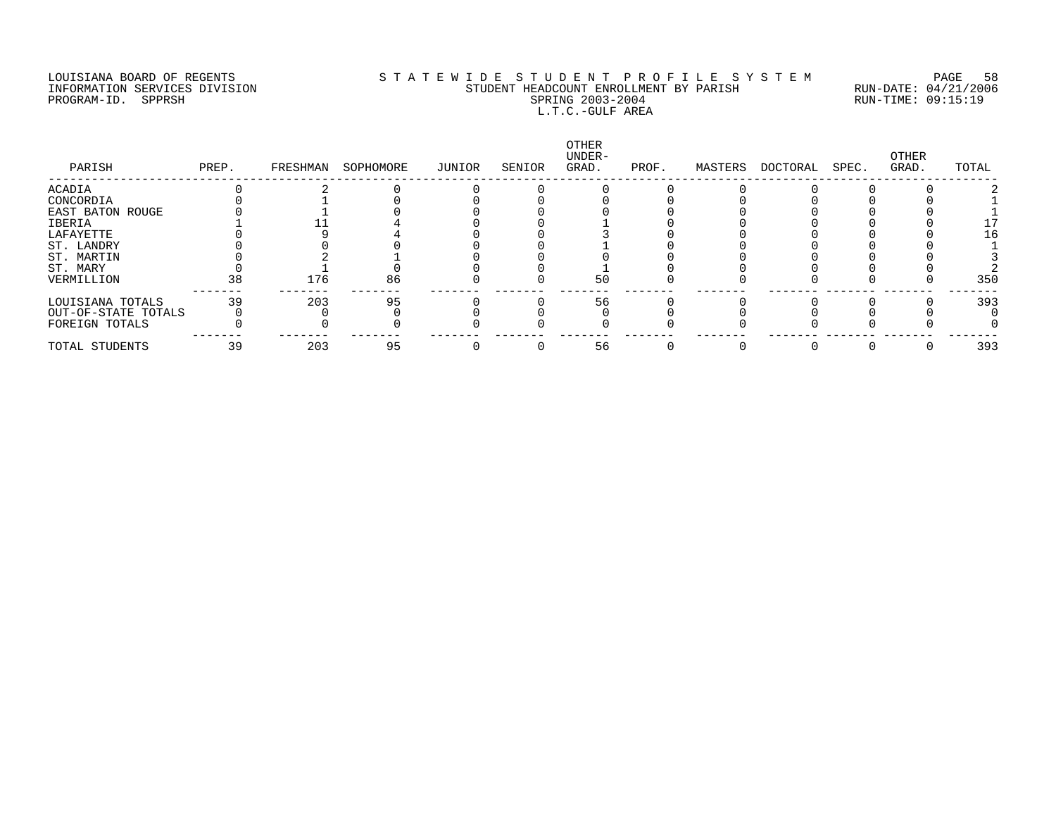### LOUISIANA BOARD OF REGENTS S T A T E W I D E S T U D E N T P R O F I L E S Y S T E M PAGE 58 INFORMATION SERVICES DIVISION STUDENT HEADCOUNT ENROLLMENT BY PARISH RUN-DATE: 04/21/2006 PROGRAM-ID. SPPRSH SPRING 2003-2004 RUN-TIME: 09:15:19 L.T.C.-GULF AREA

| PARISH              | PREP. | FRESHMAN | SOPHOMORE | JUNIOR | SENIOR | OTHER<br>UNDER-<br>GRAD. | PROF. | MASTERS | DOCTORAL | SPEC. | OTHER<br>GRAD. | TOTAL |
|---------------------|-------|----------|-----------|--------|--------|--------------------------|-------|---------|----------|-------|----------------|-------|
| <b>ACADIA</b>       |       |          |           |        |        |                          |       |         |          |       |                |       |
| CONCORDIA           |       |          |           |        |        |                          |       |         |          |       |                |       |
| EAST BATON ROUGE    |       |          |           |        |        |                          |       |         |          |       |                |       |
| IBERIA              |       |          |           |        |        |                          |       |         |          |       |                |       |
| LAFAYETTE           |       |          |           |        |        |                          |       |         |          |       |                | 16    |
| ST. LANDRY          |       |          |           |        |        |                          |       |         |          |       |                |       |
| ST. MARTIN          |       |          |           |        |        |                          |       |         |          |       |                |       |
| ST. MARY            |       |          |           |        |        |                          |       |         |          |       |                |       |
| VERMILLION          | 38    | 176      | 86        |        |        | 50                       |       |         |          |       |                | 35C   |
| LOUISIANA TOTALS    | 39    | 203      | 95        |        |        | 56                       |       |         |          |       |                | 393   |
| OUT-OF-STATE TOTALS |       |          |           |        |        |                          |       |         |          |       |                |       |
| FOREIGN TOTALS      |       |          |           |        |        |                          |       |         |          |       |                |       |
| TOTAL STUDENTS      | 39    | 203      | 95        |        |        | 56                       |       |         |          |       |                | 393   |
|                     |       |          |           |        |        |                          |       |         |          |       |                |       |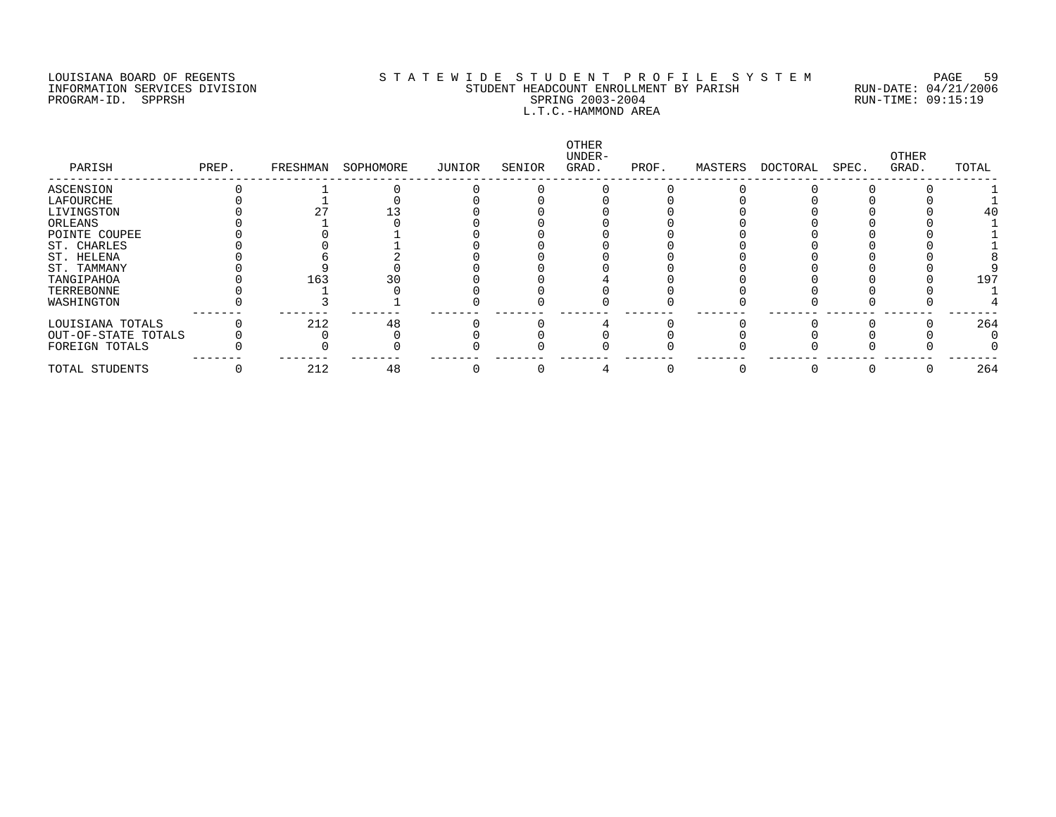PROGRAM-ID. SERVICES DIVISION<br>PROGRAM-ID. SPPRSH SPROGRAM-ID. SPPRSH

# LOUISIANA BOARD OF REGENTS SOURCOMERTY STATEWIDE STUDENT PROFILE SYSTEM PAGE 59<br>STUDENT HEADCOUNT ENROLLMENT BY PARISH RUN-DATE: 04/21/2006 INFORMATION SERVICES DIVISION STUDENT HEADCOUNT ENROLLMENT BY PARISH RUN-DATE: 04/21/2006 L.T.C.-HAMMOND AREA

| PARISH              | PREP. | FRESHMAN | SOPHOMORE | JUNIOR | SENIOR | OTHER<br>UNDER-<br>GRAD. | PROF. | MASTERS | DOCTORAL | SPEC. | OTHER<br>GRAD. | TOTAL |
|---------------------|-------|----------|-----------|--------|--------|--------------------------|-------|---------|----------|-------|----------------|-------|
| ASCENSION           |       |          |           |        |        |                          |       |         |          |       |                |       |
| LAFOURCHE           |       |          |           |        |        |                          |       |         |          |       |                |       |
| LIVINGSTON          |       |          |           |        |        |                          |       |         |          |       |                |       |
| ORLEANS             |       |          |           |        |        |                          |       |         |          |       |                |       |
| POINTE COUPEE       |       |          |           |        |        |                          |       |         |          |       |                |       |
| ST. CHARLES         |       |          |           |        |        |                          |       |         |          |       |                |       |
| ST. HELENA          |       |          |           |        |        |                          |       |         |          |       |                |       |
| ST. TAMMANY         |       |          |           |        |        |                          |       |         |          |       |                |       |
| TANGIPAHOA          |       | 163      |           |        |        |                          |       |         |          |       |                | 197   |
| TERREBONNE          |       |          |           |        |        |                          |       |         |          |       |                |       |
| WASHINGTON          |       |          |           |        |        |                          |       |         |          |       |                |       |
| LOUISIANA TOTALS    |       | 212      | 48        |        |        |                          |       |         |          |       |                | 264   |
| OUT-OF-STATE TOTALS |       |          |           |        |        |                          |       |         |          |       |                |       |
| FOREIGN TOTALS      |       |          |           |        |        |                          |       |         |          |       |                |       |
| TOTAL STUDENTS      |       | 212      | 48        |        |        |                          |       |         |          |       |                | 264   |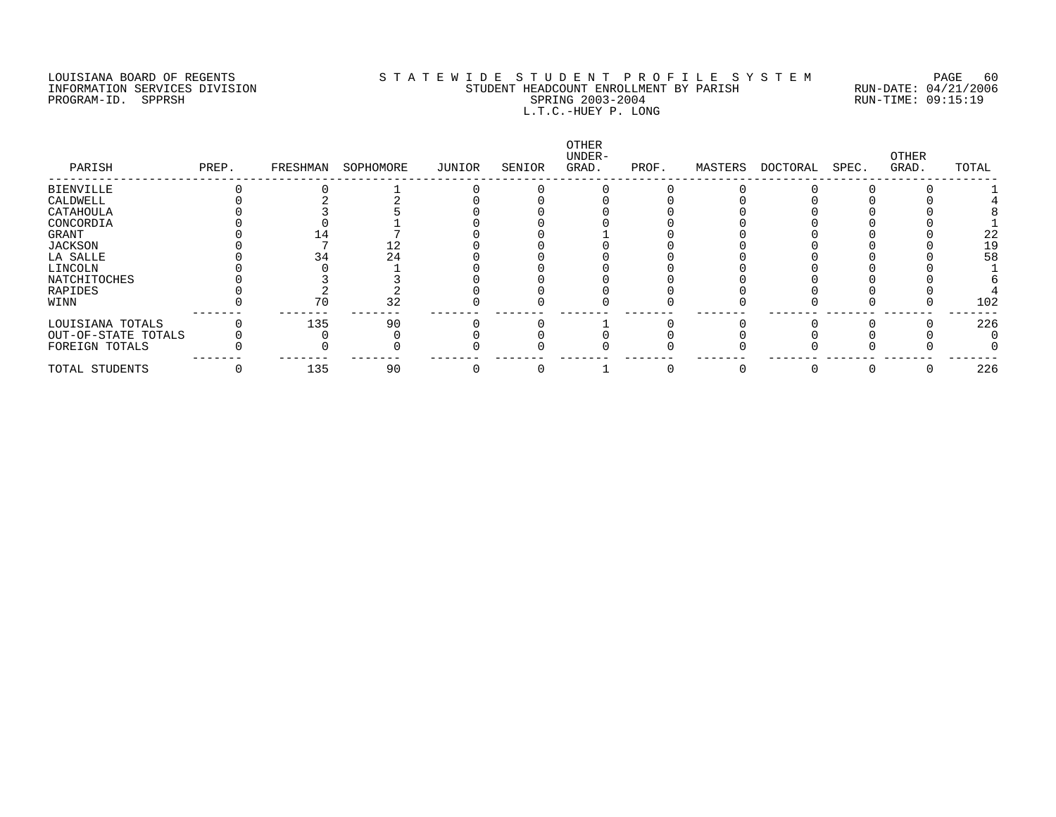### LOUISIANA BOARD OF REGENTS S T A T E W I D E S T U D E N T P R O F I L E S Y S T E M PAGE 60 INFORMATION SERVICES DIVISION STUDENT HEADCOUNT ENROLLMENT BY PARISH RUN-DATE: 04/21/2006 PROGRAM-ID. SPPRSH SPRING 2003-2004 RUN-TIME: 09:15:19 L.T.C.-HUEY P. LONG

| PARISH              | PREP. | FRESHMAN | SOPHOMORE | JUNIOR | SENIOR | <b>OTHER</b><br>UNDER-<br>GRAD. | PROF. | MASTERS | DOCTORAL | SPEC. | OTHER<br>GRAD. | TOTAL |
|---------------------|-------|----------|-----------|--------|--------|---------------------------------|-------|---------|----------|-------|----------------|-------|
| <b>BIENVILLE</b>    |       |          |           |        |        |                                 |       |         |          |       |                |       |
| CALDWELL            |       |          |           |        |        |                                 |       |         |          |       |                |       |
| CATAHOULA           |       |          |           |        |        |                                 |       |         |          |       |                |       |
| CONCORDIA           |       |          |           |        |        |                                 |       |         |          |       |                |       |
| GRANT               |       |          |           |        |        |                                 |       |         |          |       |                | 22    |
| JACKSON             |       |          |           |        |        |                                 |       |         |          |       |                | 19    |
| LA SALLE            |       |          | 24        |        |        |                                 |       |         |          |       |                | 58    |
| LINCOLN             |       |          |           |        |        |                                 |       |         |          |       |                |       |
| NATCHITOCHES        |       |          |           |        |        |                                 |       |         |          |       |                |       |
| RAPIDES             |       |          |           |        |        |                                 |       |         |          |       |                |       |
| WINN                |       |          | 32        |        |        |                                 |       |         |          |       |                | 102   |
| LOUISIANA TOTALS    |       | 135      | 90        |        |        |                                 |       |         |          |       |                | 226   |
| OUT-OF-STATE TOTALS |       |          |           |        |        |                                 |       |         |          |       |                |       |
| FOREIGN TOTALS      |       |          |           |        |        |                                 |       |         |          |       |                |       |
| TOTAL STUDENTS      |       | 135      | 90        |        |        |                                 |       |         |          |       |                | 226   |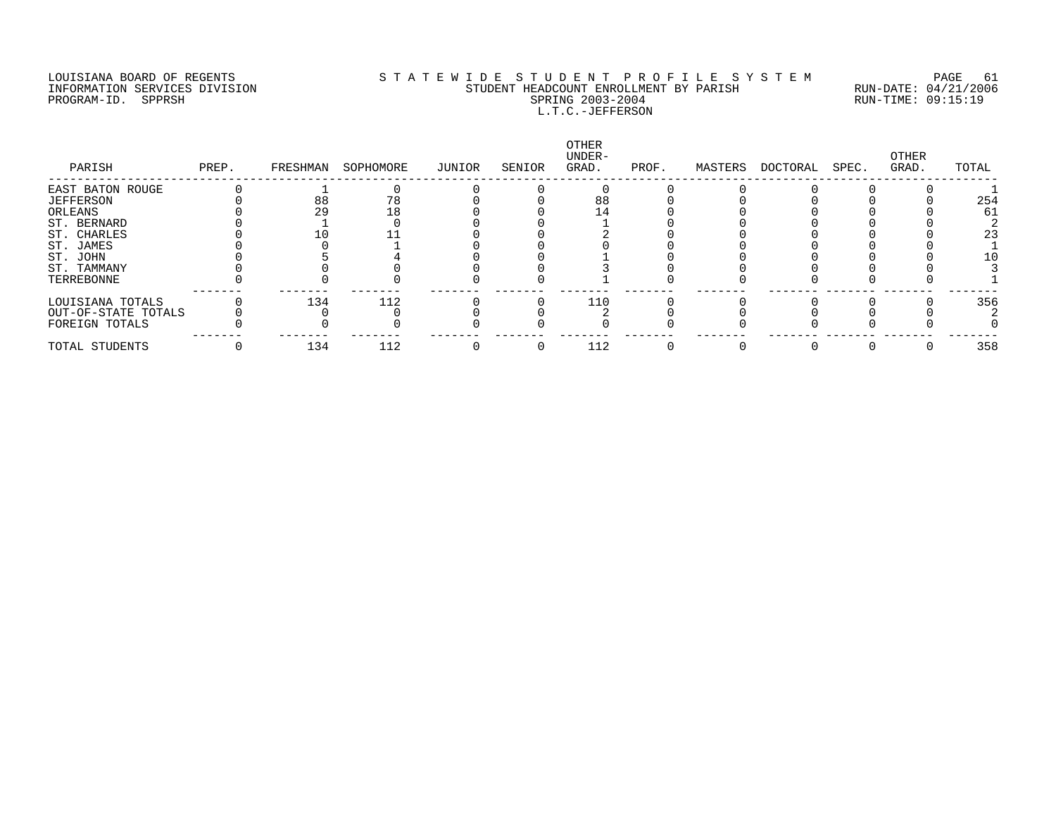### LOUISIANA BOARD OF REGENTS SOURCLEARIE WIDE STUDENT PROFILE SYSTEM PAGE 61. INFORMATION SERVICES DIVISION STUDENT HEADCOUNT ENROLLMENT BY PARISH RUN-DATE: 04/21/2006 PROGRAM-ID. SPPRSH SPRING 2003-2004 RUN-TIME: 09:15:19 L.T.C.-JEFFERSON

| PARISH              | PREP. | FRESHMAN | SOPHOMORE | JUNIOR | SENIOR | OTHER<br>UNDER-<br>GRAD. | PROF. | MASTERS | DOCTORAL | SPEC. | OTHER<br>GRAD. | TOTAL |
|---------------------|-------|----------|-----------|--------|--------|--------------------------|-------|---------|----------|-------|----------------|-------|
| EAST BATON ROUGE    |       |          |           |        |        |                          |       |         |          |       |                |       |
| <b>JEFFERSON</b>    |       | 88       | 78        |        |        | 88                       |       |         |          |       |                | 254   |
| ORLEANS             |       | 29       | 18        |        |        |                          |       |         |          |       |                | 61    |
| ST. BERNARD         |       |          |           |        |        |                          |       |         |          |       |                |       |
| ST. CHARLES         |       |          |           |        |        |                          |       |         |          |       |                | 23    |
| ST. JAMES           |       |          |           |        |        |                          |       |         |          |       |                |       |
| ST. JOHN            |       |          |           |        |        |                          |       |         |          |       |                | 10    |
| ST. TAMMANY         |       |          |           |        |        |                          |       |         |          |       |                |       |
| TERREBONNE          |       |          |           |        |        |                          |       |         |          |       |                |       |
| LOUISIANA TOTALS    |       | 134      | 112       |        |        | 110                      |       |         |          |       |                | 356   |
| OUT-OF-STATE TOTALS |       |          |           |        |        |                          |       |         |          |       |                |       |
| FOREIGN TOTALS      |       |          |           |        |        |                          |       |         |          |       |                |       |
| TOTAL STUDENTS      |       | 134      | 112       |        |        | 112                      |       |         |          |       |                | 358   |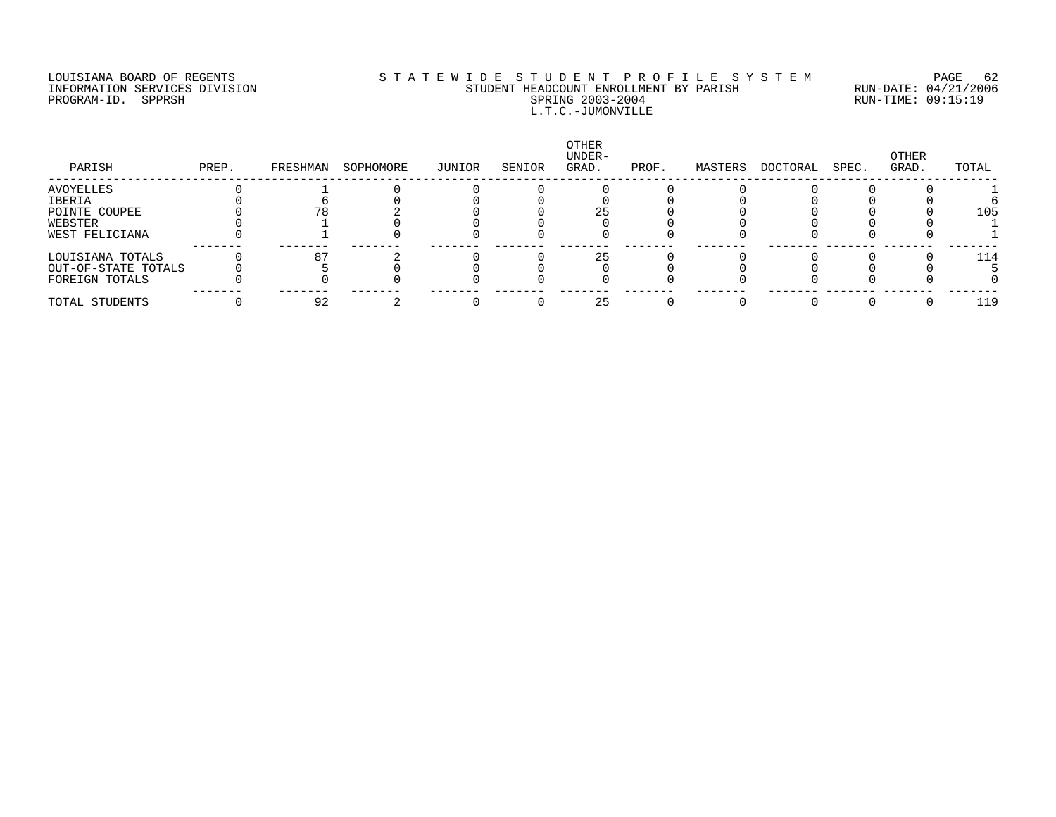### LOUISIANA BOARD OF REGENTS S T A T E W I D E S T U D E N T P R O F I L E S Y S T E M PAGE 62 INFORMATION SERVICES DIVISION STUDENT HEADCOUNT ENROLLMENT BY PARISH RUN-DATE: 04/21/2006 PROGRAM-ID. SPPRSH SPRING 2003-2004 RUN-TIME: 09:15:19 L.T.C.-JUMONVILLE

| PARISH              | PREP. | FRESHMAN | SOPHOMORE | JUNIOR | SENIOR | OTHER<br>UNDER-<br>GRAD. | PROF. | MASTERS | DOCTORAL | SPEC. | OTHER<br>GRAD. | TOTAL |
|---------------------|-------|----------|-----------|--------|--------|--------------------------|-------|---------|----------|-------|----------------|-------|
| AVOYELLES           |       |          |           |        |        |                          |       |         |          |       |                |       |
| IBERIA              |       |          |           |        |        |                          |       |         |          |       |                |       |
| POINTE COUPEE       |       |          |           |        |        |                          |       |         |          |       |                | 105   |
| WEBSTER             |       |          |           |        |        |                          |       |         |          |       |                |       |
| WEST FELICIANA      |       |          |           |        |        |                          |       |         |          |       |                |       |
| LOUISIANA TOTALS    |       | 87       |           |        |        |                          |       |         |          |       |                | 114   |
| OUT-OF-STATE TOTALS |       |          |           |        |        |                          |       |         |          |       |                |       |
| FOREIGN TOTALS      |       |          |           |        |        |                          |       |         |          |       |                |       |
| TOTAL STUDENTS      |       | 92       |           |        |        | 25                       |       |         |          |       |                | 119   |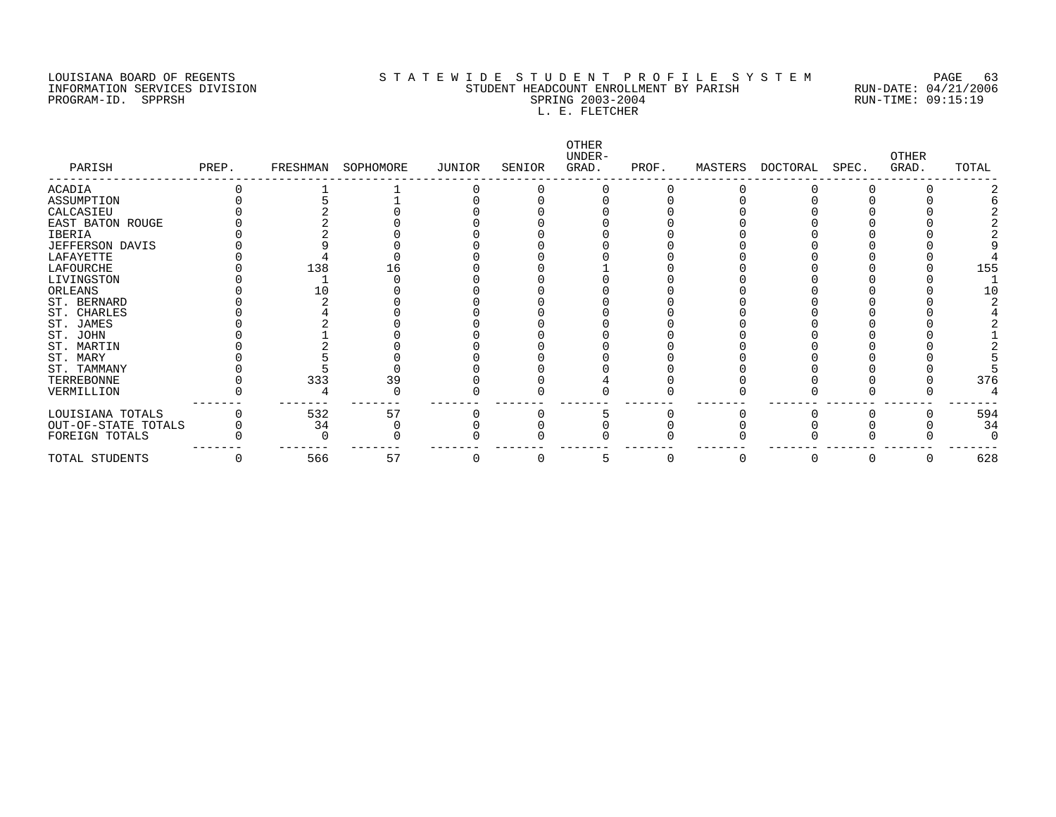PROGRAM-ID. SPPRSH

# LOUISIANA BOARD OF REGENTS SOURCOMER'S STATEWIDE STUDENT PROFILE SYSTEM PAGE 63<br>STUDENT HEADCOUNT ENROLLMENT BY PARISH RUN-DATE: 04/21/2006 INFORMATION SERVICES DIVISION SANTO SUNG STUDENT HEADCOUNT ENROLLMENT BY PARISH SERISH RUN-DATE: 04/21/2000<br>PROGRAM-ID. SPPRSH SPRING 2003-2004 SPRING 2003-2004 L. E. FLETCHER

| PARISH              | PREP. | FRESHMAN | SOPHOMORE | JUNIOR | SENIOR | OTHER<br>UNDER-<br>GRAD. | PROF. | MASTERS | DOCTORAL | SPEC. | <b>OTHER</b><br>GRAD. | TOTAL |
|---------------------|-------|----------|-----------|--------|--------|--------------------------|-------|---------|----------|-------|-----------------------|-------|
| ACADIA              |       |          |           |        |        |                          |       |         |          |       |                       |       |
| ASSUMPTION          |       |          |           |        |        |                          |       |         |          |       |                       |       |
| CALCASIEU           |       |          |           |        |        |                          |       |         |          |       |                       |       |
| EAST BATON ROUGE    |       |          |           |        |        |                          |       |         |          |       |                       |       |
| IBERIA              |       |          |           |        |        |                          |       |         |          |       |                       |       |
| JEFFERSON DAVIS     |       |          |           |        |        |                          |       |         |          |       |                       |       |
| LAFAYETTE           |       |          |           |        |        |                          |       |         |          |       |                       |       |
| LAFOURCHE           |       | 138      |           |        |        |                          |       |         |          |       |                       | 155   |
| LIVINGSTON          |       |          |           |        |        |                          |       |         |          |       |                       |       |
| ORLEANS             |       | L O      |           |        |        |                          |       |         |          |       |                       |       |
| ST. BERNARD         |       |          |           |        |        |                          |       |         |          |       |                       |       |
| ST. CHARLES         |       |          |           |        |        |                          |       |         |          |       |                       |       |
| ST. JAMES           |       |          |           |        |        |                          |       |         |          |       |                       |       |
| ST. JOHN            |       |          |           |        |        |                          |       |         |          |       |                       |       |
| ST. MARTIN          |       |          |           |        |        |                          |       |         |          |       |                       |       |
| ST. MARY            |       |          |           |        |        |                          |       |         |          |       |                       |       |
| ST. TAMMANY         |       |          |           |        |        |                          |       |         |          |       |                       |       |
| TERREBONNE          |       | 333      | 39        |        |        |                          |       |         |          |       |                       | 376   |
| VERMILLION          |       |          |           |        |        |                          |       |         |          |       |                       |       |
| LOUISIANA TOTALS    |       | 532      | 57        |        |        |                          |       |         |          |       |                       | 594   |
| OUT-OF-STATE TOTALS |       | 34       |           |        |        |                          |       |         |          |       |                       | 34    |
| FOREIGN TOTALS      |       |          |           |        |        |                          |       |         |          |       |                       |       |
| TOTAL STUDENTS      |       | 566      | 57        |        |        |                          |       | O       | $\Box$   |       |                       | 628   |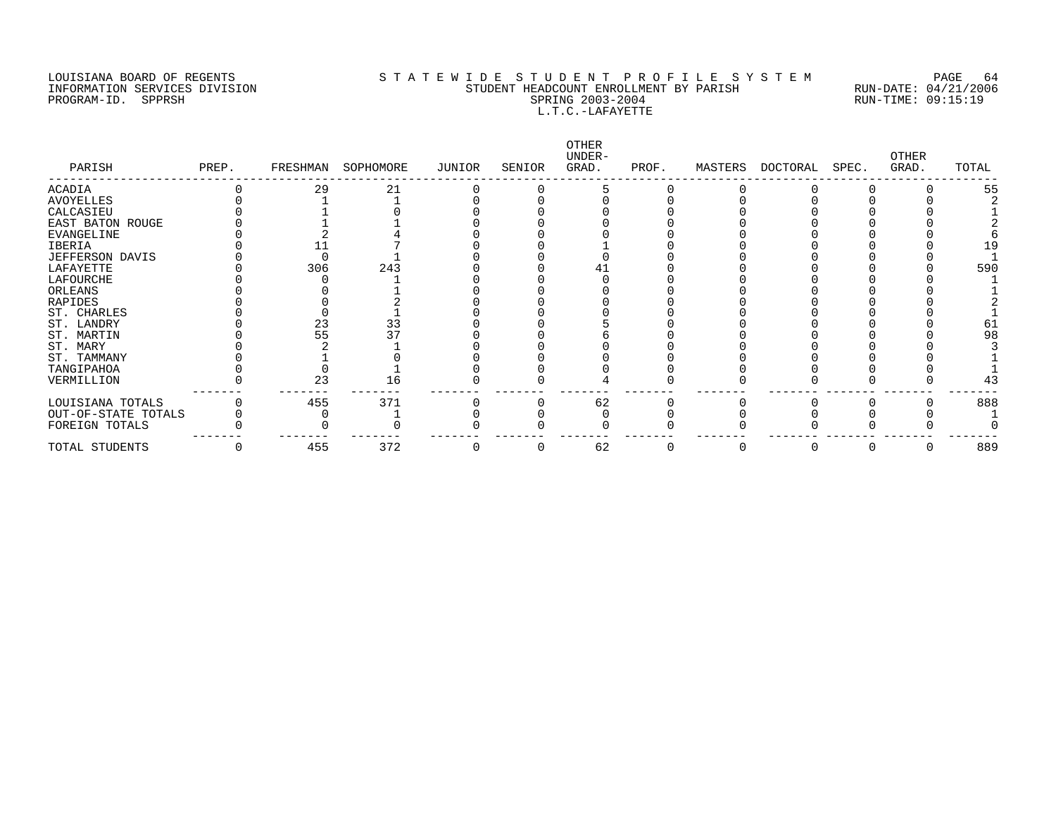#### LOUISIANA BOARD OF REGENTS STATEWIDE STUDENT PROFILE SYSTEM PAGE 64 INFORMATION SERVICES DIVISION SANTO SUNDENT HEADCOUNT ENROLLMENT BY PARISH STUDENT HEADCOUNT ENROLLMENT BY PARISH SPRISH RUN-DATE: 04/21/2006 PROGRAM-ID. SPPRSH SPRING 2003-2004 L.T.C.-LAFAYETTE

| PARISH              | PREP. | FRESHMAN | SOPHOMORE | JUNIOR | SENIOR | OTHER<br>UNDER-<br>GRAD. | PROF. | MASTERS | DOCTORAL | SPEC. | <b>OTHER</b><br>GRAD. | TOTAL |
|---------------------|-------|----------|-----------|--------|--------|--------------------------|-------|---------|----------|-------|-----------------------|-------|
| ACADIA              |       | 29       | 21        |        |        |                          |       |         |          |       |                       | 55    |
| AVOYELLES           |       |          |           |        |        |                          |       |         |          |       |                       |       |
| CALCASIEU           |       |          |           |        |        |                          |       |         |          |       |                       |       |
| EAST BATON ROUGE    |       |          |           |        |        |                          |       |         |          |       |                       |       |
| EVANGELINE          |       |          |           |        |        |                          |       |         |          |       |                       |       |
| IBERIA              |       |          |           |        |        |                          |       |         |          |       |                       |       |
| JEFFERSON DAVIS     |       |          |           |        |        |                          |       |         |          |       |                       |       |
| LAFAYETTE           |       | 306      | 243       |        |        |                          |       |         |          |       |                       | 590   |
| LAFOURCHE           |       |          |           |        |        |                          |       |         |          |       |                       |       |
| ORLEANS             |       |          |           |        |        |                          |       |         |          |       |                       |       |
| RAPIDES             |       |          |           |        |        |                          |       |         |          |       |                       |       |
| ST. CHARLES         |       |          |           |        |        |                          |       |         |          |       |                       |       |
| ST. LANDRY          |       | 23       | 33        |        |        |                          |       |         |          |       |                       |       |
| ST. MARTIN          |       | 55       |           |        |        |                          |       |         |          |       |                       | 98    |
| ST. MARY            |       |          |           |        |        |                          |       |         |          |       |                       |       |
| ST. TAMMANY         |       |          |           |        |        |                          |       |         |          |       |                       |       |
| TANGIPAHOA          |       |          |           |        |        |                          |       |         |          |       |                       |       |
| VERMILLION          |       | 23       | 16        |        |        |                          |       |         |          |       |                       | 43    |
| LOUISIANA TOTALS    |       | 455      | 371       |        |        | 62                       |       |         |          |       |                       | 888   |
| OUT-OF-STATE TOTALS |       |          |           |        |        |                          |       |         |          |       |                       |       |
| FOREIGN TOTALS      |       |          |           |        |        |                          |       |         |          |       |                       |       |
| TOTAL STUDENTS      |       | 455      | 372       |        |        | 62                       | U     | 0       | U        | U     |                       | 889   |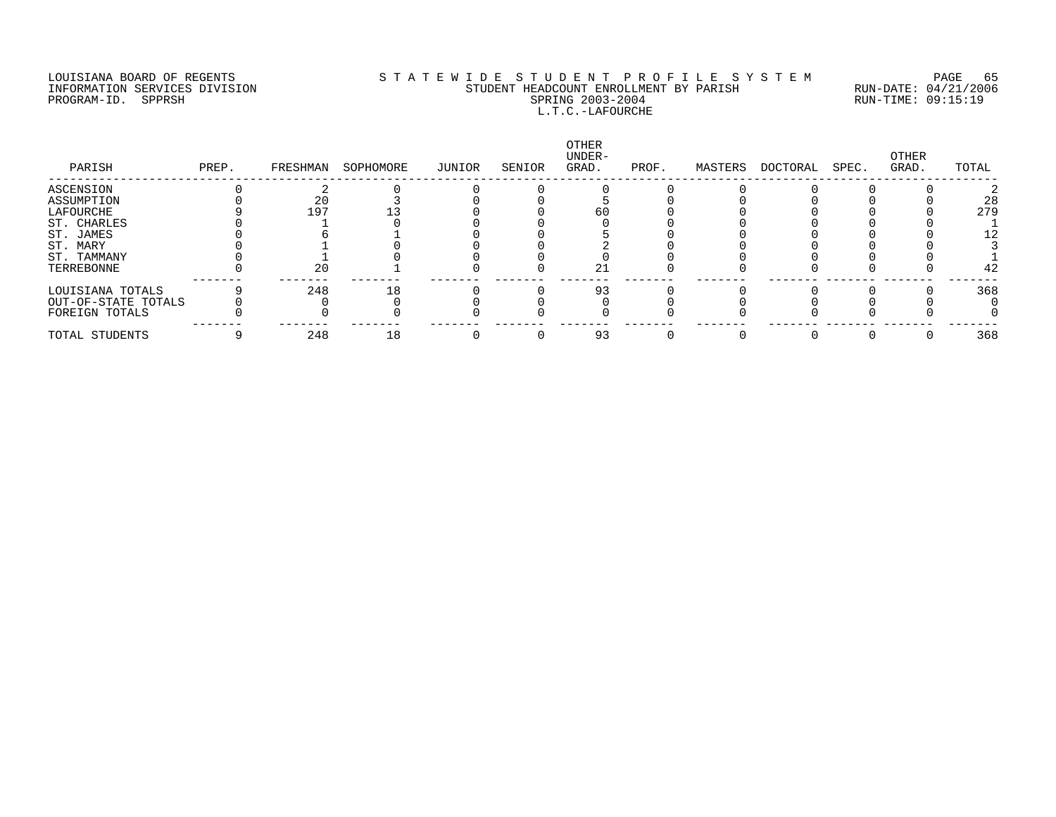### LOUISIANA BOARD OF REGENTS S T A T E W I D E S T U D E N T P R O F I L E S Y S T E M PAGE 65 INFORMATION SERVICES DIVISION STUDENT HEADCOUNT ENROLLMENT BY PARISH RUN-DATE: 04/21/2006 PROGRAM-ID. SPPRSH SPRING 2003-2004 RUN-TIME: 09:15:19 L.T.C.-LAFOURCHE

| PARISH              | PREP. | FRESHMAN | SOPHOMORE | JUNIOR | SENIOR | OTHER<br>UNDER-<br>GRAD. | PROF. | MASTERS | DOCTORAL | SPEC. | OTHER<br>GRAD. | TOTAL |
|---------------------|-------|----------|-----------|--------|--------|--------------------------|-------|---------|----------|-------|----------------|-------|
| ASCENSION           |       |          |           |        |        |                          |       |         |          |       |                |       |
| ASSUMPTION          |       | 20       |           |        |        |                          |       |         |          |       |                | 28    |
| LAFOURCHE           |       | 197      |           |        |        | 60                       |       |         |          |       |                | 279   |
| ST. CHARLES         |       |          |           |        |        |                          |       |         |          |       |                |       |
| ST. JAMES           |       |          |           |        |        |                          |       |         |          |       |                |       |
| ST. MARY            |       |          |           |        |        |                          |       |         |          |       |                |       |
| ST. TAMMANY         |       |          |           |        |        |                          |       |         |          |       |                |       |
| TERREBONNE          |       | 20       |           |        |        | 21                       |       |         |          |       |                | 42    |
| LOUISIANA TOTALS    |       | 248      | 18        |        |        | 93                       |       |         |          |       |                | 368   |
| OUT-OF-STATE TOTALS |       |          |           |        |        |                          |       |         |          |       |                |       |
| FOREIGN TOTALS      |       |          |           |        |        |                          |       |         |          |       |                |       |
| TOTAL STUDENTS      |       | 248      | 18        |        |        | 93                       |       |         |          |       |                | 368   |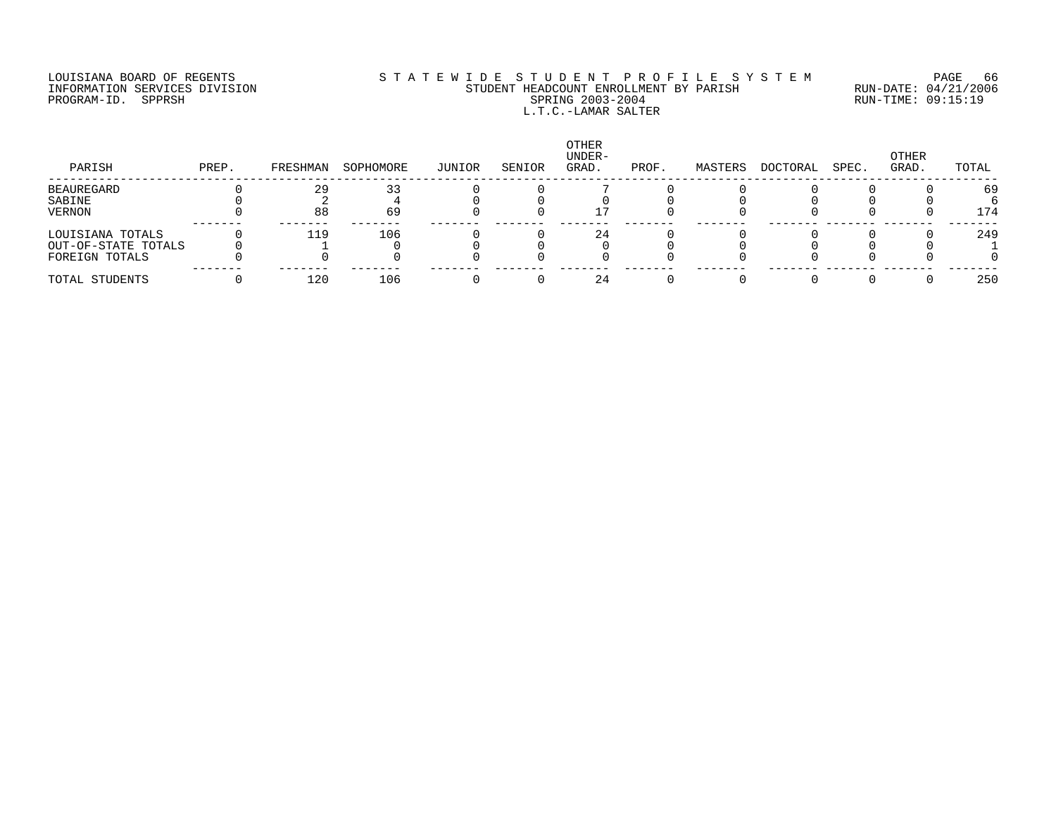### LOUISIANA BOARD OF REGENTS S T A T E W I D E S T U D E N T P R O F I L E S Y S T E M PAGE 66 INFORMATION SERVICES DIVISION STUDENT HEADCOUNT ENROLLMENT BY PARISH RUN-DATE: 04/21/2006 PROGRAM-ID. SPPRSH SPRING 2003-2004 RUN-TIME: 09:15:19 L.T.C.-LAMAR SALTER

| PARISH              | PREP. | FRESHMAN | SOPHOMORE | JUNIOR | SENIOR | OTHER<br>UNDER-<br>GRAD. | PROF. | MASTERS | DOCTORAL | SPEC. | OTHER<br>GRAD. | TOTAL |
|---------------------|-------|----------|-----------|--------|--------|--------------------------|-------|---------|----------|-------|----------------|-------|
| BEAUREGARD          |       | 29       | 33        |        |        |                          |       |         |          |       |                | 69    |
| SABINE              |       |          |           |        |        |                          |       |         |          |       |                |       |
| VERNON              |       | 88       | 69        |        |        |                          |       |         |          |       |                | 174   |
| LOUISIANA TOTALS    |       | 119      | 106       |        |        | 24                       |       |         |          |       |                | 249   |
| OUT-OF-STATE TOTALS |       |          |           |        |        |                          |       |         |          |       |                |       |
| FOREIGN TOTALS      |       |          |           |        |        |                          |       |         |          |       |                |       |
| TOTAL STUDENTS      |       | 120      | 106       |        |        | 24                       |       |         |          |       |                | 250   |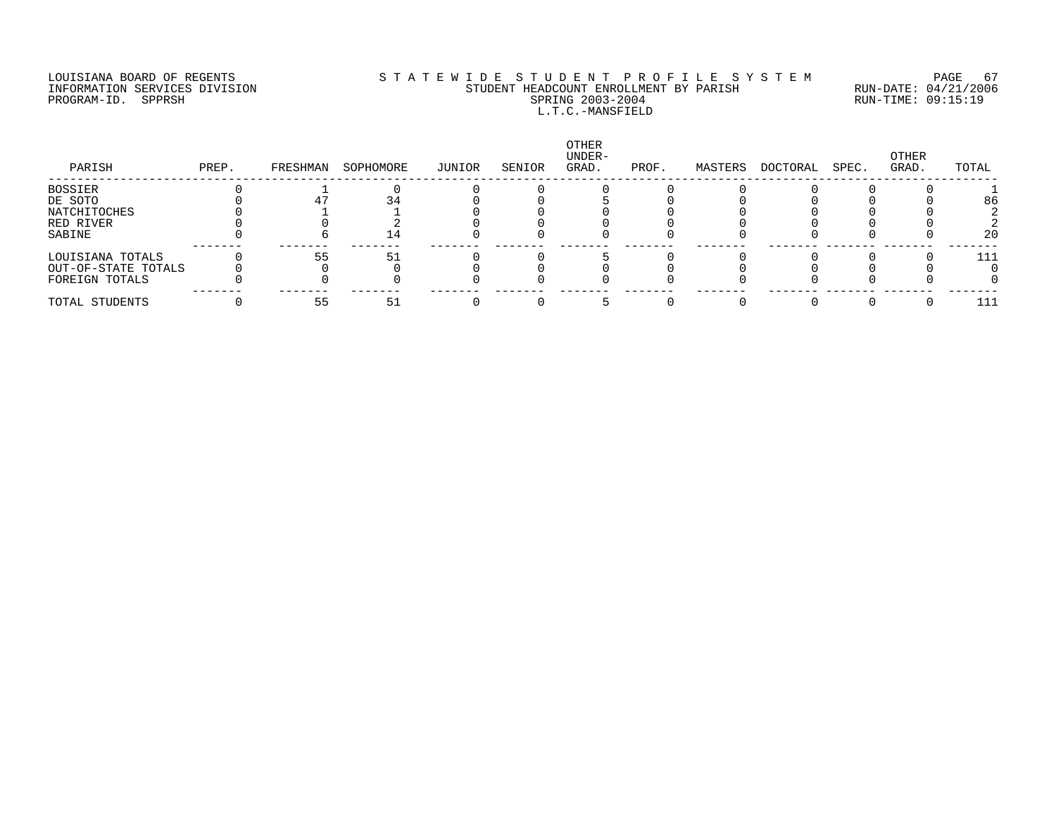### LOUISIANA BOARD OF REGENTS SOURCLEARIE WIDE STUDENT PROFILE SYSTEM PAGE 67. INFORMATION SERVICES DIVISION STUDENT HEADCOUNT ENROLLMENT BY PARISH RUN-DATE: 04/21/2006 PROGRAM-ID. SPPRSH SPRING 2003-2004 RUN-TIME: 09:15:19 L.T.C.-MANSFIELD

| PARISH              | PREP. | FRESHMAN | SOPHOMORE | JUNIOR | SENIOR | <b>OTHER</b><br>UNDER-<br>GRAD. | PROF. | MASTERS | DOCTORAL | SPEC. | OTHER<br>GRAD. | TOTAL |
|---------------------|-------|----------|-----------|--------|--------|---------------------------------|-------|---------|----------|-------|----------------|-------|
| BOSSIER             |       |          |           |        |        |                                 |       |         |          |       |                |       |
| DE SOTO             |       |          |           |        |        |                                 |       |         |          |       |                | 86    |
| NATCHITOCHES        |       |          |           |        |        |                                 |       |         |          |       |                |       |
| RED RIVER           |       |          |           |        |        |                                 |       |         |          |       |                |       |
| SABINE              |       |          | I4        |        |        |                                 |       |         |          |       |                | 20    |
| LOUISIANA TOTALS    |       | 55       | 51        |        |        |                                 |       |         |          |       |                | 111   |
| OUT-OF-STATE TOTALS |       |          |           |        |        |                                 |       |         |          |       |                |       |
| FOREIGN TOTALS      |       |          |           |        |        |                                 |       |         |          |       |                |       |
| TOTAL STUDENTS      |       | 55       | 51        |        |        |                                 |       |         |          |       |                | 111   |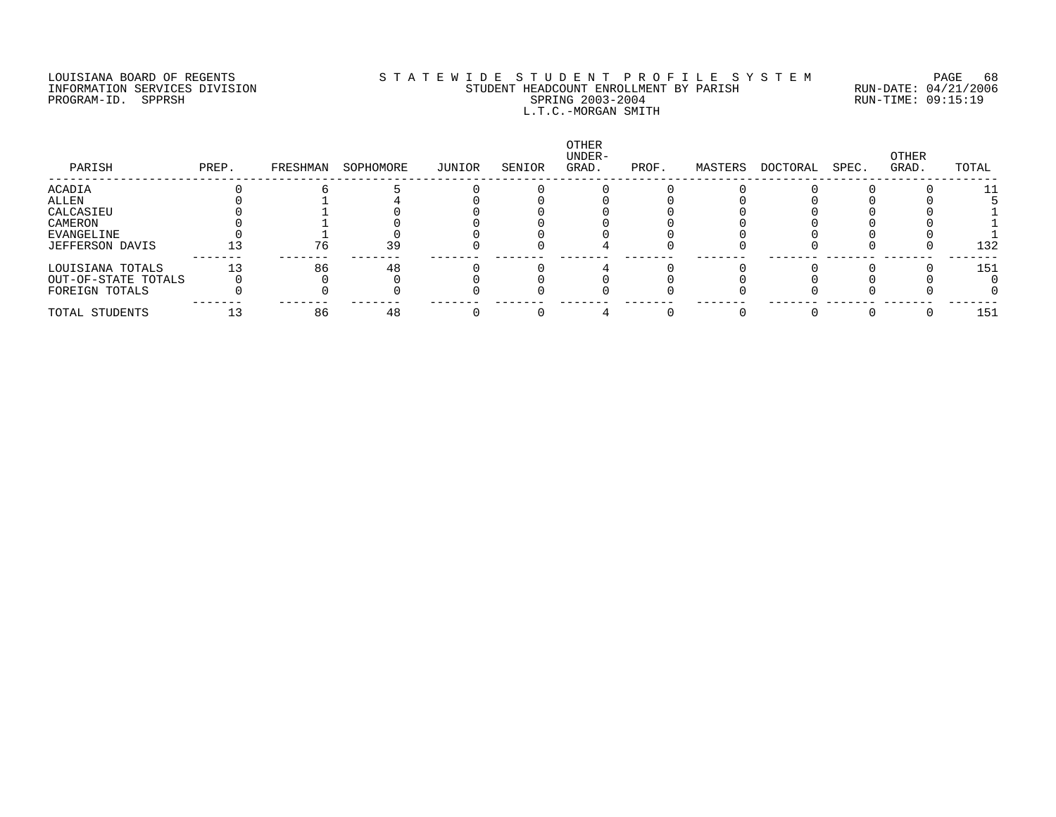### LOUISIANA BOARD OF REGENTS S T A T E W I D E S T U D E N T P R O F I L E S Y S T E M PAGE 68 INFORMATION SERVICES DIVISION STUDENT HEADCOUNT ENROLLMENT BY PARISH RUN-DATE: 04/21/2006 PROGRAM-ID. SPPRSH SPRING 2003-2004 RUN-TIME: 09:15:19 L.T.C.-MORGAN SMITH

| PARISH              | PREP. | FRESHMAN | SOPHOMORE | JUNIOR | SENIOR | OTHER<br>UNDER-<br>GRAD. | PROF. | MASTERS | DOCTORAL | SPEC. | OTHER<br>GRAD. | TOTAL |
|---------------------|-------|----------|-----------|--------|--------|--------------------------|-------|---------|----------|-------|----------------|-------|
| ACADIA              |       |          |           |        |        |                          |       |         |          |       |                | 11    |
| ALLEN               |       |          |           |        |        |                          |       |         |          |       |                |       |
| CALCASIEU           |       |          |           |        |        |                          |       |         |          |       |                |       |
| CAMERON             |       |          |           |        |        |                          |       |         |          |       |                |       |
| EVANGELINE          |       |          |           |        |        |                          |       |         |          |       |                |       |
| JEFFERSON DAVIS     |       | 76       | 39        |        |        |                          |       |         |          |       |                | 132   |
| LOUISIANA TOTALS    |       | 86       | 48        |        |        |                          |       |         |          |       |                | 151   |
| OUT-OF-STATE TOTALS |       |          |           |        |        |                          |       |         |          |       |                |       |
| FOREIGN TOTALS      |       |          |           |        |        |                          |       |         |          |       |                |       |
| TOTAL STUDENTS      |       | 86       | 48        |        |        |                          |       |         |          |       |                | 151   |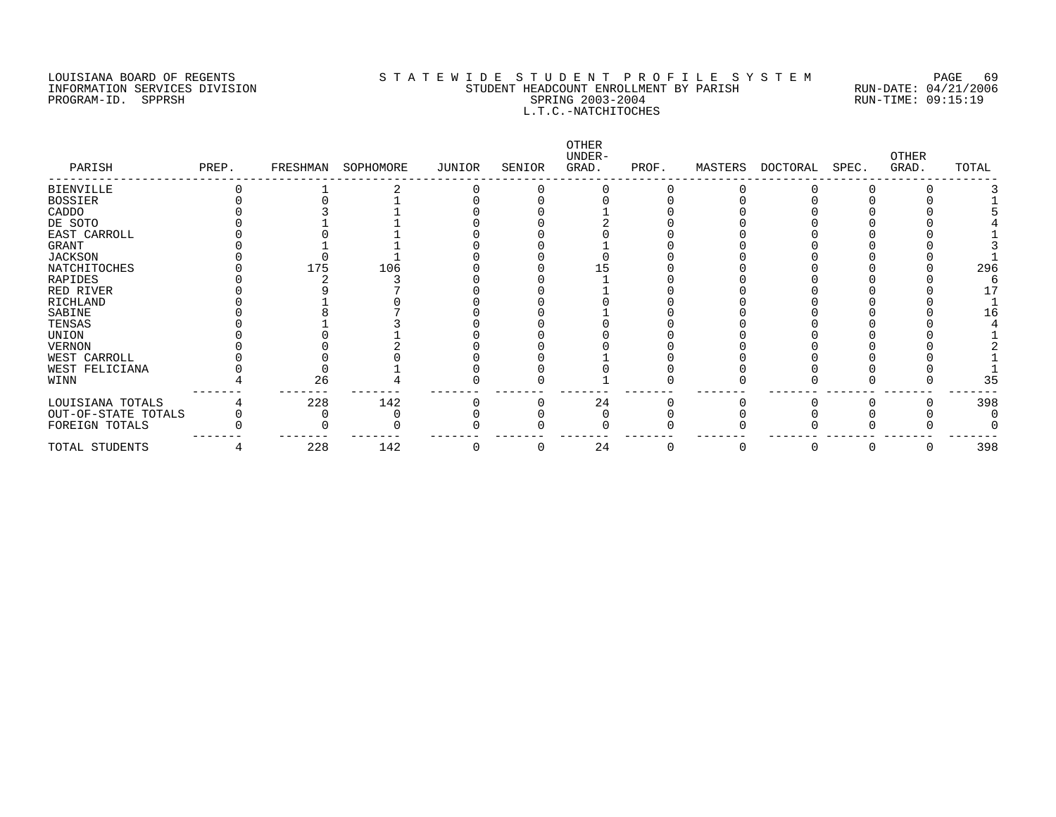#### LOUISIANA BOARD OF REGENTS STATEWIDE STUDENT PROFILE SYSTEM PAGE 69 INFORMATION SERVICES DIVISION SAN SENDENT HEADCOUNT ENROLLMENT BY PARISH STUDENT HEADCOUNT ENROLLMENT BY PARISH<br>PROGRAM-ID. SPPRSH SPRING 2003-2004 SPRING 2003-2004 PROGRAM-ID. SPPRSH SPRING 2003-2004 L.T.C.-NATCHITOCHES

| PARISH              | PREP. | FRESHMAN | SOPHOMORE | JUNIOR | SENIOR | OTHER<br>UNDER-<br>GRAD. | PROF. | MASTERS | DOCTORAL | SPEC. | <b>OTHER</b><br>GRAD. | TOTAL |
|---------------------|-------|----------|-----------|--------|--------|--------------------------|-------|---------|----------|-------|-----------------------|-------|
| <b>BIENVILLE</b>    |       |          |           |        |        |                          |       |         |          |       |                       |       |
| <b>BOSSIER</b>      |       |          |           |        |        |                          |       |         |          |       |                       |       |
| CADDO               |       |          |           |        |        |                          |       |         |          |       |                       |       |
| DE SOTO             |       |          |           |        |        |                          |       |         |          |       |                       |       |
| EAST CARROLL        |       |          |           |        |        |                          |       |         |          |       |                       |       |
| <b>GRANT</b>        |       |          |           |        |        |                          |       |         |          |       |                       |       |
| <b>JACKSON</b>      |       |          |           |        |        |                          |       |         |          |       |                       |       |
| NATCHITOCHES        |       | 175      | 106       |        |        |                          |       |         |          |       |                       | 296   |
| RAPIDES             |       |          |           |        |        |                          |       |         |          |       |                       |       |
| RED RIVER           |       |          |           |        |        |                          |       |         |          |       |                       |       |
| RICHLAND            |       |          |           |        |        |                          |       |         |          |       |                       |       |
| SABINE              |       |          |           |        |        |                          |       |         |          |       |                       | L G   |
| TENSAS              |       |          |           |        |        |                          |       |         |          |       |                       |       |
| UNION               |       |          |           |        |        |                          |       |         |          |       |                       |       |
| VERNON              |       |          |           |        |        |                          |       |         |          |       |                       |       |
| WEST CARROLL        |       |          |           |        |        |                          |       |         |          |       |                       |       |
| WEST FELICIANA      |       |          |           |        |        |                          |       |         |          |       |                       |       |
| WINN                |       | 26       |           |        |        |                          |       |         |          |       |                       | 35    |
| LOUISIANA TOTALS    |       | 228      | 142       |        |        | 24                       |       |         |          |       |                       | 398   |
| OUT-OF-STATE TOTALS |       |          |           |        |        |                          |       |         |          |       |                       |       |
| FOREIGN TOTALS      |       |          |           |        |        |                          |       |         |          |       |                       |       |
| TOTAL STUDENTS      |       | 228      | 142       |        | U      | 24                       | O     | 0       | U        | U     |                       | 398   |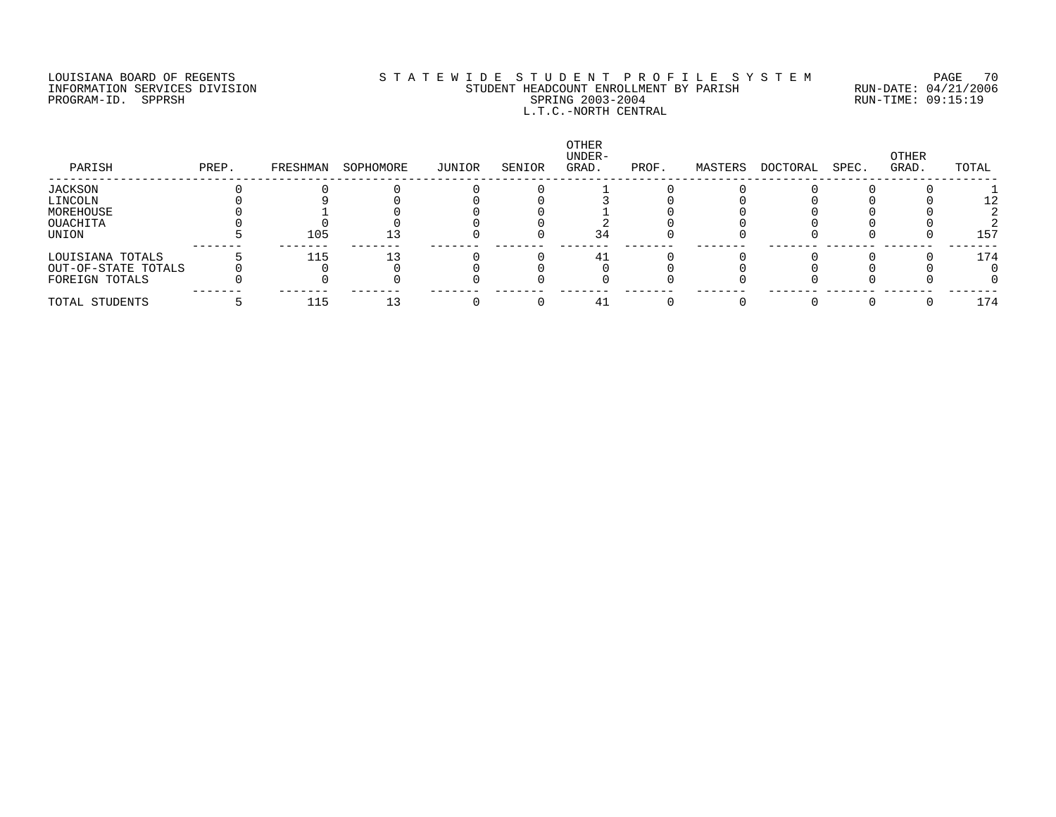### LOUISIANA BOARD OF REGENTS S T A T E W I D E S T U D E N T P R O F I L E S Y S T E M PAGE 70 INFORMATION SERVICES DIVISION STUDENT HEADCOUNT ENROLLMENT BY PARISH RUN-DATE: 04/21/2006 PROGRAM-ID. SPPRSH SPRING 2003-2004 RUN-TIME: 09:15:19 L.T.C.-NORTH CENTRAL

| PARISH              | PREP. | FRESHMAN | SOPHOMORE | JUNIOR | SENIOR | OTHER<br>UNDER-<br>GRAD. | PROF. | MASTERS | DOCTORAL | SPEC. | OTHER<br>GRAD. | TOTAL |
|---------------------|-------|----------|-----------|--------|--------|--------------------------|-------|---------|----------|-------|----------------|-------|
| JACKSON             |       |          |           |        |        |                          |       |         |          |       |                |       |
| LINCOLN             |       |          |           |        |        |                          |       |         |          |       |                |       |
| MOREHOUSE           |       |          |           |        |        |                          |       |         |          |       |                |       |
| OUACHITA            |       |          |           |        |        |                          |       |         |          |       |                |       |
| UNION               |       | 105      |           |        |        | 34                       |       |         |          |       |                | 157   |
| LOUISIANA TOTALS    |       | 115      |           |        |        |                          |       |         |          |       |                | 174   |
| OUT-OF-STATE TOTALS |       |          |           |        |        |                          |       |         |          |       |                |       |
| FOREIGN TOTALS      |       |          |           |        |        |                          |       |         |          |       |                |       |
| TOTAL STUDENTS      |       | 115      |           |        |        | 41                       |       |         |          |       |                | 174   |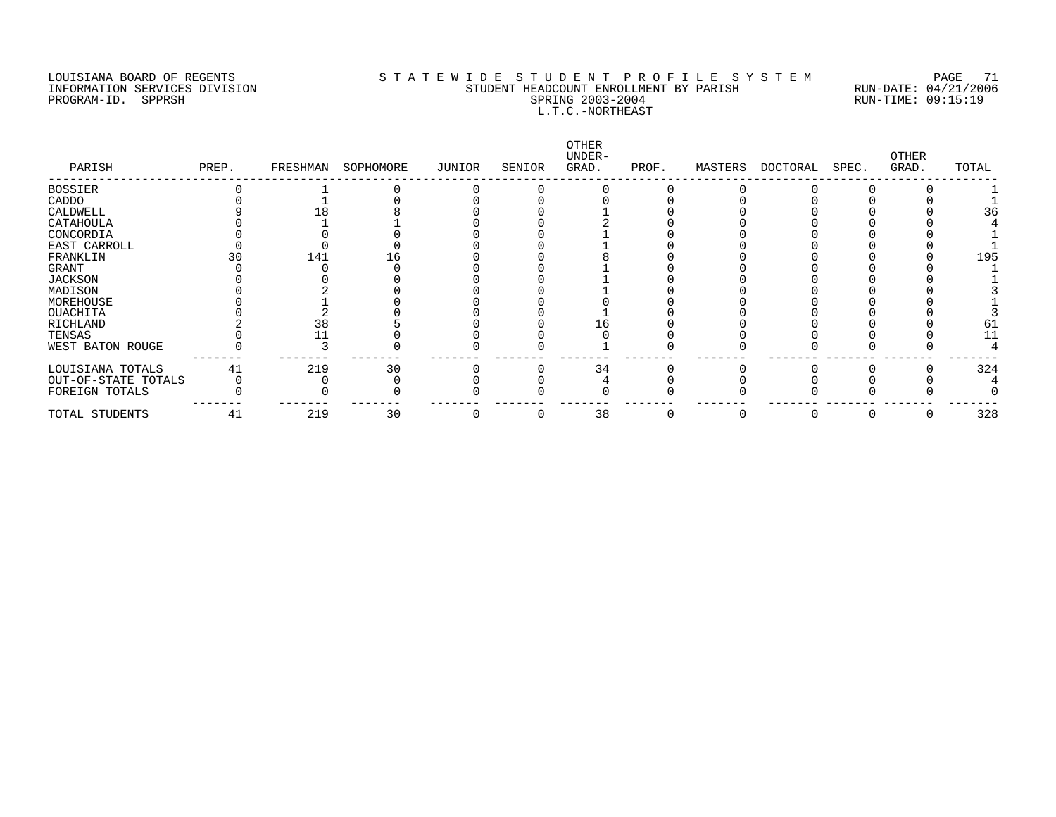### LOUISIANA BOARD OF REGENTS S T A T E W I D E S T U D E N T P R O F I L E S Y S T E M PAGE 71 INFORMATION SERVICES DIVISION STUDENT HEADCOUNT ENROLLMENT BY PARISH RUN-DATE: 04/21/2006 PROGRAM-ID. SPPRSH SPRING 2003-2004 RUN-TIME: 09:15:19 L.T.C.-NORTHEAST

| PARISH              | PREP. | FRESHMAN | SOPHOMORE | JUNIOR | SENIOR | OTHER<br>UNDER-<br>GRAD. | PROF. | MASTERS | DOCTORAL | SPEC. | OTHER<br>GRAD. | TOTAL |
|---------------------|-------|----------|-----------|--------|--------|--------------------------|-------|---------|----------|-------|----------------|-------|
| <b>BOSSIER</b>      |       |          |           |        |        |                          |       |         |          |       |                |       |
| CADDO               |       |          |           |        |        |                          |       |         |          |       |                |       |
| CALDWELL            |       |          |           |        |        |                          |       |         |          |       |                | 36    |
| CATAHOULA           |       |          |           |        |        |                          |       |         |          |       |                |       |
| CONCORDIA           |       |          |           |        |        |                          |       |         |          |       |                |       |
| EAST CARROLL        |       |          |           |        |        |                          |       |         |          |       |                |       |
| FRANKLIN            |       | 141      | L b       |        |        |                          |       |         |          |       |                | 195   |
| GRANT               |       |          |           |        |        |                          |       |         |          |       |                |       |
| <b>JACKSON</b>      |       |          |           |        |        |                          |       |         |          |       |                |       |
| MADISON             |       |          |           |        |        |                          |       |         |          |       |                |       |
| MOREHOUSE           |       |          |           |        |        |                          |       |         |          |       |                |       |
| <b>OUACHITA</b>     |       |          |           |        |        |                          |       |         |          |       |                |       |
| RICHLAND            |       | 38       |           |        |        |                          |       |         |          |       |                | 61    |
| TENSAS              |       |          |           |        |        |                          |       |         |          |       |                |       |
| WEST BATON ROUGE    |       |          |           |        |        |                          |       |         |          |       |                |       |
| LOUISIANA TOTALS    | 41    | 219      | 30        |        |        | 34                       |       |         |          |       |                | 324   |
| OUT-OF-STATE TOTALS |       |          |           |        |        |                          |       |         |          |       |                |       |
| FOREIGN TOTALS      |       |          |           |        |        |                          |       |         |          |       |                |       |
| TOTAL STUDENTS      | 41    | 219      | 30        |        | 0      | 38                       |       |         |          |       |                | 328   |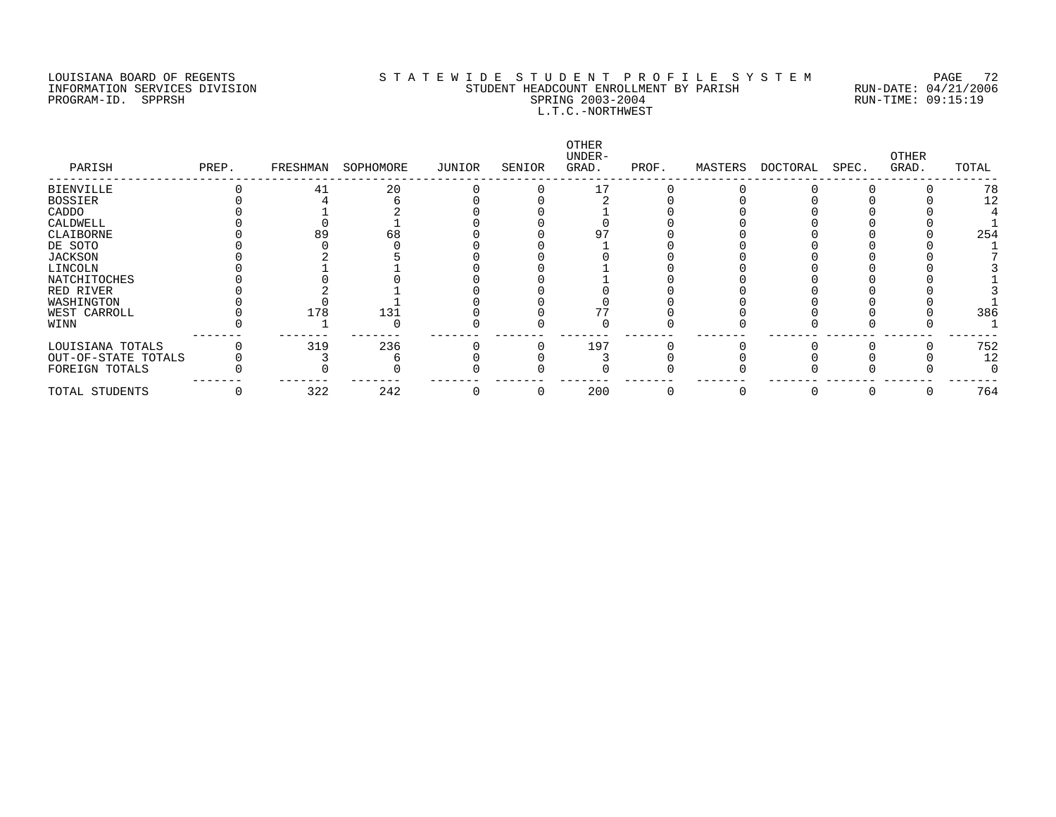### LOUISIANA BOARD OF REGENTS S T A T E W I D E S T U D E N T P R O F I L E S Y S T E M PAGE 72 INFORMATION SERVICES DIVISION STUDENT HEADCOUNT ENROLLMENT BY PARISH RUN-DATE: 04/21/2006 PROGRAM-ID. SPPRSH SPRING 2003-2004 RUN-TIME: 09:15:19 L.T.C.-NORTHWEST

| PARISH              | PREP. | FRESHMAN | SOPHOMORE | JUNIOR | SENIOR | OTHER<br>UNDER-<br>GRAD. | PROF. | MASTERS | DOCTORAL | SPEC. | OTHER<br>GRAD. | TOTAL |
|---------------------|-------|----------|-----------|--------|--------|--------------------------|-------|---------|----------|-------|----------------|-------|
| <b>BIENVILLE</b>    |       | 41       | 20        |        |        |                          |       |         |          |       |                | 78    |
| <b>BOSSIER</b>      |       |          |           |        |        |                          |       |         |          |       |                | 12    |
| CADDO               |       |          |           |        |        |                          |       |         |          |       |                |       |
| CALDWELL            |       |          |           |        |        |                          |       |         |          |       |                |       |
| CLAIBORNE           |       | 89       | 68        |        |        |                          |       |         |          |       |                | 254   |
| DE SOTO             |       |          |           |        |        |                          |       |         |          |       |                |       |
| JACKSON             |       |          |           |        |        |                          |       |         |          |       |                |       |
| LINCOLN             |       |          |           |        |        |                          |       |         |          |       |                |       |
| NATCHITOCHES        |       |          |           |        |        |                          |       |         |          |       |                |       |
| RED RIVER           |       |          |           |        |        |                          |       |         |          |       |                |       |
| WASHINGTON          |       |          |           |        |        |                          |       |         |          |       |                |       |
| WEST CARROLL        |       | 178      | 131       |        |        |                          |       |         |          |       |                | 386   |
| WINN                |       |          |           |        |        |                          |       |         |          |       |                |       |
| LOUISIANA TOTALS    |       | 319      | 236       |        |        | 197                      |       |         |          |       |                | 752   |
| OUT-OF-STATE TOTALS |       |          |           |        |        |                          |       |         |          |       |                | 12    |
| FOREIGN TOTALS      |       |          |           |        |        |                          |       |         |          |       |                |       |
| TOTAL STUDENTS      |       | 322      | 242       |        |        | 200                      |       |         |          |       |                | 764   |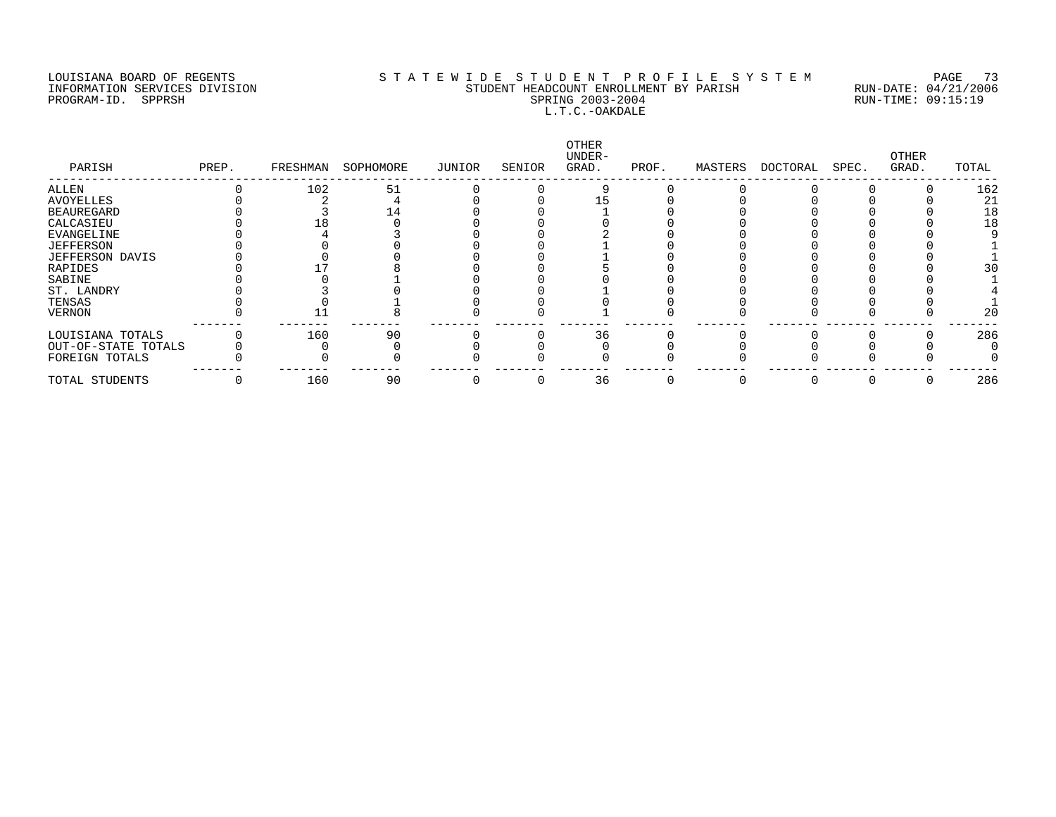#### LOUISIANA BOARD OF REGENTS S T A T E W I D E S T U D E N T P R O F I L E S Y S T E M PAGE 73 INFORMATION SERVICES DIVISION STUDENT HEADCOUNT ENROLLMENT BY PARISH RUN-DATE: 04/21/2006 PROGRAM-ID. SPPRSH SPRING 2003-2004 RUN-TIME: 09:15:19 L.T.C.-OAKDALE

| PARISH              | PREP. | FRESHMAN | SOPHOMORE | JUNIOR | SENIOR | OTHER<br>UNDER-<br>GRAD. | PROF. | MASTERS | DOCTORAL | SPEC. | OTHER<br>GRAD. | TOTAL |
|---------------------|-------|----------|-----------|--------|--------|--------------------------|-------|---------|----------|-------|----------------|-------|
| ALLEN               |       | 102      | 51        |        |        |                          |       |         |          |       |                | 162   |
| AVOYELLES           |       |          |           |        |        |                          |       |         |          |       |                | 21    |
| <b>BEAUREGARD</b>   |       |          |           |        |        |                          |       |         |          |       |                | 18    |
| CALCASIEU           |       |          |           |        |        |                          |       |         |          |       |                | 18    |
| EVANGELINE          |       |          |           |        |        |                          |       |         |          |       |                |       |
| <b>JEFFERSON</b>    |       |          |           |        |        |                          |       |         |          |       |                |       |
| JEFFERSON DAVIS     |       |          |           |        |        |                          |       |         |          |       |                |       |
| RAPIDES             |       |          |           |        |        |                          |       |         |          |       |                | 30    |
| SABINE              |       |          |           |        |        |                          |       |         |          |       |                |       |
| ST. LANDRY          |       |          |           |        |        |                          |       |         |          |       |                |       |
| TENSAS              |       |          |           |        |        |                          |       |         |          |       |                |       |
| VERNON              |       |          |           |        |        |                          |       |         |          |       |                | 20    |
| LOUISIANA TOTALS    |       | 160      | 90        |        |        | 36                       |       |         |          |       |                | 286   |
| OUT-OF-STATE TOTALS |       |          |           |        |        |                          |       |         |          |       |                |       |
| FOREIGN TOTALS      |       |          |           |        |        |                          |       |         |          |       |                |       |
| TOTAL STUDENTS      |       | 160      | 90        |        |        | 36                       |       |         |          |       |                | 286   |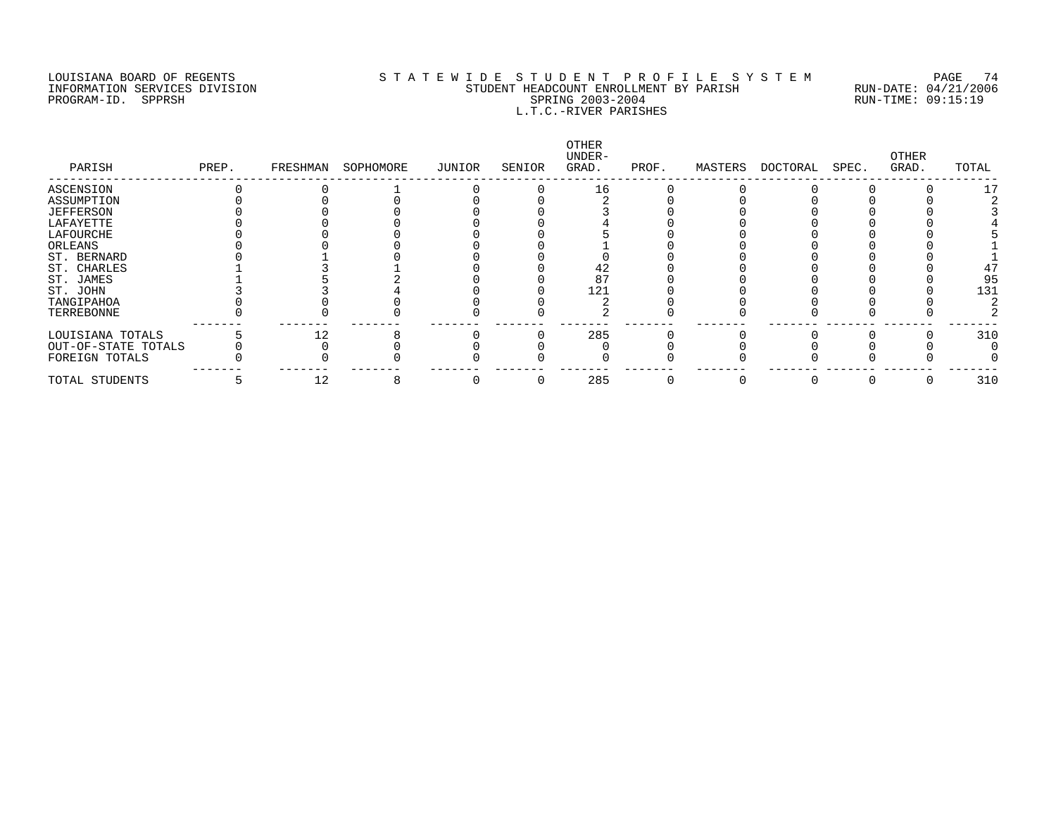PROGRAM-ID. SPPRSH

## LOUISIANA BOARD OF REGENTS STATEWIDE STUDENT PROFILE SYSTEM PAGE 74 INFORMATION SERVICES DIVISION SUNDERT STUDENT HEADCOUNT ENROLLMENT BY PARISH SPUN-DATE: 04/21/2006<br>PROGRAM-ID. SPPRSH SPRING 2003-2004 SPRING 2003-2004 L.T.C.-RIVER PARISHES

| PARISH              | PREP. | FRESHMAN | SOPHOMORE | JUNIOR | SENIOR | OTHER<br>UNDER-<br>GRAD. | PROF. | MASTERS | DOCTORAL | SPEC. | OTHER<br>GRAD. | TOTAL |
|---------------------|-------|----------|-----------|--------|--------|--------------------------|-------|---------|----------|-------|----------------|-------|
| ASCENSION           |       |          |           |        |        | 16                       |       |         |          |       |                |       |
| ASSUMPTION          |       |          |           |        |        |                          |       |         |          |       |                |       |
| <b>JEFFERSON</b>    |       |          |           |        |        |                          |       |         |          |       |                |       |
| LAFAYETTE           |       |          |           |        |        |                          |       |         |          |       |                |       |
| LAFOURCHE           |       |          |           |        |        |                          |       |         |          |       |                |       |
| ORLEANS             |       |          |           |        |        |                          |       |         |          |       |                |       |
| ST. BERNARD         |       |          |           |        |        |                          |       |         |          |       |                |       |
| ST. CHARLES         |       |          |           |        |        |                          |       |         |          |       |                |       |
| ST. JAMES           |       |          |           |        |        |                          |       |         |          |       |                | 95    |
| ST. JOHN            |       |          |           |        |        | 121                      |       |         |          |       |                | 131   |
| TANGIPAHOA          |       |          |           |        |        |                          |       |         |          |       |                |       |
| TERREBONNE          |       |          |           |        |        |                          |       |         |          |       |                |       |
| LOUISIANA TOTALS    |       | 12       |           |        |        | 285                      |       |         |          |       |                | 310   |
| OUT-OF-STATE TOTALS |       |          |           |        |        |                          |       |         |          |       |                |       |
| FOREIGN TOTALS      |       |          |           |        |        |                          |       |         |          |       |                |       |
| TOTAL STUDENTS      |       | 12       |           |        |        | 285                      |       |         |          | 0     |                | 310   |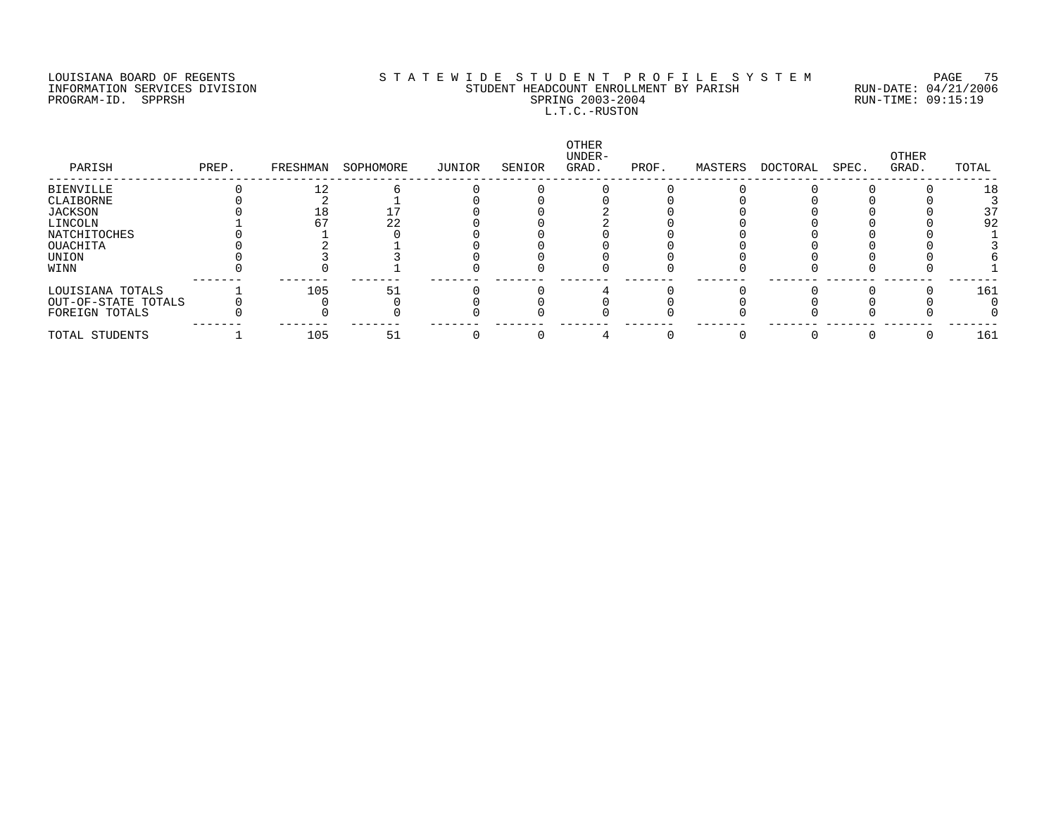#### LOUISIANA BOARD OF REGENTS S T A T E W I D E S T U D E N T P R O F I L E S Y S T E M PAGE 75 INFORMATION SERVICES DIVISION STUDENT HEADCOUNT ENROLLMENT BY PARISH RUN-DATE: 04/21/2006 PROGRAM-ID. SPPRSH SPRING 2003-2004 RUN-TIME: 09:15:19 L.T.C.-RUSTON

| PARISH              | PREP. | FRESHMAN | SOPHOMORE | JUNIOR | SENIOR | OTHER<br>UNDER-<br>GRAD. | PROF. | MASTERS | DOCTORAL | SPEC. | OTHER<br>GRAD. | TOTAL |
|---------------------|-------|----------|-----------|--------|--------|--------------------------|-------|---------|----------|-------|----------------|-------|
| <b>BIENVILLE</b>    |       |          |           |        |        |                          |       |         |          |       |                | 18    |
| CLAIBORNE           |       |          |           |        |        |                          |       |         |          |       |                |       |
| JACKSON             |       |          |           |        |        |                          |       |         |          |       |                | 37    |
| LINCOLN             |       |          | 22        |        |        |                          |       |         |          |       |                | 92    |
| NATCHITOCHES        |       |          |           |        |        |                          |       |         |          |       |                |       |
| OUACHITA            |       |          |           |        |        |                          |       |         |          |       |                |       |
| UNION               |       |          |           |        |        |                          |       |         |          |       |                |       |
| WINN                |       |          |           |        |        |                          |       |         |          |       |                |       |
| LOUISIANA TOTALS    |       | 105      | 51        |        |        |                          |       |         |          |       |                | 161   |
| OUT-OF-STATE TOTALS |       |          |           |        |        |                          |       |         |          |       |                |       |
| FOREIGN TOTALS      |       |          |           |        |        |                          |       |         |          |       |                |       |
| TOTAL STUDENTS      |       | 105      | 51        |        |        |                          |       |         |          |       |                | 161   |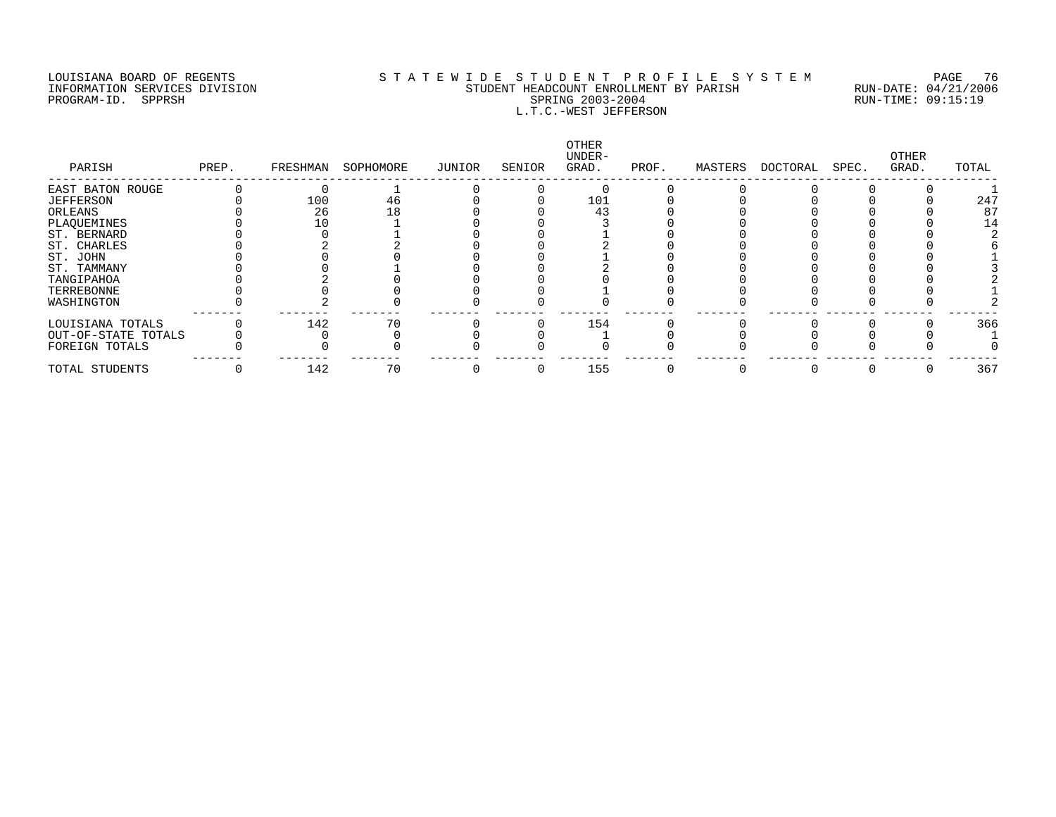PROGRAM-IN POSITION SERVICES DIVISION

# LOUISIANA BOARD OF REGENTS SOURCOMER'S STATEWIDE STUDENT PROFILE SYSTEM PAGE 76<br>STUDENT HEADCOUNT ENROLLMENT BY PARISH RUN-DATE: 04/21/2006 INFORMATION SERVICES DIVISION SANTINENT STUDENT HEADCOUNT ENROLLMENT BY PARISH SPARISH RUN-DATE: 04/21/2000<br>PROGRAM-ID. SPPRSH RUN-TIME: 09:15:19 L.T.C.-WEST JEFFERSON

| PARISH              | PREP. | FRESHMAN | SOPHOMORE | JUNIOR | SENIOR | OTHER<br>UNDER-<br>GRAD. | PROF. | MASTERS | DOCTORAL | SPEC. | OTHER<br>GRAD. | TOTAL |
|---------------------|-------|----------|-----------|--------|--------|--------------------------|-------|---------|----------|-------|----------------|-------|
| EAST BATON ROUGE    |       |          |           |        |        |                          |       |         |          |       |                |       |
| JEFFERSON           |       | 100      | 46        |        |        | 101                      |       |         |          |       |                | 247   |
| ORLEANS             |       | 26       |           |        |        | 43                       |       |         |          |       |                | 87    |
| PLAQUEMINES         |       |          |           |        |        |                          |       |         |          |       |                |       |
| ST. BERNARD         |       |          |           |        |        |                          |       |         |          |       |                |       |
| ST. CHARLES         |       |          |           |        |        |                          |       |         |          |       |                |       |
| ST. JOHN            |       |          |           |        |        |                          |       |         |          |       |                |       |
| ST. TAMMANY         |       |          |           |        |        |                          |       |         |          |       |                |       |
| TANGIPAHOA          |       |          |           |        |        |                          |       |         |          |       |                |       |
| TERREBONNE          |       |          |           |        |        |                          |       |         |          |       |                |       |
| WASHINGTON          |       |          |           |        |        |                          |       |         |          |       |                |       |
| LOUISIANA TOTALS    |       | 142      | 70        |        |        | 154                      |       |         |          |       |                | 366   |
| OUT-OF-STATE TOTALS |       |          |           |        |        |                          |       |         |          |       |                |       |
| FOREIGN TOTALS      |       |          |           |        |        |                          |       |         |          |       |                |       |
| TOTAL STUDENTS      |       | 142      | 70        |        |        | 155                      |       |         |          |       |                | 367   |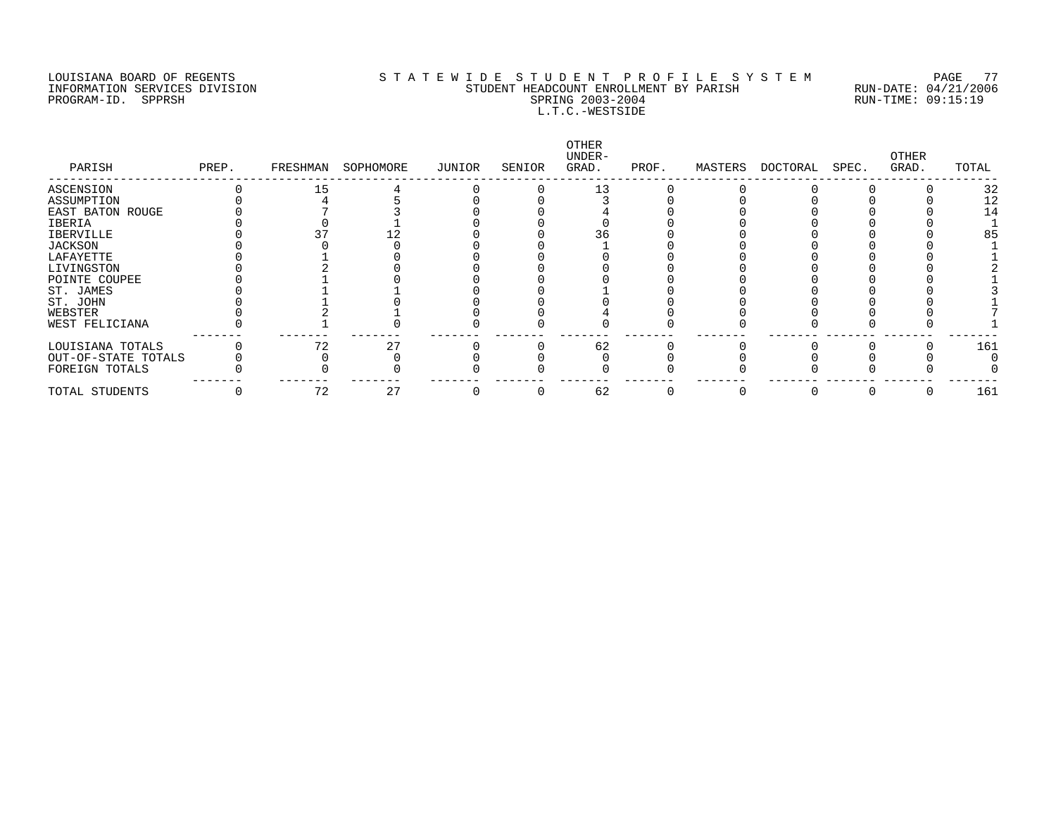#### LOUISIANA BOARD OF REGENTS S T A T E W I D E S T U D E N T P R O F I L E S Y S T E M PAGE 77 INFORMATION SERVICES DIVISION STUDENT HEADCOUNT ENROLLMENT BY PARISH RUN-DATE: 04/21/2006 PROGRAM-ID. SPPRSH SPRING 2003-2004 RUN-TIME: 09:15:19 L.T.C.-WESTSIDE

| PARISH              | PREP. | FRESHMAN | SOPHOMORE | JUNIOR | SENIOR | OTHER<br>UNDER-<br>GRAD. | PROF. | MASTERS | DOCTORAL | SPEC. | OTHER<br>GRAD. | TOTAL |
|---------------------|-------|----------|-----------|--------|--------|--------------------------|-------|---------|----------|-------|----------------|-------|
| ASCENSION           |       | 15       |           |        |        | 13                       |       |         |          |       |                | 32    |
| ASSUMPTION          |       |          |           |        |        |                          |       |         |          |       |                | 12    |
| EAST BATON ROUGE    |       |          |           |        |        |                          |       |         |          |       |                | 14    |
| IBERIA              |       |          |           |        |        |                          |       |         |          |       |                |       |
| IBERVILLE           |       |          |           |        |        | 36                       |       |         |          |       |                | 85    |
| JACKSON             |       |          |           |        |        |                          |       |         |          |       |                |       |
| LAFAYETTE           |       |          |           |        |        |                          |       |         |          |       |                |       |
| LIVINGSTON          |       |          |           |        |        |                          |       |         |          |       |                |       |
| POINTE COUPEE       |       |          |           |        |        |                          |       |         |          |       |                |       |
| ST. JAMES           |       |          |           |        |        |                          |       |         |          |       |                |       |
| ST. JOHN            |       |          |           |        |        |                          |       |         |          |       |                |       |
| WEBSTER             |       |          |           |        |        |                          |       |         |          |       |                |       |
| WEST FELICIANA      |       |          |           |        |        |                          |       |         |          |       |                |       |
| LOUISIANA TOTALS    |       |          | 27        |        |        | 62                       |       |         |          |       |                | 161   |
| OUT-OF-STATE TOTALS |       |          |           |        |        |                          |       |         |          |       |                |       |
| FOREIGN TOTALS      |       |          |           |        |        |                          |       |         |          |       |                |       |
| TOTAL STUDENTS      |       | 72       | 27        |        |        | 62                       |       |         |          |       |                | 161   |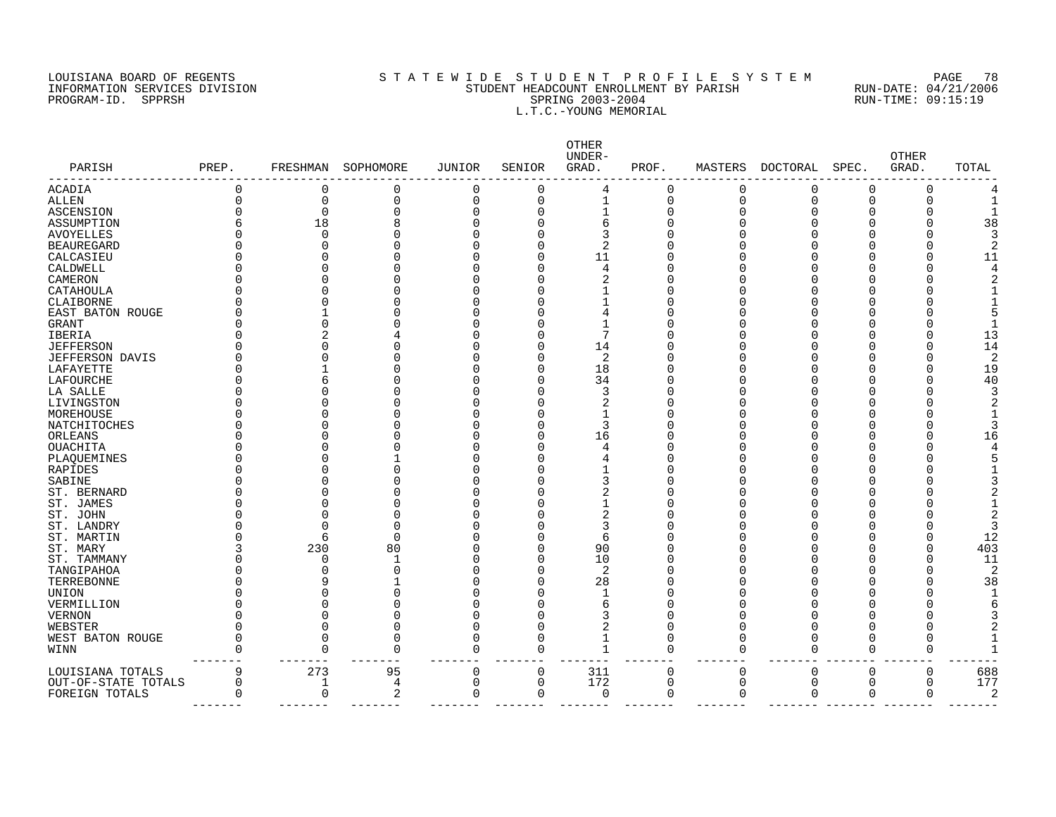#### LOUISIANA BOARD OF REGENTS S T A T E W I D E S T U D E N T P R O F I L E S Y S T E M PAGE 78 INFORMATION SERVICES DIVISION STUDENT HEADCOUNT ENROLLMENT BY PARISH RUN-DATE: 04/21/2006 PROGRAM-ID. SPPRSH SPRING 2003-2004 RUN-TIME: 09:15:19 L.T.C.-YOUNG MEMORIAL

| PARISH              | PREP.    | FRESHMAN     | SOPHOMORE | <b>JUNIOR</b>  | SENIOR   | OTHER<br>UNDER-<br>GRAD. | PROF.    | MASTERS     | DOCTORAL    | SPEC.    | <b>OTHER</b><br>GRAD. | TOTAL |
|---------------------|----------|--------------|-----------|----------------|----------|--------------------------|----------|-------------|-------------|----------|-----------------------|-------|
| <b>ACADIA</b>       | 0        | $\Omega$     | 0         | 0              | $\Omega$ | 4                        | 0        | $\Omega$    | $\Omega$    | $\Omega$ | O                     |       |
| ALLEN               | 0        | 0            | 0         | $\mathbf 0$    | $\Omega$ | $\mathbf{1}$             | 0        | $\Omega$    | $\Omega$    | $\Omega$ | $\Omega$              |       |
| <b>ASCENSION</b>    | O        | $\Omega$     | O         | $\Omega$       | O        |                          | $\Omega$ | $\cap$      | O           | $\Omega$ |                       |       |
| ASSUMPTION          | 6        | 18           | 8         | $\Omega$       | U        | 6                        | C        |             |             |          |                       | 38    |
| <b>AVOYELLES</b>    | Λ        | $\Omega$     | O         | $\Omega$       |          | 3                        | C        |             |             |          |                       |       |
| <b>BEAUREGARD</b>   |          | U            | N         | $\Omega$       | U        | $\mathcal{D}$            | C        |             |             |          |                       |       |
| CALCASIEU           | O        |              | N         | $\Omega$       | U        | 11                       | O        |             |             |          |                       | 11    |
| CALDWELL            | O        | 0            | O         | $\Omega$       | U        | $\overline{4}$           | 0        |             |             |          |                       |       |
| CAMERON             | Ω        |              | O         | $\Omega$       | U        | 2                        | O        |             |             |          |                       |       |
| CATAHOULA           |          |              |           | $\Omega$       | U        |                          | 0        |             |             |          |                       |       |
| CLAIBORNE           |          |              | 0         | $\Omega$       |          |                          | 0        |             |             |          |                       |       |
| EAST BATON ROUGE    |          |              |           | $\Omega$       |          |                          | C        |             |             |          |                       |       |
| GRANT               | Ω        |              |           | $\Omega$       |          |                          | C        |             |             |          |                       |       |
| IBERIA              |          |              |           | $\Omega$       | $\cap$   |                          | C        |             |             |          |                       | 13    |
| <b>JEFFERSON</b>    |          |              |           | $\Omega$       | U        | 14                       | C        |             |             |          |                       | 14    |
| JEFFERSON DAVIS     |          |              | ი         | $\Omega$       | U        | 2                        | 0        |             |             | ∩        |                       | 2     |
| LAFAYETTE           |          |              |           | $\Omega$       | U        | 18                       | $\Omega$ |             |             |          |                       | 19    |
| LAFOURCHE           |          | 6            |           | $\Omega$       | U        | 34                       | 0        |             |             | ∩        |                       | 40    |
| LA SALLE            |          |              |           | $\Omega$       |          | 3                        | 0        |             |             |          |                       |       |
| LIVINGSTON          |          |              |           | $\Omega$       |          | 2                        | C        |             |             | ∩        |                       |       |
| MOREHOUSE           |          |              |           | n              |          |                          | O        |             |             |          |                       |       |
| NATCHITOCHES        |          |              |           | $\Omega$       | O        | 3                        | C        |             |             | ∩        |                       |       |
| ORLEANS             |          |              |           | $\Omega$       | U        | 16                       | C        |             |             |          |                       | 16    |
| <b>OUACHITA</b>     |          | U            |           | $\Omega$       | U        |                          | Λ        |             |             |          |                       |       |
| PLAQUEMINES         |          |              |           | $\cap$         | U        |                          | C        |             |             |          |                       |       |
| RAPIDES             |          |              | N         | $\Omega$       | U        |                          | O        |             |             |          |                       |       |
| SABINE              |          |              |           | $\Omega$       |          | 3                        | 0        |             |             |          |                       |       |
| ST. BERNARD         |          | ∩            | Λ         | $\Omega$       | U        | 2                        | U        |             |             |          |                       |       |
| ST. JAMES           |          |              |           | $\Omega$       |          |                          | Λ        |             |             |          |                       |       |
| ST. JOHN            |          |              | N         | $\Omega$       | U        | 2                        | Λ        |             |             |          |                       |       |
| ST. LANDRY          |          | U            | O         | $\Omega$       |          | 3                        | Λ        |             |             |          |                       | ς     |
| ST. MARTIN          | Λ        | 6            | $\Omega$  | $\Omega$       | U        | 6                        | Λ        |             |             |          |                       | 12    |
| ST. MARY            | 3        | 230          | 80        | $\Omega$       | O        | 90                       | Λ        |             |             |          |                       | 403   |
| ST. TAMMANY         | U        | $\Omega$     |           | $\Omega$       | U        | 10                       | C        |             |             |          |                       | 11    |
| TANGIPAHOA          |          | O            | O         | $\Omega$       | U        | 2                        | Λ        |             |             |          |                       | 2     |
| TERREBONNE          |          |              |           | $\Omega$       | U        | 28                       | O        |             |             | ∩        |                       | 38    |
| <b>UNION</b>        |          |              | O         | $\Omega$       |          |                          | Λ        |             |             |          |                       |       |
| VERMILLION          | Λ        |              | O         | $\Omega$       |          | 6                        | C        |             |             |          |                       |       |
| <b>VERNON</b>       | Ω        | U            | O         | $\Omega$       |          | 3                        | C        |             |             |          |                       |       |
| WEBSTER             | O        | $\Omega$     | $\Omega$  | $\mathbf 0$    | O        | 2                        | 0        | ∩           | ∩           | ∩        |                       |       |
| WEST BATON ROUGE    | 0        | $\Omega$     | $\Omega$  | $\overline{0}$ | $\Omega$ | $\mathbf{1}$             | 0        | $\cap$      | O           | $\Omega$ | $\Omega$              |       |
| WINN                | $\Omega$ | $\Omega$     | $\Omega$  | $\mathbf 0$    | $\Omega$ | $\mathbf{1}$             | $\Omega$ | $\Omega$    | $\Omega$    | $\Omega$ | ∩                     |       |
| LOUISIANA TOTALS    | 9        | 273          | 95        | $\mathbf 0$    | 0        | 311                      | 0        | 0           | $\mathbf 0$ | 0        | $\mathbf 0$           | 688   |
| OUT-OF-STATE TOTALS | 0        | $\mathbf{1}$ | 4         | $\mathbf 0$    | 0        | 172                      | 0        | $\mathbf 0$ | $\mathbf 0$ | 0        | $\mathbf 0$           | 177   |
| FOREIGN TOTALS      | 0        | $\mathbf 0$  | 2         | $\mathbf 0$    | 0        | 0                        | 0        | $\Omega$    | 0           | 0        | 0                     | 2     |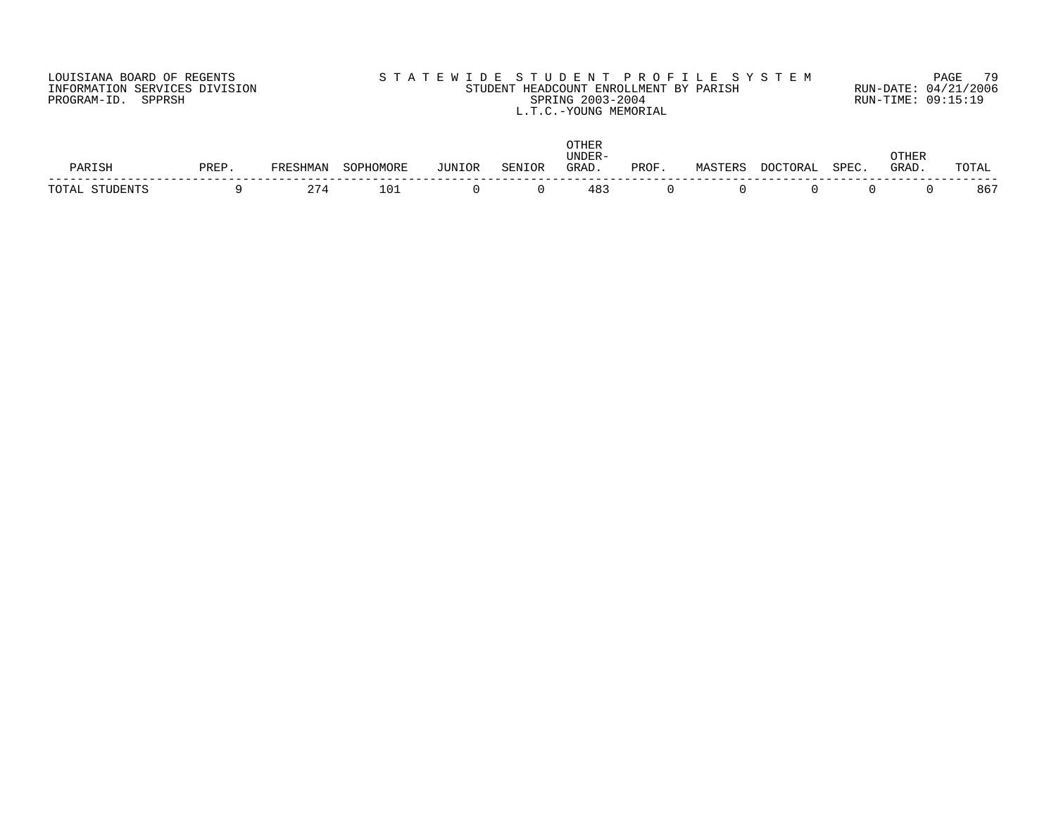| LOUISIANA BOARD OF REGENTS    | STATEWIDE STUDENT PROFILE SYSTEM          | PAGE 79              |
|-------------------------------|-------------------------------------------|----------------------|
| INFORMATION SERVICES DIVISION | STUDENT HEADCOUNT ENROLLMENT BY PARISH    | RUN-DATE: 04/21/2006 |
| PROGRAM-ID. SPPRSH            | SPRING 2003-2004<br>L.T.C.-YOUNG MEMORIAL | RUN-TIME: 09:15:19   |

| われし | זהחת |                    |        | <b>TITNL</b> | C TH | _____<br>GRAD | <b>PROF</b> |  | CDF | THEI<br>$G$ R $\Delta$ D | ∣∸∆ |
|-----|------|--------------------|--------|--------------|------|---------------|-------------|--|-----|--------------------------|-----|
|     |      | $\sim$ $\sim$<br>∼ | $\cap$ |              |      | 48^           |             |  |     |                          | 86' |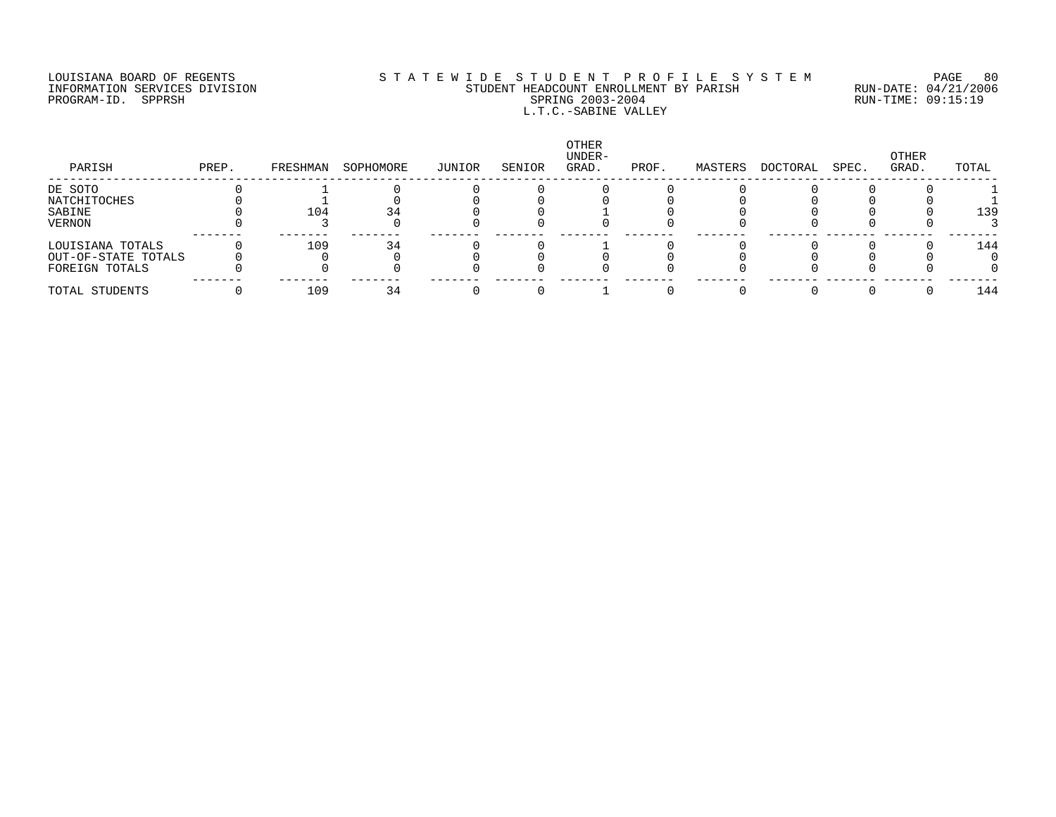#### LOUISIANA BOARD OF REGENTS S T A T E W I D E S T U D E N T P R O F I L E S Y S T E M PAGE 80 INFORMATION SERVICES DIVISION STUDENT HEADCOUNT ENROLLMENT BY PARISH RUN-DATE: 04/21/2006 PROGRAM-ID. SPPRSH SPRING 2003-2004 RUN-TIME: 09:15:19 L.T.C.-SABINE VALLEY

| PARISH              | PREP. | FRESHMAN | SOPHOMORE | JUNIOR | SENIOR | OTHER<br>UNDER-<br>GRAD. | PROF. | MASTERS | DOCTORAL | SPEC. | OTHER<br>GRAD. | TOTAL |
|---------------------|-------|----------|-----------|--------|--------|--------------------------|-------|---------|----------|-------|----------------|-------|
| DE SOTO             |       |          |           |        |        |                          |       |         |          |       |                |       |
| NATCHITOCHES        |       |          |           |        |        |                          |       |         |          |       |                |       |
| SABINE              |       | 104      |           |        |        |                          |       |         |          |       |                | 139   |
| VERNON              |       |          |           |        |        |                          |       |         |          |       |                |       |
| LOUISIANA TOTALS    |       | 109      | 34        |        |        |                          |       |         |          |       |                | 144   |
| OUT-OF-STATE TOTALS |       |          |           |        |        |                          |       |         |          |       |                |       |
| FOREIGN TOTALS      |       |          |           |        |        |                          |       |         |          |       |                |       |
| TOTAL STUDENTS      |       | 109      |           |        |        |                          |       |         |          |       |                | 144   |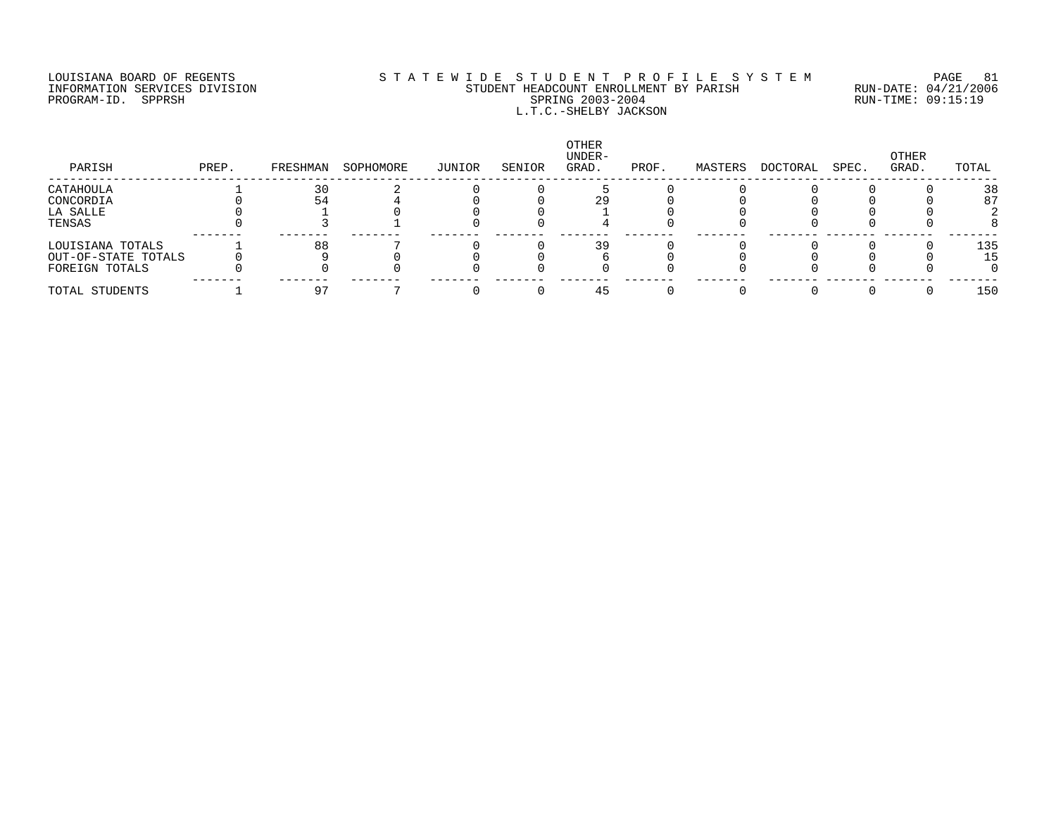#### LOUISIANA BOARD OF REGENTS SOURCLEARIE S T A T E W I D E S T U D E N T P R O F I L E S Y S T E M PAGE 81 INFORMATION SERVICES DIVISION STUDENT HEADCOUNT ENROLLMENT BY PARISH RUN-DATE: 04/21/2006 PROGRAM-ID. SPPRSH SPRING 2003-2004 RUN-TIME: 09:15:19 L.T.C.-SHELBY JACKSON

| PARISH              | PREP. | FRESHMAN | SOPHOMORE | JUNIOR | SENIOR | OTHER<br>UNDER-<br>GRAD. | PROF. | MASTERS | DOCTORAL | SPEC. | OTHER<br>GRAD. | TOTAL |
|---------------------|-------|----------|-----------|--------|--------|--------------------------|-------|---------|----------|-------|----------------|-------|
| CATAHOULA           |       | 30       |           |        |        |                          |       |         |          |       |                | 38    |
| CONCORDIA           |       | 54       |           |        |        |                          |       |         |          |       |                | 87    |
| LA SALLE            |       |          |           |        |        |                          |       |         |          |       |                |       |
| TENSAS              |       |          |           |        |        |                          |       |         |          |       |                |       |
| LOUISIANA TOTALS    |       | 88       |           |        |        | 39                       |       |         |          |       |                | 135   |
| OUT-OF-STATE TOTALS |       |          |           |        |        |                          |       |         |          |       |                | 15    |
| FOREIGN TOTALS      |       |          |           |        |        |                          |       |         |          |       |                |       |
| TOTAL STUDENTS      |       |          |           |        |        | 45                       |       |         |          |       |                | 150   |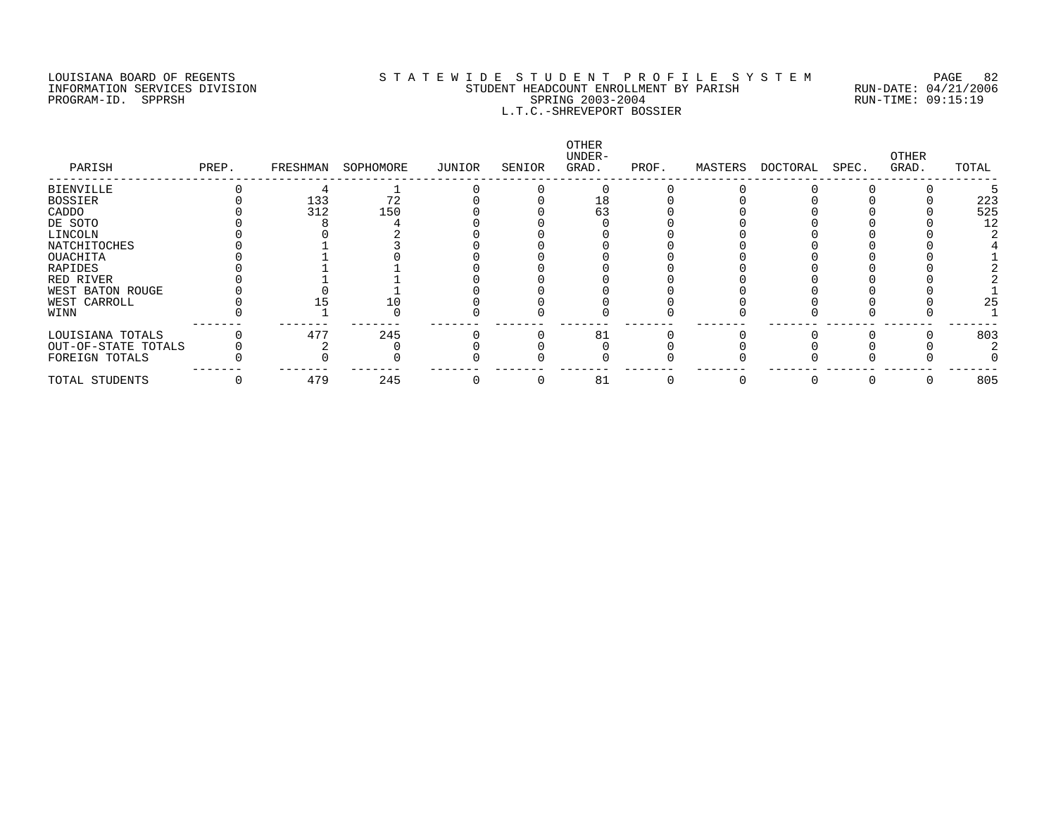### LOUISIANA BOARD OF REGENTS S T A T E W I D E S T U D E N T P R O F I L E S Y S T E M PAGE 82 INFORMATION SERVICES DIVISION STUDENT HEADCOUNT ENROLLMENT BY PARISH RUN-DATE: 04/21/2006 PROGRAM-ID. SPPRSH SPRING 2003-2004 RUN-TIME: 09:15:19 L.T.C.-SHREVEPORT BOSSIER

| PARISH              | PREP. | FRESHMAN | SOPHOMORE | JUNIOR | SENIOR | OTHER<br>UNDER-<br>GRAD. | PROF. | MASTERS | DOCTORAL | SPEC. | OTHER<br>GRAD. | TOTAL |
|---------------------|-------|----------|-----------|--------|--------|--------------------------|-------|---------|----------|-------|----------------|-------|
| <b>BIENVILLE</b>    |       |          |           |        |        |                          |       |         |          |       |                |       |
| <b>BOSSIER</b>      |       | 133      | 72        |        |        | 18                       |       |         |          |       |                | 223   |
| CADDO               |       | 312      | 150       |        |        | 63                       |       |         |          |       |                | 525   |
| DE SOTO             |       |          |           |        |        |                          |       |         |          |       |                | 12    |
| LINCOLN             |       |          |           |        |        |                          |       |         |          |       |                |       |
| NATCHITOCHES        |       |          |           |        |        |                          |       |         |          |       |                |       |
| OUACHITA            |       |          |           |        |        |                          |       |         |          |       |                |       |
| RAPIDES             |       |          |           |        |        |                          |       |         |          |       |                |       |
| RED RIVER           |       |          |           |        |        |                          |       |         |          |       |                |       |
| WEST BATON ROUGE    |       |          |           |        |        |                          |       |         |          |       |                |       |
| WEST CARROLL        |       |          |           |        |        |                          |       |         |          |       |                | 25    |
| WINN                |       |          |           |        |        |                          |       |         |          |       |                |       |
| LOUISIANA TOTALS    |       | 477      | 245       |        |        | 81                       |       |         |          |       |                | 803   |
| OUT-OF-STATE TOTALS |       |          |           |        |        |                          |       |         |          |       |                |       |
| FOREIGN TOTALS      |       |          |           |        |        |                          |       |         |          |       |                |       |
| TOTAL STUDENTS      |       | 479      | 245       |        |        | 81                       |       |         |          |       |                | 805   |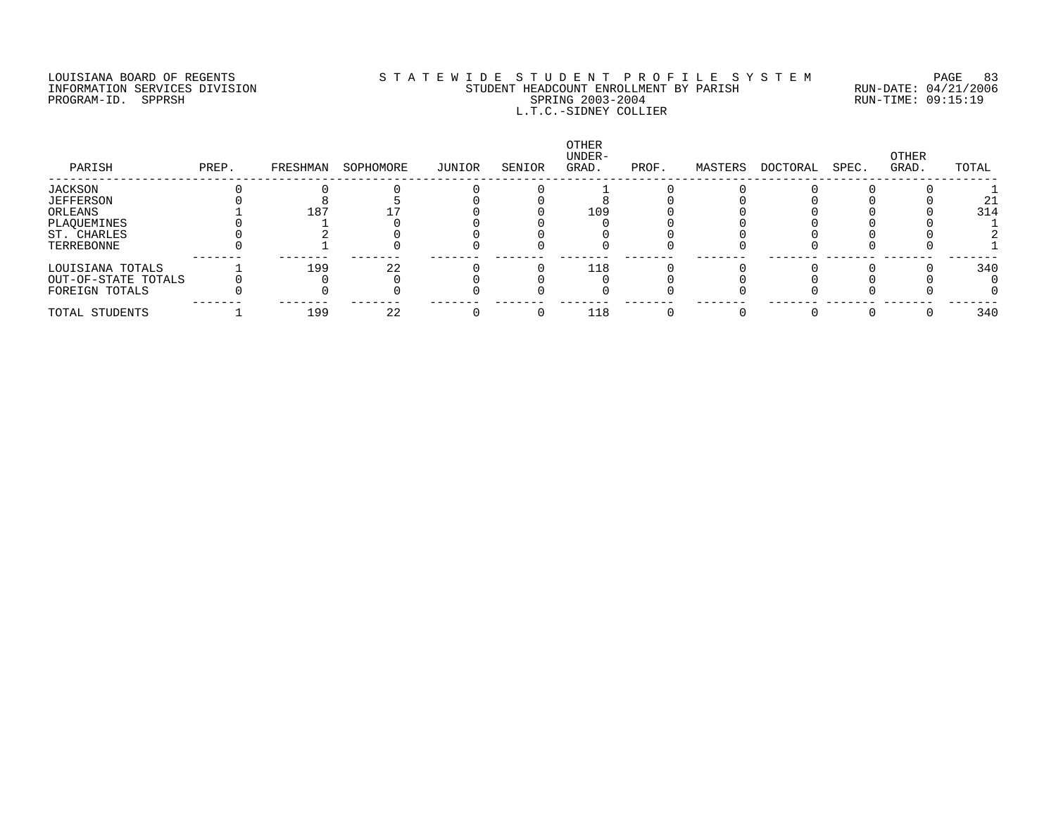#### LOUISIANA BOARD OF REGENTS S T A T E W I D E S T U D E N T P R O F I L E S Y S T E M PAGE 83 INFORMATION SERVICES DIVISION STUDENT HEADCOUNT ENROLLMENT BY PARISH RUN-DATE: 04/21/2006 PROGRAM-ID. SPPRSH SPRING 2003-2004 RUN-TIME: 09:15:19 L.T.C.-SIDNEY COLLIER

| PARISH              | PREP. | FRESHMAN | SOPHOMORE | JUNIOR | SENIOR | OTHER<br>UNDER-<br>GRAD. | PROF. | MASTERS | DOCTORAL | SPEC. | OTHER<br>GRAD. | TOTAL |
|---------------------|-------|----------|-----------|--------|--------|--------------------------|-------|---------|----------|-------|----------------|-------|
| JACKSON             |       |          |           |        |        |                          |       |         |          |       |                |       |
| JEFFERSON           |       |          |           |        |        |                          |       |         |          |       |                | 21    |
| ORLEANS             |       | 187      |           |        |        | 109                      |       |         |          |       |                | 314   |
| PLAQUEMINES         |       |          |           |        |        |                          |       |         |          |       |                |       |
| ST. CHARLES         |       |          |           |        |        |                          |       |         |          |       |                |       |
| TERREBONNE          |       |          |           |        |        |                          |       |         |          |       |                |       |
| LOUISIANA TOTALS    |       | 199      | 22        |        |        | 118                      |       |         |          |       |                | 340   |
| OUT-OF-STATE TOTALS |       |          |           |        |        |                          |       |         |          |       |                |       |
| FOREIGN TOTALS      |       |          |           |        |        |                          |       |         |          |       |                |       |
| TOTAL STUDENTS      |       | 199      | 22        |        |        | 118                      |       |         |          |       |                | 340   |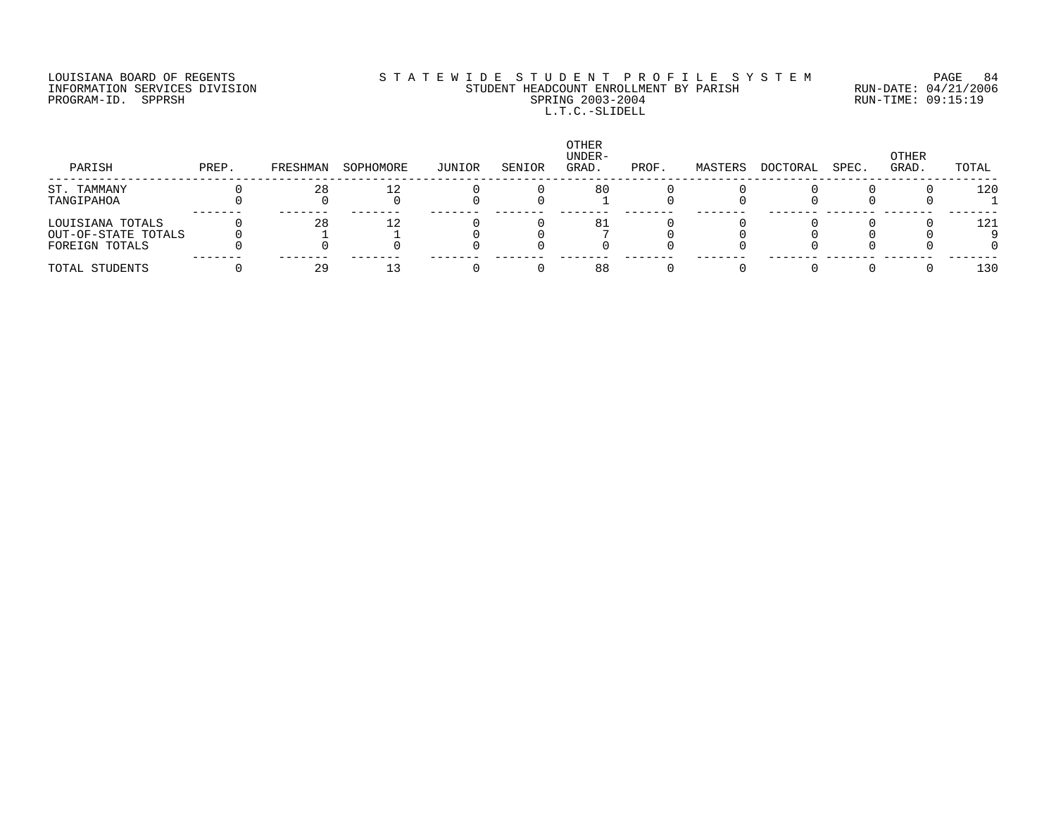PROGRAM-ID. SPPRSH

# LOUISIANA BOARD OF REGENTS SOURCOMER'S STATEWIDE STUDENT PROFILE SYSTEM PAGE 84<br>STUDENT HEADCOUNT ENROLLMENT BY PARISH RUN-DATE: 04/21/2006 INFORMATION SERVICES DIVISION SANTO STUDENT HEADCOUNT ENROLLMENT BY PARISH SPARISH RUN-DATE: 04/21/2000<br>PROGRAM-ID. SPPRSH RUN-TIME: 09:15:19 L.T.C.-SLIDELL

| PARISH              | PREP. | FRESHMAN | SOPHOMORE | JUNIOR | SENIOR | <b>OTHER</b><br>UNDER-<br>GRAD. | PROF. | MASTERS | DOCTORAL | SPEC. | OTHER<br>GRAD. | TOTAL |
|---------------------|-------|----------|-----------|--------|--------|---------------------------------|-------|---------|----------|-------|----------------|-------|
| ST. TAMMANY         |       | 28       | 12        |        |        | 80                              |       |         |          |       |                | 120   |
| TANGIPAHOA          |       |          |           |        |        |                                 |       |         |          |       |                |       |
| LOUISIANA TOTALS    |       | 28       | 12        |        |        | 81                              |       |         |          |       |                | 121   |
| OUT-OF-STATE TOTALS |       |          |           |        |        |                                 |       |         |          |       |                |       |
| FOREIGN TOTALS      |       |          |           |        |        |                                 |       |         |          |       |                |       |
| TOTAL STUDENTS      |       | 29       |           |        |        | 88                              |       |         |          |       |                | 130   |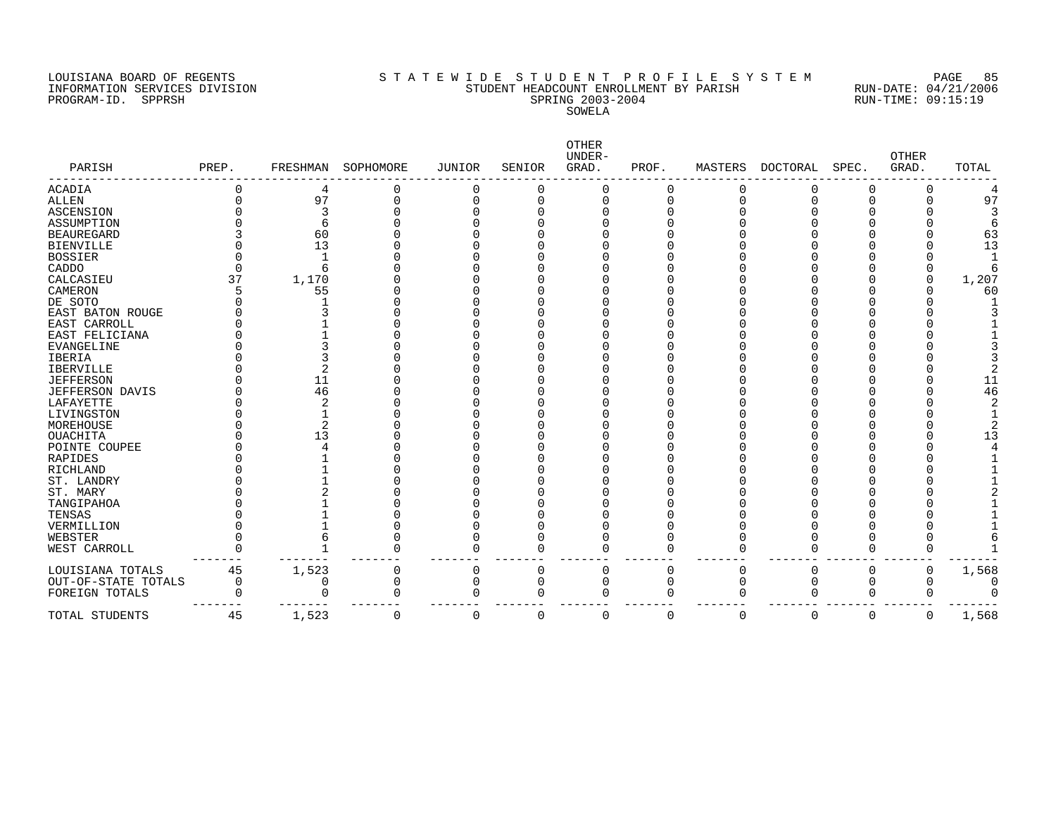#### LOUISIANA BOARD OF REGENTS S T A T E W I D E S T U D E N T P R O F I L E S Y S T E M PAGE 85 INFORMATION SERVICES DIVISION STUDENT HEADCOUNT ENROLLMENT BY PARISH RUN-DATE: 04/21/2006 PROGRAM-ID. SPPRSH SPRING 2003-2004 RUN-TIME: 09:15:19 SOWELA

| PARISH                 | PREP.       | FRESHMAN | SOPHOMORE | JUNIOR      | SENIOR   | OTHER<br>UNDER-<br>GRAD. | PROF.    | MASTERS     | DOCTORAL | SPEC.    | <b>OTHER</b><br>GRAD. | TOTAL |
|------------------------|-------------|----------|-----------|-------------|----------|--------------------------|----------|-------------|----------|----------|-----------------------|-------|
| <b>ACADIA</b>          |             | 4        | 0         | 0           | 0        |                          | 0        | 0           | O        | O        | 0                     |       |
| <b>ALLEN</b>           |             | 97       | 0         | $\Omega$    | 0        | $\Omega$                 | 0        | $\Omega$    | C        | C        |                       | 97    |
| ASCENSION              |             | 3        |           |             |          |                          |          |             |          |          |                       |       |
| ASSUMPTION             |             |          |           |             |          |                          |          |             |          |          |                       |       |
| <b>BEAUREGARD</b>      |             | 60       |           |             |          |                          |          |             |          |          |                       | 63    |
| <b>BIENVILLE</b>       |             | 13       |           |             |          |                          |          |             |          |          |                       | 13    |
| <b>BOSSIER</b>         |             |          |           |             |          |                          |          |             |          |          |                       |       |
| CADDO                  |             |          |           |             |          |                          |          |             |          |          |                       |       |
| CALCASIEU              | 37          | 1,170    |           |             |          |                          |          |             |          |          | ∩                     | 1,207 |
| CAMERON                |             | 55       |           |             |          |                          |          |             |          |          |                       | 60    |
| DE SOTO                |             |          |           |             |          |                          |          |             |          |          |                       |       |
| EAST BATON ROUGE       |             |          |           |             |          |                          |          |             |          |          |                       |       |
| EAST CARROLL           |             |          |           |             |          |                          |          |             |          |          |                       |       |
| EAST FELICIANA         |             |          |           |             |          |                          |          |             |          |          |                       |       |
| <b>EVANGELINE</b>      |             |          |           |             |          |                          |          |             |          |          |                       |       |
| IBERIA                 |             |          |           |             |          |                          |          |             |          |          |                       |       |
| <b>IBERVILLE</b>       |             |          |           |             |          |                          |          |             |          |          |                       |       |
| <b>JEFFERSON</b>       |             | 11       |           |             |          |                          |          |             |          |          |                       | 11    |
| <b>JEFFERSON DAVIS</b> |             | 46       |           |             |          |                          |          |             |          |          |                       | 46    |
| LAFAYETTE              |             | 2        |           |             |          |                          |          |             |          |          |                       |       |
| LIVINGSTON             |             |          |           |             |          |                          |          |             |          |          |                       |       |
| MOREHOUSE              |             | 2        |           |             |          |                          |          |             |          |          |                       |       |
| OUACHITA               |             | 13       |           |             |          |                          |          |             |          |          |                       | 13    |
| POINTE COUPEE          |             |          |           |             |          |                          |          |             |          |          |                       |       |
| RAPIDES                |             |          |           |             |          |                          |          |             |          |          |                       |       |
| RICHLAND               |             |          |           |             |          |                          |          |             |          |          |                       |       |
| ST. LANDRY             |             |          |           |             |          |                          |          |             |          |          |                       |       |
| ST. MARY               |             |          |           |             |          |                          |          |             |          |          |                       |       |
| TANGIPAHOA             |             |          |           |             |          |                          |          |             |          |          |                       |       |
| TENSAS                 |             |          |           |             |          |                          |          |             |          |          |                       |       |
| VERMILLION             |             |          |           |             |          |                          |          |             |          |          |                       |       |
| WEBSTER                |             |          |           |             |          |                          |          |             |          |          |                       |       |
| WEST CARROLL           |             |          | $\Omega$  | $\Omega$    | $\Omega$ |                          | 0        | $\Omega$    | O        | $\Omega$ | U                     |       |
| LOUISIANA TOTALS       | 45          | 1,523    | 0         | 0           | 0        | $\Omega$                 | 0        | 0           | 0        | 0        | 0                     | 1,568 |
| OUT-OF-STATE TOTALS    | $\mathbf 0$ |          | 0         | $\mathbf 0$ | $\Omega$ | $\Omega$                 | $\Omega$ | $\mathbf 0$ | $\Omega$ | $\Omega$ | O                     |       |
| FOREIGN TOTALS         | ∩           |          | $\Omega$  | $\Omega$    | $\Omega$ |                          | 0        | $\Omega$    | O        | $\Omega$ | 0                     |       |
| TOTAL STUDENTS         | 45          | 1,523    | 0         | $\Omega$    | 0        | $\Omega$                 | $\Omega$ | $\mathbf 0$ | 0        | 0        | 0                     | 1,568 |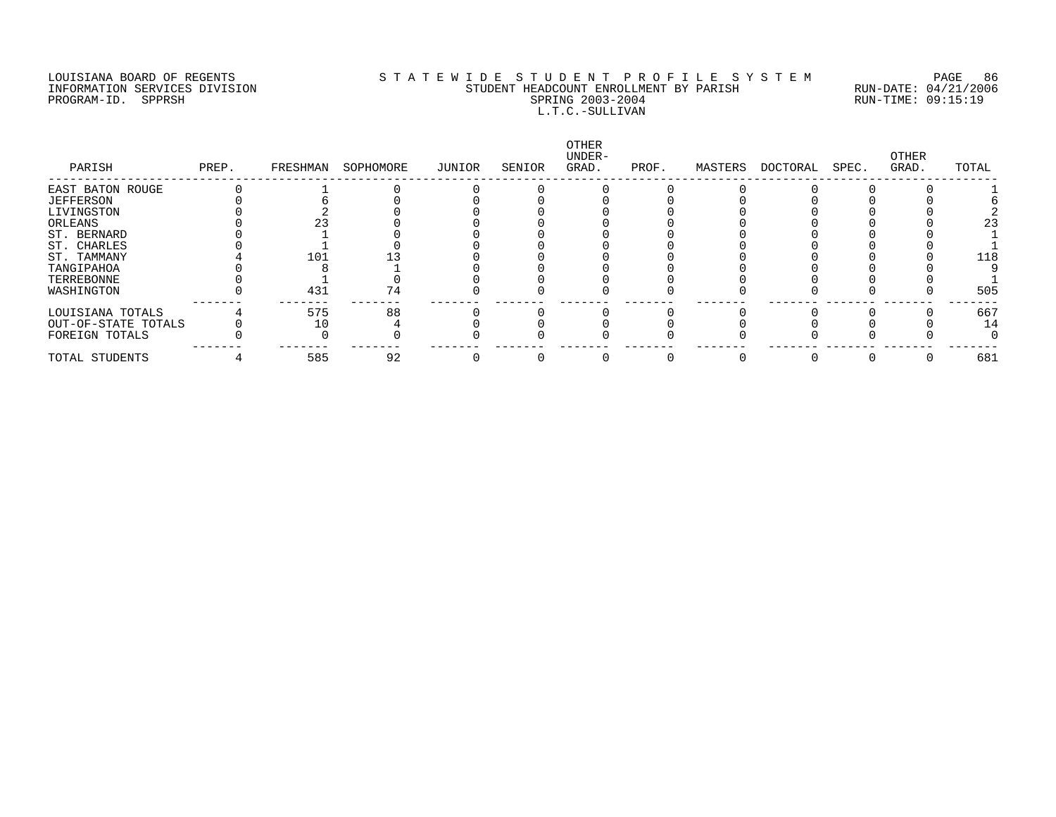#### LOUISIANA BOARD OF REGENTS S T A T E W I D E S T U D E N T P R O F I L E S Y S T E M PAGE 86 INFORMATION SERVICES DIVISION STUDENT HEADCOUNT ENROLLMENT BY PARISH RUN-DATE: 04/21/2006 PROGRAM-ID. SPPRSH SPRING 2003-2004 RUN-TIME: 09:15:19 L.T.C.-SULLIVAN

| PARISH              | PREP. | FRESHMAN | SOPHOMORE | JUNIOR | SENIOR | OTHER<br>UNDER-<br>GRAD. | PROF. | MASTERS | DOCTORAL | SPEC. | OTHER<br>GRAD. | TOTAL |
|---------------------|-------|----------|-----------|--------|--------|--------------------------|-------|---------|----------|-------|----------------|-------|
| EAST BATON ROUGE    |       |          |           |        |        |                          |       |         |          |       |                |       |
| <b>JEFFERSON</b>    |       |          |           |        |        |                          |       |         |          |       |                |       |
| LIVINGSTON          |       |          |           |        |        |                          |       |         |          |       |                |       |
| ORLEANS             |       |          |           |        |        |                          |       |         |          |       |                | 23    |
| ST. BERNARD         |       |          |           |        |        |                          |       |         |          |       |                |       |
| ST. CHARLES         |       |          |           |        |        |                          |       |         |          |       |                |       |
| ST. TAMMANY         |       | 101      |           |        |        |                          |       |         |          |       |                | 118   |
| TANGIPAHOA          |       |          |           |        |        |                          |       |         |          |       |                |       |
| TERREBONNE          |       |          |           |        |        |                          |       |         |          |       |                |       |
| WASHINGTON          |       | 431      | 74        |        |        |                          |       |         |          |       |                | 505   |
| LOUISIANA TOTALS    |       | 575      | 88        |        |        |                          |       |         |          |       |                | 667   |
| OUT-OF-STATE TOTALS |       |          |           |        |        |                          |       |         |          |       |                | 14    |
| FOREIGN TOTALS      |       |          |           |        |        |                          |       |         |          |       |                |       |
| TOTAL STUDENTS      |       | 585      | 92        |        |        |                          |       |         |          |       |                | 681   |
|                     |       |          |           |        |        |                          |       |         |          |       |                |       |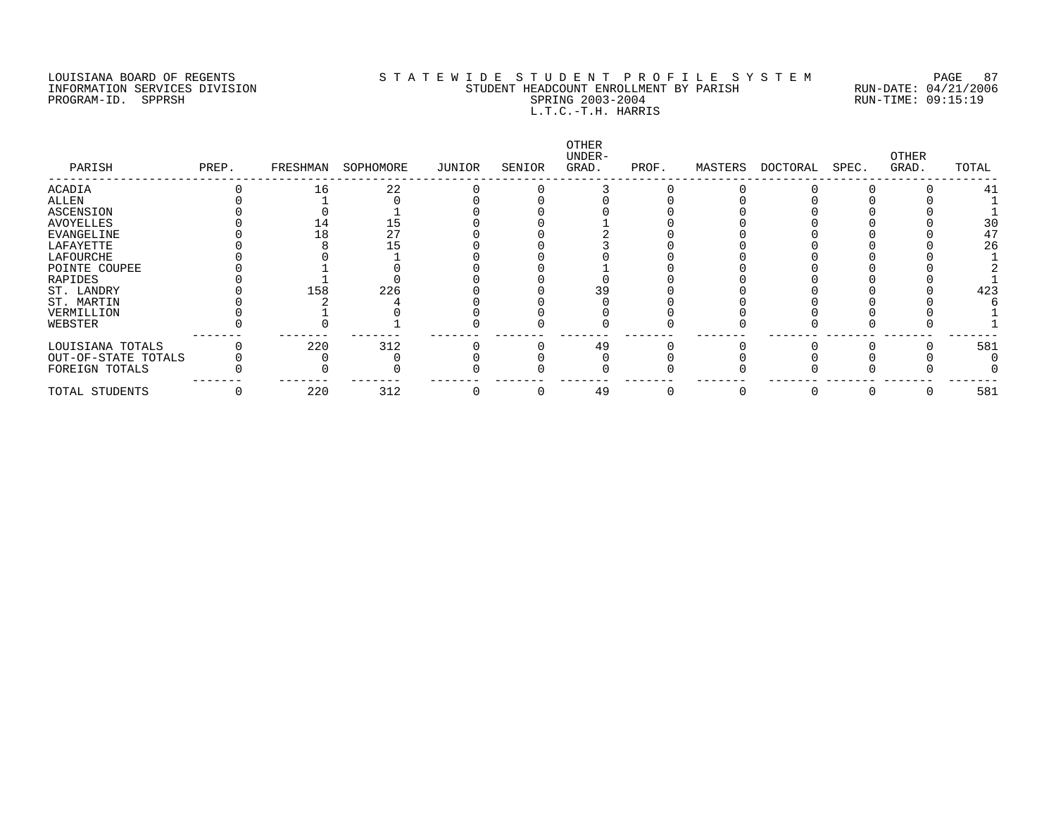#### LOUISIANA BOARD OF REGENTS S T A T E W I D E S T U D E N T P R O F I L E S Y S T E M PAGE 87 INFORMATION SERVICES DIVISION STUDENT HEADCOUNT ENROLLMENT BY PARISH RUN-DATE: 04/21/2006 PROGRAM-ID. SPPRSH SPRING 2003-2004 RUN-TIME: 09:15:19 L.T.C.-T.H. HARRIS

| PARISH              | PREP. | FRESHMAN | SOPHOMORE | JUNIOR | SENIOR | OTHER<br>UNDER-<br>GRAD. | PROF. | MASTERS | DOCTORAL | SPEC. | OTHER<br>GRAD. | TOTAL |
|---------------------|-------|----------|-----------|--------|--------|--------------------------|-------|---------|----------|-------|----------------|-------|
| ACADIA              |       | 16       | 22        |        |        |                          |       |         |          |       |                | 41    |
| ALLEN               |       |          |           |        |        |                          |       |         |          |       |                |       |
| <b>ASCENSION</b>    |       |          |           |        |        |                          |       |         |          |       |                |       |
| <b>AVOYELLES</b>    |       |          |           |        |        |                          |       |         |          |       |                | 30    |
| <b>EVANGELINE</b>   |       |          | 27        |        |        |                          |       |         |          |       |                | 47    |
| LAFAYETTE           |       |          |           |        |        |                          |       |         |          |       |                | 26    |
| LAFOURCHE           |       |          |           |        |        |                          |       |         |          |       |                |       |
| POINTE COUPEE       |       |          |           |        |        |                          |       |         |          |       |                |       |
| RAPIDES             |       |          |           |        |        |                          |       |         |          |       |                |       |
| ST. LANDRY          |       | 158      | 226       |        |        |                          |       |         |          |       |                | 423   |
| ST. MARTIN          |       |          |           |        |        |                          |       |         |          |       |                |       |
| VERMILLION          |       |          |           |        |        |                          |       |         |          |       |                |       |
| WEBSTER             |       |          |           |        |        |                          |       |         |          |       |                |       |
| LOUISIANA TOTALS    |       | 220      | 312       |        |        | 49                       |       |         |          |       |                | 581   |
| OUT-OF-STATE TOTALS |       |          |           |        |        |                          |       |         |          |       |                |       |
| FOREIGN TOTALS      |       |          |           |        |        |                          |       |         |          |       |                |       |
| TOTAL STUDENTS      |       | 220      | 312       |        |        | 49                       |       |         |          |       |                | 581   |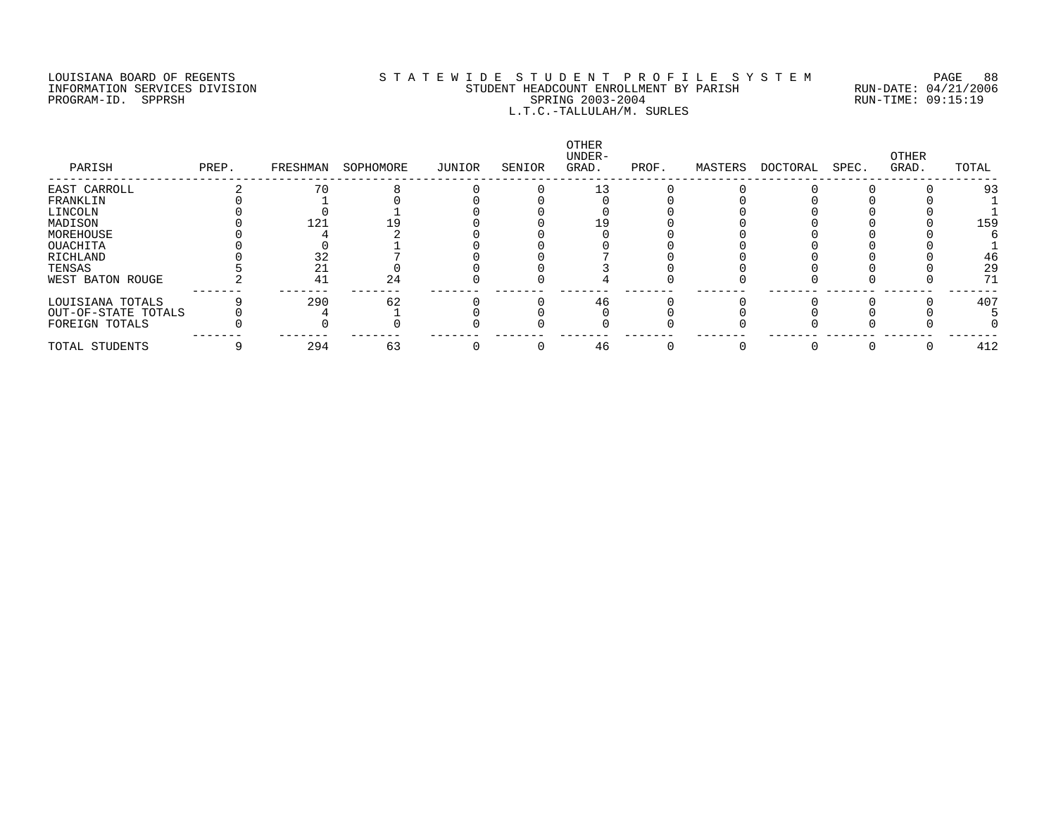#### LOUISIANA BOARD OF REGENTS S T A T E W I D E S T U D E N T P R O F I L E S Y S T E M PAGE 88 INFORMATION SERVICES DIVISION STUDENT HEADCOUNT ENROLLMENT BY PARISH RUN-DATE: 04/21/2006 PROGRAM-ID. SPPRSH SPRING 2003-2004 RUN-TIME: 09:15:19 L.T.C.-TALLULAH/M. SURLES

| PARISH              | PREP. | FRESHMAN | SOPHOMORE | JUNIOR | SENIOR | OTHER<br>UNDER-<br>GRAD. | PROF. | MASTERS | DOCTORAL | SPEC. | OTHER<br>GRAD. | TOTAL           |
|---------------------|-------|----------|-----------|--------|--------|--------------------------|-------|---------|----------|-------|----------------|-----------------|
| EAST CARROLL        |       | 70       |           |        |        |                          |       |         |          |       |                | 93              |
| FRANKLIN            |       |          |           |        |        |                          |       |         |          |       |                |                 |
| LINCOLN             |       |          |           |        |        |                          |       |         |          |       |                |                 |
| MADISON             |       | 121      |           |        |        |                          |       |         |          |       |                | 15 <sup>g</sup> |
| MOREHOUSE           |       |          |           |        |        |                          |       |         |          |       |                |                 |
| OUACHITA            |       |          |           |        |        |                          |       |         |          |       |                |                 |
| RICHLAND            |       |          |           |        |        |                          |       |         |          |       |                | 46              |
| TENSAS              |       |          |           |        |        |                          |       |         |          |       |                | 2 <sup>c</sup>  |
| WEST BATON ROUGE    |       | 41       | 24        |        |        |                          |       |         |          |       |                | 71              |
| LOUISIANA TOTALS    |       | 290      | 62        |        |        | 46                       |       |         |          |       |                | 407             |
| OUT-OF-STATE TOTALS |       |          |           |        |        |                          |       |         |          |       |                |                 |
| FOREIGN TOTALS      |       |          |           |        |        |                          |       |         |          |       |                |                 |
| TOTAL STUDENTS      |       | 294      | 63        |        |        | 46                       |       |         |          |       |                | 412             |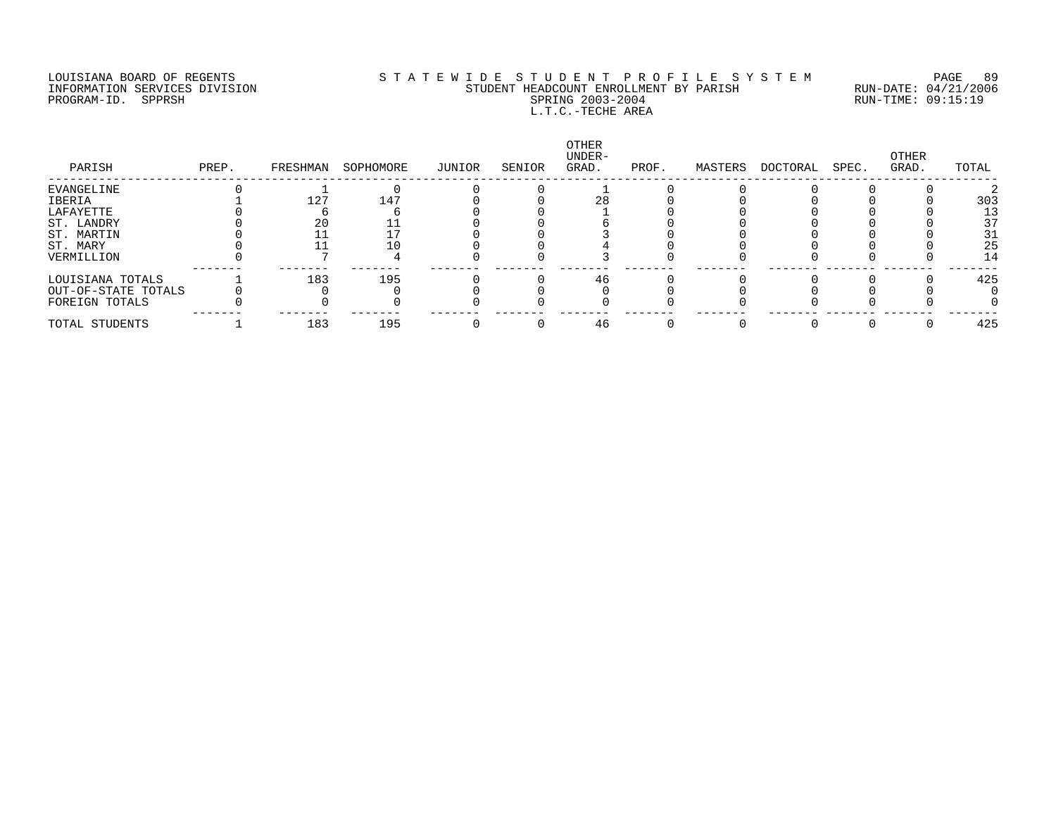#### LOUISIANA BOARD OF REGENTS S T A T E W I D E S T U D E N T P R O F I L E S Y S T E M PAGE 89 INFORMATION SERVICES DIVISION STUDENT HEADCOUNT ENROLLMENT BY PARISH RUN-DATE: 04/21/2006 PROGRAM-ID. SPPRSH SPRING 2003-2004 RUN-TIME: 09:15:19 L.T.C.-TECHE AREA

| PARISH              | PREP. | FRESHMAN | SOPHOMORE | JUNIOR | SENIOR | OTHER<br>UNDER-<br>GRAD. | PROF. | MASTERS | DOCTORAL | SPEC. | OTHER<br>GRAD. | TOTAL |
|---------------------|-------|----------|-----------|--------|--------|--------------------------|-------|---------|----------|-------|----------------|-------|
| EVANGELINE          |       |          |           |        |        |                          |       |         |          |       |                |       |
| IBERIA              |       | 127      | 147       |        |        | 28                       |       |         |          |       |                | 303   |
| LAFAYETTE           |       |          |           |        |        |                          |       |         |          |       |                | 13    |
| ST. LANDRY          |       | 20       |           |        |        |                          |       |         |          |       |                | 37    |
| ST. MARTIN          |       |          |           |        |        |                          |       |         |          |       |                | 31    |
| ST. MARY            |       |          |           |        |        |                          |       |         |          |       |                | 25    |
| VERMILLION          |       |          |           |        |        |                          |       |         |          |       |                | 14    |
| LOUISIANA TOTALS    |       | 183      | 195       |        |        | 46                       |       |         |          |       |                | 425   |
| OUT-OF-STATE TOTALS |       |          |           |        |        |                          |       |         |          |       |                |       |
| FOREIGN TOTALS      |       |          |           |        |        |                          |       |         |          |       |                |       |
| TOTAL STUDENTS      |       | 183      | 195       |        |        | 46                       |       |         |          |       |                | 425   |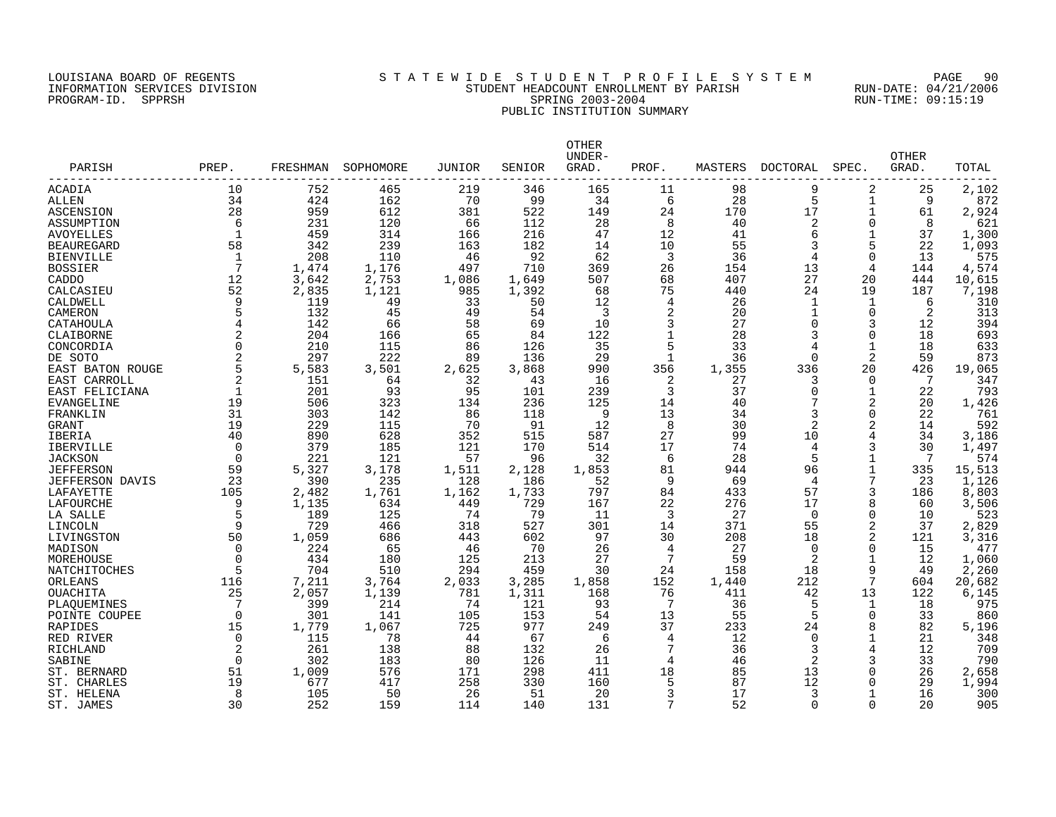### LOUISIANA BOARD OF REGENTS S T A T E W I D E S T U D E N T P R O F I L E S Y S T E M PAGE 90 INFORMATION SERVICES DIVISION STUDENT HEADCOUNT ENROLLMENT BY PARISH RUN-DATE: 04/21/2006 PROGRAM-ID. SPPRSH SPRING 2003-2004 RUN-TIME: 09:15:19 PUBLIC INSTITUTION SUMMARY

| PARISH            | PREP.          | FRESHMAN | SOPHOMORE | JUNIOR | SENIOR | OTHER<br>UNDER-<br>GRAD. | PROF.        | MASTERS | DOCTORAL       | SPEC.        | <b>OTHER</b><br>GRAD. | TOTAL  |
|-------------------|----------------|----------|-----------|--------|--------|--------------------------|--------------|---------|----------------|--------------|-----------------------|--------|
| ACADIA            | 10             | 752      | 465       | 219    | 346    | 165                      | 11           | 98      | 9              | 2            | 25                    | 2,102  |
| <b>ALLEN</b>      | 34             | 424      | 162       | 70     | 99     | 34                       | 6            | 28      | 5              | $\mathbf{1}$ | 9                     | 872    |
| ASCENSION         | 28             | 959      | 612       | 381    | 522    | 149                      | 24           | 170     | 17             | 1            | 61                    | 2,924  |
| ASSUMPTION        | 6              | 231      | 120       | 66     | 112    | 28                       | 8            | 40      | $\overline{2}$ | $\mathbf 0$  | 8                     | 621    |
| AVOYELLES         | $\mathbf{1}$   | 459      | 314       | 166    | 216    | 47                       | 12           | 41      | 6              | $\mathbf{1}$ | 37                    | 1,300  |
| <b>BEAUREGARD</b> | 58             | 342      | 239       | 163    | 182    | 14                       | 10           | 55      |                | 5            | 22                    | 1,093  |
| <b>BIENVILLE</b>  | 1              | 208      | 110       | 46     | 92     | 62                       | 3            | 36      | 4              | 0            | 13                    | 575    |
| <b>BOSSIER</b>    | 7              | 1,474    | 1,176     | 497    | 710    | 369                      | 26           | 154     | 13             | 4            | 144                   | 4,574  |
| CADDO             | 12             | 3,642    | 2,753     | 1,086  | 1,649  | 507                      | 68           | 407     | 27             | 20           | 444                   | 10,615 |
| CALCASIEU         | 52             | 2,835    | 1,121     | 985    | 1,392  | 68                       | 75           | 440     | 24             | 19           | 187                   | 7,198  |
| CALDWELL          | 9              | 119      | 49        | 33     | 50     | 12                       | 4            | 26      | 1              | 1            | 6                     | 310    |
| CAMERON           | 5              | 132      | 45        | 49     | 54     | 3                        | 2            | 20      | $\mathbf 1$    | 0            | 2                     | 313    |
| CATAHOULA         | 4              | 142      | 66        | 58     | 69     | 10                       | 3            | 27      | 0              | 3            | 12                    | 394    |
| CLAIBORNE         |                | 204      | 166       | 65     | 84     | 122                      | $\mathbf{1}$ | 28      |                | $\Omega$     | 18                    | 693    |
| CONCORDIA         | $\overline{0}$ | 210      | 115       | 86     | 126    | 35                       | 5            | 33      | 4              | 1            | 18                    | 633    |
| DE SOTO           |                | 297      | 222       | 89     | 136    | 29                       | 1            | 36      | $\Omega$       | 2            | 59                    | 873    |
| EAST BATON ROUGE  | 5              | 5,583    | 3,501     | 2,625  | 3,868  | 990                      | 356          | 1,355   | 336            | 20           | 426                   | 19,065 |
| EAST CARROLL      | $\overline{2}$ | 151      | 64        | 32     | 43     | 16                       | 2            | 27      | 3              | $\Omega$     | 7                     | 347    |
| EAST FELICIANA    | 1              | 201      | 93        | 95     | 101    | 239                      | 3            | 37      | $\Omega$       | $\mathbf{1}$ | 22                    | 793    |
| EVANGELINE        | 19             | 506      | 323       | 134    | 236    | 125                      | 14           | 40      |                | 2            | 20                    | 1,426  |
| FRANKLIN          | 31             | 303      | 142       | 86     | 118    | 9                        | 13           | 34      | 3              | $\Omega$     | 22                    | 761    |
| GRANT             | 19             | 229      | 115       | 70     | 91     | 12                       | 8            | 30      | 2              | 2            | 14                    | 592    |
| <b>IBERIA</b>     | 40             | 890      | 628       | 352    | 515    | 587                      | 27           | 99      | 10             | 4            | 34                    | 3,186  |
| IBERVILLE         | $\Omega$       | 379      | 185       | 121    | 170    | 514                      | 17           | 74      | 4              | 3            | 30                    | 1,497  |
| <b>JACKSON</b>    | $\mathbf 0$    | 221      | 121       | 57     | 96     | 32                       | 6            | 28      | 5              | $\mathbf{1}$ | 7                     | 574    |
| JEFFERSON         | 59             | 5,327    | 3,178     | 1,511  | 2,128  | 1,853                    | 81           | 944     | 96             | 1            | 335                   | 15,513 |
| JEFFERSON DAVIS   | 23             | 390      | 235       | 128    | 186    | 52                       | 9            | 69      | 4              | 7            | 23                    | 1,126  |
| LAFAYETTE         | 105            | 2,482    | 1,761     | 1,162  | 1,733  | 797                      | 84           | 433     | 57             | 3            | 186                   | 8,803  |
| LAFOURCHE         | 9              | 1,135    | 634       | 449    | 729    | 167                      | 22           | 276     | 17             | 8            | 60                    | 3,506  |
| LA SALLE          | 5              | 189      | 125       | 74     | 79     | 11                       | 3            | 27      | $\Omega$       | $\Omega$     | 10                    | 523    |
| LINCOLN           | 9              | 729      | 466       | 318    | 527    | 301                      | 14           | 371     | 55             | 2            | 37                    | 2,829  |
| LIVINGSTON        | 50             | 1,059    | 686       | 443    | 602    | 97                       | 30           | 208     | 18             | 2            | 121                   | 3,316  |
| MADISON           | 0              | 224      | 65        | 46     | 70     | 26                       | 4            | 27      | 0              | $\mathbf 0$  | 15                    | 477    |
| MOREHOUSE         | $\Omega$       | 434      | 180       | 125    | 213    | 27                       | 7            | 59      | 2              | $\mathbf{1}$ | 12                    | 1,060  |
| NATCHITOCHES      | 5              | 704      | 510       | 294    | 459    | 30                       | 24           | 158     | 18             | 9            | 49                    | 2,260  |
| ORLEANS           | 116            | 7,211    | 3,764     | 2,033  | 3,285  | 1,858                    | 152          | 1,440   | 212            | 7            | 604                   | 20,682 |
| OUACHITA          | 25             | 2,057    | 1,139     | 781    | 1,311  | 168                      | 76           | 411     | 42             | 13           | 122                   | 6,145  |
| PLAQUEMINES       | 7              | 399      | 214       | 74     | 121    | 93                       | 7            | 36      | 5              | 1            | 18                    | 975    |
| POINTE COUPEE     | $\Omega$       | 301      | 141       | 105    | 153    | 54                       | 13           | 55      | 5              | $\Omega$     | 33                    | 860    |
| RAPIDES           | 15             | 1,779    | 1,067     | 725    | 977    | 249                      | 37           | 233     | 24             | 8            | 82                    | 5,196  |
| RED RIVER         | $\Omega$       | 115      | 78        | 44     | 67     | -6                       | 4            | 12      | $\Omega$       | 1            | 21                    | 348    |
| RICHLAND          | 2              | 261      | 138       | 88     | 132    | 26                       | 7            | 36      | 3              | 4            | 12                    | 709    |
| SABINE            | $\mathbf 0$    | 302      | 183       | 80     | 126    | 11                       | 4            | 46      | 2              | 3            | 33                    | 790    |
| ST. BERNARD       | 51             | 1,009    | 576       | 171    | 298    | 411                      | 18           | 85      | 13             | $\Omega$     | 26                    | 2,658  |
| ST. CHARLES       | 19             | 677      | 417       | 258    | 330    | 160                      | 5            | 87      | 12             | $\Omega$     | 29                    | 1,994  |
| ST. HELENA        | 8              | 105      | 50        | 26     | 51     | 20                       | 3            | 17      | 3              | $\mathbf 1$  | 16                    | 300    |
| ST. JAMES         | 30             | 252      | 159       | 114    | 140    | 131                      | 7            | 52      | $\Omega$       | $\Omega$     | 20                    | 905    |